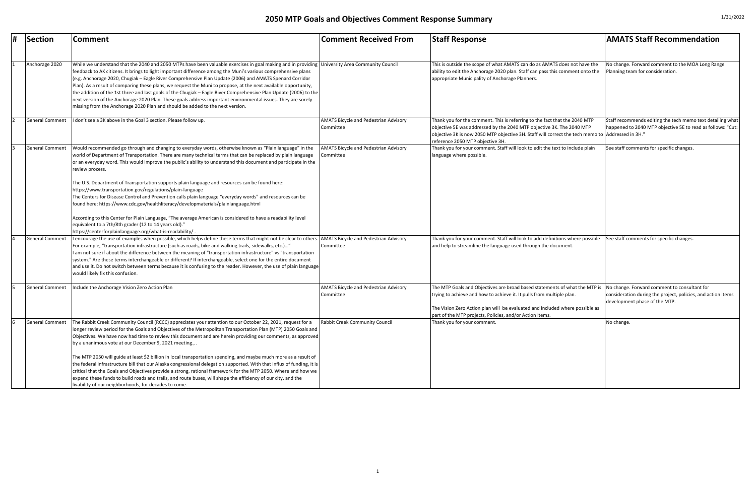| <b>Comment Received From</b>                              | <b>Staff Response</b>                                                                                                                                                                                                                                                                           | <b>AMATS Staff Recommendation</b>                                                                                                             |
|-----------------------------------------------------------|-------------------------------------------------------------------------------------------------------------------------------------------------------------------------------------------------------------------------------------------------------------------------------------------------|-----------------------------------------------------------------------------------------------------------------------------------------------|
|                                                           |                                                                                                                                                                                                                                                                                                 |                                                                                                                                               |
| University Area Community Council                         | This is outside the scope of what AMATS can do as AMATS does not have the<br>ability to edit the Anchorage 2020 plan. Staff can pass this comment onto the<br>appropriate Municipality of Anchorage Planners.                                                                                   | No change. Forward comment to the MOA Long Range<br>Planning team for consideration.                                                          |
| <b>AMATS Bicycle and Pedestrian Advisory</b>              | Thank you for the comment. This is referring to the fact that the 2040 MTP                                                                                                                                                                                                                      | Staff recommends editing the tech memo text detailing what                                                                                    |
| Committee                                                 | objective 5E was addressed by the 2040 MTP objective 3K. The 2040 MTP<br>objective 3K is now 2050 MTP objective 3H. Staff will correct the tech memo to Addressed in 3H."<br>reference 2050 MTP objective 3H.                                                                                   | happened to 2040 MTP objective 5E to read as follows: "Cut:                                                                                   |
| <b>AMATS Bicycle and Pedestrian Advisory</b><br>Committee | Thank you for your comment. Staff will look to edit the text to include plain<br>language where possible.                                                                                                                                                                                       | See staff comments for specific changes.                                                                                                      |
| <b>AMATS Bicycle and Pedestrian Advisory</b><br>Committee | Thank you for your comment. Staff will look to add definitions where possible<br>and help to streamline the language used through the document.                                                                                                                                                 | See staff comments for specific changes.                                                                                                      |
| <b>AMATS Bicycle and Pedestrian Advisory</b><br>Committee | The MTP Goals and Objectives are broad based statements of what the MTP is<br>trying to achieve and how to achieve it. It pulls from multiple plan.<br>The Vision Zero Action plan will be evaluated and included where possible as<br>part of the MTP projects, Policies, and/or Action Items. | No change. Forward comment to consultant for<br>consideration during the project, policies, and action items<br>development phase of the MTP. |
| Rabbit Creek Community Council                            | Thank you for your comment.                                                                                                                                                                                                                                                                     | No change.                                                                                                                                    |

| # | <b>Section</b>         | <b>Comment</b>                                                                                                                                                                                                                                                                                                                                                                                                                                                                                                                                                                                                                                                                                                                                                                                                       | <b>Comment Received From</b>                              | <b>Staff Response</b>                                                                                                                                                                                                                                                                           | <b>AMATS Staff Recommendation</b>                                                                                                       |
|---|------------------------|----------------------------------------------------------------------------------------------------------------------------------------------------------------------------------------------------------------------------------------------------------------------------------------------------------------------------------------------------------------------------------------------------------------------------------------------------------------------------------------------------------------------------------------------------------------------------------------------------------------------------------------------------------------------------------------------------------------------------------------------------------------------------------------------------------------------|-----------------------------------------------------------|-------------------------------------------------------------------------------------------------------------------------------------------------------------------------------------------------------------------------------------------------------------------------------------------------|-----------------------------------------------------------------------------------------------------------------------------------------|
|   | Anchorage 2020         | While we understand that the 2040 and 2050 MTPs have been valuable exercises in goal making and in providing University Area Community Council<br>feedback to AK citizens. It brings to light important difference among the Muni's various comprehensive plans<br>e.g. Anchorage 2020, Chugiak – Eagle River Comprehensive Plan Update (2006) and AMATS Spenard Corridor (<br>Plan). As a result of comparing these plans, we request the Muni to propose, at the next available opportunity,<br>the addition of the 1st three and last goals of the Chugiak - Eagle River Comprehensive Plan Update (2006) to the<br>next version of the Anchorage 2020 Plan. These goals address important environmental issues. They are sorely<br>missing from the Anchorage 2020 Plan and should be added to the next version. |                                                           | This is outside the scope of what AMATS can do as AMATS does not have the<br>ability to edit the Anchorage 2020 plan. Staff can pass this comment onto the<br>appropriate Municipality of Anchorage Planners.                                                                                   | No change. Forward comment to the MOA Long Ran<br>Planning team for consideration.                                                      |
|   | <b>General Comment</b> | I don't see a 3K above in the Goal 3 section. Please follow up.                                                                                                                                                                                                                                                                                                                                                                                                                                                                                                                                                                                                                                                                                                                                                      | <b>AMATS Bicycle and Pedestrian Advisory</b><br>Committee | Thank you for the comment. This is referring to the fact that the 2040 MTP<br>objective 5E was addressed by the 2040 MTP objective 3K. The 2040 MTP<br>objective 3K is now 2050 MTP objective 3H. Staff will correct the tech memo to Addressed in 3H."<br>reference 2050 MTP objective 3H.     | Staff recommends editing the tech memo text detai<br>happened to 2040 MTP objective 5E to read as follo                                 |
|   | <b>General Comment</b> | Would recommended go through and changing to everyday words, otherwise known as "Plain language" in the<br>world of Department of Transportation. There are many technical terms that can be replaced by plain language<br>or an everyday word. This would improve the public's ability to understand this document and participate in the<br>review process.                                                                                                                                                                                                                                                                                                                                                                                                                                                        | <b>AMATS Bicycle and Pedestrian Advisory</b><br>Committee | Thank you for your comment. Staff will look to edit the text to include plain<br>language where possible.                                                                                                                                                                                       | See staff comments for specific changes.                                                                                                |
|   |                        | The U.S. Department of Transportation supports plain language and resources can be found here:<br>https://www.transportation.gov/regulations/plain-language<br>The Centers for Disease Control and Prevention calls plain language "everyday words" and resources can be<br>found here: https://www.cdc.gov/healthliteracy/developmaterials/plainlanguage.html                                                                                                                                                                                                                                                                                                                                                                                                                                                       |                                                           |                                                                                                                                                                                                                                                                                                 |                                                                                                                                         |
|   |                        | According to this Center for Plain Language, "The average American is considered to have a readability level<br>lequivalent to a 7th/8th grader (12 to 14 years old)."<br>https://centerforplainlanguage.org/what-is-readability/.                                                                                                                                                                                                                                                                                                                                                                                                                                                                                                                                                                                   |                                                           |                                                                                                                                                                                                                                                                                                 |                                                                                                                                         |
|   | General Comment        | encourage the use of examples when possible, which helps define these terms that might not be clear to others.<br>For example, "transportation infrastructure (such as roads, bike and walking trails, sidewalks, etc.)"<br>I am not sure if about the difference between the meaning of "transportation infrastructure" vs "transportation<br>system." Are these terms interchangeable or different? If interchangeable, select one for the entire document<br>and use it. Do not switch between terms because it is confusing to the reader. However, the use of plain language<br>would likely fix this confusion.                                                                                                                                                                                                | <b>AMATS Bicycle and Pedestrian Advisory</b><br>Committee | Thank you for your comment. Staff will look to add definitions where possible<br>and help to streamline the language used through the document.                                                                                                                                                 | See staff comments for specific changes.                                                                                                |
|   | <b>General Comment</b> | Include the Anchorage Vision Zero Action Plan                                                                                                                                                                                                                                                                                                                                                                                                                                                                                                                                                                                                                                                                                                                                                                        | <b>AMATS Bicycle and Pedestrian Advisory</b><br>Committee | The MTP Goals and Objectives are broad based statements of what the MTP is<br>trying to achieve and how to achieve it. It pulls from multiple plan.<br>The Vision Zero Action plan will be evaluated and included where possible as<br>part of the MTP projects, Policies, and/or Action Items. | No change. Forward comment to consultant for<br>consideration during the project, policies, and actior<br>development phase of the MTP. |
|   | General Comment        | The Rabbit Creek Community Council (RCCC) appreciates your attention to our October 22, 2021, request for a<br>longer review period for the Goals and Objectives of the Metropolitan Transportation Plan (MTP) 2050 Goals and<br>Objectives. We have now had time to review this document and are herein providing our comments, as approved<br>by a unanimous vote at our December 9, 2021 meeting.,                                                                                                                                                                                                                                                                                                                                                                                                                | Rabbit Creek Community Council                            | Thank you for your comment.                                                                                                                                                                                                                                                                     | No change.                                                                                                                              |
|   |                        | The MTP 2050 will guide at least \$2 billion in local transportation spending, and maybe much more as a result of<br>the federal infrastructure bill that our Alaska congressional delegation supported. With that influx of funding, it is<br>critical that the Goals and Objectives provide a strong, rational framework for the MTP 2050. Where and how we<br>expend these funds to build roads and trails, and route buses, will shape the efficiency of our city, and the<br>livability of our neighborhoods, for decades to come.                                                                                                                                                                                                                                                                              |                                                           |                                                                                                                                                                                                                                                                                                 |                                                                                                                                         |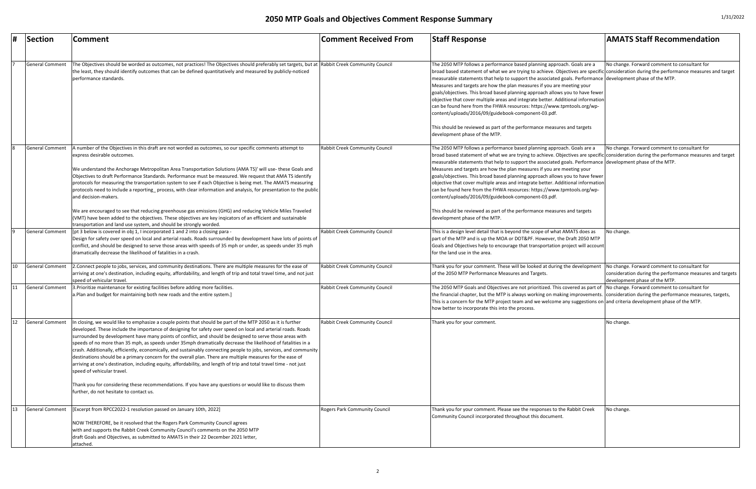| Section                | Comment                                                                                                                                                                                                                                                                                                                                                                                                                                                                                                                                                                                                                                                                                                                                                                                                                                                                                                                                                                                                 | <b>Comment Received From</b>          | <b>Staff Response</b>                                                                                                                                                                                                                                                                                                                                                                                                                                                                                                                                                                                                                                                                                                                                                                                                           | <b>AMATS Staff Recommendation</b>                                                          |
|------------------------|---------------------------------------------------------------------------------------------------------------------------------------------------------------------------------------------------------------------------------------------------------------------------------------------------------------------------------------------------------------------------------------------------------------------------------------------------------------------------------------------------------------------------------------------------------------------------------------------------------------------------------------------------------------------------------------------------------------------------------------------------------------------------------------------------------------------------------------------------------------------------------------------------------------------------------------------------------------------------------------------------------|---------------------------------------|---------------------------------------------------------------------------------------------------------------------------------------------------------------------------------------------------------------------------------------------------------------------------------------------------------------------------------------------------------------------------------------------------------------------------------------------------------------------------------------------------------------------------------------------------------------------------------------------------------------------------------------------------------------------------------------------------------------------------------------------------------------------------------------------------------------------------------|--------------------------------------------------------------------------------------------|
|                        |                                                                                                                                                                                                                                                                                                                                                                                                                                                                                                                                                                                                                                                                                                                                                                                                                                                                                                                                                                                                         |                                       |                                                                                                                                                                                                                                                                                                                                                                                                                                                                                                                                                                                                                                                                                                                                                                                                                                 |                                                                                            |
| <b>General Comment</b> | The Objectives should be worded as outcomes, not practices! The Objectives should preferably set targets, but at  Rabbit Creek Community Council<br>the least, they should identify outcomes that can be defined quantitatively and measured by publicly-noticed<br>performance standards.                                                                                                                                                                                                                                                                                                                                                                                                                                                                                                                                                                                                                                                                                                              |                                       | The 2050 MTP follows a performance based planning approach. Goals are a<br>broad based statement of what we are trying to achieve. Objectives are specific consideration during the performance measures and target<br>measurable statements that help to support the associated goals. Performance development phase of the MTP.<br>Measures and targets are how the plan measures if you are meeting your<br>goals/objectives. This broad based planning approach allows you to have fewer<br>objective that cover multiple areas and integrate better. Additional information<br>can be found here from the FHWA resources: https://www.tpmtools.org/wp-<br>content/uploads/2016/09/guidebook-component-03.pdf.<br>This should be reviewed as part of the performance measures and targets<br>development phase of the MTP.  | No change. Forward comment to consultant for                                               |
| <b>General Comment</b> | A number of the Objectives in this draft are not worded as outcomes, so our specific comments attempt to<br>express desirable outcomes.<br>We understand the Anchorage Metropolitan Area Transportation Solutions (AMA TS)' will use- these Goals and<br>Objectives to draft Performance Standards. Performance must be measured. We request that AMA TS identify<br>protocols for measuring the transportation system to see if each Objective is being met. The AMATS measuring<br>protocols need to include a reporting_process, with clear information and analysis, for presentation to the public<br>and decision-makers.<br>We are encouraged to see that reducing greenhouse gas emissions (GHG) and reducing Vehicle Miles Traveled<br>(VMT) have been added to the objectives. These objectives are key ingicators of an efficient and sustainable<br>transportation and land use system, and should be strongly worded.                                                                      | <b>Rabbit Creek Community Council</b> | The 2050 MTP follows a performance based planning approach. Goals are a<br>broad based statement of what we are trying to achieve. Objectives are specific consideration during the performance measures and target<br>Imeasurable statements that help to support the associated goals. Performance development phase of the MTP.<br>Measures and targets are how the plan measures if you are meeting your<br>goals/objectives. This broad based planning approach allows you to have fewer<br>objective that cover multiple areas and integrate better. Additional information<br>can be found here from the FHWA resources: https://www.tpmtools.org/wp-<br>content/uploads/2016/09/guidebook-component-03.pdf.<br>This should be reviewed as part of the performance measures and targets<br>development phase of the MTP. | No change. Forward comment to consultant for                                               |
| <b>General Comment</b> | [pt 3 below is covered in obj 1, I incorporated 1 and 2 into a closing para -<br>Design for safety over speed on local and arterial roads. Roads surrounded by development have lots of points of<br>conflict, and should be designed to serve those areas with speeds of 35 mph or under, as speeds under 35 mph<br>dramatically decrease the likelihood of fatalities in a crash.                                                                                                                                                                                                                                                                                                                                                                                                                                                                                                                                                                                                                     | Rabbit Creek Community Council        | This is a design level detail that is beyond the scope of what AMATS does as<br>part of the MTP and is up the MOA or DOT&PF. However, the Draft 2050 MTP<br>Goals and Objectives help to encourage that transportation project will account<br>for the land use in the area.                                                                                                                                                                                                                                                                                                                                                                                                                                                                                                                                                    | No change.                                                                                 |
| <b>General Comment</b> | Connect people to jobs, services, and community destinations. There are multiple measures for the ease of<br>arriving at one's destination, including equity, affordability, and length of trip and total travel time, and not just<br>speed of vehicular travel.                                                                                                                                                                                                                                                                                                                                                                                                                                                                                                                                                                                                                                                                                                                                       | Rabbit Creek Community Council        | Thank you for your comment. These will be looked at during the development No change. Forward comment to consultant for<br>of the 2050 MTP Performance Measures and Targets.                                                                                                                                                                                                                                                                                                                                                                                                                                                                                                                                                                                                                                                    | consideration during the performance measures and targets<br>development phase of the MTP. |
| <b>General Comment</b> | 3. Prioritize maintenance for existing facilities before adding more facilities.<br>a.Plan and budget for maintaining both new roads and the entire system.]                                                                                                                                                                                                                                                                                                                                                                                                                                                                                                                                                                                                                                                                                                                                                                                                                                            | <b>Rabbit Creek Community Council</b> | The 2050 MTP Goals and Objectives are not prioritized. This covered as part of No change. Forward comment to consultant for<br>the financial chapter, but the MTP is always working on making improvements. consideration during the performance measures, targets,<br>This is a concern for the MTP project team and we welcome any suggestions on and criteria development phase of the MTP.<br>how better to incorporate this into the process.                                                                                                                                                                                                                                                                                                                                                                              |                                                                                            |
| <b>General Comment</b> | n closing, we would like to emphasize a couple points that should be part of the MTP 2050 as it is further<br>developed. These include the importance of designing for safety over speed on local and arterial roads. Roads<br>surrounded by development have many points of conflict, and should be designed to serve those areas with<br>speeds of no more than 35 mph, as speeds under 35mph dramatically decrease the likelihood of fatalities in a<br>crash. Additionally, efficiently, economically, and sustainably connecting people to jobs, services, and community<br>destinations should be a primary concern for the overall plan. There are multiple measures for the ease of<br>arriving at one's destination, including equity, affordability, and length of trip and total travel time - not just<br>speed of vehicular travel.<br>Thank you for considering these recommendations. If you have any questions or would like to discuss them<br>further, do not hesitate to contact us. | <b>Rabbit Creek Community Council</b> | Thank you for your comment.                                                                                                                                                                                                                                                                                                                                                                                                                                                                                                                                                                                                                                                                                                                                                                                                     | No change.                                                                                 |
| <b>General Comment</b> | [Excerpt from RPCC2022-1 resolution passed on January 10th, 2022]<br>NOW THEREFORE, be it resolved that the Rogers Park Community Council agrees<br>with and supports the Rabbit Creek Community Council's comments on the 2050 MTP<br>draft Goals and Objectives, as submitted to AMATS in their 22 December 2021 letter,<br>attached.                                                                                                                                                                                                                                                                                                                                                                                                                                                                                                                                                                                                                                                                 | <b>Rogers Park Community Council</b>  | Thank you for your comment. Please see the responses to the Rabbit Creek<br>Community Council incorporated throughout this document.                                                                                                                                                                                                                                                                                                                                                                                                                                                                                                                                                                                                                                                                                            | No change.                                                                                 |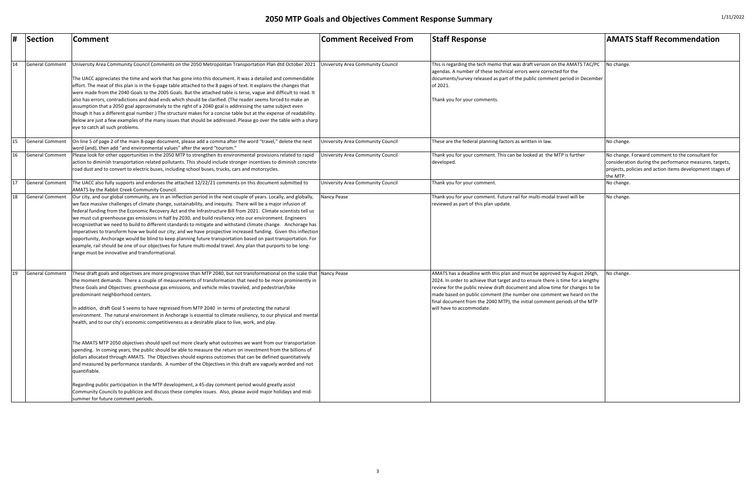| #  | Section                | <b>Comment</b>                                                                                                                                                                                                                                                                                                                                                                                                                                                                                                                                                                                                                                                                                                                                                                                                                                                                                                                                                                                                                                                                                                                                                                                                                                                                                                                                                                                                        | Comment Received From                    | <b>Staff Response</b>                                                                                                                                                                                                                                                                                                                                                                                                          | <b>AMATS Staff Recommendation</b>                                                                                                                                          |
|----|------------------------|-----------------------------------------------------------------------------------------------------------------------------------------------------------------------------------------------------------------------------------------------------------------------------------------------------------------------------------------------------------------------------------------------------------------------------------------------------------------------------------------------------------------------------------------------------------------------------------------------------------------------------------------------------------------------------------------------------------------------------------------------------------------------------------------------------------------------------------------------------------------------------------------------------------------------------------------------------------------------------------------------------------------------------------------------------------------------------------------------------------------------------------------------------------------------------------------------------------------------------------------------------------------------------------------------------------------------------------------------------------------------------------------------------------------------|------------------------------------------|--------------------------------------------------------------------------------------------------------------------------------------------------------------------------------------------------------------------------------------------------------------------------------------------------------------------------------------------------------------------------------------------------------------------------------|----------------------------------------------------------------------------------------------------------------------------------------------------------------------------|
| 14 | General Comment        | University Area Community Council Comments on the 2050 Metropolitan Transportation Plan dtd October 2021<br>The UACC appreciates the time and work that has gone into this document. It was a detailed and commendable<br>effort. The meat of this plan is in the 6-page table attached to the 8 pages of text. It explains the changes that<br>were made from the 2040 Goals to the 2005 Goals. But the attached table is terse, vague and difficult to read. It<br>also has errors, contradictions and dead ends which should be clarified. (The reader seems forced to make an<br>assumption that a 2050 goal approximately to the right of a 2040 goal is addressing the same subject even<br>though it has a different goal number.) The structure makes for a concise table but at the expense of readability.<br>Below are just a few examples of the many issues that should be addressed. Please go over the table with a sharp<br>eye to catch all such problems.                                                                                                                                                                                                                                                                                                                                                                                                                                           | University Area Community Council        | This is regarding the tech memo that was draft version on the AMATS TAC/PC<br>agendas. A number of these technical errors were corrected for the<br>documents/survey released as part of the public comment period in December<br>of 2021.<br>Thank you for your comments.                                                                                                                                                     | No change.                                                                                                                                                                 |
| 15 | General Comment        | On line 5 of page 2 of the main 8-page document, please add a comma after the word "travel," delete the next<br>word (and), then add "and environmental values" after the word "tourism."                                                                                                                                                                                                                                                                                                                                                                                                                                                                                                                                                                                                                                                                                                                                                                                                                                                                                                                                                                                                                                                                                                                                                                                                                             | <b>University Area Community Council</b> | These are the federal planning factors as written in law.                                                                                                                                                                                                                                                                                                                                                                      | No change.                                                                                                                                                                 |
| 16 | General Comment        | Please look for other opportunities in the 2050 MTP to strengthen its environmental provisions related to rapid<br>action to diminish transportation related pollutants. This should include stronger incentives to diminish concrete<br>road dust and to convert to electric buses, including school buses, trucks, cars and motorcycles.                                                                                                                                                                                                                                                                                                                                                                                                                                                                                                                                                                                                                                                                                                                                                                                                                                                                                                                                                                                                                                                                            | University Area Community Council        | Thank you for your comment. This can be looked at the MTP is further<br>developed                                                                                                                                                                                                                                                                                                                                              | No change. Forward comment to the consultant for<br>consideration during the performance measures, tar<br>projects, policies and action items development stag<br>the MTP. |
| 17 | General Comment        | The UACC also fully supports and endorses the attached 12/22/21 comments on this document submitted to<br>AMATS by the Rabbit Creek Community Council                                                                                                                                                                                                                                                                                                                                                                                                                                                                                                                                                                                                                                                                                                                                                                                                                                                                                                                                                                                                                                                                                                                                                                                                                                                                 | <b>University Area Community Council</b> | Thank you for your comment.                                                                                                                                                                                                                                                                                                                                                                                                    | No change.                                                                                                                                                                 |
| 18 | General Comment        | Our city, and our global community, are in an inflection period in the next couple of years. Locally, and globally,<br>we face massive challenges of climate change, sustainability, and inequity. There will be a major infusion of<br>federal funding from the Economic Recovery Act and the Infrastructure Bill from 2021. Climate scientists tell us<br>we must cut greenhouse gas emissions in half by 2030, and build resiliency into our environment. Engineers<br>recognizethat we need to build to different standards to mitigate and withstand climate change. Anchorage has<br>imperatives to transform how we build our city; and we have prospective increased funding. Given this inflection<br>opportunity, Anchorage would be blind to keep planning future transportation based on past transportation. For<br>example, rail should be one of our objectives for future multi-modal travel. Any plan that purports to be long-<br>range must be innovative and transformational.                                                                                                                                                                                                                                                                                                                                                                                                                    | Nancy Pease                              | Thank you for your comment. Future rail for multi-modal travel will be<br>reviewed as part of this plan update.                                                                                                                                                                                                                                                                                                                | No change.                                                                                                                                                                 |
| 19 | <b>General Comment</b> | These draft goals and objectives are more progressive than MTP 2040, but not transformational on the scale that Nancy Pease<br>the moment demands. There a couple of measurements of transformation that need to be more prominently in<br>these Goals and Objectives: greenhouse gas emissions, and vehicle miles traveled, and pedestrian/bike<br>predominant neighborhood centers.<br>In addition, draft Goal 5 seems to have regressed from MTP 2040 in terms of protecting the natural<br>environment. The natural environment in Anchorage is essential to climate resiliency, to our physical and mental<br>health, and to our city's economic competitiveness as a desirable place to live, work, and play.<br>The AMATS MTP 2050 objectives should spell out more clearly what outcomes we want from our transportation<br>spending. In coming years, the public should be able to measure the return on investment from the billions of<br>dollars allocated through AMATS. The Objectives should express outcomes that can be defined quantitatively<br>and measured by performance standards. A number of the Objectives in this draft are vaguely worded and not<br>quantifiable.<br>Regarding public participation in the MTP development, a 45-day comment period would greatly assist<br>Community Councils to publicize and discuss these complex issues. Also, please avoid major holidays and mid- |                                          | AMATS has a deadline with this plan and must be approved by August 26tgh,<br>2024. In order to achieve that target and to ensure there is time for a lengthy<br>review for the public review draft document and allow time for changes to be<br>made based on public comment (the number one comment we heard on the<br>final document from the 2040 MTP), the initial comment periods of the MTP<br>will have to accommodate. | No change.                                                                                                                                                                 |
|    |                        | summer for future comment periods.                                                                                                                                                                                                                                                                                                                                                                                                                                                                                                                                                                                                                                                                                                                                                                                                                                                                                                                                                                                                                                                                                                                                                                                                                                                                                                                                                                                    |                                          |                                                                                                                                                                                                                                                                                                                                                                                                                                |                                                                                                                                                                            |

| <b>Comment Received From</b>      | <b>Staff Response</b>                                                                                                                                                                                                                                                                                                                                                                                                          | <b>AMATS Staff Recommendation</b>                                                                                                                                                    |
|-----------------------------------|--------------------------------------------------------------------------------------------------------------------------------------------------------------------------------------------------------------------------------------------------------------------------------------------------------------------------------------------------------------------------------------------------------------------------------|--------------------------------------------------------------------------------------------------------------------------------------------------------------------------------------|
| University Area Community Council | This is regarding the tech memo that was draft version on the AMATS TAC/PC<br>agendas. A number of these technical errors were corrected for the<br>documents/survey released as part of the public comment period in December<br>of 2021.<br>Thank you for your comments.                                                                                                                                                     | No change.                                                                                                                                                                           |
|                                   |                                                                                                                                                                                                                                                                                                                                                                                                                                |                                                                                                                                                                                      |
| University Area Community Council | These are the federal planning factors as written in law.                                                                                                                                                                                                                                                                                                                                                                      | No change.                                                                                                                                                                           |
| University Area Community Council | Thank you for your comment. This can be looked at the MTP is further<br>developed.                                                                                                                                                                                                                                                                                                                                             | No change. Forward comment to the consultant for<br>consideration during the performance measures, targets,<br>projects, policies and action items development stages of<br>the MTP. |
| University Area Community Council | Thank you for your comment.                                                                                                                                                                                                                                                                                                                                                                                                    | No change.                                                                                                                                                                           |
| Nancy Pease                       | Thank you for your comment. Future rail for multi-modal travel will be<br>reviewed as part of this plan update.                                                                                                                                                                                                                                                                                                                | No change.                                                                                                                                                                           |
| Nancy Pease                       | AMATS has a deadline with this plan and must be approved by August 26tgh,<br>2024. In order to achieve that target and to ensure there is time for a lengthy<br>review for the public review draft document and allow time for changes to be<br>made based on public comment (the number one comment we heard on the<br>final document from the 2040 MTP), the initial comment periods of the MTP<br>will have to accommodate. | No change.                                                                                                                                                                           |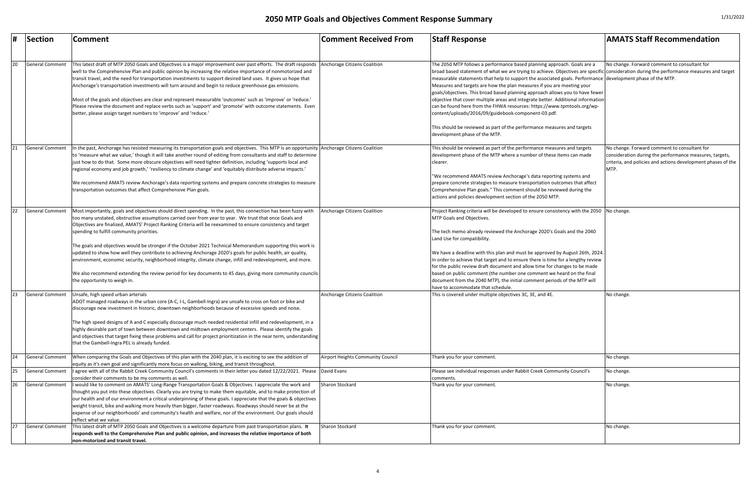| #  | Section                | Comment                                                                                                                                                                                                                        | <b>Comment Received From</b>      | <b>Staff Response</b>                                                                                                                                                                                                                                  | <b>AMATS Staff Recommendation</b>                            |
|----|------------------------|--------------------------------------------------------------------------------------------------------------------------------------------------------------------------------------------------------------------------------|-----------------------------------|--------------------------------------------------------------------------------------------------------------------------------------------------------------------------------------------------------------------------------------------------------|--------------------------------------------------------------|
|    |                        |                                                                                                                                                                                                                                |                                   |                                                                                                                                                                                                                                                        |                                                              |
|    |                        |                                                                                                                                                                                                                                |                                   |                                                                                                                                                                                                                                                        |                                                              |
| 20 | <b>General Comment</b> | This latest draft of MTP 2050 Goals and Objectives is a major improvement over past efforts. The draft responds<br>well to the Comprehensive Plan and public opinion by increasing the relative importance of nonmotorized and | Anchorage Citizens Coalition      | The 2050 MTP follows a performance based planning approach. Goals are a                                                                                                                                                                                | No change. Forward comment to consultant for                 |
|    |                        | transit travel, and the need for transportation investments to support desired land uses. It gives us hope that                                                                                                                |                                   | broad based statement of what we are trying to achieve. Objectives are specific consideration during the performance measures and target<br>measurable statements that help to support the associated goals. Performance development phase of the MTP. |                                                              |
|    |                        | Anchorage's transportation investments will turn around and begin to reduce greenhouse gas emissions.                                                                                                                          |                                   | Measures and targets are how the plan measures if you are meeting your                                                                                                                                                                                 |                                                              |
|    |                        |                                                                                                                                                                                                                                |                                   | goals/objectives. This broad based planning approach allows you to have fewer                                                                                                                                                                          |                                                              |
|    |                        | Most of the goals and objectives are clear and represent measurable 'outcomes' such as 'improve' or 'reduce.'                                                                                                                  |                                   | objective that cover multiple areas and integrate better. Additional information                                                                                                                                                                       |                                                              |
|    |                        | Please review the document and replace verbs such as 'support' and 'promote' with outcome statements. Even                                                                                                                     |                                   | can be found here from the FHWA resources: https://www.tpmtools.org/wp-                                                                                                                                                                                |                                                              |
|    |                        | better, please assign target numbers to 'improve' and 'reduce.'                                                                                                                                                                |                                   | content/uploads/2016/09/guidebook-component-03.pdf.                                                                                                                                                                                                    |                                                              |
|    |                        |                                                                                                                                                                                                                                |                                   | This should be reviewed as part of the performance measures and targets                                                                                                                                                                                |                                                              |
|    |                        |                                                                                                                                                                                                                                |                                   | development phase of the MTP.                                                                                                                                                                                                                          |                                                              |
|    | General Comment        | n the past, Anchorage has resisted measuring its transportation goals and objectives. This MTP is an opportunity Anchorage Citizens Coalition                                                                                  |                                   | This should be reviewed as part of the performance measures and targets                                                                                                                                                                                | No change. Forward comment to consultant for                 |
|    |                        | to 'measure what we value,' though it will take another round of editing from consultants and staff to determine                                                                                                               |                                   | development phase of the MTP where a number of these items can made                                                                                                                                                                                    | consideration during the performance measures, targets,      |
|    |                        | ust how to do that. Some more obscure objectives will need tighter definition, including 'supports local and                                                                                                                   |                                   | Iclearer.                                                                                                                                                                                                                                              | criteria, and policies and actions development phases of the |
|    |                        | regional economy and job growth,' 'resiliency to climate change' and 'equitably distribute adverse impacts.'                                                                                                                   |                                   |                                                                                                                                                                                                                                                        | MTP.                                                         |
|    |                        |                                                                                                                                                                                                                                |                                   | "We recommend AMATS review Anchorage's data reporting systems and                                                                                                                                                                                      |                                                              |
|    |                        | We recommend AMATS review Anchorage's data reporting systems and prepare concrete strategies to measure                                                                                                                        |                                   | prepare concrete strategies to measure transportation outcomes that affect                                                                                                                                                                             |                                                              |
|    |                        | transportation outcomes that affect Comprehensive Plan goals.                                                                                                                                                                  |                                   | Comprehensive Plan goals." This comment should be reviewed during the                                                                                                                                                                                  |                                                              |
|    |                        |                                                                                                                                                                                                                                |                                   | actions and policies development section of the 2050 MTP.                                                                                                                                                                                              |                                                              |
| 22 | General Comment        | Most importantly, goals and objectives should direct spending. In the past, this connection has been fuzzy with                                                                                                                | Anchorage Citizens Coalition      | Project Ranking criteria will be developed to ensure consistency with the 2050   No change.                                                                                                                                                            |                                                              |
|    |                        | too many unstated, obstructive assumptions carried over from year to year. We trust that once Goals and                                                                                                                        |                                   | MTP Goals and Objectives.                                                                                                                                                                                                                              |                                                              |
|    |                        | Objectives are finalized, AMATS' Project Ranking Criteria will be reexamined to ensure consistency and target                                                                                                                  |                                   |                                                                                                                                                                                                                                                        |                                                              |
|    |                        | spending to fulfill community priorities.                                                                                                                                                                                      |                                   | The tech memo already reviewed the Anchorage 2020's Goals and the 2040                                                                                                                                                                                 |                                                              |
|    |                        |                                                                                                                                                                                                                                |                                   | Land Use for compatibility.                                                                                                                                                                                                                            |                                                              |
|    |                        | The goals and objectives would be stronger if the October 2021 Technical Memorandum supporting this work is                                                                                                                    |                                   |                                                                                                                                                                                                                                                        |                                                              |
|    |                        | updated to show how well they contribute to achieving Anchorage 2020's goals for public health, air quality,                                                                                                                   |                                   | We have a deadline with this plan and must be approved by August 26th, 2024.                                                                                                                                                                           |                                                              |
|    |                        | environment, economic security, neighborhood integrity, climate change, infill and redevelopment, and more.                                                                                                                    |                                   | In order to achieve that target and to ensure there is time for a lengthy review<br>for the public review draft document and allow time for changes to be made                                                                                         |                                                              |
|    |                        | We also recommend extending the review period for key documents to 45 days, giving more community councils                                                                                                                     |                                   | based on public comment (the number one comment we heard on the final                                                                                                                                                                                  |                                                              |
|    |                        | the opportunity to weigh in.                                                                                                                                                                                                   |                                   | document from the 2040 MTP), the initial comment periods of the MTP will                                                                                                                                                                               |                                                              |
|    |                        |                                                                                                                                                                                                                                |                                   | have to accommodate that schedule.                                                                                                                                                                                                                     |                                                              |
| 23 | <b>General Comment</b> | Jnsafe, high speed urban arterials                                                                                                                                                                                             | Anchorage Citizens Coalition      | This is covered under multiple objectives 3C, 3E, and 4E.                                                                                                                                                                                              | No change.                                                   |
|    |                        | ADOT managed roadways in the urban core (A-C, I-L, Gambell-Ingra) are unsafe to cross on foot or bike and                                                                                                                      |                                   |                                                                                                                                                                                                                                                        |                                                              |
|    |                        | discourage new investment in historic, downtown neighborhoods because of excessive speeds and noise.                                                                                                                           |                                   |                                                                                                                                                                                                                                                        |                                                              |
|    |                        |                                                                                                                                                                                                                                |                                   |                                                                                                                                                                                                                                                        |                                                              |
|    |                        | The high speed designs of A and C especially discourage much needed residential infill and redevelopment, in a                                                                                                                 |                                   |                                                                                                                                                                                                                                                        |                                                              |
|    |                        | highly desirable part of town between downtown and midtown employment centers. Please identify the goals                                                                                                                       |                                   |                                                                                                                                                                                                                                                        |                                                              |
|    |                        | and objectives that target fixing these problems and call for project prioritization in the near term, understanding                                                                                                           |                                   |                                                                                                                                                                                                                                                        |                                                              |
|    |                        | that the Gambell-Ingra PEL is already funded.                                                                                                                                                                                  |                                   |                                                                                                                                                                                                                                                        |                                                              |
| 24 | General Comment        | When comparing the Goals and Objectives of this plan with the 2040 plan, it is exciting to see the addition of                                                                                                                 | Airport Heights Community Council | Thank you for your comment.                                                                                                                                                                                                                            | No change.                                                   |
|    |                        | equity as it's own goal and significantly more focus on walking, biking, and transit throughout.                                                                                                                               |                                   |                                                                                                                                                                                                                                                        |                                                              |
| 25 | General Comment        | agree with all of the Rabbit Creek Community Council's comments in their letter you dated 12/22/2021. Please David Evans                                                                                                       |                                   | Please see individual responses under Rabbit Creek Community Council's                                                                                                                                                                                 | No change.                                                   |
|    |                        | consider their comments to be my comments as well.                                                                                                                                                                             |                                   | comments.                                                                                                                                                                                                                                              |                                                              |
|    | <b>General Comment</b> | would like to comment on AMATS' Long-Range Transportation Goals & Objectives. I appreciate the work and                                                                                                                        | Sharon Stockard                   | Thank you for your comment.                                                                                                                                                                                                                            | No change.                                                   |
|    |                        | thought you put into these objectives. Clearly you are trying to make them equitable, and to make protection of                                                                                                                |                                   |                                                                                                                                                                                                                                                        |                                                              |
|    |                        | our health and of our environment a critical underpinning of these goals. I appreciate that the goals & objectives                                                                                                             |                                   |                                                                                                                                                                                                                                                        |                                                              |
|    |                        | weight transit, bike and walking more heavily than bigger, faster roadways. Roadways should never be at the<br>expense of our neighborhoods' and community's health and welfare, nor of the environment. Our goals should      |                                   |                                                                                                                                                                                                                                                        |                                                              |
|    |                        | reflect what we value.                                                                                                                                                                                                         |                                   |                                                                                                                                                                                                                                                        |                                                              |
| 27 | General Comment        | This latest draft of MTP 2050 Goals and Objectives is a welcome departure from past transportation plans. It                                                                                                                   | Sharon Stockard                   | Thank you for your comment.                                                                                                                                                                                                                            | No change.                                                   |
|    |                        | responds well to the Comprehensive Plan and public opinion, and increases the relative importance of both                                                                                                                      |                                   |                                                                                                                                                                                                                                                        |                                                              |
|    |                        | non-motorized and transit travel.                                                                                                                                                                                              |                                   |                                                                                                                                                                                                                                                        |                                                              |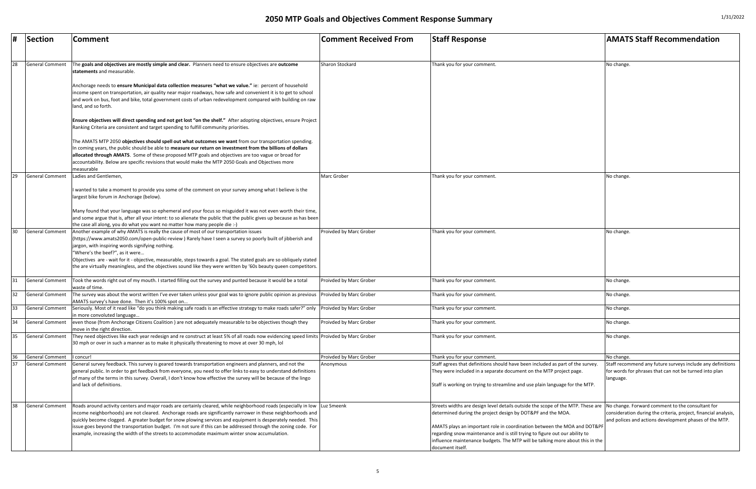| #  | Section                | <b>Comment</b>                                                                                                                                                                                                                                                                                                                                                                                                                                                                                                                                                       | <b>Comment Received From</b> | <b>Staff Response</b>                                                                                                                                                                                                                                                                                                                                                                                          | <b>AMATS Staff Recommendation</b>                                                                                                                                |
|----|------------------------|----------------------------------------------------------------------------------------------------------------------------------------------------------------------------------------------------------------------------------------------------------------------------------------------------------------------------------------------------------------------------------------------------------------------------------------------------------------------------------------------------------------------------------------------------------------------|------------------------------|----------------------------------------------------------------------------------------------------------------------------------------------------------------------------------------------------------------------------------------------------------------------------------------------------------------------------------------------------------------------------------------------------------------|------------------------------------------------------------------------------------------------------------------------------------------------------------------|
|    |                        |                                                                                                                                                                                                                                                                                                                                                                                                                                                                                                                                                                      |                              |                                                                                                                                                                                                                                                                                                                                                                                                                |                                                                                                                                                                  |
| 28 | <b>General Comment</b> | The goals and objectives are mostly simple and clear. Planners need to ensure objectives are outcome<br>statements and measurable.                                                                                                                                                                                                                                                                                                                                                                                                                                   | Sharon Stockard              | Thank you for your comment                                                                                                                                                                                                                                                                                                                                                                                     | No change.                                                                                                                                                       |
|    |                        | Anchorage needs to ensure Municipal data collection measures "what we value." ie: percent of household<br>income spent on transportation, air quality near major roadways, how safe and convenient it is to get to school<br>and work on bus, foot and bike, total government costs of urban redevelopment compared with building on raw<br>land, and so forth.                                                                                                                                                                                                      |                              |                                                                                                                                                                                                                                                                                                                                                                                                                |                                                                                                                                                                  |
|    |                        | Ensure objectives will direct spending and not get lost "on the shelf." After adopting objectives, ensure Project<br>Ranking Criteria are consistent and target spending to fulfill community priorities.                                                                                                                                                                                                                                                                                                                                                            |                              |                                                                                                                                                                                                                                                                                                                                                                                                                |                                                                                                                                                                  |
|    |                        | The AMATS MTP 2050 objectives should spell out what outcomes we want from our transportation spending.<br>In coming years, the public should be able to measure our return on investment from the billions of dollars<br>allocated through AMATS. Some of these proposed MTP goals and objectives are too vague or broad for<br>accountability. Below are specific revisions that would make the MTP 2050 Goals and Objectives more                                                                                                                                  |                              |                                                                                                                                                                                                                                                                                                                                                                                                                |                                                                                                                                                                  |
| 29 | <b>General Comment</b> | measurable<br>Ladies and Gentlemen,                                                                                                                                                                                                                                                                                                                                                                                                                                                                                                                                  | Marc Grober                  | Thank you for your comment                                                                                                                                                                                                                                                                                                                                                                                     | No change.                                                                                                                                                       |
|    |                        | wanted to take a moment to provide you some of the comment on your survey among what I believe is the<br>largest bike forum in Anchorage (below).                                                                                                                                                                                                                                                                                                                                                                                                                    |                              |                                                                                                                                                                                                                                                                                                                                                                                                                |                                                                                                                                                                  |
|    |                        | Many found that your language was so ephemeral and your focus so misguided it was not even worth their time,<br>and some argue that is, after all your intent: to so alienate the public that the public gives up because as has been<br>the case all along, you do what you want no matter how many people die :-)                                                                                                                                                                                                                                                  |                              |                                                                                                                                                                                                                                                                                                                                                                                                                |                                                                                                                                                                  |
| 30 | <b>General Comment</b> | Another example of why AMATS is really the cause of most of our transportation issues<br>(https://www.amats2050.com/open-public-review) Rarely have I seen a survey so poorly built of jibberish and<br>jargon, with inspiring words signifying nothing.<br>'Where's the beef?", as it were<br>Objectives are - wait for it - objective, measurable, steps towards a goal. The stated goals are so obliquely stated<br>the are virtually meaningless, and the objectives sound like they were written by '60s beauty queen competitors.                              | Proivded by Marc Grober      | Thank you for your comment                                                                                                                                                                                                                                                                                                                                                                                     | No change.                                                                                                                                                       |
| 31 | General Comment        | Took the words right out of my mouth. I started filling out the survey and punted because it would be a total<br>waste of time.                                                                                                                                                                                                                                                                                                                                                                                                                                      | Proivded by Marc Grober      | Thank you for your comment.                                                                                                                                                                                                                                                                                                                                                                                    | No change.                                                                                                                                                       |
| 32 | General Comment        | The survey was about the worst written I've ever taken unless your goal was to ignore public opinion as previous<br>AMATS survey's have done. Then it's 100% spot on                                                                                                                                                                                                                                                                                                                                                                                                 | Proivded by Marc Grober      | Thank you for your comment.                                                                                                                                                                                                                                                                                                                                                                                    | No change.                                                                                                                                                       |
| 33 | General Comment        | Seriously. Most of it read like "do you think making safe roads is an effective strategy to make roads safer?" only Proivded by Marc Grober<br>in more convoluted language                                                                                                                                                                                                                                                                                                                                                                                           |                              | Thank you for your comment.                                                                                                                                                                                                                                                                                                                                                                                    | No change.                                                                                                                                                       |
| 34 | <b>General Comment</b> | even those (from Anchorage Citizens Coalition) are not adequately measurable to be objectives though they<br>move in the right direction.                                                                                                                                                                                                                                                                                                                                                                                                                            | Proivded by Marc Grober      | Thank you for your comment.                                                                                                                                                                                                                                                                                                                                                                                    | No change.                                                                                                                                                       |
| 35 | <b>General Comment</b> | They need objectives like each year redesign and re construct at least 5% of all roads now evidencing speed limits  Proivded by Marc Grober<br>30 mph or over in such a manner as to make it physically threatening to move at over 30 mph, lol                                                                                                                                                                                                                                                                                                                      |                              | Thank you for your comment.                                                                                                                                                                                                                                                                                                                                                                                    | No change.                                                                                                                                                       |
| 36 | General Comment        | I concur!                                                                                                                                                                                                                                                                                                                                                                                                                                                                                                                                                            | Proivded by Marc Grober      | Thank you for your comment.                                                                                                                                                                                                                                                                                                                                                                                    | No change.                                                                                                                                                       |
|    | <b>General Comment</b> | General survey feedback. This survey is geared towards transportation engineers and planners, and not the<br>general public. In order to get feedback from everyone, you need to offer links to easy to understand definitions<br>of many of the terms in this survey. Overall, I don't know how effective the survey will be because of the lingo<br>and lack of definitions.                                                                                                                                                                                       | Anonymous                    | Staff agrees that definitions should have been included as part of the survey<br>They were included in a separate document on the MTP project page.<br>Staff is working on trying to streamline and use plain language for the MTP.                                                                                                                                                                            | Staff recommend any future surveys include any def<br>for words for phrases that can not be turned into pla<br>language.                                         |
| 38 | <b>General Comment</b> | Roads around activity centers and major roads are certainly cleared, while neighborhood roads (especially in low<br>income neighborhoods) are not cleared. Anchorage roads are significantly narrower in these neighborhoods and<br>quickly become clogged. A greater budget for snow plowing services and equipment is desperately needed. This<br>issue goes beyond the transportation budget. I'm not sure if this can be addressed through the zoning code. For<br>example, increasing the width of the streets to accommodate maximum winter snow accumulation. | Luz Smeenk                   | Streets widths are design level details outside the scope of the MTP. These are<br>determined during the project design by DOT&PF and the MOA.<br>AMATS plays an important role in coordination between the MOA and DOT&PF<br>regarding snow maintenance and is still trying to figure out our ability to<br>influence maintenance budgets. The MTP will be talking more about this in the<br>document itself. | No change. Forward comment to the consultant for<br>consideration during the criteria, project, financial a<br>and polices and actions development phases of the |

| <b>Comment Received From</b> | <b>Staff Response</b>                                                                                                                                                                                                                                                                                                                                                                                          | <b>AMATS Staff Recommendation</b>                                                                                                                                             |
|------------------------------|----------------------------------------------------------------------------------------------------------------------------------------------------------------------------------------------------------------------------------------------------------------------------------------------------------------------------------------------------------------------------------------------------------------|-------------------------------------------------------------------------------------------------------------------------------------------------------------------------------|
| Sharon Stockard              | Thank you for your comment.                                                                                                                                                                                                                                                                                                                                                                                    | No change.                                                                                                                                                                    |
| Marc Grober                  | Thank you for your comment.                                                                                                                                                                                                                                                                                                                                                                                    | No change.                                                                                                                                                                    |
|                              |                                                                                                                                                                                                                                                                                                                                                                                                                |                                                                                                                                                                               |
| Proivded by Marc Grober      | Thank you for your comment.                                                                                                                                                                                                                                                                                                                                                                                    | No change.                                                                                                                                                                    |
| Proivded by Marc Grober      | Thank you for your comment.                                                                                                                                                                                                                                                                                                                                                                                    | No change.                                                                                                                                                                    |
| Proivded by Marc Grober      | Thank you for your comment.                                                                                                                                                                                                                                                                                                                                                                                    | No change.                                                                                                                                                                    |
| Proivded by Marc Grober      | Thank you for your comment.                                                                                                                                                                                                                                                                                                                                                                                    | No change.                                                                                                                                                                    |
| Proivded by Marc Grober      | Thank you for your comment.                                                                                                                                                                                                                                                                                                                                                                                    | No change.                                                                                                                                                                    |
| Proivded by Marc Grober      | Thank you for your comment.                                                                                                                                                                                                                                                                                                                                                                                    | No change.                                                                                                                                                                    |
| Proivded by Marc Grober      | Thank you for your comment.                                                                                                                                                                                                                                                                                                                                                                                    | No change.                                                                                                                                                                    |
| Anonymous                    | Staff agrees that definitions should have been included as part of the survey.<br>They were included in a separate document on the MTP project page.<br>Staff is working on trying to streamline and use plain language for the MTP.                                                                                                                                                                           | Staff recommend any future surveys include any definitions<br>for words for phrases that can not be turned into plan<br>language.                                             |
| Luz Smeenk                   | Streets widths are design level details outside the scope of the MTP. These are<br>determined during the project design by DOT&PF and the MOA.<br>AMATS plays an important role in coordination between the MOA and DOT&PF<br>regarding snow maintenance and is still trying to figure out our ability to<br>influence maintenance budgets. The MTP will be talking more about this in the<br>document itself. | No change. Forward comment to the consultant for<br>consideration during the criteria, project, financial analysis,<br>and polices and actions development phases of the MTP. |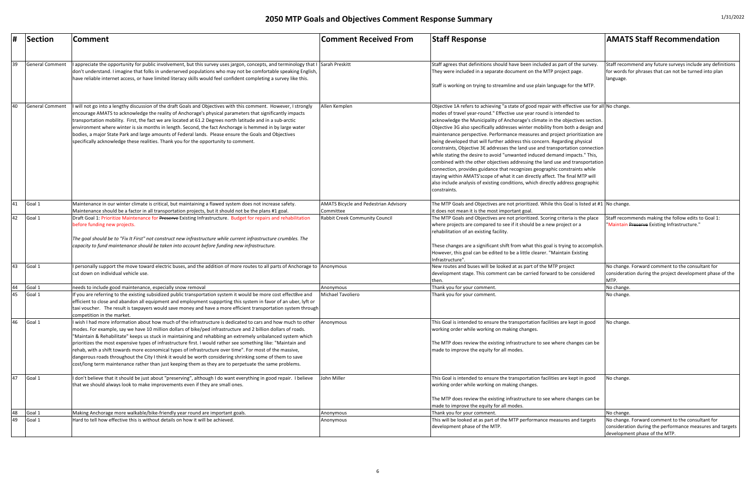| #  | Section         | Comment                                                                                                                                                                                                                                                                                                                                                                                                                                                                                                                                                                                                                                                                                                                                                                                         | <b>Comment Received From</b>                              | <b>Staff Response</b>                                                                                                                                                                                                                                                                                                                                                                                                                                                                                                                                                                                                                                                                                                                                                                                                                                                                                                                                                                                                        | <b>AMATS Staff Recommendation</b>                                                                                                              |
|----|-----------------|-------------------------------------------------------------------------------------------------------------------------------------------------------------------------------------------------------------------------------------------------------------------------------------------------------------------------------------------------------------------------------------------------------------------------------------------------------------------------------------------------------------------------------------------------------------------------------------------------------------------------------------------------------------------------------------------------------------------------------------------------------------------------------------------------|-----------------------------------------------------------|------------------------------------------------------------------------------------------------------------------------------------------------------------------------------------------------------------------------------------------------------------------------------------------------------------------------------------------------------------------------------------------------------------------------------------------------------------------------------------------------------------------------------------------------------------------------------------------------------------------------------------------------------------------------------------------------------------------------------------------------------------------------------------------------------------------------------------------------------------------------------------------------------------------------------------------------------------------------------------------------------------------------------|------------------------------------------------------------------------------------------------------------------------------------------------|
|    |                 |                                                                                                                                                                                                                                                                                                                                                                                                                                                                                                                                                                                                                                                                                                                                                                                                 |                                                           |                                                                                                                                                                                                                                                                                                                                                                                                                                                                                                                                                                                                                                                                                                                                                                                                                                                                                                                                                                                                                              |                                                                                                                                                |
| 39 | General Comment | appreciate the opportunity for public involvement, but this survey uses jargon, concepts, and terminology that I Sarah Preskitt<br>don't understand. I imagine that folks in underserved populations who may not be comfortable speaking English,<br>have reliable internet access, or have limited literacy skills would feel confident completing a survey like this.                                                                                                                                                                                                                                                                                                                                                                                                                         |                                                           | Staff agrees that definitions should have been included as part of the survey<br>They were included in a separate document on the MTP project page.<br>Staff is working on trying to streamline and use plain language for the MTP.                                                                                                                                                                                                                                                                                                                                                                                                                                                                                                                                                                                                                                                                                                                                                                                          | Staff recommend any future surveys include any definitions<br>for words for phrases that can not be turned into plan<br>language.              |
| 40 | General Comment | will not go into a lengthy discussion of the draft Goals and Objectives with this comment. However, I strongly<br>encourage AMATS to acknowledge the reality of Anchorage's physical parameters that significantly impacts<br>transportation mobility. First, the fact we are located at 61.2 Degrees north latitude and in a sub-arctic<br>environment where winter is six months in length. Second, the fact Anchorage is hemmed in by large water<br>bodies, a major State Park and large amounts of Federal lands. Please ensure the Goals and Objectives<br>specifically acknowledge these realities. Thank you for the opportunity to comment.                                                                                                                                            | Allen Kemplen                                             | Objective 1A refers to achieving "a state of good repair with effective use for all No change.<br>modes of travel year-round." Effective use year round is intended to<br>acknowledge the Municipality of Anchorage's climate in the objectives section.<br>Objective 3G also specifically addresses winter mobility from both a design and<br>maintenance perspective. Performance measures and project prioritization are<br>being developed that will further address this concern. Regarding physical<br>constraints, Objective 3E addresses the land use and transportation connection<br>while stating the desire to avoid "unwanted induced demand impacts." This,<br>combined with the other objectives addressing the land use and transportation<br>connection, provides guidance that recognizes geographic constraints while<br>staying within AMATS'scope of what it can directly affect. The final MTP will<br>also include analysis of existing conditions, which directly address geographic<br>constraints. |                                                                                                                                                |
| 41 | Goal 1          | Maintenance in our winter climate is critical, but maintaining a flawed system does not increase safety.<br>Maintenance should be a factor in all transportation projects, but it should not be the plans #1 goal.                                                                                                                                                                                                                                                                                                                                                                                                                                                                                                                                                                              | <b>AMATS Bicycle and Pedestrian Advisory</b><br>Committee | The MTP Goals and Objectives are not prioritized. While this Goal is listed at #1   No change.<br>it does not mean it is the most important goal.                                                                                                                                                                                                                                                                                                                                                                                                                                                                                                                                                                                                                                                                                                                                                                                                                                                                            |                                                                                                                                                |
| 42 | Goal 1          | Draft Goal 1: Prioritize Maintenance for Preserve Existing Infrastructure. Budget for repairs and rehabilitation<br>before funding new projects.                                                                                                                                                                                                                                                                                                                                                                                                                                                                                                                                                                                                                                                | <b>Rabbit Creek Community Council</b>                     | The MTP Goals and Objectives are not prioritized. Scoring criteria is the place<br>where projects are compared to see if it should be a new project or a<br>rehabilitation of an existing facility.                                                                                                                                                                                                                                                                                                                                                                                                                                                                                                                                                                                                                                                                                                                                                                                                                          | Staff recommends making the follow edits to Goal 1:<br>"Maintain Preserve Existing Infrastructure."                                            |
|    |                 | The goal should be to "Fix It First" not construct new infrastructure while current infrastructure crumbles. The<br>capacity to fund maintenance should be taken into account before funding new infrastructure.                                                                                                                                                                                                                                                                                                                                                                                                                                                                                                                                                                                |                                                           | These changes are a significant shift from what this goal is trying to accomplish.<br>However, this goal can be edited to be a little clearer. "Maintain Existing<br>Infrastructure"                                                                                                                                                                                                                                                                                                                                                                                                                                                                                                                                                                                                                                                                                                                                                                                                                                         |                                                                                                                                                |
| 43 | Goal 1          | I personally support the move toward electric buses, and the addition of more routes to all parts of Anchorage to  Anonymous<br>cut down on individual vehicle use.                                                                                                                                                                                                                                                                                                                                                                                                                                                                                                                                                                                                                             |                                                           | New routes and buses will be looked at as part of the MTP project<br>development stage. This comment can be carried forward to be considered<br>then.                                                                                                                                                                                                                                                                                                                                                                                                                                                                                                                                                                                                                                                                                                                                                                                                                                                                        | No change. Forward comment to the consultant for<br>consideration during the project development phase of the<br>MTP.                          |
| 44 | Goal 1          | needs to include good maintenance, especially snow removal                                                                                                                                                                                                                                                                                                                                                                                                                                                                                                                                                                                                                                                                                                                                      | Anonymous                                                 | Thank you for your comment.                                                                                                                                                                                                                                                                                                                                                                                                                                                                                                                                                                                                                                                                                                                                                                                                                                                                                                                                                                                                  | No change.                                                                                                                                     |
| 45 | Goal 1          | f you are referring to the existing subsidized public transportation system it would be more cost effect8ve and<br>efficient to close and abandon all equipment and employment suppprting this system in favor of an uber, lyft or<br>taxi voucher. The result is taxpayers would save money and have a more efficient transportation system through<br>competition in the market.                                                                                                                                                                                                                                                                                                                                                                                                              | Michael Tavoliero                                         | Thank you for your comment.                                                                                                                                                                                                                                                                                                                                                                                                                                                                                                                                                                                                                                                                                                                                                                                                                                                                                                                                                                                                  | No change.                                                                                                                                     |
| 46 | Goal 1          | I wish I had more information about how much of the infrastructure is dedicated to cars and how much to other<br>modes. For example, say we have 10 million dollars of bike/ped infrastructure and 2 billion dollars of roads.<br>"Maintain & Rehabilitate" keeps us stuck in maintaining and rehabbing an extremely unbalanced system which<br>prioritizes the most expensive types of infrastructure first. I would rather see something like: "Maintain and<br>rehab, with a shift towards more economical types of infrastructure over time". For most of the massive,<br>dangerous roads throughout the City I think it would be worth considering shrinking some of them to save<br>cost/long term maintenance rather than just keeping them as they are to perpetuate the same problems. | Anonymous                                                 | This Goal is intended to ensure the transportation facilities are kept in good<br>working order while working on making changes.<br>The MTP does review the existing infrastructure to see where changes can be<br>made to improve the equity for all modes.                                                                                                                                                                                                                                                                                                                                                                                                                                                                                                                                                                                                                                                                                                                                                                 | No change.                                                                                                                                     |
| 47 | Goal 1          | I don't believe that it should be just about "preserving", although I do want everything in good repair. I believe<br>that we should always look to make improvements even if they are small ones.                                                                                                                                                                                                                                                                                                                                                                                                                                                                                                                                                                                              | John Miller                                               | This Goal is intended to ensure the transportation facilities are kept in good<br>working order while working on making changes.<br>The MTP does review the existing infrastructure to see where changes can be<br>made to improve the equity for all modes.                                                                                                                                                                                                                                                                                                                                                                                                                                                                                                                                                                                                                                                                                                                                                                 | No change.                                                                                                                                     |
| 48 | Goal 1          | Making Anchorage more walkable/bike-friendly year round are important goals.                                                                                                                                                                                                                                                                                                                                                                                                                                                                                                                                                                                                                                                                                                                    | Anonymous                                                 | Thank you for your comment.                                                                                                                                                                                                                                                                                                                                                                                                                                                                                                                                                                                                                                                                                                                                                                                                                                                                                                                                                                                                  | No change.                                                                                                                                     |
| 49 | Goal 1          | Hard to tell how effective this is without details on how it will be achieved.                                                                                                                                                                                                                                                                                                                                                                                                                                                                                                                                                                                                                                                                                                                  | Anonymous                                                 | This will be looked at as part of the MTP performance measures and targets<br>development phase of the MTP.                                                                                                                                                                                                                                                                                                                                                                                                                                                                                                                                                                                                                                                                                                                                                                                                                                                                                                                  | No change. Forward comment to the consultant for<br>consideration during the performance measures and targets<br>development phase of the MTP. |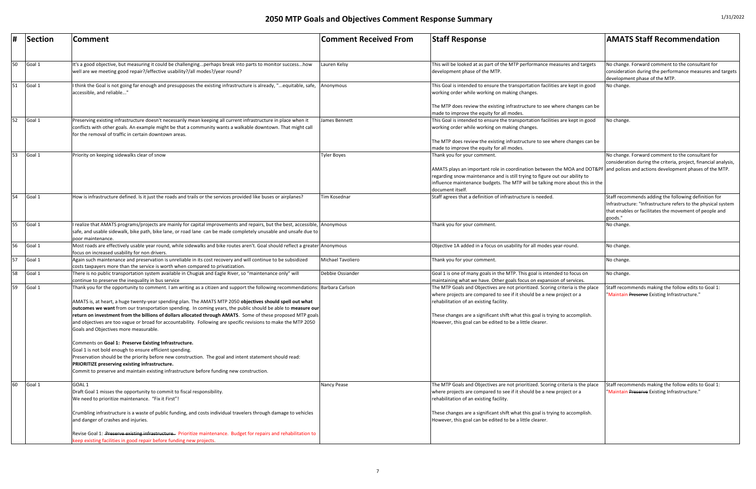| #  | Section | <b>Comment</b>                                                                                                                                                                                                                                                                                                                                                                                                                                                                                                                                                                                                                         | <b>Comment Received From</b> | <b>Staff Response</b>                                                                                                                                                                                                                                                                                                                                                                           | <b>AMATS Staff Recommendation</b>                                                                                                                                                          |
|----|---------|----------------------------------------------------------------------------------------------------------------------------------------------------------------------------------------------------------------------------------------------------------------------------------------------------------------------------------------------------------------------------------------------------------------------------------------------------------------------------------------------------------------------------------------------------------------------------------------------------------------------------------------|------------------------------|-------------------------------------------------------------------------------------------------------------------------------------------------------------------------------------------------------------------------------------------------------------------------------------------------------------------------------------------------------------------------------------------------|--------------------------------------------------------------------------------------------------------------------------------------------------------------------------------------------|
| 50 | Goal 1  | It's a good objective, but measuring it could be challengingperhaps break into parts to monitor successhow<br>well are we meeting good repair?/effective usability?/all modes?/year round?                                                                                                                                                                                                                                                                                                                                                                                                                                             | Lauren Kelsy                 | This will be looked at as part of the MTP performance measures and targets<br>development phase of the MTP.                                                                                                                                                                                                                                                                                     | No change. Forward comment to the consultant for<br>consideration during the performance measures and targets<br>development phase of the MTP.                                             |
| 51 | Goal 1  | I think the Goal is not going far enough and presupposes the existing infrastructure is already, "equitable, safe,<br>accessible, and reliable"                                                                                                                                                                                                                                                                                                                                                                                                                                                                                        | Anonymous                    | This Goal is intended to ensure the transportation facilities are kept in good<br>working order while working on making changes.<br>The MTP does review the existing infrastructure to see where changes can be                                                                                                                                                                                 | No change.                                                                                                                                                                                 |
| 52 | Goal 1  | Preserving existing infrastructure doesn't necessarily mean keeping all current infrastructure in place when it<br>conflicts with other goals. An example might be that a community wants a walkable downtown. That might call<br>for the removal of traffic in certain downtown areas.                                                                                                                                                                                                                                                                                                                                                | James Bennett                | made to improve the equity for all modes.<br>This Goal is intended to ensure the transportation facilities are kept in good<br>working order while working on making changes.<br>The MTP does review the existing infrastructure to see where changes can be                                                                                                                                    | No change.                                                                                                                                                                                 |
| 53 | Goal 1  | Priority on keeping sidewalks clear of snow                                                                                                                                                                                                                                                                                                                                                                                                                                                                                                                                                                                            | <b>Tyler Boyes</b>           | made to improve the equity for all modes.<br>Thank you for your comment.<br>AMATS plays an important role in coordination between the MOA and DOT&PF and polices and actions development phases of the MTP.<br>regarding snow maintenance and is still trying to figure out our ability to<br>influence maintenance budgets. The MTP will be talking more about this in the<br>document itself. | No change. Forward comment to the consultant for<br>consideration during the criteria, project, financial analysis,                                                                        |
| 54 | Goal 1  | How is infrastructure defined. Is it just the roads and trails or the services provided like buses or airplanes?                                                                                                                                                                                                                                                                                                                                                                                                                                                                                                                       | Tim Kosednar                 | Staff agrees that a definition of infrastructure is needed.                                                                                                                                                                                                                                                                                                                                     | Staff recommends adding the following definition for<br>Infrastructure: "Infrastructure refers to the physical system<br>that enables or facilitates the movement of people and<br>goods." |
| 55 | Goal 1  | realize that AMATS programs/projects are mainly for capital improvements and repairs, but the best, accessible, Anonymous<br>safe, and usable sidewalk, bike path, bike lane, or road lane can be made completely unusable and unsafe due to<br>poor maintenance.                                                                                                                                                                                                                                                                                                                                                                      |                              | Thank you for your comment.                                                                                                                                                                                                                                                                                                                                                                     | No change.                                                                                                                                                                                 |
| 56 | Goal 1  | Most roads are effectively usable year round, while sidewalks and bike routes aren't. Goal should reflect a greater Anonymous<br>focus on increased usability for non drivers.                                                                                                                                                                                                                                                                                                                                                                                                                                                         |                              | Objective 1A added in a focus on usability for all modes year-round.                                                                                                                                                                                                                                                                                                                            | No change.                                                                                                                                                                                 |
| 57 | Goal 1  | Again such maintenance and preservation is unreliable in its cost recovery and will continue to be subsidized<br>costs taxpayers more than the service is worth when compared to privatization.                                                                                                                                                                                                                                                                                                                                                                                                                                        | Michael Tavoliero            | Thank you for your comment.                                                                                                                                                                                                                                                                                                                                                                     | No change.                                                                                                                                                                                 |
| 58 | Goal 1  | There is no public transportation system available in Chugiak and Eagle River, so "maintenance only" will<br>continue to preserve the inequality in bus service                                                                                                                                                                                                                                                                                                                                                                                                                                                                        | Debbie Ossiander             | Goal 1 is one of many goals in the MTP. This goal is intended to focus on<br>maintaining what we have. Other goals focus on expansion of services.                                                                                                                                                                                                                                              | No change.                                                                                                                                                                                 |
| 59 | Goal 1  | Thank you for the opportunity to comment. I am writing as a citizen and support the following recommendations: Barbara Carlson<br>AMATS is, at heart, a huge twenty-year spending plan. The AMATS MTP 2050 objectives should spell out what<br>outcomes we want from our transportation spending. In coming years, the public should be able to measure our<br>return on investment from the billions of dollars allocated through AMATS. Some of these proposed MTP goals<br>and objectives are too vague or broad for accountability. Following are specific revisions to make the MTP 2050<br>Goals and Objectives more measurable. |                              | The MTP Goals and Objectives are not prioritized. Scoring criteria is the place<br>where projects are compared to see if it should be a new project or a<br>rehabilitation of an existing facility.<br>These changes are a significant shift what this goal is trying to accomplish.<br>However, this goal can be edited to be a little clearer.                                                | Staff recommends making the follow edits to Goal 1:<br>"Maintain Preserve Existing Infrastructure."                                                                                        |
|    |         | Comments on Goal 1: Preserve Existing Infrastructure.<br>Goal 1 is not bold enough to ensure efficient spending.<br>Preservation should be the priority before new construction. The goal and intent statement should read:<br>PRIORITIZE preserving existing infrastructure.<br>Commit to preserve and maintain existing infrastructure before funding new construction.                                                                                                                                                                                                                                                              |                              |                                                                                                                                                                                                                                                                                                                                                                                                 |                                                                                                                                                                                            |
| 60 | Goal 1  | GOAL <sub>1</sub><br>Draft Goal 1 misses the opportunity to commit to fiscal responsibility.<br>We need to prioritize maintenance. "Fix it First"!                                                                                                                                                                                                                                                                                                                                                                                                                                                                                     | Nancy Pease                  | The MTP Goals and Objectives are not prioritized. Scoring criteria is the place<br>where projects are compared to see if it should be a new project or a<br>rehabilitation of an existing facility.                                                                                                                                                                                             | Staff recommends making the follow edits to Goal 1:<br>"Maintain Preserve Existing Infrastructure."                                                                                        |
|    |         | Crumbling infrastructure is a waste of public funding, and costs individual travelers through damage to vehicles<br>and danger of crashes and injuries.                                                                                                                                                                                                                                                                                                                                                                                                                                                                                |                              | These changes are a significant shift what this goal is trying to accomplish.<br>However, this goal can be edited to be a little clearer.                                                                                                                                                                                                                                                       |                                                                                                                                                                                            |
|    |         | Revise Goal 1: Preserve existing infrastructure. Prioritize maintenance. Budget for repairs and rehabilitation to<br>keep existing facilities in good repair before funding new projects.                                                                                                                                                                                                                                                                                                                                                                                                                                              |                              |                                                                                                                                                                                                                                                                                                                                                                                                 |                                                                                                                                                                                            |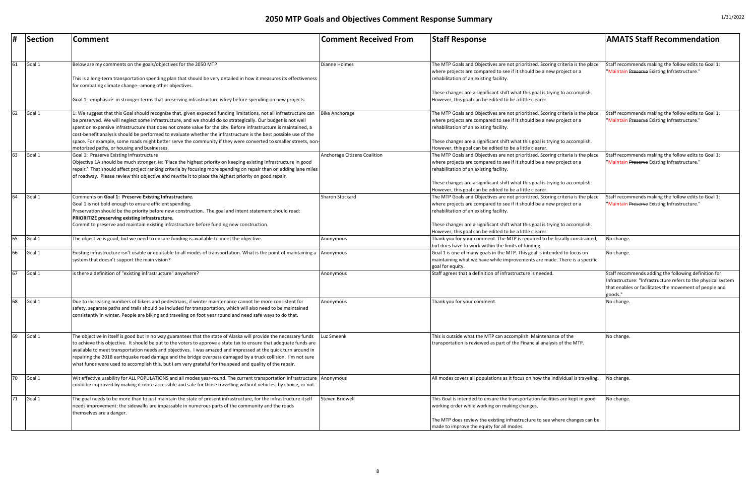|    | Section   | Comment                                                                                                                                                                                                                                                                                                                                                                                                                                                                                                                                                                               | <b>Comment Received From</b> | <b>Staff Response</b>                                                                                                                                                                                                                                                                | <b>AMATS Staff Recommendation</b>                                                                                                                                                          |
|----|-----------|---------------------------------------------------------------------------------------------------------------------------------------------------------------------------------------------------------------------------------------------------------------------------------------------------------------------------------------------------------------------------------------------------------------------------------------------------------------------------------------------------------------------------------------------------------------------------------------|------------------------------|--------------------------------------------------------------------------------------------------------------------------------------------------------------------------------------------------------------------------------------------------------------------------------------|--------------------------------------------------------------------------------------------------------------------------------------------------------------------------------------------|
|    |           |                                                                                                                                                                                                                                                                                                                                                                                                                                                                                                                                                                                       |                              |                                                                                                                                                                                                                                                                                      |                                                                                                                                                                                            |
| 61 | Goal 1    | Below are my comments on the goals/objectives for the 2050 MTP<br>This is a long-term transportation spending plan that should be very detailed in how it measures its effectiveness<br>for combating climate change--among other objectives.                                                                                                                                                                                                                                                                                                                                         | <b>Dianne Holmes</b>         | The MTP Goals and Objectives are not prioritized. Scoring criteria is the place<br>where projects are compared to see if it should be a new project or a<br>rehabilitation of an existing facility.<br>These changes are a significant shift what this goal is trying to accomplish. | Staff recommends making the follow edits to Goal 1:<br>"Maintain Preserve Existing Infrastructure."                                                                                        |
|    |           | Goal 1: emphasize in stronger terms that preserving infrastructure is key before spending on new projects.                                                                                                                                                                                                                                                                                                                                                                                                                                                                            |                              | However, this goal can be edited to be a little clearer.                                                                                                                                                                                                                             |                                                                                                                                                                                            |
| 62 | Goal 1    | .: We suggest that this Goal should recognize that, given expected funding limitations, not all infrastructure can<br>be preserved. We will neglect some infrastructure, and we should do so strategically. Our budget is not well<br>spent on expensive infrastructure that does not create value for the city. Before infrastructure is maintained, a<br>cost-benefit analysis should be performed to evaluate whether the infrastructure is the best possible use of the                                                                                                           | <b>Bike Anchorage</b>        | The MTP Goals and Objectives are not prioritized. Scoring criteria is the place<br>where projects are compared to see if it should be a new project or a<br>rehabilitation of an existing facility.                                                                                  | Staff recommends making the follow edits to Goal 1:<br>"Maintain Preserve Existing Infrastructure."                                                                                        |
|    |           | space. For example, some roads might better serve the community if they were converted to smaller streets, non-<br>motorized paths, or housing and businesses.                                                                                                                                                                                                                                                                                                                                                                                                                        |                              | These changes are a significant shift what this goal is trying to accomplish.<br>However, this goal can be edited to be a little clearer.                                                                                                                                            |                                                                                                                                                                                            |
| 63 | Goal 1    | Goal 1: Preserve Existing Infrastructure<br>Objective 1A should be much stronger, ie: 'Place the highest priority on keeping existing infrastructure in good<br>repair.' That should affect project ranking criteria by focusing more spending on repair than on adding lane miles<br>of roadway. Please review this objective and rewrite it to place the highest priority on good repair.                                                                                                                                                                                           | Anchorage Citizens Coalition | The MTP Goals and Objectives are not prioritized. Scoring criteria is the place<br>where projects are compared to see if it should be a new project or a<br>rehabilitation of an existing facility.<br>These changes are a significant shift what this goal is trying to accomplish. | Staff recommends making the follow edits to Goal 1:<br>"Maintain Preserve Existing Infrastructure."                                                                                        |
| 64 |           |                                                                                                                                                                                                                                                                                                                                                                                                                                                                                                                                                                                       | <b>Sharon Stockard</b>       | However, this goal can be edited to be a little clearer.                                                                                                                                                                                                                             | Staff recommends making the follow edits to Goal 1:                                                                                                                                        |
|    | Goal 1    | Comments on Goal 1: Preserve Existing Infrastructure.<br>Goal 1 is not bold enough to ensure efficient spending.<br>Preservation should be the priority before new construction. The goal and intent statement should read:<br>PRIORITIZE preserving existing infrastructure.                                                                                                                                                                                                                                                                                                         |                              | The MTP Goals and Objectives are not prioritized. Scoring criteria is the place<br>where projects are compared to see if it should be a new project or a<br>rehabilitation of an existing facility.                                                                                  | "Maintain Preserve Existing Infrastructure."                                                                                                                                               |
|    |           | Commit to preserve and maintain existing infrastructure before funding new construction.                                                                                                                                                                                                                                                                                                                                                                                                                                                                                              |                              | These changes are a significant shift what this goal is trying to accomplish.<br>However, this goal can be edited to be a little clearer.                                                                                                                                            |                                                                                                                                                                                            |
| 65 | Goal 1    | The objective is good, but we need to ensure funding is available to meet the objective.                                                                                                                                                                                                                                                                                                                                                                                                                                                                                              | Anonymous                    | Thank you for your comment. The MTP is required to be fiscally constrained<br>but does have to work within the limits of funding.                                                                                                                                                    | No change.                                                                                                                                                                                 |
|    | 66 Goal 1 | Existing infrastructure isn't usable or equitable to all modes of transportation. What is the point of maintaining a Anonymous<br>system that doesn't support the main vision?                                                                                                                                                                                                                                                                                                                                                                                                        |                              | Goal 1 is one of many goals in the MTP. This goal is intended to focus on<br>maintaining what we have while improvements are made. There is a specific<br>goal for equity.                                                                                                           | No change.                                                                                                                                                                                 |
| 67 | Goal 1    | is there a definition of "existing infrastructure" anywhere?                                                                                                                                                                                                                                                                                                                                                                                                                                                                                                                          | Anonymous                    | Staff agrees that a definition of infrastructure is needed.                                                                                                                                                                                                                          | Staff recommends adding the following definition for<br>Infrastructure: "Infrastructure refers to the physical system<br>that enables or facilitates the movement of people and<br>goods." |
| 68 | Goal 1    | Due to increasing numbers of bikers and pedestrians, if winter maintenance cannot be more consistent for<br>safety, separate paths and trails should be included for transportation, which will also need to be maintained<br>consistently in winter. People are biking and traveling on foot year round and need safe ways to do that.                                                                                                                                                                                                                                               | Anonymous                    | Thank you for your comment.                                                                                                                                                                                                                                                          | No change.                                                                                                                                                                                 |
| 69 | Goal 1    | The objective in itself is good but in no way guarantees that the state of Alaska will provide the necessary funds<br>to achieve this objective. It should be put to the voters to approve a state tax to ensure that adequate funds are<br>available to meet transportation needs and objectives. I was amazed and impressed at the quick turn around in<br>repairing the 2018 earthquake road damage and the bridge overpass damaged by a truck collision. I'm not sure<br>what funds were used to accomplish this, but I am very grateful for the speed and quality of the repair. | Luz Smeenk                   | This is outside what the MTP can accomplish. Maintenance of the<br>transportation is reviewed as part of the Financial analysis of the MTP.                                                                                                                                          | No change.                                                                                                                                                                                 |
| 70 | Goal 1    | Wit effective usability for ALL POPULATIONS and all modes year-round. The current transportation infrastructure Anonymous<br>could be improved by making it more accessible and safe for those travelling without vehicles, by choice, or not.                                                                                                                                                                                                                                                                                                                                        |                              | All modes covers all populations as it focus on how the individual is traveling.                                                                                                                                                                                                     | No change.                                                                                                                                                                                 |
| 71 | Goal 1    | The goal needs to be more than to just maintain the state of present infrastructure, for the infrastructure itself<br>needs improvement: the sidewalks are impassable in numerous parts of the community and the roads<br>themselves are a danger.                                                                                                                                                                                                                                                                                                                                    | Steven Bridwell              | This Goal is intended to ensure the transportation facilities are kept in good<br>working order while working on making changes.                                                                                                                                                     | No change.                                                                                                                                                                                 |
|    |           |                                                                                                                                                                                                                                                                                                                                                                                                                                                                                                                                                                                       |                              | The MTP does review the existing infrastructure to see where changes can be<br>made to improve the equity for all modes.                                                                                                                                                             |                                                                                                                                                                                            |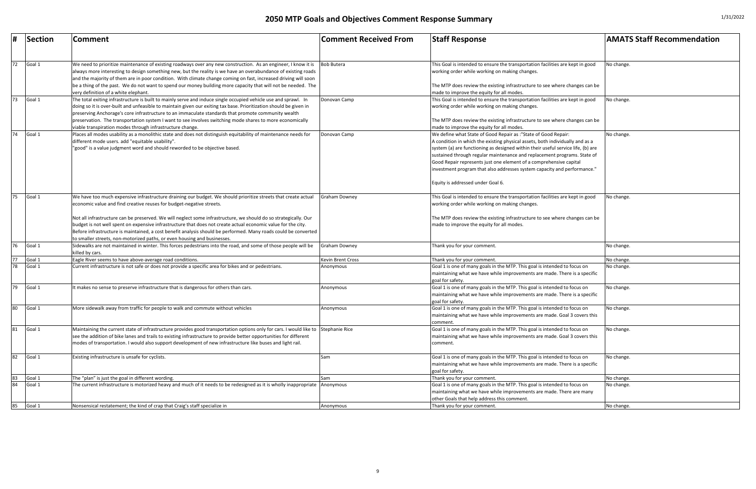| <b>Comment Received From</b>                                                                                                                                                                                                                                                                                                                                                                                                                                                                                            | <b>Staff Response</b>                                                                                                                                                                                                                                        | <b>AMATS Staff Recommendation</b> |  |
|-------------------------------------------------------------------------------------------------------------------------------------------------------------------------------------------------------------------------------------------------------------------------------------------------------------------------------------------------------------------------------------------------------------------------------------------------------------------------------------------------------------------------|--------------------------------------------------------------------------------------------------------------------------------------------------------------------------------------------------------------------------------------------------------------|-----------------------------------|--|
| <b>Bob Butera</b>                                                                                                                                                                                                                                                                                                                                                                                                                                                                                                       |                                                                                                                                                                                                                                                              |                                   |  |
|                                                                                                                                                                                                                                                                                                                                                                                                                                                                                                                         | This Goal is intended to ensure the transportation facilities are kept in good<br>working order while working on making changes.                                                                                                                             | No change.                        |  |
|                                                                                                                                                                                                                                                                                                                                                                                                                                                                                                                         | The MTP does review the existing infrastructure to see where changes can be<br>made to improve the equity for all modes.                                                                                                                                     |                                   |  |
| Donovan Camp                                                                                                                                                                                                                                                                                                                                                                                                                                                                                                            | This Goal is intended to ensure the transportation facilities are kept in good<br>working order while working on making changes.                                                                                                                             | No change.                        |  |
|                                                                                                                                                                                                                                                                                                                                                                                                                                                                                                                         | The MTP does review the existing infrastructure to see where changes can be<br>made to improve the equity for all modes.                                                                                                                                     |                                   |  |
| We define what State of Good Repair as :"State of Good Repair:<br>Donovan Camp<br>A condition in which the existing physical assets, both individually and as a<br>system (a) are functioning as designed within their useful service life, (b) are<br>sustained through regular maintenance and replacement programs. State of<br>Good Repair represents just one element of a comprehensive capital<br>linvestment program that also addresses system capacity and performance."<br>Equity is addressed under Goal 6. |                                                                                                                                                                                                                                                              | No change.                        |  |
| Graham Downey                                                                                                                                                                                                                                                                                                                                                                                                                                                                                                           | This Goal is intended to ensure the transportation facilities are kept in good<br>working order while working on making changes.<br>The MTP does review the existing infrastructure to see where changes can be<br>made to improve the equity for all modes. | No change.                        |  |
| Graham Downey                                                                                                                                                                                                                                                                                                                                                                                                                                                                                                           | Thank you for your comment.                                                                                                                                                                                                                                  | No change.                        |  |
| Kevin Brent Cross                                                                                                                                                                                                                                                                                                                                                                                                                                                                                                       | Thank you for your comment.                                                                                                                                                                                                                                  | No change.                        |  |
| Anonymous                                                                                                                                                                                                                                                                                                                                                                                                                                                                                                               | Goal 1 is one of many goals in the MTP. This goal is intended to focus on<br>maintaining what we have while improvements are made. There is a specific<br>goal for safety.                                                                                   | No change.                        |  |
| Anonymous                                                                                                                                                                                                                                                                                                                                                                                                                                                                                                               | Goal 1 is one of many goals in the MTP. This goal is intended to focus on<br>maintaining what we have while improvements are made. There is a specific<br>goal for safety.                                                                                   | No change.                        |  |
| Anonymous                                                                                                                                                                                                                                                                                                                                                                                                                                                                                                               | Goal 1 is one of many goals in the MTP. This goal is intended to focus on<br>maintaining what we have while improvements are made. Goal 3 covers this<br>comment.                                                                                            | No change.                        |  |
| Stephanie Rice                                                                                                                                                                                                                                                                                                                                                                                                                                                                                                          | Goal 1 is one of many goals in the MTP. This goal is intended to focus on<br>maintaining what we have while improvements are made. Goal 3 covers this<br>comment.                                                                                            | No change.                        |  |
| Sam                                                                                                                                                                                                                                                                                                                                                                                                                                                                                                                     | Goal 1 is one of many goals in the MTP. This goal is intended to focus on<br>maintaining what we have while improvements are made. There is a specific<br>goal for safety.                                                                                   | No change.                        |  |
| Sam                                                                                                                                                                                                                                                                                                                                                                                                                                                                                                                     | Thank you for your comment.                                                                                                                                                                                                                                  | No change.                        |  |
| Anonymous                                                                                                                                                                                                                                                                                                                                                                                                                                                                                                               | Goal 1 is one of many goals in the MTP. This goal is intended to focus on<br>maintaining what we have while improvements are made. There are many<br>other Goals that help address this comment.                                                             | No change.                        |  |
| Anonymous                                                                                                                                                                                                                                                                                                                                                                                                                                                                                                               | Thank you for your comment.                                                                                                                                                                                                                                  | No change.                        |  |

|    | Section | Comment                                                                                                                                                                                                                           | <b>Comment Received From</b> | <b>Staff Response</b>                                                            | <b>AMATS Staff Recommendation</b> |
|----|---------|-----------------------------------------------------------------------------------------------------------------------------------------------------------------------------------------------------------------------------------|------------------------------|----------------------------------------------------------------------------------|-----------------------------------|
|    |         |                                                                                                                                                                                                                                   |                              |                                                                                  |                                   |
| 72 | Goal 1  | We need to prioritize maintenance of existing roadways over any new construction. As an engineer, I know it is                                                                                                                    | <b>Bob Butera</b>            | This Goal is intended to ensure the transportation facilities are kept in good   | No change.                        |
|    |         | always more interesting to design something new, but the reality is we have an overabundance of existing roads<br>and the majority of them are in poor condition. With climate change coming on fast, increased driving will soon |                              | working order while working on making changes.                                   |                                   |
|    |         | be a thing of the past. We do not want to spend our money building more capacity that will not be needed. The                                                                                                                     |                              | The MTP does review the existing infrastructure to see where changes can be      |                                   |
|    |         | very definition of a white elephant.                                                                                                                                                                                              |                              | made to improve the equity for all modes.                                        |                                   |
| 73 | Goal 1  | The total exiting infrastructure is built to mainly serve and induce single occupied vehicle use and sprawl. In                                                                                                                   | Donovan Camp                 | This Goal is intended to ensure the transportation facilities are kept in good   | No change.                        |
|    |         | doing so it is over-built and unfeasible to maintain given our exiting tax base. Prioritization should be given in<br>preserving Anchorage's core infrastructure to an immaculate standards that promote community wealth         |                              | working order while working on making changes.                                   |                                   |
|    |         | preservation. The transportation system I want to see involves switching mode shares to more economically                                                                                                                         |                              | The MTP does review the existing infrastructure to see where changes can be      |                                   |
|    |         | viable transpiration modes through infrastructure change.                                                                                                                                                                         |                              | made to improve the equity for all modes.                                        |                                   |
| 74 | Goal 1  | Places all modes usability as a monolithic state and does not distinguish equitability of maintenance needs for                                                                                                                   | Donovan Camp                 | We define what State of Good Repair as :"State of Good Repair:                   | No change.                        |
|    |         | different mode users. add "equitable usability".                                                                                                                                                                                  |                              | A condition in which the existing physical assets, both individually and as a    |                                   |
|    |         | "good" is a value judgment word and should reworded to be objective based.                                                                                                                                                        |                              | system (a) are functioning as designed within their useful service life, (b) are |                                   |
|    |         |                                                                                                                                                                                                                                   |                              | sustained through regular maintenance and replacement programs. State of         |                                   |
|    |         |                                                                                                                                                                                                                                   |                              | Good Repair represents just one element of a comprehensive capital               |                                   |
|    |         |                                                                                                                                                                                                                                   |                              | linvestment program that also addresses system capacity and performance."        |                                   |
|    |         |                                                                                                                                                                                                                                   |                              | Equity is addressed under Goal 6.                                                |                                   |
| 75 | Goal 1  | We have too much expensive infrastructure draining our budget. We should prioritize streets that create actual                                                                                                                    | <b>Graham Downey</b>         | This Goal is intended to ensure the transportation facilities are kept in good   | No change.                        |
|    |         | economic value and find creative reuses for budget-negative streets.                                                                                                                                                              |                              | working order while working on making changes.                                   |                                   |
|    |         | Not all infrastructure can be preserved. We will neglect some infrastructure, we should do so strategically. Our                                                                                                                  |                              | The MTP does review the existing infrastructure to see where changes can be      |                                   |
|    |         | budget is not well spent on expensive infrastructure that does not create actual economic value for the city.                                                                                                                     |                              | made to improve the equity for all modes.                                        |                                   |
|    |         | Before infrastructure is maintained, a cost benefit analysis should be performed. Many roads could be converted                                                                                                                   |                              |                                                                                  |                                   |
|    |         | to smaller streets, non-motorized paths, or even housing and businesses.                                                                                                                                                          |                              |                                                                                  |                                   |
| 76 | Goal 1  | Sidewalks are not maintained in winter. This forces pedestrians into the road, and some of those people will be<br>killed by cars.                                                                                                | <b>Graham Downey</b>         | Thank you for your comment.                                                      | No change.                        |
| 77 | Goal 1  | Eagle River seems to have above-average road conditions.                                                                                                                                                                          | Kevin Brent Cross            | Thank you for your comment.                                                      | No change.                        |
| 78 | Goal 1  | Current infrastructure is not safe or does not provide a specific area for bikes and or pedestrians.                                                                                                                              | Anonymous                    | Goal 1 is one of many goals in the MTP. This goal is intended to focus on        | No change.                        |
|    |         |                                                                                                                                                                                                                                   |                              | maintaining what we have while improvements are made. There is a specific        |                                   |
|    |         |                                                                                                                                                                                                                                   |                              | goal for safety.                                                                 |                                   |
| 79 | Goal 1  | It makes no sense to preserve infrastructure that is dangerous for others than cars.                                                                                                                                              | Anonymous                    | Goal 1 is one of many goals in the MTP. This goal is intended to focus on        | No change.                        |
|    |         |                                                                                                                                                                                                                                   |                              | maintaining what we have while improvements are made. There is a specific        |                                   |
|    |         |                                                                                                                                                                                                                                   |                              | goal for safety.                                                                 |                                   |
| 80 | Goal 1  | More sidewalk away from traffic for people to walk and commute without vehicles                                                                                                                                                   | Anonymous                    | Goal 1 is one of many goals in the MTP. This goal is intended to focus on        | No change.                        |
|    |         |                                                                                                                                                                                                                                   |                              | maintaining what we have while improvements are made. Goal 3 covers this         |                                   |
|    |         |                                                                                                                                                                                                                                   |                              | comment.                                                                         |                                   |
| 81 | Goal 1  | Maintaining the current state of infrastructure provides good transportation options only for cars. I would like to Stephanie Rice                                                                                                |                              | Goal 1 is one of many goals in the MTP. This goal is intended to focus on        | No change.                        |
|    |         | see the addition of bike lanes and trails to existing infrastructure to provide better opportunities for different                                                                                                                |                              | maintaining what we have while improvements are made. Goal 3 covers this         |                                   |
|    |         | modes of transportation. I would also support development of new infrastructure like buses and light rail.                                                                                                                        |                              | comment.                                                                         |                                   |
| 82 | Goal 1  | Existing infrastructure is unsafe for cyclists.                                                                                                                                                                                   | Sam                          | Goal 1 is one of many goals in the MTP. This goal is intended to focus on        | No change.                        |
|    |         |                                                                                                                                                                                                                                   |                              | maintaining what we have while improvements are made. There is a specific        |                                   |
|    |         |                                                                                                                                                                                                                                   |                              | goal for safety.                                                                 |                                   |
| 83 | Goal 1  | The "plan" is just the goal in different wording.                                                                                                                                                                                 | Sam                          | Thank you for your comment.                                                      | No change.                        |
| 84 | Goal 1  | The current infrastructure is motorized heavy and much of it needs to be redesigned as it is wholly inappropriate                                                                                                                 | Anonymous                    | Goal 1 is one of many goals in the MTP. This goal is intended to focus on        | No change.                        |
|    |         |                                                                                                                                                                                                                                   |                              | maintaining what we have while improvements are made. There are many             |                                   |
|    |         |                                                                                                                                                                                                                                   |                              | other Goals that help address this comment.                                      |                                   |
| 85 | Goal 1  | Nonsensical restatement; the kind of crap that Craig's staff specialize in                                                                                                                                                        | Anonymous                    | Thank you for your comment.                                                      | No change.                        |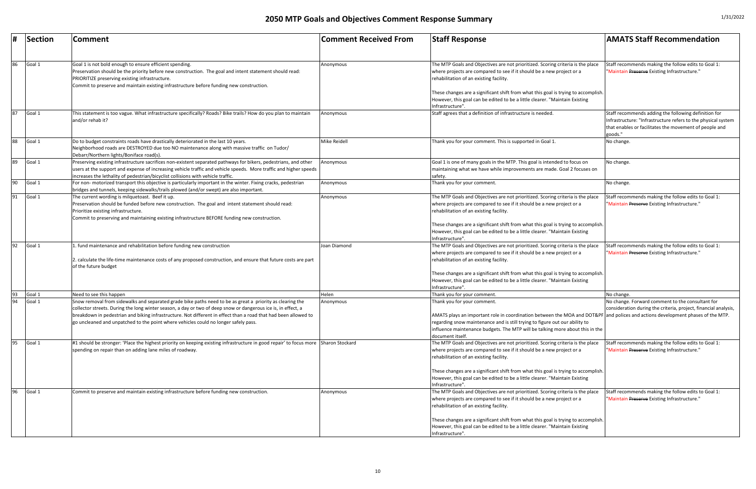| #  | Section | <b>Comment</b>                                                                                                                                                                                                                                                                                                                                | <b>Comment Received From</b> | <b>Staff Response</b>                                                                                                                                                                                                                                                                     | <b>AMATS Staff Recommendation</b>                                                                                                                                                          |
|----|---------|-----------------------------------------------------------------------------------------------------------------------------------------------------------------------------------------------------------------------------------------------------------------------------------------------------------------------------------------------|------------------------------|-------------------------------------------------------------------------------------------------------------------------------------------------------------------------------------------------------------------------------------------------------------------------------------------|--------------------------------------------------------------------------------------------------------------------------------------------------------------------------------------------|
| 86 | Goal 1  | Goal 1 is not bold enough to ensure efficient spending.<br>Preservation should be the priority before new construction. The goal and intent statement should read:<br>PRIORITIZE preserving existing infrastructure.<br>Commit to preserve and maintain existing infrastructure before funding new construction.                              | Anonymous                    | The MTP Goals and Objectives are not prioritized. Scoring criteria is the place<br>where projects are compared to see if it should be a new project or a<br>rehabilitation of an existing facility.<br>These changes are a significant shift from what this goal is trying to accomplish. | Staff recommends making the follow edits to Goal 1:<br>"Maintain Preserve Existing Infrastructure."                                                                                        |
|    |         |                                                                                                                                                                                                                                                                                                                                               |                              | However, this goal can be edited to be a little clearer. "Maintain Existing<br>Infrastructure".                                                                                                                                                                                           |                                                                                                                                                                                            |
| 87 | Goal 1  | This statement is too vague. What infrastructure specifically? Roads? Bike trails? How do you plan to maintain<br>and/or rehab it?                                                                                                                                                                                                            | Anonymous                    | Staff agrees that a definition of infrastructure is needed.                                                                                                                                                                                                                               | Staff recommends adding the following definition for<br>Infrastructure: "Infrastructure refers to the physical system<br>that enables or facilitates the movement of people and<br>goods." |
| 88 | Goal 1  | Do to budget constraints roads have drastically deteriorated in the last 10 years.<br>Neighborhood roads are DESTROYED due too NO maintenance along with massive traffic on Tudor/<br>Debarr/Northern lights/Boniface road(s).                                                                                                                | <b>Mike Reidell</b>          | Thank you for your comment. This is supported in Goal 1.                                                                                                                                                                                                                                  | No change.                                                                                                                                                                                 |
| 89 | Goal 1  | Preserving existing infrastructure sacrifices non-existent separated pathways for bikers, pedestrians, and other<br>users at the support and expense of increasing vehicle traffic and vehicle speeds. More traffic and higher speeds<br>increases the lethality of pedestrian/bicyclist collisions with vehicle traffic.                     | Anonymous                    | Goal 1 is one of many goals in the MTP. This goal is intended to focus on<br>maintaining what we have while improvements are made. Goal 2 focuses on<br>safety.                                                                                                                           | No change.                                                                                                                                                                                 |
| 90 | Goal 1  | For non- motorized transport this objective is particularly important in the winter. Fixing cracks, pedestrian<br>bridges and tunnels, keeping sidewalks/trails plowed (and/or swept) are also important.                                                                                                                                     | Anonymous                    | Thank you for your comment.                                                                                                                                                                                                                                                               | No change.                                                                                                                                                                                 |
| 91 | Goal 1  | The current wording is milquetoast. Beef it up.<br>Preservation should be funded before new construction. The goal and intent statement should read:<br>Prioritize existing infrastructure.<br>Commit to preserving and maintaining existing infrastructure BEFORE funding new construction.                                                  | Anonymous                    | The MTP Goals and Objectives are not prioritized. Scoring criteria is the place<br>where projects are compared to see if it should be a new project or a<br>rehabilitation of an existing facility.                                                                                       | Staff recommends making the follow edits to Goal 1:<br>"Maintain Preserve Existing Infrastructure."                                                                                        |
|    |         |                                                                                                                                                                                                                                                                                                                                               |                              | These changes are a significant shift from what this goal is trying to accomplish.<br>However, this goal can be edited to be a little clearer. "Maintain Existing<br>Infrastructure".                                                                                                     |                                                                                                                                                                                            |
| 92 | Goal 1  | 1. fund maintenance and rehabilitation before funding new construction<br>2. calculate the life-time maintenance costs of any proposed construction, and ensure that future costs are part<br>of the future budget                                                                                                                            | Joan Diamond                 | The MTP Goals and Objectives are not prioritized. Scoring criteria is the place<br>where projects are compared to see if it should be a new project or a<br>rehabilitation of an existing facility.                                                                                       | Staff recommends making the follow edits to Goal 1:<br>"Maintain Preserve Existing Infrastructure."                                                                                        |
|    |         |                                                                                                                                                                                                                                                                                                                                               |                              | These changes are a significant shift from what this goal is trying to accomplish.<br>However, this goal can be edited to be a little clearer. "Maintain Existing<br>Infrastructure".                                                                                                     |                                                                                                                                                                                            |
| 93 | Goal 1  | Need to see this happen                                                                                                                                                                                                                                                                                                                       | Helen                        | Thank you for your comment.                                                                                                                                                                                                                                                               | No change.                                                                                                                                                                                 |
| 94 | Goal 1  | Snow removal from sidewalks and separated grade bike paths need to be as great a priority as clearing the<br>collector streets. During the long winter season, a day or two of deep snow or dangerous ice is, in effect, a<br>breakdown in pedestrian and biking infrastructure. Not different in effect than a road that had been allowed to | Anonymous                    | Thank you for your comment.<br>AMATS plays an important role in coordination between the MOA and DOT&PF and polices and actions development phases of the MTP.                                                                                                                            | No change. Forward comment to the consultant for<br>consideration during the criteria, project, financial analysis,                                                                        |
|    |         | go uncleaned and unpatched to the point where vehicles could no longer safely pass.                                                                                                                                                                                                                                                           |                              | regarding snow maintenance and is still trying to figure out our ability to<br>influence maintenance budgets. The MTP will be talking more about this in the<br>document itself.                                                                                                          |                                                                                                                                                                                            |
| 95 | Goal 1  | #1 should be stronger: 'Place the highest priority on keeping existing infrastructure in good repair' to focus more Sharon Stockard<br>spending on repair than on adding lane miles of roadway.                                                                                                                                               |                              | The MTP Goals and Objectives are not prioritized. Scoring criteria is the place<br>where projects are compared to see if it should be a new project or a<br>rehabilitation of an existing facility.                                                                                       | Staff recommends making the follow edits to Goal 1:<br>"Maintain Preserve Existing Infrastructure."                                                                                        |
|    |         |                                                                                                                                                                                                                                                                                                                                               |                              | These changes are a significant shift from what this goal is trying to accomplish.<br>However, this goal can be edited to be a little clearer. "Maintain Existing<br>Infrastructure".                                                                                                     |                                                                                                                                                                                            |
| 96 | Goal 1  | Commit to preserve and maintain existing infrastructure before funding new construction.                                                                                                                                                                                                                                                      | Anonymous                    | The MTP Goals and Objectives are not prioritized. Scoring criteria is the place<br>where projects are compared to see if it should be a new project or a<br>rehabilitation of an existing facility.                                                                                       | Staff recommends making the follow edits to Goal 1:<br>"Maintain Preserve Existing Infrastructure."                                                                                        |
|    |         |                                                                                                                                                                                                                                                                                                                                               |                              | These changes are a significant shift from what this goal is trying to accomplish.<br>However, this goal can be edited to be a little clearer. "Maintain Existing<br>Infrastructure".                                                                                                     |                                                                                                                                                                                            |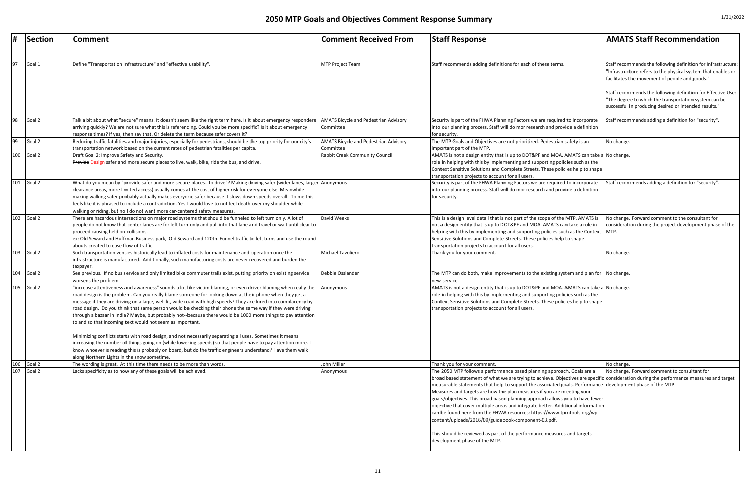|     | Section    | <b>Comment</b>                                                                                                                                                                                                                                                                                                                                                                                                                                                                                                                                                                                                                                                                                                                                                                                                                                                                                                                                                                                                                        | <b>Comment Received From</b>                              | <b>Staff Response</b>                                                                                                                                                                                                                                                                                                                                                                                                                                                                                                                                                                                                                                                                                                                                                                                                          | <b>AMATS Staff Recommendation</b>                                                                                                                                                                                                                                                                                                                                  |
|-----|------------|---------------------------------------------------------------------------------------------------------------------------------------------------------------------------------------------------------------------------------------------------------------------------------------------------------------------------------------------------------------------------------------------------------------------------------------------------------------------------------------------------------------------------------------------------------------------------------------------------------------------------------------------------------------------------------------------------------------------------------------------------------------------------------------------------------------------------------------------------------------------------------------------------------------------------------------------------------------------------------------------------------------------------------------|-----------------------------------------------------------|--------------------------------------------------------------------------------------------------------------------------------------------------------------------------------------------------------------------------------------------------------------------------------------------------------------------------------------------------------------------------------------------------------------------------------------------------------------------------------------------------------------------------------------------------------------------------------------------------------------------------------------------------------------------------------------------------------------------------------------------------------------------------------------------------------------------------------|--------------------------------------------------------------------------------------------------------------------------------------------------------------------------------------------------------------------------------------------------------------------------------------------------------------------------------------------------------------------|
| 97  | Goal 1     | Define "Transportation Infrastructure" and "effective usability"                                                                                                                                                                                                                                                                                                                                                                                                                                                                                                                                                                                                                                                                                                                                                                                                                                                                                                                                                                      | <b>MTP Project Team</b>                                   | Staff recommends adding definitions for each of these terms.                                                                                                                                                                                                                                                                                                                                                                                                                                                                                                                                                                                                                                                                                                                                                                   | Staff recommends the following definition for Infrastructure:<br>"Infrastructure refers to the physical system that enables or<br>facilitates the movement of people and goods."<br>Staff recommends the following definition for Effective Use:<br>"The degree to which the transportation system can be<br>successful in producing desired or intended results." |
| 98  | Goal 2     | Talk a bit about what "secure" means. It doesn't seem like the right term here. Is it about emergency responders<br>arriving quickly? We are not sure what this is referencing. Could you be more specific? Is it about emergency<br>response times? If yes, then say that. Or delete the term because safer covers it?                                                                                                                                                                                                                                                                                                                                                                                                                                                                                                                                                                                                                                                                                                               | <b>AMATS Bicycle and Pedestrian Advisory</b><br>Committee | Security is part of the FHWA Planning Factors we are required to incorporate<br>into our planning process. Staff will do mor research and provide a definition<br>for security.                                                                                                                                                                                                                                                                                                                                                                                                                                                                                                                                                                                                                                                | Staff recommends adding a definition for "security".                                                                                                                                                                                                                                                                                                               |
| 99  | Goal 2     | Reducing traffic fatalities and major injuries, especially for pedestrians, should be the top priority for our city's                                                                                                                                                                                                                                                                                                                                                                                                                                                                                                                                                                                                                                                                                                                                                                                                                                                                                                                 | <b>AMATS Bicycle and Pedestrian Advisory</b>              | The MTP Goals and Objectives are not prioritized. Pedestrian safety is an                                                                                                                                                                                                                                                                                                                                                                                                                                                                                                                                                                                                                                                                                                                                                      | No change.                                                                                                                                                                                                                                                                                                                                                         |
|     | 100 Goal 2 | transportation network based on the current rates of pedestrian fatalities per capita.<br>Draft Goal 2: Improve Safety and Security.<br>Provide Design safer and more secure places to live, walk, bike, ride the bus, and drive.                                                                                                                                                                                                                                                                                                                                                                                                                                                                                                                                                                                                                                                                                                                                                                                                     | Committee<br>Rabbit Creek Community Council               | important part of the MTP.<br>AMATS is not a design entity that is up to DOT&PF and MOA. AMATS can take a No change.<br>role in helping with this by implementing and supporting policies such as the<br>Context Sensitive Solutions and Complete Streets. These policies help to shape<br>transportation projects to account for all users.                                                                                                                                                                                                                                                                                                                                                                                                                                                                                   |                                                                                                                                                                                                                                                                                                                                                                    |
| 101 | Goal 2     | What do you mean by "provide safer and more secure placesto drive"? Making driving safer (wider lanes, larger  Anonymous<br>clearance areas, more limited access) usually comes at the cost of higher risk for everyone else. Meanwhile<br>making walking safer probably actually makes everyone safer because it slows down speeds overall. To me this<br>feels like it is phrased to include a contradiction. Yes I would love to not feel death over my shoulder while<br>walking or riding, but no I do not want more car-centered safety measures.                                                                                                                                                                                                                                                                                                                                                                                                                                                                               |                                                           | Security is part of the FHWA Planning Factors we are required to incorporate<br>into our planning process. Staff will do mor research and provide a definition<br>for security.                                                                                                                                                                                                                                                                                                                                                                                                                                                                                                                                                                                                                                                | Staff recommends adding a definition for "security".                                                                                                                                                                                                                                                                                                               |
| 102 | Goal 2     | There are hazardous intersections on major road systems that should be funneled to left turn only. A lot of<br>people do not know that center lanes are for left turn only and pull into that lane and travel or wait until clear to<br>proceed causing held on collisions.<br>ex: Old Seward and Huffman Business park, Old Seward and 120th. Funnel traffic to left turns and use the round<br>abouts created to ease flow of traffic.                                                                                                                                                                                                                                                                                                                                                                                                                                                                                                                                                                                              | David Weeks                                               | This is a design level detail that is not part of the scope of the MTP. AMATS is<br>not a design entity that is up to DOT&PF and MOA. AMATS can take a role in<br>helping with this by implementing and supporting policies such as the Context   MTP.<br>Sensitive Solutions and Complete Streets. These policies help to shape<br>transportation projects to account for all users.                                                                                                                                                                                                                                                                                                                                                                                                                                          | No change. Forward comment to the consultant for<br>consideration during the project development phase of the                                                                                                                                                                                                                                                      |
|     | 103 Goal 2 | Such transportation venues historically lead to inflated costs for maintenance and operation once the<br>infrastructure is manufactured. Additionally, such manufacturing costs are never recovered and burden the<br>taxpayer.                                                                                                                                                                                                                                                                                                                                                                                                                                                                                                                                                                                                                                                                                                                                                                                                       | Michael Tavoliero                                         | Thank you for your comment.                                                                                                                                                                                                                                                                                                                                                                                                                                                                                                                                                                                                                                                                                                                                                                                                    | No change.                                                                                                                                                                                                                                                                                                                                                         |
|     | 104 Goal 2 | See previous. If no bus service and only limited bike commuter trails exist, putting priority on existing service<br>worsens the problem                                                                                                                                                                                                                                                                                                                                                                                                                                                                                                                                                                                                                                                                                                                                                                                                                                                                                              | Debbie Ossiander                                          | The MTP can do both, make improvements to the existing system and plan for No change.<br>new service.                                                                                                                                                                                                                                                                                                                                                                                                                                                                                                                                                                                                                                                                                                                          |                                                                                                                                                                                                                                                                                                                                                                    |
| 105 | Goal 2     | "increase attentiveness and awareness" sounds a lot like victim blaming, or even driver blaming when really the<br>road design is the problem. Can you really blame someone for looking down at their phone when they get a<br>message if they are driving on a large, well lit, wide road with high speeds? They are lured into complacency by<br>road design. Do you think that same person would be checking their phone the same way if they were driving<br>through a bazaar in India? Maybe, but probably not--because there would be 1000 more things to pay attention<br>to and so that incoming text would not seem as important.<br>Minimizing conflicts starts with road design, and not necessarily separating all uses. Sometimes it means<br>increasing the number of things going on (while lowering speeds) so that people have to pay attention more. I<br>know whoever is reading this is probably on board, but do the traffic engineers understand? Have them walk<br>along Northern Lights in the snow sometime. | Anonymous                                                 | AMATS is not a design entity that is up to DOT&PF and MOA. AMATS can take a No change.<br>role in helping with this by implementing and supporting policies such as the<br>Context Sensitive Solutions and Complete Streets. These policies help to shape<br>transportation projects to account for all users.                                                                                                                                                                                                                                                                                                                                                                                                                                                                                                                 |                                                                                                                                                                                                                                                                                                                                                                    |
| 106 | Goal 2     | The wording is great. At this time there needs to be more than words.                                                                                                                                                                                                                                                                                                                                                                                                                                                                                                                                                                                                                                                                                                                                                                                                                                                                                                                                                                 | John Miller                                               | Thank you for your comment.                                                                                                                                                                                                                                                                                                                                                                                                                                                                                                                                                                                                                                                                                                                                                                                                    | No change.                                                                                                                                                                                                                                                                                                                                                         |
| 107 | Goal 2     | Lacks specificity as to how any of these goals will be achieved.                                                                                                                                                                                                                                                                                                                                                                                                                                                                                                                                                                                                                                                                                                                                                                                                                                                                                                                                                                      | Anonymous                                                 | The 2050 MTP follows a performance based planning approach. Goals are a<br>broad based statement of what we are trying to achieve. Objectives are specific consideration during the performance measures and target<br>measurable statements that help to support the associated goals. Performance development phase of the MTP.<br>Measures and targets are how the plan measures if you are meeting your<br>goals/objectives. This broad based planning approach allows you to have fewer<br>objective that cover multiple areas and integrate better. Additional information<br>can be found here from the FHWA resources: https://www.tpmtools.org/wp-<br>content/uploads/2016/09/guidebook-component-03.pdf.<br>This should be reviewed as part of the performance measures and targets<br>development phase of the MTP. | No change. Forward comment to consultant for                                                                                                                                                                                                                                                                                                                       |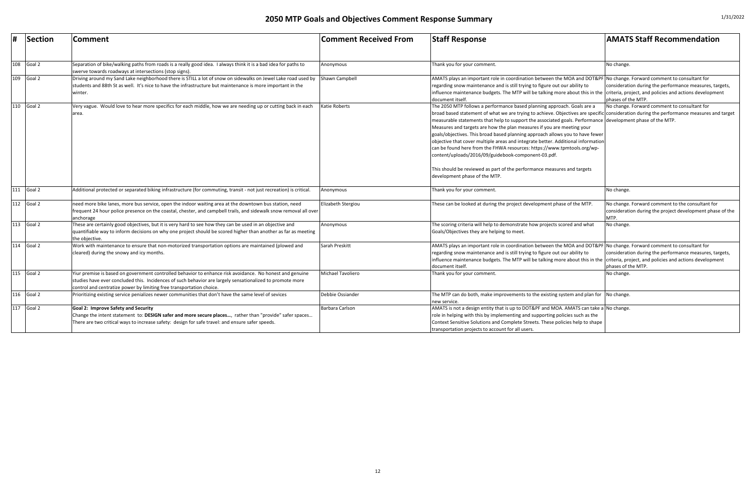| #   | Section      | <b>Comment</b>                                                                                                                                                                                                                                                                                | <b>Comment Received From</b> | <b>Staff Response</b>                                                                                                                                                                                                                                                                                                                                                                                                                                                                                                                                                                                                                                                                                                                                                                                                           | <b>AMATS Staff Recommendation</b>                                                                                     |
|-----|--------------|-----------------------------------------------------------------------------------------------------------------------------------------------------------------------------------------------------------------------------------------------------------------------------------------------|------------------------------|---------------------------------------------------------------------------------------------------------------------------------------------------------------------------------------------------------------------------------------------------------------------------------------------------------------------------------------------------------------------------------------------------------------------------------------------------------------------------------------------------------------------------------------------------------------------------------------------------------------------------------------------------------------------------------------------------------------------------------------------------------------------------------------------------------------------------------|-----------------------------------------------------------------------------------------------------------------------|
|     |              |                                                                                                                                                                                                                                                                                               |                              |                                                                                                                                                                                                                                                                                                                                                                                                                                                                                                                                                                                                                                                                                                                                                                                                                                 |                                                                                                                       |
| 108 | Goal 2       | Separation of bike/walking paths from roads is a really good idea. I always think it is a bad idea for paths to<br>swerve towards roadways at intersections (stop signs).                                                                                                                     | Anonymous                    | Thank you for your comment.                                                                                                                                                                                                                                                                                                                                                                                                                                                                                                                                                                                                                                                                                                                                                                                                     | No change.                                                                                                            |
| 109 | Goal 2       | Driving around my Sand Lake neighborhood there is STILL a lot of snow on sidewalks on Jewel Lake road used by<br>students and 88th St as well. It's nice to have the infrastructure but maintenance is more important in the<br>winter.                                                       | Shawn Campbell               | AMATS plays an important role in coordination between the MOA and DOT&PF No change. Forward comment to consultant for<br>regarding snow maintenance and is still trying to figure out our ability to<br>influence maintenance budgets. The MTP will be talking more about this in the criteria, project, and policies and actions development<br>document itself.                                                                                                                                                                                                                                                                                                                                                                                                                                                               | consideration during the performance measures, targets,<br>phases of the MTP.                                         |
| 110 | Goal 2       | Very vague. Would love to hear more specifics for each middle, how we are needing up or cutting back in each<br>area.                                                                                                                                                                         | <b>Katie Roberts</b>         | The 2050 MTP follows a performance based planning approach. Goals are a<br>broad based statement of what we are trying to achieve. Objectives are specific consideration during the performance measures and target<br>Imeasurable statements that help to support the associated goals. Performance development phase of the MTP.<br>Measures and targets are how the plan measures if you are meeting your<br>goals/objectives. This broad based planning approach allows you to have fewer<br>objective that cover multiple areas and integrate better. Additional information<br>can be found here from the FHWA resources: https://www.tpmtools.org/wp-<br>content/uploads/2016/09/guidebook-component-03.pdf.<br>This should be reviewed as part of the performance measures and targets<br>development phase of the MTP. | No change. Forward comment to consultant for                                                                          |
|     | 111 Goal 2   | Additional protected or separated biking infrastructure (for commuting, transit - not just recreation) is critical.                                                                                                                                                                           | Anonymous                    | Thank you for your comment.                                                                                                                                                                                                                                                                                                                                                                                                                                                                                                                                                                                                                                                                                                                                                                                                     | No change.                                                                                                            |
| 112 | Goal 2       | need more bike lanes, more bus service, open the indoor waiting area at the downtown bus station, need<br>frequent 24 hour police presence on the coastal, chester, and campbell trails, and sidewalk snow removal all over<br>anchorage                                                      | Elizabeth Stergiou           | These can be looked at during the project development phase of the MTP.                                                                                                                                                                                                                                                                                                                                                                                                                                                                                                                                                                                                                                                                                                                                                         | No change. Forward comment to the consultant for<br>consideration during the project development phase of the<br>MTP. |
| 113 | Goal 2       | These are certainly good objectives, but it is very hard to see how they can be used in an objective and<br>quantifiable way to inform decisions on why one project should be scored higher than another as far as meeting<br>the objective.                                                  | Anonymous                    | The scoring criteria will help to demonstrate how projects scored and what<br>Goals/Objectives they are helping to meet.                                                                                                                                                                                                                                                                                                                                                                                                                                                                                                                                                                                                                                                                                                        | No change.                                                                                                            |
|     | $114$ Goal 2 | Work with maintenance to ensure that non-motorized transportation options are maintained (plowed and<br>cleared) during the snowy and icy months.                                                                                                                                             | Sarah Preskitt               | AMATS plays an important role in coordination between the MOA and DOT&PF No change. Forward comment to consultant for<br>regarding snow maintenance and is still trying to figure out our ability to<br>influence maintenance budgets. The MTP will be talking more about this in the criteria, project, and policies and actions development<br>document itself.                                                                                                                                                                                                                                                                                                                                                                                                                                                               | consideration during the performance measures, targets,<br>phases of the MTP.                                         |
| 115 | Goal 2       | Yiur premise is based on government controlled behavior to enhance risk avoidance. No honest and genuine<br>studies have ever concluded this. Incidences of such behavior are largely sensationalized to promote more<br>control and centratize power by limiting free transportation choice. | Michael Tavoliero            | Thank you for your comment.                                                                                                                                                                                                                                                                                                                                                                                                                                                                                                                                                                                                                                                                                                                                                                                                     | No change.                                                                                                            |
| 116 | Goal 2       | Prioritizing existing service penializes newer communities that don't have the same level of sevices                                                                                                                                                                                          | Debbie Ossiander             | The MTP can do both, make improvements to the existing system and plan for No change.<br>new service.                                                                                                                                                                                                                                                                                                                                                                                                                                                                                                                                                                                                                                                                                                                           |                                                                                                                       |
| 117 | Goal 2       | <b>Goal 2: Improve Safety and Security</b><br>Change the intent statement to: DESIGN safer and more secure places, rather than "provide" safer spaces<br>There are two critical ways to increase safety: design for safe travel: and ensure safer speeds.                                     | Barbara Carlson              | AMATS is not a design entity that is up to DOT&PF and MOA. AMATS can take a No change.<br>role in helping with this by implementing and supporting policies such as the<br>Context Sensitive Solutions and Complete Streets. These policies help to shape<br>transportation projects to account for all users.                                                                                                                                                                                                                                                                                                                                                                                                                                                                                                                  |                                                                                                                       |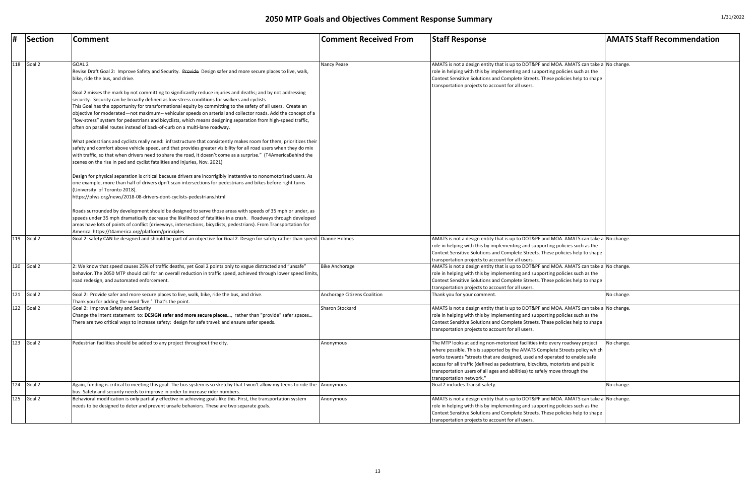| Ħ   | Section      | <b>Comment</b>                                                                                                                                                                                                                                                                                                                                                                                                                                                                                                                                                                                                                            | <b>Comment Received From</b> | <b>Staff Response</b>                                                                                                                                                                                                                                                                                                                                                                                                                   | <b>AMATS Staff Recommendation</b> |
|-----|--------------|-------------------------------------------------------------------------------------------------------------------------------------------------------------------------------------------------------------------------------------------------------------------------------------------------------------------------------------------------------------------------------------------------------------------------------------------------------------------------------------------------------------------------------------------------------------------------------------------------------------------------------------------|------------------------------|-----------------------------------------------------------------------------------------------------------------------------------------------------------------------------------------------------------------------------------------------------------------------------------------------------------------------------------------------------------------------------------------------------------------------------------------|-----------------------------------|
|     |              |                                                                                                                                                                                                                                                                                                                                                                                                                                                                                                                                                                                                                                           |                              |                                                                                                                                                                                                                                                                                                                                                                                                                                         |                                   |
|     | 118 Goal 2   | GOAL <sub>2</sub><br>Revise Draft Goal 2: Improve Safety and Security. Provide Design safer and more secure places to live, walk,<br>bike, ride the bus, and drive.                                                                                                                                                                                                                                                                                                                                                                                                                                                                       | Nancy Pease                  | AMATS is not a design entity that is up to DOT&PF and MOA. AMATS can take a No change.<br>role in helping with this by implementing and supporting policies such as the<br>Context Sensitive Solutions and Complete Streets. These policies help to shape<br>transportation projects to account for all users.                                                                                                                          |                                   |
|     |              | Goal 2 misses the mark by not committing to significantly reduce injuries and deaths; and by not addressing<br>security. Security can be broadly defined as low-stress conditions for walkers and cyclists<br>This Goal has the opportunity for transformational equity by committing to the safety of all users. Create an<br>objective for moderated—not maximum-- vehicular speeds on arterial and collector roads. Add the concept of a<br>"low-stress" system for pedestrians and bicyclists, which means designing separation from high-speed traffic,<br>often on parallel routes instead of back-of-curb on a multi-lane roadway. |                              |                                                                                                                                                                                                                                                                                                                                                                                                                                         |                                   |
|     |              | What pedestrians and cyclists really need: infrastructure that consistently makes room for them, prioritizes their<br>safety and comfort above vehicle speed, and that provides greater visibility for all road users when they do mix<br>with traffic, so that when drivers need to share the road, it doesn't come as a surprise." (T4AmericaBehind the<br>scenes on the rise in ped and cyclist fatalities and injuries, Nov. 2021)                                                                                                                                                                                                    |                              |                                                                                                                                                                                                                                                                                                                                                                                                                                         |                                   |
|     |              | Design for physical separation is critical because drivers are incorrigibly inattentive to nonomotorized users. As<br>one example, more than half of drivers dpn't scan intersections for pedestrians and bikes before right turns<br>(University of Toronto 2018).<br>https://phys.org/news/2018-08-drivers-dont-cyclists-pedestrians.html                                                                                                                                                                                                                                                                                               |                              |                                                                                                                                                                                                                                                                                                                                                                                                                                         |                                   |
|     |              | Roads surrounded by development should be designed to serve those areas with speeds of 35 mph or under, as<br>speeds under 35 mph dramatically decrease the likelihood of fatalities in a crash. Roadways through developed<br>areas have lots of points of conflict (driveways, intersections, bicyclists, pedestrians). From Transportation for<br>America https://t4america.org/platform/principles                                                                                                                                                                                                                                    |                              |                                                                                                                                                                                                                                                                                                                                                                                                                                         |                                   |
| 119 | Goal 2       | Goal 2: safety CAN be designed and should be part of an objective for Goal 2. Design for safety rather than speed. Dianne Holmes                                                                                                                                                                                                                                                                                                                                                                                                                                                                                                          |                              | AMATS is not a design entity that is up to DOT&PF and MOA. AMATS can take a No change.<br>role in helping with this by implementing and supporting policies such as the<br>Context Sensitive Solutions and Complete Streets. These policies help to shape<br>transportation projects to account for all users.                                                                                                                          |                                   |
|     | 120 Goal 2   | 2: We know that speed causes 25% of traffic deaths, yet Goal 2 points only to vague distracted and "unsafe"<br>behavior. The 2050 MTP should call for an overall reduction in traffic speed, achieved through lower speed limits,<br>road redesign, and automated enforcement.                                                                                                                                                                                                                                                                                                                                                            | <b>Bike Anchorage</b>        | AMATS is not a design entity that is up to DOT&PF and MOA. AMATS can take a No change.<br>role in helping with this by implementing and supporting policies such as the<br>Context Sensitive Solutions and Complete Streets. These policies help to shape<br>transportation projects to account for all users.                                                                                                                          |                                   |
|     | $121$ Goal 2 | Goal 2: Provide safer and more secure places to live, walk, bike, ride the bus, and drive.<br>Thank you for adding the word 'live.' That's the point.                                                                                                                                                                                                                                                                                                                                                                                                                                                                                     | Anchorage Citizens Coalition | Thank you for your comment.                                                                                                                                                                                                                                                                                                                                                                                                             | No change.                        |
| 122 | Goal 2       | Goal 2: Improve Safety and Security<br>Change the intent statement to: DESIGN safer and more secure places, rather than "provide" safer spaces<br>There are two critical ways to increase safety: design for safe travel: and ensure safer speeds.                                                                                                                                                                                                                                                                                                                                                                                        | Sharon Stockard              | AMATS is not a design entity that is up to DOT&PF and MOA. AMATS can take a No change.<br>role in helping with this by implementing and supporting policies such as the<br>Context Sensitive Solutions and Complete Streets. These policies help to shape<br>transportation projects to account for all users.                                                                                                                          |                                   |
| 123 | Goal 2       | Pedestrian facilities should be added to any project throughout the city.                                                                                                                                                                                                                                                                                                                                                                                                                                                                                                                                                                 | Anonymous                    | The MTP looks at adding non-motorized facilities into every roadway project<br>where possible. This is supported by the AMATS Complete Streets policy which<br>works towards "streets that are designed, used and operated to enable safe<br>access for all traffic (defined as pedestrians, bicyclists, motorists and public<br>transportation users of all ages and abilities) to safely move through the<br>transportation network." | No change.                        |
|     | $124$ Goal 2 | Again, funding is critical to meeting this goal. The bus system is so sketchy that I won't allow my teens to ride the Anonymous<br>bus. Safety and security needs to improve in order to increase rider numbers.                                                                                                                                                                                                                                                                                                                                                                                                                          |                              | Goal 2 includes Transit safety.                                                                                                                                                                                                                                                                                                                                                                                                         | No change.                        |
| 125 | Goal 2       | Behavioral modification is only partially effective in achieving goals like this. First, the transportation system<br>needs to be designed to deter and prevent unsafe behaviors. These are two separate goals.                                                                                                                                                                                                                                                                                                                                                                                                                           | Anonymous                    | AMATS is not a design entity that is up to DOT&PF and MOA. AMATS can take a No change.<br>role in helping with this by implementing and supporting policies such as the<br>Context Sensitive Solutions and Complete Streets. These policies help to shape<br>transportation projects to account for all users.                                                                                                                          |                                   |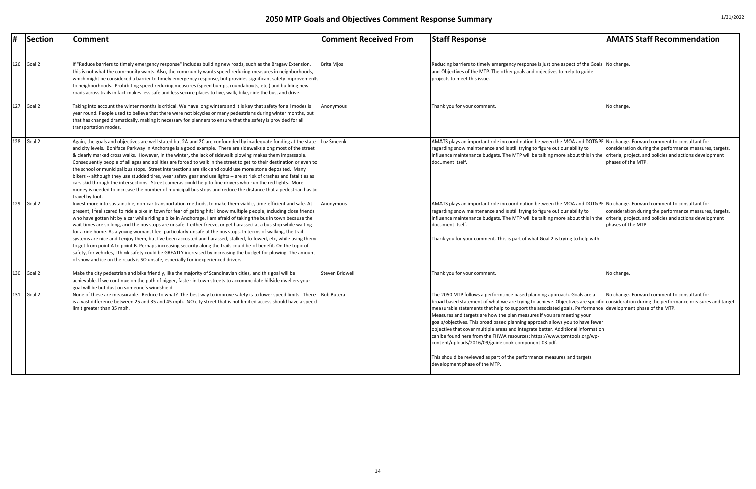| #   | Section      | <b>Comment</b>                                                                                                                                                                                                                                                                                                                                                                                                                                                                                                                                                                                                                                                                                                                                                                                                                                                                                                                                                                                                                                        | <b>Comment Received From</b> | <b>Staff Response</b>                                                                                                                                                                                                                                                                                                                                                                                                                                                                                                                                                                                                                                                                                                                                                                                                   | <b>AMATS Staff Recommendation</b>                                        |
|-----|--------------|-------------------------------------------------------------------------------------------------------------------------------------------------------------------------------------------------------------------------------------------------------------------------------------------------------------------------------------------------------------------------------------------------------------------------------------------------------------------------------------------------------------------------------------------------------------------------------------------------------------------------------------------------------------------------------------------------------------------------------------------------------------------------------------------------------------------------------------------------------------------------------------------------------------------------------------------------------------------------------------------------------------------------------------------------------|------------------------------|-------------------------------------------------------------------------------------------------------------------------------------------------------------------------------------------------------------------------------------------------------------------------------------------------------------------------------------------------------------------------------------------------------------------------------------------------------------------------------------------------------------------------------------------------------------------------------------------------------------------------------------------------------------------------------------------------------------------------------------------------------------------------------------------------------------------------|--------------------------------------------------------------------------|
| 126 | Goal 2       | f "Reduce barriers to timely emergency response" includes building new roads, such as the Bragaw Extension,<br>this is not what the community wants. Also, the community wants speed-reducing measures in neighborhoods,<br>which might be considered a barrier to timely emergency response, but provides significant safety improvements<br>to neighborhoods. Prohibiting speed-reducing measures (speed bumps, roundabouts, etc.) and building new<br>roads across trails in fact makes less safe and less secure places to live, walk, bike, ride the bus, and drive.                                                                                                                                                                                                                                                                                                                                                                                                                                                                             | Brita Mjos                   | Reducing barriers to timely emergency response is just one aspect of the Goals No change.<br>and Objectives of the MTP. The other goals and objectives to help to guide<br>projects to meet this issue.                                                                                                                                                                                                                                                                                                                                                                                                                                                                                                                                                                                                                 |                                                                          |
|     | 127 Goal 2   | Taking into account the winter months is critical. We have long winters and it is key that safety for all modes is<br>year round. People used to believe that there were not bicycles or many pedestrians during winter months, but<br>that has changed dramatically, making it necessary for planners to ensure that the safety is provided for all<br>transportation modes.                                                                                                                                                                                                                                                                                                                                                                                                                                                                                                                                                                                                                                                                         | Anonymous                    | Thank you for your comment.                                                                                                                                                                                                                                                                                                                                                                                                                                                                                                                                                                                                                                                                                                                                                                                             | No change.                                                               |
|     | $128$ Goal 2 | Again, the goals and objectives are well stated but 2A and 2C are confounded by inadequate funding at the state<br>and city levels. Boniface Parkway in Anchorage is a good example. There are sidewalks along most of the street<br>& clearly marked cross walks. However, in the winter, the lack of sidewalk plowing makes them impassable.<br>Consequently people of all ages and abilities are forced to walk in the street to get to their destination or even to<br>the school or municipal bus stops. Street intersections are slick and could use more stone deposited. Many<br>bikers -- although they use studded tires, wear safety gear and use lights -- are at risk of crashes and fatalities as<br>cars skid through the intersections. Street cameras could help to fine drivers who run the red lights. More<br>money is needed to increase the number of municipal bus stops and reduce the distance that a pedestrian has to<br>travel by foot.                                                                                   | Luz Smeenk                   | AMATS plays an important role in coordination between the MOA and DOT&PF No change. Forward comment to consultant for<br>regarding snow maintenance and is still trying to figure out our ability to<br>influence maintenance budgets. The MTP will be talking more about this in the criteria, project, and policies and actions developme<br>document itself.                                                                                                                                                                                                                                                                                                                                                                                                                                                         | consideration during the performance measures, tar<br>phases of the MTP. |
| 129 | Goal 2       | Invest more into sustainable, non-car transportation methods, to make them viable, time-efficient and safe. At<br>present, I feel scared to ride a bike in town for fear of getting hit; I know multiple people, including close friends<br>who have gotten hit by a car while riding a bike in Anchorage. I am afraid of taking the bus in town because the<br>wait times are so long, and the bus stops are unsafe. I either freeze, or get harassed at a bus stop while waiting<br>for a ride home. As a young woman, I feel particularly unsafe at the bus stops. In terms of walking, the trail<br>systems are nice and I enjoy them, but I've been accosted and harassed, stalked, followed, etc, while using them<br>to get from point A to point B. Perhaps increasing security along the trails could be of benefit. On the topic of<br>safety, for vehicles, I think safety could be GREATLY increased by increasing the budget for plowing. The amount<br>of snow and ice on the roads is SO unsafe, especially for inexperienced drivers. | Anonymous                    | AMATS plays an important role in coordination between the MOA and DOT&PF No change. Forward comment to consultant for<br>regarding snow maintenance and is still trying to figure out our ability to<br>influence maintenance budgets. The MTP will be talking more about this in the criteria, project, and policies and actions developme<br>document itself.<br>Thank you for your comment. This is part of what Goal 2 is trying to help with.                                                                                                                                                                                                                                                                                                                                                                      | consideration during the performance measures, tar<br>phases of the MTP. |
|     | $130$ Goal 2 | Make the city pedestrian and bike friendly, like the majority of Scandinavian cities, and this goal will be<br>achievable. If we continue on the path of bigger, faster in-town streets to accommodate hillside dwellers your<br>goal will be but dust on someone's windshield.                                                                                                                                                                                                                                                                                                                                                                                                                                                                                                                                                                                                                                                                                                                                                                       | Steven Bridwell              | Thank you for your comment.                                                                                                                                                                                                                                                                                                                                                                                                                                                                                                                                                                                                                                                                                                                                                                                             | No change.                                                               |
| 131 | Goal 2       | None of these are measurable. Reduce to what? The best way to improve safety is to lower speed limits. There Bob Butera<br>is a vast difference between 25 and 35 and 45 mph. NO city street that is not limited access should have a speed<br>limit greater than 35 mph.                                                                                                                                                                                                                                                                                                                                                                                                                                                                                                                                                                                                                                                                                                                                                                             |                              | The 2050 MTP follows a performance based planning approach. Goals are a<br>broad based statement of what we are trying to achieve. Objectives are specific consideration during the performance measures and<br>measurable statements that help to support the associated goals. Performance development phase of the MTP.<br>Measures and targets are how the plan measures if you are meeting your<br>goals/objectives. This broad based planning approach allows you to have fewer<br>objective that cover multiple areas and integrate better. Additional information<br>can be found here from the FHWA resources: https://www.tpmtools.org/wp-<br>content/uploads/2016/09/guidebook-component-03.pdf.<br>This should be reviewed as part of the performance measures and targets<br>development phase of the MTP. | No change. Forward comment to consultant for                             |

| <b>Comment Received From</b> | <b>Staff Response</b>                                                                                                                                                                                                                                                                                                                                                                                                                                                                                                                                                                                                                                                                                                                                                                            | <b>AMATS Staff Recommendation</b>                                                                                                        |  |
|------------------------------|--------------------------------------------------------------------------------------------------------------------------------------------------------------------------------------------------------------------------------------------------------------------------------------------------------------------------------------------------------------------------------------------------------------------------------------------------------------------------------------------------------------------------------------------------------------------------------------------------------------------------------------------------------------------------------------------------------------------------------------------------------------------------------------------------|------------------------------------------------------------------------------------------------------------------------------------------|--|
| <b>Brita Mjos</b>            | Reducing barriers to timely emergency response is just one aspect of the Goals No change.<br>and Objectives of the MTP. The other goals and objectives to help to guide<br>projects to meet this issue.                                                                                                                                                                                                                                                                                                                                                                                                                                                                                                                                                                                          |                                                                                                                                          |  |
| Anonymous                    | Thank you for your comment.                                                                                                                                                                                                                                                                                                                                                                                                                                                                                                                                                                                                                                                                                                                                                                      | No change.                                                                                                                               |  |
| Luz Smeenk                   | AMATS plays an important role in coordination between the MOA and DOT&PF No change. Forward comment to consultant for<br>regarding snow maintenance and is still trying to figure out our ability to<br>influence maintenance budgets. The MTP will be talking more about this in the<br>document itself.                                                                                                                                                                                                                                                                                                                                                                                                                                                                                        | consideration during the performance measures, targets,<br>criteria, project, and policies and actions development<br>phases of the MTP. |  |
| Anonymous                    | AMATS plays an important role in coordination between the MOA and DOT&PF No change. Forward comment to consultant for<br>regarding snow maintenance and is still trying to figure out our ability to<br>influence maintenance budgets. The MTP will be talking more about this in the<br>document itself.<br>Thank you for your comment. This is part of what Goal 2 is trying to help with.                                                                                                                                                                                                                                                                                                                                                                                                     | consideration during the performance measures, targets,<br>criteria, project, and policies and actions development<br>phases of the MTP. |  |
| Steven Bridwell              | Thank you for your comment.                                                                                                                                                                                                                                                                                                                                                                                                                                                                                                                                                                                                                                                                                                                                                                      | No change.                                                                                                                               |  |
| <b>Bob Butera</b>            | The 2050 MTP follows a performance based planning approach. Goals are a<br>broad based statement of what we are trying to achieve. Objectives are specific consideration during the performance measures and target<br>measurable statements that help to support the associated goals. Performance<br>Measures and targets are how the plan measures if you are meeting your<br>goals/objectives. This broad based planning approach allows you to have fewer<br>objective that cover multiple areas and integrate better. Additional information<br>can be found here from the FHWA resources: https://www.tpmtools.org/wp-<br>content/uploads/2016/09/guidebook-component-03.pdf.<br>This should be reviewed as part of the performance measures and targets<br>development phase of the MTP. | No change. Forward comment to consultant for<br>development phase of the MTP.                                                            |  |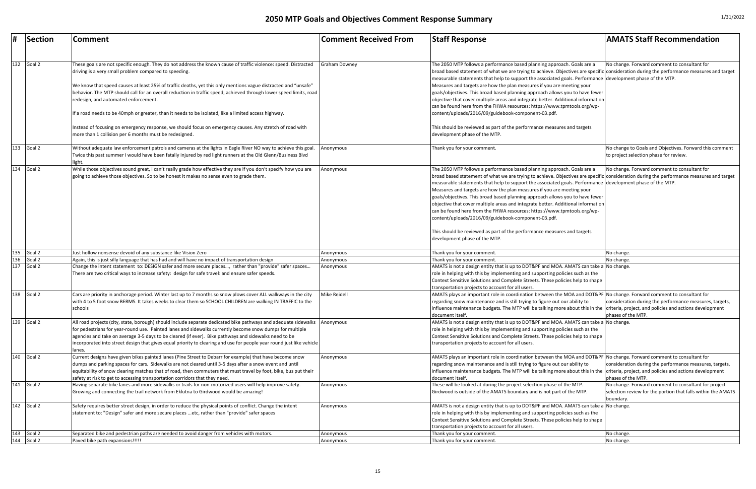| #<br>Section                                 | Comment                                                                                                                                                                                                                      | <b>Comment Received From</b> | <b>Staff Response</b>                                                                                                                                                                                               | <b>AMATS Staff Recommendation</b>                            |
|----------------------------------------------|------------------------------------------------------------------------------------------------------------------------------------------------------------------------------------------------------------------------------|------------------------------|---------------------------------------------------------------------------------------------------------------------------------------------------------------------------------------------------------------------|--------------------------------------------------------------|
|                                              |                                                                                                                                                                                                                              |                              |                                                                                                                                                                                                                     |                                                              |
|                                              |                                                                                                                                                                                                                              |                              |                                                                                                                                                                                                                     |                                                              |
| 132<br>Goal 2                                | These goals are not specific enough. They do not address the known cause of traffic violence: speed. Distracted                                                                                                              | <b>Graham Downey</b>         | The 2050 MTP follows a performance based planning approach. Goals are a<br>broad based statement of what we are trying to achieve. Objectives are specific consideration during the performance measures and target | No change. Forward comment to consultant for                 |
|                                              | driving is a very small problem compared to speeding.                                                                                                                                                                        |                              | measurable statements that help to support the associated goals. Performance development phase of the MTP.                                                                                                          |                                                              |
|                                              | We know that speed causes at least 25% of traffic deaths, yet this only mentions vague distracted and "unsafe"                                                                                                               |                              | Measures and targets are how the plan measures if you are meeting your                                                                                                                                              |                                                              |
|                                              | behavior. The MTP should call for an overall reduction in traffic speed, achieved through lower speed limits, road                                                                                                           |                              | goals/objectives. This broad based planning approach allows you to have fewer                                                                                                                                       |                                                              |
|                                              | redesign, and automated enforcement.                                                                                                                                                                                         |                              | objective that cover multiple areas and integrate better. Additional information                                                                                                                                    |                                                              |
|                                              | If a road needs to be 40mph or greater, than it needs to be isolated, like a limited access highway.                                                                                                                         |                              | can be found here from the FHWA resources: https://www.tpmtools.org/wp-<br>content/uploads/2016/09/guidebook-component-03.pdf.                                                                                      |                                                              |
|                                              |                                                                                                                                                                                                                              |                              |                                                                                                                                                                                                                     |                                                              |
|                                              | Instead of focusing on emergency response, we should focus on emergency causes. Any stretch of road with                                                                                                                     |                              | This should be reviewed as part of the performance measures and targets                                                                                                                                             |                                                              |
|                                              | more than 1 collision per 6 months must be redesigned.                                                                                                                                                                       |                              | development phase of the MTP.                                                                                                                                                                                       |                                                              |
| 133<br>Goal 2                                | Without adequate law enforcement patrols and cameras at the lights in Eagle River NO way to achieve this goal.                                                                                                               | Anonymous                    | Thank you for your comment.                                                                                                                                                                                         | No change to Goals and Objectives. Forward this comment      |
|                                              | Twice this past summer I would have been fatally injured by red light runners at the Old Glenn/Business Blvd                                                                                                                 |                              |                                                                                                                                                                                                                     | to project selection phase for review.                       |
|                                              |                                                                                                                                                                                                                              |                              |                                                                                                                                                                                                                     |                                                              |
| 134<br>Goal 2                                | While those objectives sound great, I can't really grade how effective they are if you don't specify how you are<br>going to achieve those objectives. So to be honest it makes no sense even to grade them.                 | Anonymous                    | The 2050 MTP follows a performance based planning approach. Goals are a<br>broad based statement of what we are trying to achieve. Objectives are specific consideration during the performance measures and target | No change. Forward comment to consultant for                 |
|                                              |                                                                                                                                                                                                                              |                              | measurable statements that help to support the associated goals. Performance development phase of the MTP.                                                                                                          |                                                              |
|                                              |                                                                                                                                                                                                                              |                              | Measures and targets are how the plan measures if you are meeting your                                                                                                                                              |                                                              |
|                                              |                                                                                                                                                                                                                              |                              | goals/objectives. This broad based planning approach allows you to have fewer                                                                                                                                       |                                                              |
|                                              |                                                                                                                                                                                                                              |                              | objective that cover multiple areas and integrate better. Additional information                                                                                                                                    |                                                              |
|                                              |                                                                                                                                                                                                                              |                              | can be found here from the FHWA resources: https://www.tpmtools.org/wp-                                                                                                                                             |                                                              |
|                                              |                                                                                                                                                                                                                              |                              | content/uploads/2016/09/guidebook-component-03.pdf.                                                                                                                                                                 |                                                              |
|                                              |                                                                                                                                                                                                                              |                              | This should be reviewed as part of the performance measures and targets                                                                                                                                             |                                                              |
|                                              |                                                                                                                                                                                                                              |                              | development phase of the MTP.                                                                                                                                                                                       |                                                              |
|                                              |                                                                                                                                                                                                                              |                              |                                                                                                                                                                                                                     |                                                              |
| 135 Goal 2                                   | Just hollow nonsense devoid of any substance like Vision Zero                                                                                                                                                                | Anonymous                    | Thank you for your comment.                                                                                                                                                                                         | No change.                                                   |
| 136<br>Goal 2<br>$\frac{137}{137}$<br>Goal 2 | Again, this is just silly language that has had and will have no impact of transportation design<br>Change the intent statement to: DESIGN safer and more secure places, rather than "provide" safer spaces                  | Anonymous<br>Anonymous       | Thank you for your comment.<br>AMATS is not a design entity that is up to DOT&PF and MOA. AMATS can take a No change.                                                                                               | No change.                                                   |
|                                              | There are two critical ways to increase safety: design for safe travel: and ensure safer speeds.                                                                                                                             |                              | role in helping with this by implementing and supporting policies such as the                                                                                                                                       |                                                              |
|                                              |                                                                                                                                                                                                                              |                              | Context Sensitive Solutions and Complete Streets. These policies help to shape                                                                                                                                      |                                                              |
|                                              |                                                                                                                                                                                                                              |                              | transportation projects to account for all users.                                                                                                                                                                   |                                                              |
| 138<br>Goal 2                                | Cars are priority in anchorage period. Winter last up to 7 months so snow plows cover ALL walkways in the city                                                                                                               | Mike Reidell                 | AMATS plays an important role in coordination between the MOA and DOT&PF No change. Forward comment to consultant for                                                                                               |                                                              |
|                                              | with 4 to 5 foot snow BERMS. It takes weeks to clear them so SCHOOL CHILDREN are walking IN TRAFFIC to the                                                                                                                   |                              | regarding snow maintenance and is still trying to figure out our ability to                                                                                                                                         | consideration during the performance measures, targets,      |
|                                              | schools                                                                                                                                                                                                                      |                              | influence maintenance budgets. The MTP will be talking more about this in the criteria, project, and policies and actions development                                                                               | phases of the MTP.                                           |
| 139<br>Goal 2                                | All road projects (city, state, borough) should include separate dedicated bike pathways and adequate sidewalks                                                                                                              | Anonymous                    | document itself.<br>AMATS is not a design entity that is up to DOT&PF and MOA. AMATS can take a No change.                                                                                                          |                                                              |
|                                              | for pedestrians for year-round use. Painted lanes and sidewalks currently become snow dumps for multiple                                                                                                                     |                              | role in helping with this by implementing and supporting policies such as the                                                                                                                                       |                                                              |
|                                              | agencies and take on average 3-5 days to be cleared (if ever). Bike pathways and sidewalks need to be                                                                                                                        |                              | Context Sensitive Solutions and Complete Streets. These policies help to shape                                                                                                                                      |                                                              |
|                                              | incorporated into street design that gives equal priority to clearing and use for people year round just like vehicle                                                                                                        |                              | transportation projects to account for all users.                                                                                                                                                                   |                                                              |
|                                              | lanes.                                                                                                                                                                                                                       |                              |                                                                                                                                                                                                                     |                                                              |
| 140<br>Goal 2                                | Current designs have given bikes painted lanes (Pine Street to Debarr for example) that have become snow                                                                                                                     | Anonymous                    | AMATS plays an important role in coordination between the MOA and DOT&PF No change. Forward comment to consultant for                                                                                               |                                                              |
|                                              | dumps and parking spaces for cars. Sidewalks are not cleared until 3-5 days after a snow event and until<br>equitability of snow clearing matches that of road, then commuters that must travel by foot, bike, bus put their |                              | regarding snow maintenance and is still trying to figure out our ability to                                                                                                                                         | consideration during the performance measures, targets,      |
|                                              | safety at risk to get to accessing transportation corridors that they need.                                                                                                                                                  |                              | influence maintenance budgets. The MTP will be talking more about this in the criteria, project, and policies and actions development<br>document itself.                                                           | phases of the MTP.                                           |
| 141<br>Goal 2                                | Having separate bike lanes and more sidewalks or trails for non-motorized users will help improve safety.                                                                                                                    | Anonymous                    | These will be looked at during the project selection phase of the MTP.                                                                                                                                              | No change. Forward comment to consultant for project         |
|                                              | Growing and connecting the trail network from Eklutna to Girdwood would be amazing!                                                                                                                                          |                              | Girdwood is outside of the AMATS boundary and is not part of the MTP.                                                                                                                                               | selection review for the portion that falls within the AMATS |
|                                              |                                                                                                                                                                                                                              |                              |                                                                                                                                                                                                                     | boundary.                                                    |
| 142<br>Goal 2                                | Safety requires better street design, in order to reduce the physical points of conflict. Change the intent                                                                                                                  | Anonymous                    | AMATS is not a design entity that is up to DOT&PF and MOA. AMATS can take a No change.                                                                                                                              |                                                              |
|                                              | statement to: "Design" safer and more secure places etc, rather than "provide" safer spaces                                                                                                                                  |                              | role in helping with this by implementing and supporting policies such as the                                                                                                                                       |                                                              |
|                                              |                                                                                                                                                                                                                              |                              | Context Sensitive Solutions and Complete Streets. These policies help to shape                                                                                                                                      |                                                              |
| 143<br>Goal 2                                | Separated bike and pedestrian paths are needed to avoid danger from vehicles with motors.                                                                                                                                    | Anonymous                    | transportation projects to account for all users.<br>Thank you for your comment.                                                                                                                                    | No change.                                                   |
| 144<br>Goal 2                                | Paved bike path expansions!!!!!                                                                                                                                                                                              | Anonymous                    | Thank you for your comment.                                                                                                                                                                                         | No change.                                                   |
|                                              |                                                                                                                                                                                                                              |                              |                                                                                                                                                                                                                     |                                                              |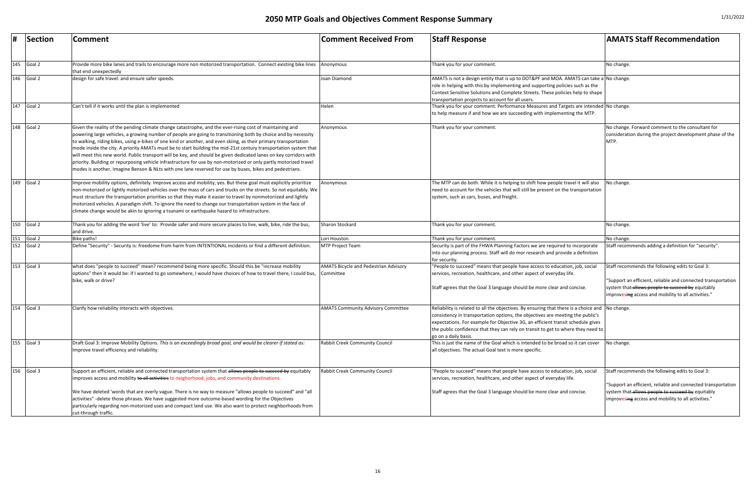| #<br>Section  | <b>Comment</b>                                                                                                                                                                                                                                                                                                                                                                                                                                                                                                                                                                                                                                                                                                                                                                                                          | <b>Comment Received From</b>                              | <b>Staff Response</b>                                                                                                                                                                                                                                                                                                                                                            | <b>AMATS Staff Recommendation</b>                                                                                                                                                                                           |
|---------------|-------------------------------------------------------------------------------------------------------------------------------------------------------------------------------------------------------------------------------------------------------------------------------------------------------------------------------------------------------------------------------------------------------------------------------------------------------------------------------------------------------------------------------------------------------------------------------------------------------------------------------------------------------------------------------------------------------------------------------------------------------------------------------------------------------------------------|-----------------------------------------------------------|----------------------------------------------------------------------------------------------------------------------------------------------------------------------------------------------------------------------------------------------------------------------------------------------------------------------------------------------------------------------------------|-----------------------------------------------------------------------------------------------------------------------------------------------------------------------------------------------------------------------------|
| $145$ Goal 2  | Provide more bike lanes and trails to encourage more non motorized transportation. Connect existing bike lines<br>that end unexpectedly                                                                                                                                                                                                                                                                                                                                                                                                                                                                                                                                                                                                                                                                                 | Anonymous                                                 | Thank you for your comment.                                                                                                                                                                                                                                                                                                                                                      | No change.                                                                                                                                                                                                                  |
| 146<br>Goal 2 | design for safe travel: and ensure safer speeds.                                                                                                                                                                                                                                                                                                                                                                                                                                                                                                                                                                                                                                                                                                                                                                        | Joan Diamond                                              | AMATS is not a design entity that is up to DOT&PF and MOA. AMATS can take a No change.<br>role in helping with this by implementing and supporting policies such as the<br>Context Sensitive Solutions and Complete Streets. These policies help to shape<br>transportation projects to account for all users.                                                                   |                                                                                                                                                                                                                             |
| 147<br>Goal 2 | Can't tell if it works until the plan is implemented                                                                                                                                                                                                                                                                                                                                                                                                                                                                                                                                                                                                                                                                                                                                                                    | Helen                                                     | Thank you for your comment. Performance Measures and Targets are intended No change.<br>to help measure if and how we are succeeding with implementing the MTP.                                                                                                                                                                                                                  |                                                                                                                                                                                                                             |
| 148<br>Goal 2 | Given the reality of the pending climate change catastrophe, and the ever-rising cost of maintaining and<br>powering large vehicles, a growing number of people are going to transitioning both by choice and by necessity<br>to walking, riding bikes, using e-bikes of one kind or another, and even skiing, as their primary transportation<br>mode inside the city. A priority AMATs must be to start building the mid-21st century transportation system that<br>will meet this new world. Public transport will be key, and should be given dedicated lanes on key corridors with<br>priority. Building or repurposing vehicle infrastructure for use by non-motorized or only partly motorized travel<br>modes is another. Imagine Benson & NLts with one lane reserved for use by buses, bikes and pedestrians. | Anonymous                                                 | Thank you for your comment.                                                                                                                                                                                                                                                                                                                                                      | No change. Forward comment to the consultant for<br>consideration during the project development phase of the<br>MTP.                                                                                                       |
| 149<br>Goal 2 | Improve mobility options, definitely. Improve access and mobility, yes. But these goal must explicitly prioritize<br>non-motorized or lightly motorized vehicles over the mass of cars and trucks on the streets. So not equitably. We<br>must structure the transportation priorities so that they make it easier to travel by nonmotoriized and lightly<br>motorized vehicles. A paradigm shift. To ignore the need to change our transportation system in the face of<br>climate change would be akin to ignoring a tsunami or earthquake hazard to infrastructure.                                                                                                                                                                                                                                                  | Anonymous                                                 | The MTP can do both. While it is helping to shift how people travel it will also<br>need to account for the vehicles that will still be present on the transportation<br>system, such as cars, buses, and freight.                                                                                                                                                               | No change.                                                                                                                                                                                                                  |
| 150<br>Goal 2 | Thank you for adding the word 'live' to: Provide safer and more secure places to live, walk, bike, ride the bus,<br>and drive.                                                                                                                                                                                                                                                                                                                                                                                                                                                                                                                                                                                                                                                                                          | Sharon Stockard                                           | Thank you for your comment.                                                                                                                                                                                                                                                                                                                                                      | No change.                                                                                                                                                                                                                  |
| 151<br>Goal 2 | Bike paths!                                                                                                                                                                                                                                                                                                                                                                                                                                                                                                                                                                                                                                                                                                                                                                                                             | Lori Houston                                              | Thank you for your comment.                                                                                                                                                                                                                                                                                                                                                      | No change.                                                                                                                                                                                                                  |
| 152<br>Goal 2 | Define "Security" - Security is: freedome from harm from INTENTIONAL incidents or find a different definition.                                                                                                                                                                                                                                                                                                                                                                                                                                                                                                                                                                                                                                                                                                          | <b>MTP Project Team</b>                                   | Security is part of the FHWA Planning Factors we are required to incorporate<br>into our planning process. Staff will do mor research and provide a definition<br>for security.                                                                                                                                                                                                  | Staff recommends adding a definition for "security".                                                                                                                                                                        |
| 153<br>Goal 3 | what does "people to succeed" mean? recommend being more specific. Should this be "increase mobility<br>options" then it would be: if I wanted to go somewhere, I would have choices of how to travel there, I could bus,<br>bike, walk or drive?                                                                                                                                                                                                                                                                                                                                                                                                                                                                                                                                                                       | <b>AMATS Bicycle and Pedestrian Advisory</b><br>Committee | "People to succeed" means that people have access to education, job, social<br>services, recreation, healthcare, and other aspect of everyday life.<br>Staff agrees that the Goal 3 language should be more clear and concise.                                                                                                                                                   | Staff recommends the following edits to Goal 3:<br>"Support an efficient, reliable and connected transportation<br>system that allows people to succeed by equitably<br>improvesing access and mobility to all activities." |
| 154<br>Goal 3 | Clarify how reliability interacts with objectives.                                                                                                                                                                                                                                                                                                                                                                                                                                                                                                                                                                                                                                                                                                                                                                      | <b>AMATS Community Advisory Committee</b>                 | Reliability is related to all the objectives. By ensuring that there is a choice and No change.<br>consistency in transportation options, the objectives are meeting the public's<br>expectations. For example for Objective 3G, an efficient transit schedule gives<br>the public confidence that they can rely on transit to get to where they need to<br>go on a daily basis. |                                                                                                                                                                                                                             |
| 155<br>Goal 3 | Draft Goal 3: Improve Mobility Options. This is an exceedingly broad goal, and would be clearer if stated as:<br>Improve travel efficiency and reliability.                                                                                                                                                                                                                                                                                                                                                                                                                                                                                                                                                                                                                                                             | <b>Rabbit Creek Community Council</b>                     | This is just the name of the Goal which is intended to be broad so it can cover<br>all objectives. The actual Goal text is more specific.                                                                                                                                                                                                                                        | No change.                                                                                                                                                                                                                  |
| 156<br>Goal 3 | Support an efficient, reliable and connected transportation system that allows people to succeed by equitably<br>improves access and mobility to all activities to neighorhood, jobs, and community destinations.<br>We have deleted 'words that are overly vague. There is no way to measure "allows people to succeed" and "all<br>activities" -delete those phrases. We have suggested more outcome-based wording for the Objectives<br>particularly regarding non-motorized uses and compact land use. We also want to protect neighborhoods from                                                                                                                                                                                                                                                                   | <b>Rabbit Creek Community Council</b>                     | "People to succeed" means that people have access to education, job, social<br>services, recreation, healthcare, and other aspect of everyday life.<br>Staff agrees that the Goal 3 language should be more clear and concise.                                                                                                                                                   | Staff recommends the following edits to Goal 3:<br>"Support an efficient, reliable and connected transportation<br>system that-allows people to succeed by equitably<br>improvesing access and mobility to all activities." |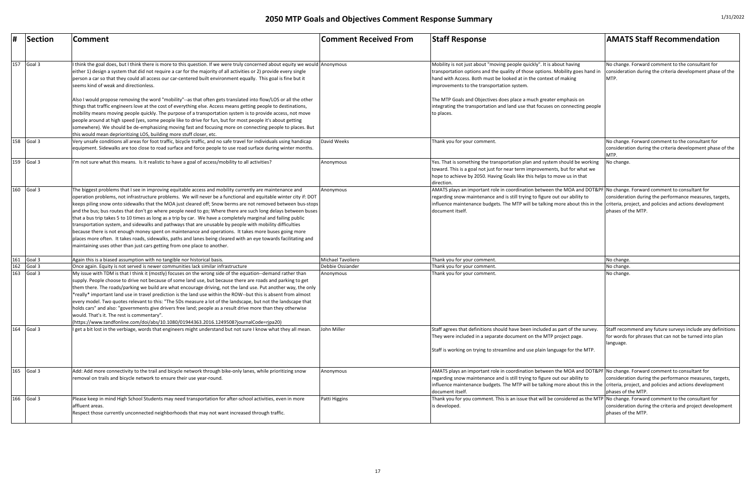| #                 | Section | <b>Comment</b>                                                                                                                                                                                                                                                                                                                                                                                                                                                                                                                                                                                                                                                                                                                                                                                                                                                                                                                                                                                       | <b>Comment Received From</b> | <b>Staff Response</b>                                                                                                                                                                                                                                                                                                                                             | <b>AMATS Staff Recommendation</b>                                                                                                 |
|-------------------|---------|------------------------------------------------------------------------------------------------------------------------------------------------------------------------------------------------------------------------------------------------------------------------------------------------------------------------------------------------------------------------------------------------------------------------------------------------------------------------------------------------------------------------------------------------------------------------------------------------------------------------------------------------------------------------------------------------------------------------------------------------------------------------------------------------------------------------------------------------------------------------------------------------------------------------------------------------------------------------------------------------------|------------------------------|-------------------------------------------------------------------------------------------------------------------------------------------------------------------------------------------------------------------------------------------------------------------------------------------------------------------------------------------------------------------|-----------------------------------------------------------------------------------------------------------------------------------|
| 157               | Goal 3  | think the goal does, but I think there is more to this question. If we were truly concerned about equity we would Anonymous<br>either 1) design a system that did not require a car for the majority of all activities or 2) provide every single<br>person a car so that they could all access our car-centered built environment equally. This goal is fine but it<br>seems kind of weak and directionless.                                                                                                                                                                                                                                                                                                                                                                                                                                                                                                                                                                                        |                              | Mobility is not just about "moving people quickly". It is about having<br>transportation options and the quality of those options. Mobility goes hand in<br>hand with Access. Both must be looked at in the context of making<br>improvements to the transportation system.                                                                                       | No change. Forward comment to the consultant for<br>consideration during the criteria development phase of the<br>MTP.            |
|                   |         | Also I would propose removing the word "mobility"--as that often gets translated into flow/LOS or all the other<br>hings that traffic engineers love at the cost of everything else. Access means getting people to destinations,<br>mobility means moving people quickly. The purpose of a transportation system is to provide access, not move<br>people around at high speed (yes, some people like to drive for fun, but for most people it's about getting<br>somewhere). We should be de-emphasizing moving fast and focusing more on connecting people to places. But<br>this would mean deprioritizing LOS, building more stuff closer, etc.                                                                                                                                                                                                                                                                                                                                                 |                              | The MTP Goals and Objectives does place a much greater emphasis on<br>integrating the transportation and land use that focuses on connecting people<br>to places.                                                                                                                                                                                                 |                                                                                                                                   |
| 158               | Goal 3  | Very unsafe conditions all areas for foot traffic, bicycle traffic, and no safe travel for individuals using handicap<br>equipment. Sidewalks are too close to road surface and force people to use road surface during winter months.                                                                                                                                                                                                                                                                                                                                                                                                                                                                                                                                                                                                                                                                                                                                                               | David Weeks                  | Thank you for your comment.                                                                                                                                                                                                                                                                                                                                       | No change. Forward comment to the consultant for<br>consideration during the criteria development phase of the<br>MTP.            |
| 159               | Goal 3  | "m not sure what this means. Is it realistic to have a goal of access/mobility to all activities?                                                                                                                                                                                                                                                                                                                                                                                                                                                                                                                                                                                                                                                                                                                                                                                                                                                                                                    | Anonymous                    | Yes. That is something the transportation plan and system should be working<br>toward. This is a goal not just for near term improvements, but for what we<br>hope to achieve by 2050. Having Goals like this helps to move us in that<br>direction.                                                                                                              | No change.                                                                                                                        |
| 160               | Goal 3  | The biggest problems that I see in improving equitable access and mobility currently are maintenance and<br>operation problems, not infrastructure problems. We will never be a functional and equitable winter city if: DOT<br>keeps piling snow onto sidewalks that the MOA just cleared off; Snow berms are not removed between bus-stops<br>and the bus; bus routes that don't go where people need to go; Where there are such long delays between buses<br>that a bus trip takes 5 to 10 times as long as a trip by car. We have a completely marginal and failing public<br>transportation system, and sidewalks and pathways that are unusable by people with mobility difficulties<br>because there is not enough money spent on maintenance and operations. It takes more buses going more<br>places more often. It takes roads, sidewalks, paths and lanes being cleared with an eye towards facilitating and<br>maintaining uses other than just cars getting from one place to another. | Anonymous                    | AMATS plays an important role in coordination between the MOA and DOT&PF No change. Forward comment to consultant for<br>regarding snow maintenance and is still trying to figure out our ability to<br>influence maintenance budgets. The MTP will be talking more about this in the criteria, project, and policies and actions development<br>document itself. | consideration during the performance measures, targets,<br>phases of the MTP.                                                     |
| 161               | Goal 3  | Again this is a biased assumption with no tangible nor historical basis.                                                                                                                                                                                                                                                                                                                                                                                                                                                                                                                                                                                                                                                                                                                                                                                                                                                                                                                             | Michael Tavoliero            | Thank you for your comment.                                                                                                                                                                                                                                                                                                                                       | No change.                                                                                                                        |
| 162               | Goal 3  | Once again. Equity is not served is newer communities lack similar infrastructure                                                                                                                                                                                                                                                                                                                                                                                                                                                                                                                                                                                                                                                                                                                                                                                                                                                                                                                    | Debbie Ossiander             | Thank you for your comment.                                                                                                                                                                                                                                                                                                                                       | No change.                                                                                                                        |
| $\frac{163}{163}$ | Goal 3  | My issue with TDM is that I think it (mostly) focuses on the wrong side of the equation--demand rather than<br>supply. People choose to drive not because of some land use, but because there are roads and parking to get<br>them there. The roads/parking we build are what encourage driving, not the land use. Put another way, the only<br>*really* important land use in travel prediction is the land use within the ROW--but this is absent from almost<br>every model. Two quotes relevant to this: "The 5Ds measure a lot of the landscape, but not the landscape that<br>holds cars" and also: "governments give drivers free land; people as a result drive more than they otherwise<br>would. That's it. The rest is commentary".<br>https://www.tandfonline.com/doi/abs/10.1080/01944363.2016.1249508?journalCode=rjpa20)                                                                                                                                                              | Anonymous                    | Thank you for your comment.                                                                                                                                                                                                                                                                                                                                       | No change.                                                                                                                        |
| 164               | Goal 3  | I get a bit lost in the verbiage, words that engineers might understand but not sure I know what they all mean.                                                                                                                                                                                                                                                                                                                                                                                                                                                                                                                                                                                                                                                                                                                                                                                                                                                                                      | John Miller                  | Staff agrees that definitions should have been included as part of the survey.<br>They were included in a separate document on the MTP project page.<br>Staff is working on trying to streamline and use plain language for the MTP.                                                                                                                              | Staff recommend any future surveys include any definitions<br>for words for phrases that can not be turned into plan<br>language. |
| 165               | Goal 3  | Add: Add more connectivity to the trail and bicycle network through bike-only lanes, while prioritizing snow<br>removal on trails and bicycle network to ensure their use year-round.                                                                                                                                                                                                                                                                                                                                                                                                                                                                                                                                                                                                                                                                                                                                                                                                                | Anonymous                    | AMATS plays an important role in coordination between the MOA and DOT&PF No change. Forward comment to consultant for<br>regarding snow maintenance and is still trying to figure out our ability to<br>influence maintenance budgets. The MTP will be talking more about this in the criteria, project, and policies and actions development<br>document itself  | consideration during the performance measures, targets,<br>phases of the MTP.                                                     |
| 166               | Goal 3  | Please keep in mind High School Students may need transportation for after-school activities, even in more<br>affluent areas.<br>Respect those currently unconnected neighborhoods that may not want increased through traffic.                                                                                                                                                                                                                                                                                                                                                                                                                                                                                                                                                                                                                                                                                                                                                                      | Patti Higgins                | Thank you for you comment. This is an issue that will be considered as the MTP No change. Forward comment to the consultant for<br>is developed.                                                                                                                                                                                                                  | consideration during the criteria and project development<br>phases of the MTP.                                                   |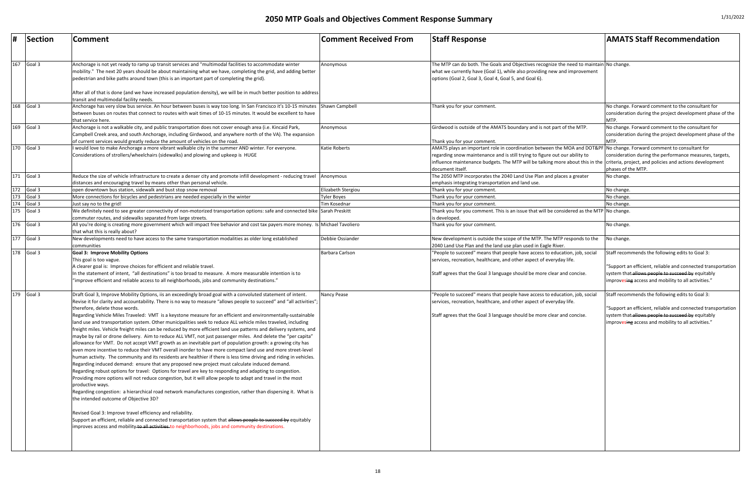| #                        | Section | Comment                                                                                                                                                                                                                                                                                                                                                                                                                                                                                                                                                                                                                                                                                                                                                                                                                                                                                                                                                                                                                                                                                                                                                                                                                                                                                                                                                                                                                                                                                                                                                                                                                                                                                                                                                                                                                                                                                           | <b>Comment Received From</b> | <b>Staff Response</b>                                                                                                                                                                                                                                                                                                                                             | <b>AMATS Staff Recommendation</b>                                                                                                                                                                                            |
|--------------------------|---------|---------------------------------------------------------------------------------------------------------------------------------------------------------------------------------------------------------------------------------------------------------------------------------------------------------------------------------------------------------------------------------------------------------------------------------------------------------------------------------------------------------------------------------------------------------------------------------------------------------------------------------------------------------------------------------------------------------------------------------------------------------------------------------------------------------------------------------------------------------------------------------------------------------------------------------------------------------------------------------------------------------------------------------------------------------------------------------------------------------------------------------------------------------------------------------------------------------------------------------------------------------------------------------------------------------------------------------------------------------------------------------------------------------------------------------------------------------------------------------------------------------------------------------------------------------------------------------------------------------------------------------------------------------------------------------------------------------------------------------------------------------------------------------------------------------------------------------------------------------------------------------------------------|------------------------------|-------------------------------------------------------------------------------------------------------------------------------------------------------------------------------------------------------------------------------------------------------------------------------------------------------------------------------------------------------------------|------------------------------------------------------------------------------------------------------------------------------------------------------------------------------------------------------------------------------|
| 167                      | Goal 3  | Anchorage is not yet ready to ramp up transit services and "multimodal facilities to accommodate winter<br>mobility." The next 20 years should be about maintaining what we have, completing the grid, and adding better<br>pedestrian and bike paths around town (this is an important part of completing the grid).<br>After all of that is done (and we have increased population density), we will be in much better position to address<br>transit and multimodal facility needs.                                                                                                                                                                                                                                                                                                                                                                                                                                                                                                                                                                                                                                                                                                                                                                                                                                                                                                                                                                                                                                                                                                                                                                                                                                                                                                                                                                                                            | Anonymous                    | The MTP can do both. The Goals and Objectives recognize the need to maintain $\vert$ No change.<br>what we currently have (Goal 1), while also providing new and improvement<br>options (Goal 2, Goal 3, Goal 4, Goal 5, and Goal 6).                                                                                                                             |                                                                                                                                                                                                                              |
| 168                      | Goal 3  | Anchorage has very slow bus service. An hour between buses is way too long. In San Francisco it's 10-15 minutes Shawn Campbell<br>between buses on routes that connect to routes with wait times of 10-15 minutes. It would be excellent to have<br>that service here.                                                                                                                                                                                                                                                                                                                                                                                                                                                                                                                                                                                                                                                                                                                                                                                                                                                                                                                                                                                                                                                                                                                                                                                                                                                                                                                                                                                                                                                                                                                                                                                                                            |                              | Thank you for your comment.                                                                                                                                                                                                                                                                                                                                       | No change. Forward comment to the consultant for<br>consideration during the project development phase of the<br>MTP.                                                                                                        |
| 169                      | Goal 3  | Anchorage is not a walkable city, and public transportation does not cover enough area (i.e. Kincaid Park,<br>Campbell Creek area, and south Anchorage, including Girdwood, and anywhere north of the VA). The expansion<br>of current services would greatly reduce the amount of vehicles on the road.                                                                                                                                                                                                                                                                                                                                                                                                                                                                                                                                                                                                                                                                                                                                                                                                                                                                                                                                                                                                                                                                                                                                                                                                                                                                                                                                                                                                                                                                                                                                                                                          | Anonymous                    | Girdwood is outside of the AMATS boundary and is not part of the MTP.<br>Thank you for your comment.                                                                                                                                                                                                                                                              | No change. Forward comment to the consultant for<br>consideration during the project development phase of the<br>MTP.                                                                                                        |
| 170                      | Goal 3  | would love to make Anchorage a more vibrant walkable city in the summer AND winter. For everyone.<br>Considerations of strollers/wheelchairs (sidewalks) and plowing and upkeep is HUGE                                                                                                                                                                                                                                                                                                                                                                                                                                                                                                                                                                                                                                                                                                                                                                                                                                                                                                                                                                                                                                                                                                                                                                                                                                                                                                                                                                                                                                                                                                                                                                                                                                                                                                           | <b>Katie Roberts</b>         | AMATS plays an important role in coordination between the MOA and DOT&PF No change. Forward comment to consultant for<br>regarding snow maintenance and is still trying to figure out our ability to<br>influence maintenance budgets. The MTP will be talking more about this in the criteria, project, and policies and actions development<br>document itself. | consideration during the performance measures, targets,<br>phases of the MTP.                                                                                                                                                |
| 171 Goal 3               |         | Reduce the size of vehicle infrastructure to create a denser city and promote infill development - reducing travel<br>distances and encouraging travel by means other than personal vehicle.                                                                                                                                                                                                                                                                                                                                                                                                                                                                                                                                                                                                                                                                                                                                                                                                                                                                                                                                                                                                                                                                                                                                                                                                                                                                                                                                                                                                                                                                                                                                                                                                                                                                                                      | Anonymous                    | The 2050 MTP incorporates the 2040 Land Use Plan and places a greater<br>emphasis integrating transportation and land use.                                                                                                                                                                                                                                        | No change.                                                                                                                                                                                                                   |
|                          |         | open downtown bus station, sidewalk and bust stop snow removal                                                                                                                                                                                                                                                                                                                                                                                                                                                                                                                                                                                                                                                                                                                                                                                                                                                                                                                                                                                                                                                                                                                                                                                                                                                                                                                                                                                                                                                                                                                                                                                                                                                                                                                                                                                                                                    | Elizabeth Stergiou           | Thank you for your comment.                                                                                                                                                                                                                                                                                                                                       | No change.                                                                                                                                                                                                                   |
| 172 Goal 3<br>173 Goal 3 |         | More connections for bicycles and pedestrians are needed especially in the winter                                                                                                                                                                                                                                                                                                                                                                                                                                                                                                                                                                                                                                                                                                                                                                                                                                                                                                                                                                                                                                                                                                                                                                                                                                                                                                                                                                                                                                                                                                                                                                                                                                                                                                                                                                                                                 | Tyler Boyes                  | Thank you for your comment.                                                                                                                                                                                                                                                                                                                                       | No change.                                                                                                                                                                                                                   |
| 174                      | Goal 3  | Just say no to the grid!                                                                                                                                                                                                                                                                                                                                                                                                                                                                                                                                                                                                                                                                                                                                                                                                                                                                                                                                                                                                                                                                                                                                                                                                                                                                                                                                                                                                                                                                                                                                                                                                                                                                                                                                                                                                                                                                          | Tim Kosednar                 | Thank you for your comment.                                                                                                                                                                                                                                                                                                                                       | No change.                                                                                                                                                                                                                   |
| 175<br>Goal 3            |         | We definitely need to see greater connectivity of non-motorized transportation options: safe and connected bike Sarah Preskitt<br>commuter routes, and sidewalks separated from large streets.                                                                                                                                                                                                                                                                                                                                                                                                                                                                                                                                                                                                                                                                                                                                                                                                                                                                                                                                                                                                                                                                                                                                                                                                                                                                                                                                                                                                                                                                                                                                                                                                                                                                                                    |                              | Thank you for you comment. This is an issue that will be considered as the MTP No change.<br>is developed.                                                                                                                                                                                                                                                        |                                                                                                                                                                                                                              |
| 176                      | Goal 3  | All you're doing is creating more government which will impact free behavior and cost tax payers more money. Is Michael Tavoliero<br>that what this is really about?                                                                                                                                                                                                                                                                                                                                                                                                                                                                                                                                                                                                                                                                                                                                                                                                                                                                                                                                                                                                                                                                                                                                                                                                                                                                                                                                                                                                                                                                                                                                                                                                                                                                                                                              |                              | Thank you for your comment                                                                                                                                                                                                                                                                                                                                        | No change.                                                                                                                                                                                                                   |
| 177                      | Goal 3  | New developments need to have access to the same transportation modalities as older long established<br>communities                                                                                                                                                                                                                                                                                                                                                                                                                                                                                                                                                                                                                                                                                                                                                                                                                                                                                                                                                                                                                                                                                                                                                                                                                                                                                                                                                                                                                                                                                                                                                                                                                                                                                                                                                                               | Debbie Ossiander             | New development is outside the scope of the MTP. The MTP responds to the<br>2040 Land Use Plan and the land use plan used in Eagle River.                                                                                                                                                                                                                         | No change.                                                                                                                                                                                                                   |
| 178 Goal 3               |         | <b>Goal 3: Improve Mobility Options</b><br>This goal is too vague.<br>A clearer goal is: Improve choices for efficient and reliable travel.<br>In the statement of intent, "all destinations" is too broad to measure. A more measurable intention is to<br>"improve efficient and reliable access to all neighborhoods, jobs and community destinations."                                                                                                                                                                                                                                                                                                                                                                                                                                                                                                                                                                                                                                                                                                                                                                                                                                                                                                                                                                                                                                                                                                                                                                                                                                                                                                                                                                                                                                                                                                                                        | Barbara Carlson              | "People to succeed" means that people have access to education, job, social<br>services, recreation, healthcare, and other aspect of everyday life.<br>Staff agrees that the Goal 3 language should be more clear and concise.                                                                                                                                    | Staff recommends the following edits to Goal 3:<br>"Support an efficient, reliable and connected transportation<br>system that allows people to succeed by equitably<br>limprovesing access and mobility to all activities." |
| 179                      | Goal 3  | Draft Goal 3, Improve Mobility Options, iis an exceedingly broad goal with a convoluted statement of intent.<br>Revise it for clarity and accountability. There is no way to measure "allows people to succeed" and "all activities";<br>therefore, delete those words.<br>Regarding Vehicle Miles Traveled: VMT is a keystone measure for an efficient and environmentally-sustainable<br>land use and transportation system. Other municipalities seek to reduce ALL vehicle miles traveled, including<br>freight miles. Vehicle freight miles can be reduced by more efficient land use patterns and delivery systems, and<br>maybe by rail or drone delivery. Aim to reduce ALL VMT, not just passenger miles. And delete the "per capita"<br>allowance for VMT. Do not accept VMT growth as an inevitable part of population growth: a growing city has<br>even more incentive to reduce their VMT overall inorder to have more compact land use and more street-level<br>human activity. The community and its residents are healthier if there is less time driving and riding in vehicles.<br>Regarding induced demand: ensure that any proposed new project must calculate induced demand.<br>Regarding robust options for travel: Options for travel are key to responding and adapting to congestion.<br>Providing more options will not reduce congestion, but it will allow people to adapt and travel in the most<br>productive ways.<br>Regarding congestion: a hierarchical road network manufactures congestion, rather than dispersing it. What is<br>the intended outcome of Objective 3D?<br>Revised Goal 3: Improve travel efficiency and reliability.<br>Support an efficient, reliable and connected transportation system that allows people to succeed by equitably<br>improves access and mobility to all activities to neighborhoods, jobs and community destinations. | Nancy Pease                  | "People to succeed" means that people have access to education, job, social<br>services, recreation, healthcare, and other aspect of everyday life.<br>Staff agrees that the Goal 3 language should be more clear and concise.                                                                                                                                    | Staff recommends the following edits to Goal 3:<br>"Support an efficient, reliable and connected transportation<br>system that allows people to succeed by equitably<br>limprovesing access and mobility to all activities." |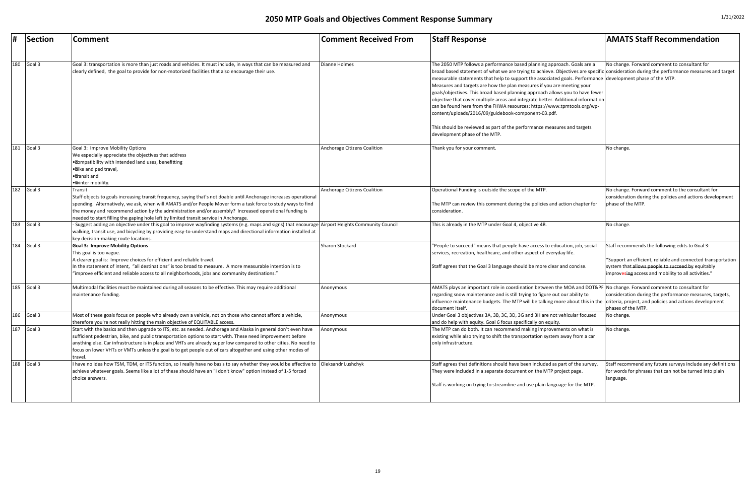|     | Section | Comment                                                                                                                                                                                                                                                                                                                                                                                                                                                                       | <b>Comment Received From</b>        | <b>Staff Response</b>                                                                                                                                                                                                                                                                                                                                                                                                                                                                                                                                                                                                                                                                                                                                                                         | <b>AMATS Staff Recommendation</b>                                                                                                                                                                                                       |
|-----|---------|-------------------------------------------------------------------------------------------------------------------------------------------------------------------------------------------------------------------------------------------------------------------------------------------------------------------------------------------------------------------------------------------------------------------------------------------------------------------------------|-------------------------------------|-----------------------------------------------------------------------------------------------------------------------------------------------------------------------------------------------------------------------------------------------------------------------------------------------------------------------------------------------------------------------------------------------------------------------------------------------------------------------------------------------------------------------------------------------------------------------------------------------------------------------------------------------------------------------------------------------------------------------------------------------------------------------------------------------|-----------------------------------------------------------------------------------------------------------------------------------------------------------------------------------------------------------------------------------------|
| 180 | Goal 3  | Goal 3: transportation is more than just roads and vehicles. It must include, in ways that can be measured and<br>clearly defined, the goal to provide for non-motorized facilities that also encourage their use.                                                                                                                                                                                                                                                            | Dianne Holmes                       | The 2050 MTP follows a performance based planning approach. Goals are a<br>broad based statement of what we are trying to achieve. Objectives are specific consideration during the performance measures and target<br>measurable statements that help to support the associated goals. Performance development phase of the MTP.<br>Measures and targets are how the plan measures if you are meeting your<br>goals/objectives. This broad based planning approach allows you to have fewer<br>objective that cover multiple areas and integrate better. Additional information<br>can be found here from the FHWA resources: https://www.tpmtools.org/wp-<br>content/uploads/2016/09/guidebook-component-03.pdf.<br>This should be reviewed as part of the performance measures and targets | No change. Forward comment to consultant for                                                                                                                                                                                            |
| 181 | Goal 3  | Goal 3: Improve Mobility Options                                                                                                                                                                                                                                                                                                                                                                                                                                              | <b>Anchorage Citizens Coalition</b> | development phase of the MTP.<br>Thank you for your comment.                                                                                                                                                                                                                                                                                                                                                                                                                                                                                                                                                                                                                                                                                                                                  | No change.                                                                                                                                                                                                                              |
|     |         | We especially appreciate the objectives that address<br>. Tompatibility with intended land uses, benefitting<br>• Dike and ped travel,<br>● Transit and<br>· Winter mobility.                                                                                                                                                                                                                                                                                                 |                                     |                                                                                                                                                                                                                                                                                                                                                                                                                                                                                                                                                                                                                                                                                                                                                                                               |                                                                                                                                                                                                                                         |
| 182 | Goal 3  | Transit<br>Staff objects to goals increasing transit frequency, saying that's not doable until Anchorage increases operational<br>spending. Alternatively, we ask, when will AMATS and/or People Mover form a task force to study ways to find<br>the money and recommend action by the administration and/or assembly? Increased operational funding is<br>needed to start filling the gaping hole left by limited transit service in Anchorage.                             | Anchorage Citizens Coalition        | Operational Funding is outside the scope of the MTP.<br>The MTP can review this comment during the policies and action chapter for<br>Iconsideration.                                                                                                                                                                                                                                                                                                                                                                                                                                                                                                                                                                                                                                         | No change. Forward comment to the consultant for<br>consideration during the policies and actions development<br>phase of the MTP.                                                                                                      |
| 183 | Goal 3  | - Suggest adding an objective under this goal to improve wayfinding systems (e.g. maps and signs) that encourage  Airport Heights Community Council<br>walking, transit use, and bicycling by providing easy-to-understand maps and directional information installed at<br>key decision-making route locations.                                                                                                                                                              |                                     | This is already in the MTP under Goal 4, objective 4B                                                                                                                                                                                                                                                                                                                                                                                                                                                                                                                                                                                                                                                                                                                                         | No change.                                                                                                                                                                                                                              |
| 184 | Goal 3  | <b>Goal 3: Improve Mobility Options</b><br>This goal is too vague.<br>A clearer goal is: Improve choices for efficient and reliable travel.<br>In the statement of intent, "all destinations" is too broad to measure. A more measurable intention is to<br>"improve efficient and reliable access to all neighborhoods, jobs and community destinations."                                                                                                                    | Sharon Stockard                     | "People to succeed" means that people have access to education, job, social<br>services, recreation, healthcare, and other aspect of everyday life.<br>Staff agrees that the Goal 3 language should be more clear and concise.                                                                                                                                                                                                                                                                                                                                                                                                                                                                                                                                                                | Staff recommends the following edits to Goal 3:<br>Support an efficient, reliable and connected transportation <sup>'</sup><br>system that allows people to succeed by equitably<br>improvesing access and mobility to all activities." |
| 185 | Goal 3  | Multimodal facilities must be maintained during all seasons to be effective. This may require additional<br>maintenance funding.                                                                                                                                                                                                                                                                                                                                              | Anonymous                           | AMATS plays an important role in coordination between the MOA and DOT&PF No change. Forward comment to consultant for<br>regarding snow maintenance and is still trying to figure out our ability to<br>influence maintenance budgets. The MTP will be talking more about this in the criteria, project, and policies and actions development<br>document itself.                                                                                                                                                                                                                                                                                                                                                                                                                             | consideration during the performance measures, targets,<br>phases of the MTP.                                                                                                                                                           |
| 186 | Goal 3  | Most of these goals focus on people who already own a vehicle, not on those who cannot afford a vehicle,<br>therefore you're not really hitting the main objective of EQUITABLE access.                                                                                                                                                                                                                                                                                       | Anonymous                           | Under Goal 3 objectives 3A, 3B, 3C, 3D, 3G and 3H are not vehicular focused<br>and do help with equity. Goal 6 focus specifically on equity.                                                                                                                                                                                                                                                                                                                                                                                                                                                                                                                                                                                                                                                  | No change.                                                                                                                                                                                                                              |
| 187 | Goal 3  | Start with the basics and then upgrade to ITS, etc. as needed. Anchorage and Alaska in general don't even have<br>sufficient pedestrian, bike, and public transportation options to start with. These need improvement before<br>anything else. Car infrastructure is in place and VHTs are already super low compared to other cities. No need to<br>focus on lower VHTs or VMTs unless the goal is to get people out of cars altogether and using other modes of<br>travel. | Anonymous                           | The MTP can do both. It can recommend making improvements on what is<br>existing while also trying to shift the transportation system away from a car<br>only infrastructure.                                                                                                                                                                                                                                                                                                                                                                                                                                                                                                                                                                                                                 | No change.                                                                                                                                                                                                                              |
| 188 | Goal 3  | I have no idea how TSM, TDM, or ITS function, so I really have no basis to say whether they would be effective to  Oleksandr Lushchyk<br>achieve whatever goals. Seems like a lot of these should have an "I don't know" option instead of 1-5 forced<br>choice answers.                                                                                                                                                                                                      |                                     | Staff agrees that definitions should have been included as part of the survey.<br>They were included in a separate document on the MTP project page.<br>Staff is working on trying to streamline and use plain language for the MTP.                                                                                                                                                                                                                                                                                                                                                                                                                                                                                                                                                          | Staff recommend any future surveys include any definitions<br>for words for phrases that can not be turned into plain<br>language.                                                                                                      |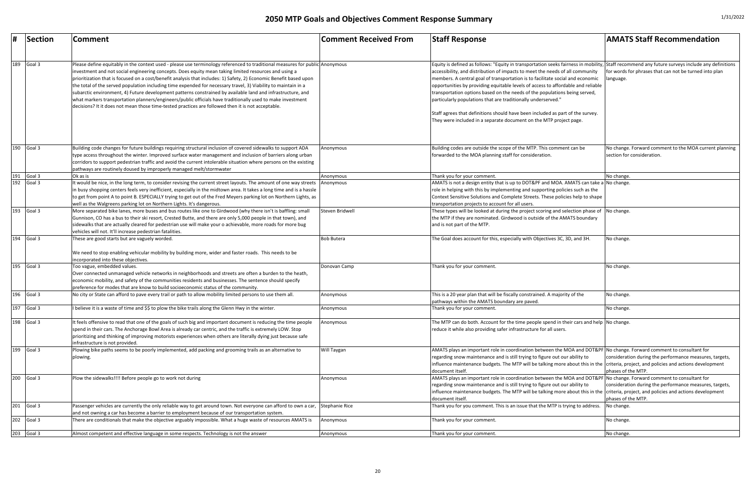| #   | Section    | <b>Comment</b>                                                                                                                                                                                                                                                                                                                                                                                                                                                                                                                                                                                                                                                                                                                                                                                                   | <b>Comment Received From</b> | <b>Staff Response</b>                                                                                                                                                                                                                                                                                                                                                                                                                                                                                                                                                                                                                                                                                        | <b>AMATS Staff Recommendation</b>                                                    |
|-----|------------|------------------------------------------------------------------------------------------------------------------------------------------------------------------------------------------------------------------------------------------------------------------------------------------------------------------------------------------------------------------------------------------------------------------------------------------------------------------------------------------------------------------------------------------------------------------------------------------------------------------------------------------------------------------------------------------------------------------------------------------------------------------------------------------------------------------|------------------------------|--------------------------------------------------------------------------------------------------------------------------------------------------------------------------------------------------------------------------------------------------------------------------------------------------------------------------------------------------------------------------------------------------------------------------------------------------------------------------------------------------------------------------------------------------------------------------------------------------------------------------------------------------------------------------------------------------------------|--------------------------------------------------------------------------------------|
| 189 | Goal 3     | Please define equitably in the context used - please use terminology referenced to traditional measures for public Anonymous<br>investment and not social engineering concepts. Does equity mean taking limited resources and using a<br>prioritization that is focused on a cost/benefit analysis that includes: 1) Safety, 2) Economic Benefit based upon<br>the total of the served population including time expended for necessary travel, 3) Viability to maintain in a<br>subarctic environment, 4) Future development patterns constrained by available land and infrastructure, and<br>what markers transportation planners/engineers/public officials have traditionally used to make investment<br>decisions? It it does not mean those time-tested practices are followed then it is not acceptable. |                              | Equity is defined as follows: "Equity in transportation seeks fairness in mobility, Staff recommend any future surveys include any definitions<br>accessibility, and distribution of impacts to meet the needs of all community<br>members. A central goal of transportation is to facilitate social and economic<br>opportunities by providing equitable levels of access to affordable and reliable<br>transportation options based on the needs of the populations being served,<br>particularly populations that are traditionally underserved."<br>Staff agrees that definitions should have been included as part of the survey.<br>They were included in a separate document on the MTP project page. | for words for phrases that can not be turned into plan<br>language.                  |
| 190 | Goal 3     | Building code changes for future buildings requiring structural inclusion of covered sidewalks to support ADA<br>type access throughout the winter. Improved surface water management and inclusion of barriers along urban<br>corridors to support pedestrian traffic and avoid the current intolerable situation where persons on the existing                                                                                                                                                                                                                                                                                                                                                                                                                                                                 | Anonymous                    | Building codes are outside the scope of the MTP. This comment can be<br>forwarded to the MOA planning staff for consideration.                                                                                                                                                                                                                                                                                                                                                                                                                                                                                                                                                                               | No change. Forward comment to the MOA current planning<br>section for consideration. |
| 191 | Goal 3     | pathways are routinely doused by improperly managed melt/stormwater<br>Ok as is                                                                                                                                                                                                                                                                                                                                                                                                                                                                                                                                                                                                                                                                                                                                  | Anonymous                    | Thank you for your comment.                                                                                                                                                                                                                                                                                                                                                                                                                                                                                                                                                                                                                                                                                  | No change.                                                                           |
| 192 | Goal 3     | It would be nice, in the long term, to consider revising the current street layouts. The amount of one way streets<br>n busy shopping centers feels very inefficient, especially in the midtown area. It takes a long time and is a hassle<br>to get from point A to point B. ESPECIALLY trying to get out of the Fred Meyers parking lot on Northern Lights, as<br>well as the Walgreens parking lot on Northern Lights. It's dangerous.                                                                                                                                                                                                                                                                                                                                                                        | Anonymous                    | AMATS is not a design entity that is up to DOT&PF and MOA. AMATS can take a No change.<br>role in helping with this by implementing and supporting policies such as the<br>Context Sensitive Solutions and Complete Streets. These policies help to shape<br>transportation projects to account for all users.                                                                                                                                                                                                                                                                                                                                                                                               |                                                                                      |
| 193 | Goal 3     | More separated bike lanes, more buses and bus routes like one to Girdwood (why there isn't is baffling: small<br>Gunnison, CO has a bus to their ski resort, Crested Butte, and there are only 5,000 people in that town), and<br>sidewalks that are actually cleared for pedestrian use will make your o achievable, more roads for more bug<br>vehicles will not. It'll increase pedestrian fatalities.                                                                                                                                                                                                                                                                                                                                                                                                        | Steven Bridwell              | These types will be looked at during the project scoring and selection phase of $\vert$ No change.<br>the MTP if they are nominated. Girdwood is outside of the AMATS boundary<br>and is not part of the MTP.                                                                                                                                                                                                                                                                                                                                                                                                                                                                                                |                                                                                      |
|     | 194 Goal 3 | These are good starts but are vaguely worded.<br>We need to stop enabling vehicular mobility by building more, wider and faster roads. This needs to be                                                                                                                                                                                                                                                                                                                                                                                                                                                                                                                                                                                                                                                          | <b>Bob Butera</b>            | The Goal does account for this, especially with Objectives 3C, 3D, and 3H.                                                                                                                                                                                                                                                                                                                                                                                                                                                                                                                                                                                                                                   | No change.                                                                           |
| 195 | Goal 3     | incorporated into these objectives.<br>Too vague, embedded values.<br>Over connected unmanaged vehicle networks in neighborhoods and streets are often a burden to the heath,<br>economic mobility, and safety of the communities residents and businesses. The sentence should specify<br>preference for modes that are know to build socioeconomic status of the community.                                                                                                                                                                                                                                                                                                                                                                                                                                    | Donovan Camp                 | Thank you for your comment.                                                                                                                                                                                                                                                                                                                                                                                                                                                                                                                                                                                                                                                                                  | No change.                                                                           |
|     | 196 Goal 3 | No city or State can afford to pave every trail or path to allow mobility limited persons to use them all.                                                                                                                                                                                                                                                                                                                                                                                                                                                                                                                                                                                                                                                                                                       | Anonymous                    | This is a 20 year plan that will be fiscally constrained. A majority of the<br>pathways within the AMATS boundary are paved.                                                                                                                                                                                                                                                                                                                                                                                                                                                                                                                                                                                 | No change.                                                                           |
| 197 | Goal 3     | I believe it is a waste of time and \$\$ to plow the bike trails along the Glenn Hwy in the winter.                                                                                                                                                                                                                                                                                                                                                                                                                                                                                                                                                                                                                                                                                                              | Anonymous                    | Thank you for your comment.                                                                                                                                                                                                                                                                                                                                                                                                                                                                                                                                                                                                                                                                                  | No change.                                                                           |
| 198 | Goal 3     | It feels offensive to read that one of the goals of such big and important document is reducing the time people<br>spend in their cars. The Anchorage Bowl Area is already car centric, and the traffic is extremely LOW. Stop<br>prioritizing and thinking of improving motorists experiences when others are literally dying just because safe<br>infrastructure is not provided.                                                                                                                                                                                                                                                                                                                                                                                                                              | Anonymous                    | The MTP can do both. Account for the time people spend in their cars and help No change.<br>reduce it while also providing safer infrastructure for all users.                                                                                                                                                                                                                                                                                                                                                                                                                                                                                                                                               |                                                                                      |
| 199 | Goal 3     | Plowing bike paths seems to be poorly implemented, add packing and grooming trails as an alternative to<br>plowing.                                                                                                                                                                                                                                                                                                                                                                                                                                                                                                                                                                                                                                                                                              | Will Taygan                  | AMATS plays an important role in coordination between the MOA and DOT&PF No change. Forward comment to consultant for<br>regarding snow maintenance and is still trying to figure out our ability to<br>influence maintenance budgets. The MTP will be talking more about this in the criteria, project, and policies and actions development<br>document itself.                                                                                                                                                                                                                                                                                                                                            | consideration during the performance measures, targets,<br>phases of the MTP.        |
| 200 | Goal 3     | Plow the sidewalks!!!! Before people go to work not during                                                                                                                                                                                                                                                                                                                                                                                                                                                                                                                                                                                                                                                                                                                                                       | Anonymous                    | AMATS plays an important role in coordination between the MOA and DOT&PF No change. Forward comment to consultant for<br>regarding snow maintenance and is still trying to figure out our ability to<br>influence maintenance budgets. The MTP will be talking more about this in the criteria, project, and policies and actions development<br>document itself.                                                                                                                                                                                                                                                                                                                                            | consideration during the performance measures, targets,<br>phases of the MTP.        |
|     | 201 Goal 3 | Passenger vehicles are currently the only reliable way to get around town. Not everyone can afford to own a car,<br>and not owning a car has become a barrier to employment because of our transportation system.                                                                                                                                                                                                                                                                                                                                                                                                                                                                                                                                                                                                | Stephanie Rice               | Thank you for you comment. This is an issue that the MTP is trying to address.                                                                                                                                                                                                                                                                                                                                                                                                                                                                                                                                                                                                                               | No change.                                                                           |
| 202 | Goal 3     | There are conditionals that make the objective arguably impossible. What a huge waste of resources AMATS is                                                                                                                                                                                                                                                                                                                                                                                                                                                                                                                                                                                                                                                                                                      | Anonymous                    | Thank you for your comment.                                                                                                                                                                                                                                                                                                                                                                                                                                                                                                                                                                                                                                                                                  | No change.                                                                           |
|     | 203 Goal 3 | Almost competent and effective language in some respects. Technology is not the answer                                                                                                                                                                                                                                                                                                                                                                                                                                                                                                                                                                                                                                                                                                                           | Anonymous                    | Thank you for your comment                                                                                                                                                                                                                                                                                                                                                                                                                                                                                                                                                                                                                                                                                   | No change.                                                                           |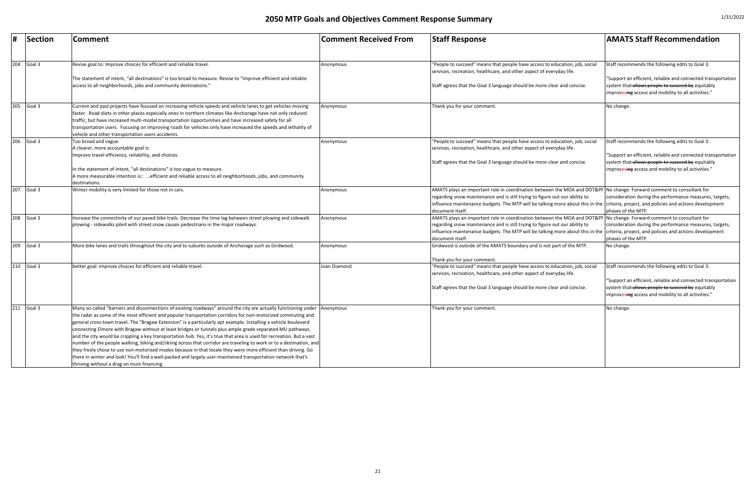|     | Section    | <b>Comment</b>                                                                                                                                                                                                                                                                                                                                                                                                                                                                                                                                                                                                                                                                                                                                                                                                                                                                                                                                                                                             | <b>Comment Received From</b> | <b>Staff Response</b>                                                                                                                                                                                                                                                                                                                                             | <b>AMATS Staff Recommendation</b>                                                                                                                                                                                           |
|-----|------------|------------------------------------------------------------------------------------------------------------------------------------------------------------------------------------------------------------------------------------------------------------------------------------------------------------------------------------------------------------------------------------------------------------------------------------------------------------------------------------------------------------------------------------------------------------------------------------------------------------------------------------------------------------------------------------------------------------------------------------------------------------------------------------------------------------------------------------------------------------------------------------------------------------------------------------------------------------------------------------------------------------|------------------------------|-------------------------------------------------------------------------------------------------------------------------------------------------------------------------------------------------------------------------------------------------------------------------------------------------------------------------------------------------------------------|-----------------------------------------------------------------------------------------------------------------------------------------------------------------------------------------------------------------------------|
| 204 | Goal 3     | Revise goal to: Improve choices for efficient and reliable travel.                                                                                                                                                                                                                                                                                                                                                                                                                                                                                                                                                                                                                                                                                                                                                                                                                                                                                                                                         | Anonymous                    | 'People to succeed" means that people have access to education, job, socia<br>services, recreation, healthcare, and other aspect of everyday life.                                                                                                                                                                                                                | Staff recommends the following edits to Goal 3:                                                                                                                                                                             |
|     |            | The statement of intent, "all destinations" is too broad to measure. Revise to "improve efficient and reliable<br>access to all neighborhoods, jobs and community destinations."                                                                                                                                                                                                                                                                                                                                                                                                                                                                                                                                                                                                                                                                                                                                                                                                                           |                              | Staff agrees that the Goal 3 language should be more clear and concise.                                                                                                                                                                                                                                                                                           | "Support an efficient, reliable and connected transportation<br>system that allows people to succeed by equitably<br>improvesing access and mobility to all activities."                                                    |
| 205 | Goal 3     | Current and past projects have focused on increasing vehicle speeds and vehicle lanes to get vehicles moving<br>faster. Road diets in other places especially ones in northern climates like Anchorage have not only reduced<br>traffic, but have increased multi-modal transportation opportunities and have increased safety for all<br>transportation users. Focusing on improving roads for vehicles only have increased the speeds and lethality of<br>vehicle and other transportation users accidents.                                                                                                                                                                                                                                                                                                                                                                                                                                                                                              | Anonymous                    | Thank you for your comment.                                                                                                                                                                                                                                                                                                                                       | No change.                                                                                                                                                                                                                  |
| 206 | Goal 3     | Too broad and vague.<br>A clearer, more accountable goal is:<br>Improve travel efficiency, reliability, and choices.<br>In the statement of intent, "all destinations" is too vague to measure.<br>A more measurable intention is:: efficient and reliable access to all neighborhoods, jobs, and community<br>destinations.                                                                                                                                                                                                                                                                                                                                                                                                                                                                                                                                                                                                                                                                               | Anonymous                    | 'People to succeed" means that people have access to education, job, socia<br>services, recreation, healthcare, and other aspect of everyday life.<br>Staff agrees that the Goal 3 language should be more clear and concise.                                                                                                                                     | Staff recommends the following edits to Goal 3:<br>"Support an efficient, reliable and connected transportation<br>system that-allows people to succeed by equitably<br>improvesing access and mobility to all activities." |
|     | 207 Goal 3 | Winter mobility is very limited for those not in cars.                                                                                                                                                                                                                                                                                                                                                                                                                                                                                                                                                                                                                                                                                                                                                                                                                                                                                                                                                     | Anonymous                    | AMATS plays an important role in coordination between the MOA and DOT&PF No change. Forward comment to consultant for<br>regarding snow maintenance and is still trying to figure out our ability to<br>influence maintenance budgets. The MTP will be talking more about this in the criteria, project, and policies and actions development<br>document itself. | consideration during the performance measures, targets,<br>phases of the MTP.                                                                                                                                               |
| 208 | Goal 3     | Increase the connectivity of our paved bike trails. Decrease the time lag between street plowing and sidewalk<br>plowing - sidewalks piled with street snow causes pedestrians in the major roadways.                                                                                                                                                                                                                                                                                                                                                                                                                                                                                                                                                                                                                                                                                                                                                                                                      | Anonymous                    | AMATS plays an important role in coordination between the MOA and DOT&PF<br>regarding snow maintenance and is still trying to figure out our ability to<br>influence maintenance budgets. The MTP will be talking more about this in the criteria, project, and policies and actions development<br>Idocument itself.                                             | No change. Forward comment to consultant for<br>consideration during the performance measures, targets,<br>phases of the MTP.                                                                                               |
|     | 209 Goal 3 | More bike lanes and trails throughout the city and to suburbs outside of Anchorage such as Girdwood.                                                                                                                                                                                                                                                                                                                                                                                                                                                                                                                                                                                                                                                                                                                                                                                                                                                                                                       | Anonymous                    | Girdwood is outside of the AMATS boundary and is not part of the MTP.<br>Thank you for your comment.                                                                                                                                                                                                                                                              | No change.                                                                                                                                                                                                                  |
| 210 | Goal 3     | better goal: improve choices for efficient and reliable travel.                                                                                                                                                                                                                                                                                                                                                                                                                                                                                                                                                                                                                                                                                                                                                                                                                                                                                                                                            | Joan Diamond                 | "People to succeed" means that people have access to education, job, social<br>services, recreation, healthcare, and other aspect of everyday life.<br>Staff agrees that the Goal 3 language should be more clear and concise.                                                                                                                                    | Staff recommends the following edits to Goal 3:<br>"Support an efficient, reliable and connected transportation<br>system that allows people to succeed by equitably<br>improvesing access and mobility to all activities." |
| 211 | Goal 3     | Many so-called "barriers and disconnections of existing roadways" around the city are actually functioning under Anonymous<br>the radar as some of the most efficient and popular transportation corridors for non-motorized commuting and<br>general cross-town travel. The "Bragaw Extension" is a particularly apt example. Installing a vehicle boulevard<br>connecting Elmore with Bragaw without at least bridges or tunnels plus ample grade separated MU pathways,<br>and the city would be crippling a key transportation hub. Yes, it's true that area is used for recreation. But a vast<br>number of the people walking, biking and/skiing across that corridor are traveling to work or to a destination, and<br>they freely chose to use non-motorized modes because in that locale they were more efficient than driving. Go<br>there in winter and look! You'll find a well-packed and largely user-maintained transportation network that's<br>thriving without a drag on muni financing. |                              | Thank you for your comment.                                                                                                                                                                                                                                                                                                                                       | No change.                                                                                                                                                                                                                  |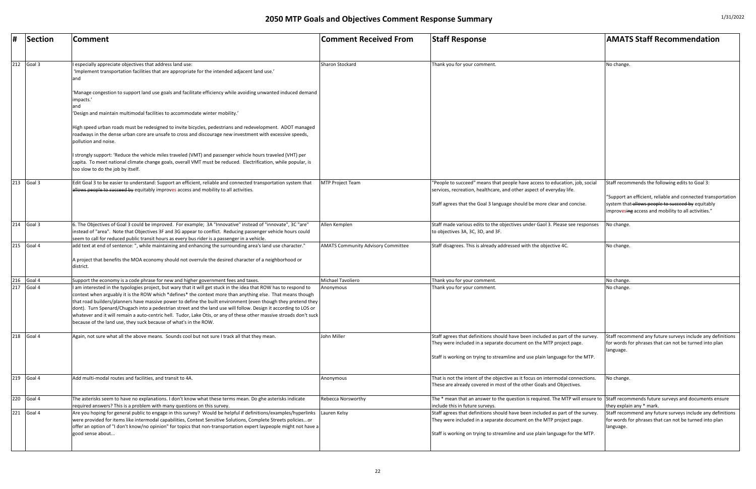| #   | Section    | Comment                                                                                                                                                                                                                                                                                                                                                                                                                                                                                                                                                                                                                                                         | <b>Comment Received From</b>              | <b>Staff Response</b>                                                                                                                                                                                                                | <b>AMATS Staff Recommendation</b>                                                                                                                                                                                   |
|-----|------------|-----------------------------------------------------------------------------------------------------------------------------------------------------------------------------------------------------------------------------------------------------------------------------------------------------------------------------------------------------------------------------------------------------------------------------------------------------------------------------------------------------------------------------------------------------------------------------------------------------------------------------------------------------------------|-------------------------------------------|--------------------------------------------------------------------------------------------------------------------------------------------------------------------------------------------------------------------------------------|---------------------------------------------------------------------------------------------------------------------------------------------------------------------------------------------------------------------|
| 212 | Goal 3     | I especially appreciate objectives that address land use:<br>'Implement transportation facilities that are appropriate for the intended adjacent land use.'<br>Manage congestion to support land use goals and facilitate efficiency while avoiding unwanted induced demand<br>impacts.<br>'Design and maintain multimodal facilities to accommodate winter mobility.'<br>High speed urban roads must be redesigned to invite bicycles, pedestrians and redevelopment. ADOT managed<br>roadways in the dense urban core are unsafe to cross and discourage new investment with excessive speeds,                                                                | Sharon Stockard                           | Thank you for your comment.                                                                                                                                                                                                          | No change.                                                                                                                                                                                                          |
|     |            | pollution and noise.<br>I strongly support: 'Reduce the vehicle miles traveled (VMT) and passenger vehicle hours traveled (VHT) per<br>capita. To meet national climate change goals, overall VMT must be reduced. Electrification, while popular, is<br>too slow to do the job by itself.                                                                                                                                                                                                                                                                                                                                                                      |                                           |                                                                                                                                                                                                                                      |                                                                                                                                                                                                                     |
| 213 | Goal 3     | Edit Goal 3 to be easier to understand: Support an efficient, reliable and connected transportation system that<br>allows people to succeed by equitably improves access and mobility to all activities.                                                                                                                                                                                                                                                                                                                                                                                                                                                        | <b>MTP Project Team</b>                   | "People to succeed" means that people have access to education, job, social<br>services, recreation, healthcare, and other aspect of everyday life.<br>Staff agrees that the Goal 3 language should be more clear and concise.       | Staff recommends the following edits to Goal 3:<br>"Support an efficient, reliable and connected transp<br>system that allows people to succeed by equitably<br>improvesing access and mobility to all activities." |
| 214 | Goal 3     | 6. The Objectives of Goal 3 could be improved. For example; 3A "Innovative" instead of "innovate", 3C "are"<br>instead of "area". Note that Objectives 3F and 3G appear to conflict. Reducing passenger vehicle hours could<br>seem to call for reduced public transit hours as every bus rider is a passenger in a vehicle.                                                                                                                                                                                                                                                                                                                                    | Allen Kemplen                             | Staff made various edits to the objectives under Gaol 3. Please see responses<br>to objectives 3A, 3C, 3D, and 3F.                                                                                                                   | No change.                                                                                                                                                                                                          |
|     | 215 Goal 4 | add text at end of sentence: ", while maintaining and enhancing the surrounding area's land use character."<br>A project that benefits the MOA economy should not overrule the desired character of a neighborhood or<br>district.                                                                                                                                                                                                                                                                                                                                                                                                                              | <b>AMATS Community Advisory Committee</b> | Staff disagrees. This is already addressed with the objective 4C.                                                                                                                                                                    | No change.                                                                                                                                                                                                          |
| 216 | Goal 4     | Support the economy is a code phrase for new and higher government fees and taxes.                                                                                                                                                                                                                                                                                                                                                                                                                                                                                                                                                                              | Michael Tavoliero                         | Thank you for your comment                                                                                                                                                                                                           | No change.                                                                                                                                                                                                          |
| 217 | Goal 4     | I am interested in the typologies project, but wary that it will get stuck in the idea that ROW has to respond to<br>context when arguably it is the ROW which *defines* the context more than anything else. That means though<br>that road builders/planners have massive power to define the built environment (even though they pretend they<br>dont). Turn Spenard/Chugach into a pedestrian street and the land use will follow. Design it according to LOS or<br>whatever and it will remain a auto-centric hell. Tudor, Lake Otis, or any of these other massive stroads don't suck<br>because of the land use, they suck because of what's in the ROW. | Anonymous                                 | Thank you for your comment                                                                                                                                                                                                           | No change.                                                                                                                                                                                                          |
| 218 | Goal 4     | Again, not sure what all the above means. Sounds cool but not sure I track all that they mean.                                                                                                                                                                                                                                                                                                                                                                                                                                                                                                                                                                  | John Miller                               | Staff agrees that definitions should have been included as part of the survey.<br>They were included in a separate document on the MTP project page.<br>Staff is working on trying to streamline and use plain language for the MTP. | Staff recommend any future surveys include any def<br>for words for phrases that can not be turned into pla<br>language.                                                                                            |
| 219 | Goal 4     | Add multi-modal routes and facilities, and transit to 4A.                                                                                                                                                                                                                                                                                                                                                                                                                                                                                                                                                                                                       | Anonymous                                 | That is not the intent of the objective as it focus on intermodal connections.<br>These are already covered in most of the other Goals and Objectives.                                                                               | No change.                                                                                                                                                                                                          |
| 220 | Goal 4     | The asterisks seem to have no explanations. I don't know what these terms mean. Do ghe asterisks indicate<br>required answers? This is a problem with many questions on this survey.                                                                                                                                                                                                                                                                                                                                                                                                                                                                            | <b>Rebecca Norsworthy</b>                 | The * mean that an answer to the question is required. The MTP will ensure to<br>include this in future surveys.                                                                                                                     | Staff recommends future surveys and documents er<br>they explain any * mark.                                                                                                                                        |
| 221 | Goal 4     | Are you hoping for general public to engage in this survey? Would be helpful if definitions/examples/hyperlinks<br>were provided for items like intermodal capabilities, Context Sensitive Solutions, Complete Streets policiesor<br>offer an option of "I don't know/no opinion" for topics that non-transportation expert laypeople might not have a<br>good sense about                                                                                                                                                                                                                                                                                      | Lauren Kelsy                              | Staff agrees that definitions should have been included as part of the survey<br>They were included in a separate document on the MTP project page.<br>Staff is working on trying to streamline and use plain language for the MTP.  | Staff recommend any future surveys include any def<br>for words for phrases that can not be turned into pla<br>language.                                                                                            |

| <b>Comment Received From</b>              | <b>Staff Response</b>                                                                                                                                                                                                                | <b>AMATS Staff Recommendation</b>                                                                                                                                                                                           |
|-------------------------------------------|--------------------------------------------------------------------------------------------------------------------------------------------------------------------------------------------------------------------------------------|-----------------------------------------------------------------------------------------------------------------------------------------------------------------------------------------------------------------------------|
| <b>Sharon Stockard</b>                    | Thank you for your comment.                                                                                                                                                                                                          | No change.                                                                                                                                                                                                                  |
| MTP Project Team                          | 'People to succeed" means that people have access to education, job, social<br>services, recreation, healthcare, and other aspect of everyday life.<br>Staff agrees that the Goal 3 language should be more clear and concise.       | Staff recommends the following edits to Goal 3:<br>"Support an efficient, reliable and connected transportation<br>system that allows people to succeed by equitably<br>improvesing access and mobility to all activities." |
| Allen Kemplen                             | Staff made various edits to the objectives under Gaol 3. Please see responses<br>to objectives 3A, 3C, 3D, and 3F.                                                                                                                   | No change.                                                                                                                                                                                                                  |
| <b>AMATS Community Advisory Committee</b> | Staff disagrees. This is already addressed with the objective 4C.                                                                                                                                                                    | No change.                                                                                                                                                                                                                  |
|                                           |                                                                                                                                                                                                                                      |                                                                                                                                                                                                                             |
| Michael Tavoliero                         | Thank you for your comment.                                                                                                                                                                                                          | No change.                                                                                                                                                                                                                  |
| Anonymous                                 | Thank you for your comment.                                                                                                                                                                                                          | No change.                                                                                                                                                                                                                  |
| John Miller                               | Staff agrees that definitions should have been included as part of the survey.<br>They were included in a separate document on the MTP project page.<br>Staff is working on trying to streamline and use plain language for the MTP. | Staff recommend any future surveys include any definitions<br>for words for phrases that can not be turned into plan<br>language.                                                                                           |
| Anonymous                                 | That is not the intent of the objective as it focus on intermodal connections.<br>These are already covered in most of the other Goals and Objectives.                                                                               | No change.                                                                                                                                                                                                                  |
| <b>Rebecca Norsworthy</b>                 | The * mean that an answer to the question is required. The MTP will ensure to<br>include this in future surveys.                                                                                                                     | Staff recommends future surveys and documents ensure<br>they explain any * mark.                                                                                                                                            |
| Lauren Kelsy                              | Staff agrees that definitions should have been included as part of the survey.<br>They were included in a separate document on the MTP project page.<br>Staff is working on trying to streamline and use plain language for the MTP. | Staff recommend any future surveys include any definitions<br>for words for phrases that can not be turned into plan<br>language.                                                                                           |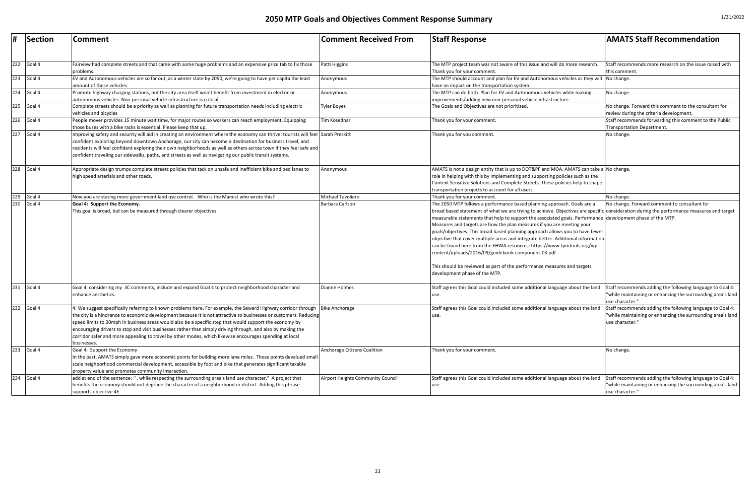| #                 | Section      | <b>Comment</b>                                                                                                                                                                                                                                                                                                                                                                                                                                                                                                                                                                         | <b>Comment Received From</b>      | <b>Staff Response</b>                                                                                                                                                                                                                                                                                                                                                                                                                                                                                                                                                                                                                                                                                                                                                                                                          | <b>AMATS Staff Recommendation</b>                                                                                                           |
|-------------------|--------------|----------------------------------------------------------------------------------------------------------------------------------------------------------------------------------------------------------------------------------------------------------------------------------------------------------------------------------------------------------------------------------------------------------------------------------------------------------------------------------------------------------------------------------------------------------------------------------------|-----------------------------------|--------------------------------------------------------------------------------------------------------------------------------------------------------------------------------------------------------------------------------------------------------------------------------------------------------------------------------------------------------------------------------------------------------------------------------------------------------------------------------------------------------------------------------------------------------------------------------------------------------------------------------------------------------------------------------------------------------------------------------------------------------------------------------------------------------------------------------|---------------------------------------------------------------------------------------------------------------------------------------------|
|                   | $222$ Goal 4 | Fairview had complete streets and that came with some huge problems and an expensive price tab to fix those<br>problems.                                                                                                                                                                                                                                                                                                                                                                                                                                                               | Patti Higgins                     | The MTP project team was not aware of this issue and will do more research<br>Thank you for your comment.                                                                                                                                                                                                                                                                                                                                                                                                                                                                                                                                                                                                                                                                                                                      | Staff recommends more research on the issue raised with<br>this comment                                                                     |
|                   | $223$ Goal 4 | EV and Autonomous vehicles are so far out, as a winter state by 2050, we're going to have per capita the least<br>amount of these vehicles                                                                                                                                                                                                                                                                                                                                                                                                                                             | Anonymous                         | The MTP should account and plan for EV and Autonomous vehicles as they will No change.<br>have an impact on the transportation system.                                                                                                                                                                                                                                                                                                                                                                                                                                                                                                                                                                                                                                                                                         |                                                                                                                                             |
| 224               | Goal 4       | Promote highway charging stations, but the city area itself won't benefit from investment in electric or<br>autonomous vehicles. Non-personal vehicle infrastructure is critical.                                                                                                                                                                                                                                                                                                                                                                                                      | Anonymous                         | The MTP can do both. Plan for EV and Autonomous vehicles while making<br>improvements/adding new non-personal vehicle infrastructure.                                                                                                                                                                                                                                                                                                                                                                                                                                                                                                                                                                                                                                                                                          | No change.                                                                                                                                  |
|                   | $225$ Goal 4 | Complete streets should be a priority as well as planning for future transportation needs including electric<br>vehicles and bicycles                                                                                                                                                                                                                                                                                                                                                                                                                                                  | <b>Tyler Boyes</b>                | The Goals and Objectives are not prioritized.                                                                                                                                                                                                                                                                                                                                                                                                                                                                                                                                                                                                                                                                                                                                                                                  | No change. Forward this comment to the consultant for<br>review during the criteria development.                                            |
| 226               | Goal 4       | People mover provides 15 minute wait time, for major routes so workers can reach employment. Equipping<br>those buses with a bike racks is essential. Please keep that up.                                                                                                                                                                                                                                                                                                                                                                                                             | Tim Kosednar                      | Thank you for your comment.                                                                                                                                                                                                                                                                                                                                                                                                                                                                                                                                                                                                                                                                                                                                                                                                    | Staff recommends forwarding this comment to the Public<br>Transportation Department.                                                        |
| 227               | Goal 4       | Improving safety and security will aid in creating an environment where the economy can thrive: tourists will feel Sarah Preskitt<br>confident exploring beyond downtown Anchorage, our city can become a destination for business travel, and<br>esidents will feel confident exploring their own neighborhoods as well as others across town if they feel safe and<br>confident traveling our sidewalks, paths, and streets as well as navigating our public transit systems.                                                                                                        |                                   | Thank you for you comment.                                                                                                                                                                                                                                                                                                                                                                                                                                                                                                                                                                                                                                                                                                                                                                                                     | No change.                                                                                                                                  |
| 228               | Goal 4       | Appropriate design trumps complete streets policies that tack on unsafe and inefficient bike and ped lanes to<br>high speed arterials and other roads.                                                                                                                                                                                                                                                                                                                                                                                                                                 | Anonymous                         | AMATS is not a design entity that is up to DOT&PF and MOA. AMATS can take a No change.<br>role in helping with this by implementing and supporting policies such as the<br>Context Sensitive Solutions and Complete Streets. These policies help to shape<br>transportation projects to account for all users.                                                                                                                                                                                                                                                                                                                                                                                                                                                                                                                 |                                                                                                                                             |
| $\frac{229}{230}$ | Goal 4       | Now you are stating more government land use control. Who is the Marxist who wrote this?                                                                                                                                                                                                                                                                                                                                                                                                                                                                                               | Michael Tavoliero                 | Thank you for your comment.                                                                                                                                                                                                                                                                                                                                                                                                                                                                                                                                                                                                                                                                                                                                                                                                    | No change.                                                                                                                                  |
|                   | Goal 4       | Goal 4: Support the Economy.<br>This goal is broad, but can be measured through clearer objectives.                                                                                                                                                                                                                                                                                                                                                                                                                                                                                    | Barbara Carlson                   | The 2050 MTP follows a performance based planning approach. Goals are a<br>broad based statement of what we are trying to achieve. Objectives are specific consideration during the performance measures and target<br>measurable statements that help to support the associated goals. Performance development phase of the MTP.<br>Measures and targets are how the plan measures if you are meeting your<br>goals/objectives. This broad based planning approach allows you to have fewer<br>objective that cover multiple areas and integrate better. Additional information<br>can be found here from the FHWA resources: https://www.tpmtools.org/wp-<br>content/uploads/2016/09/guidebook-component-03.pdf.<br>This should be reviewed as part of the performance measures and targets<br>development phase of the MTP. | No change. Forward comment to consultant for                                                                                                |
| 231               | Goal 4       | Goal 4: considering my 3C comments, include and expand Goal 4 to protect neighborhood character and<br>enhance aesthetics.                                                                                                                                                                                                                                                                                                                                                                                                                                                             | <b>Dianne Holmes</b>              | Staff agrees this Goal could included some additional language about the land<br>use.                                                                                                                                                                                                                                                                                                                                                                                                                                                                                                                                                                                                                                                                                                                                          | Staff recommends adding the following language to Goal 4:<br>"while maintaining or enhancing the surrounding area's land<br>use character." |
| 232               | Goal 4       | 4: We suggest specifically referring to known problems here. For example, the Seward Highway corridor through<br>the city is a hindrance to economic development because it is not attractive to businesses or customers. Reducing<br>speed limits to 20mph in business areas would also be a specific step that would support the economy by<br>encouraging drivers to stop and visit businesses rather than simply driving through, and also by making the<br>corridor safer and more appealing to travel by other modes, which likewise encourages spending at local<br>businesses. | <b>Bike Anchorage</b>             | Staff agrees this Goal could included some additional language about the land<br>use.                                                                                                                                                                                                                                                                                                                                                                                                                                                                                                                                                                                                                                                                                                                                          | Staff recommends adding the following language to Goal 4:<br>"while maintaining or enhancing the surrounding area's land<br>use character." |
| 233               | Goal 4       | Goal 4: Support the Economy<br>In the past, AMATS simply gave more economic points for building more lane miles. Those points devalued small<br>scale neighborhood commercial development, accessible by foot and bike that generates significant taxable<br>property value and promotes community interaction.                                                                                                                                                                                                                                                                        | Anchorage Citizens Coalition      | Thank you for your comment.                                                                                                                                                                                                                                                                                                                                                                                                                                                                                                                                                                                                                                                                                                                                                                                                    | No change.                                                                                                                                  |
| 234               | Goal 4       | add at end of the sentence: ", while respecting the surrounding area's land use character." A project that<br>benefits the economy should not degrade the character of a neighborhood or district. Adding this phrase<br>supports objective 4E.                                                                                                                                                                                                                                                                                                                                        | Airport Heights Community Council | Staff agrees this Goal could included some additional language about the land<br>use.                                                                                                                                                                                                                                                                                                                                                                                                                                                                                                                                                                                                                                                                                                                                          | Staff recommends adding the following language to Goal 4:<br>"while maintaining or enhancing the surrounding area's land<br>use character." |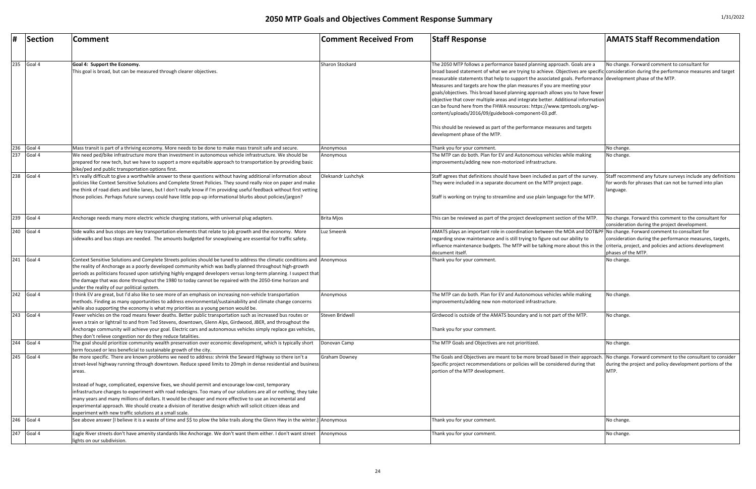|     | Section                 | <b>Comment</b>                                                                                                                   | <b>Comment Received From</b> | <b>Staff Response</b>                                                                                                                                     | <b>AMATS Staff Recommendation</b>                          |
|-----|-------------------------|----------------------------------------------------------------------------------------------------------------------------------|------------------------------|-----------------------------------------------------------------------------------------------------------------------------------------------------------|------------------------------------------------------------|
|     |                         |                                                                                                                                  |                              |                                                                                                                                                           |                                                            |
|     |                         |                                                                                                                                  |                              |                                                                                                                                                           |                                                            |
| 235 | Goal 4                  | Goal 4: Support the Economy.                                                                                                     | Sharon Stockard              | The 2050 MTP follows a performance based planning approach. Goals are a                                                                                   | No change. Forward comment to consultant for               |
|     |                         | This goal is broad, but can be measured through clearer objectives.                                                              |                              | broad based statement of what we are trying to achieve. Objectives are specific consideration during the performance measures and target                  |                                                            |
|     |                         |                                                                                                                                  |                              | measurable statements that help to support the associated goals. Performance development phase of the MTP.                                                |                                                            |
|     |                         |                                                                                                                                  |                              | Measures and targets are how the plan measures if you are meeting your                                                                                    |                                                            |
|     |                         |                                                                                                                                  |                              | goals/objectives. This broad based planning approach allows you to have fewer                                                                             |                                                            |
|     |                         |                                                                                                                                  |                              | objective that cover multiple areas and integrate better. Additional information                                                                          |                                                            |
|     |                         |                                                                                                                                  |                              | can be found here from the FHWA resources: https://www.tpmtools.org/wp-                                                                                   |                                                            |
|     |                         |                                                                                                                                  |                              | content/uploads/2016/09/guidebook-component-03.pdf.                                                                                                       |                                                            |
|     |                         |                                                                                                                                  |                              |                                                                                                                                                           |                                                            |
|     |                         |                                                                                                                                  |                              | This should be reviewed as part of the performance measures and targets                                                                                   |                                                            |
|     |                         |                                                                                                                                  |                              | development phase of the MTP.                                                                                                                             |                                                            |
| 236 | Goal 4                  | Mass transit is part of a thriving economy. More needs to be done to make mass transit safe and secure.                          | Anonymous                    | Thank you for your comment                                                                                                                                | No change.                                                 |
| 237 | Goal 4                  | We need ped/bike infrastructure more than investment in autonomous vehicle infrastructure. We should be                          | Anonymous                    | The MTP can do both. Plan for EV and Autonomous vehicles while making                                                                                     | No change.                                                 |
|     |                         | prepared for new tech, but we have to support a more equitable approach to transportation by providing basic                     |                              | improvements/adding new non-motorized infrastructure.                                                                                                     |                                                            |
|     |                         | bike/ped and public transportation options first.                                                                                |                              |                                                                                                                                                           |                                                            |
| 238 | Goal 4                  | It's really difficult to give a worthwhile answer to these questions without having additional information about                 | Oleksandr Lushchyk           | Staff agrees that definitions should have been included as part of the survey.                                                                            | Staff recommend any future surveys include any definitions |
|     |                         | policies like Context Sensitive Solutions and Complete Street Policies. They sound really nice on paper and make                 |                              | They were included in a separate document on the MTP project page.                                                                                        | for words for phrases that can not be turned into plan     |
|     |                         | me think of road diets and bike lanes, but I don't really know if I'm providing useful feedback without first vetting            |                              |                                                                                                                                                           | language.                                                  |
|     |                         | those policies. Perhaps future surveys could have little pop-up informational blurbs about policies/jargon?                      |                              | Staff is working on trying to streamline and use plain language for the MTP.                                                                              |                                                            |
|     |                         |                                                                                                                                  |                              |                                                                                                                                                           |                                                            |
|     | $\overline{239}$ Goal 4 |                                                                                                                                  |                              |                                                                                                                                                           |                                                            |
|     |                         | Anchorage needs many more electric vehicle charging stations, with universal plug adapters.                                      | <b>Brita Mjos</b>            | This can be reviewed as part of the project development section of the MTP.                                                                               | No change. Forward this comment to the consultant for      |
|     |                         |                                                                                                                                  |                              |                                                                                                                                                           | consideration during the project development.              |
| 240 | Goal 4                  | Side walks and bus stops are key transportation elements that relate to job growth and the economy. More                         | Luz Smeenk                   | AMATS plays an important role in coordination between the MOA and DOT&PF No change. Forward comment to consultant for                                     |                                                            |
|     |                         | sidewalks and bus stops are needed. The amounts budgeted for snowplowing are essential for traffic safety.                       |                              | regarding snow maintenance and is still trying to figure out our ability to                                                                               | consideration during the performance measures, targets,    |
|     |                         |                                                                                                                                  |                              | influence maintenance budgets. The MTP will be talking more about this in the criteria, project, and policies and actions development<br>document itself. | phases of the MTP.                                         |
| 241 | Goal 4                  | Context Sensitive Solutions and Complete Streets policies should be tuned to address the climatic conditions and Anonymous       |                              | Thank you for your comment.                                                                                                                               | No change.                                                 |
|     |                         | the reality of Anchorage as a poorly developed community which was badly planned throughout high-growth                          |                              |                                                                                                                                                           |                                                            |
|     |                         | periods as politicians focused upon satisfying highly engaged developers versus long-term planning. I suspect that               |                              |                                                                                                                                                           |                                                            |
|     |                         | the damage that was done throughout the 1980 to today cannot be repaired with the 2050-time horizon and                          |                              |                                                                                                                                                           |                                                            |
|     |                         | under the reality of our political system.                                                                                       |                              |                                                                                                                                                           |                                                            |
| 242 | Goal 4                  | I think EV are great, but I'd also like to see more of an emphasis on increasing non-vehicle transportation                      | Anonymous                    | The MTP can do both. Plan for EV and Autonomous vehicles while making                                                                                     | No change.                                                 |
|     |                         | methods. Finding as many opportunities to address environmental/sustainability and climate change concerns                       |                              | improvements/adding new non-motorized infrastructure.                                                                                                     |                                                            |
|     |                         | while also supporting the economy is what my priorities as a young person would be.                                              |                              |                                                                                                                                                           |                                                            |
| 243 | Goal 4                  | Fewer vehicles on the road means fewer deaths. Better public transportation such as increased bus routes or                      | Steven Bridwell              | Girdwood is outside of the AMATS boundary and is not part of the MTP.                                                                                     | No change.                                                 |
|     |                         | even a train or lightrail to and from Ted Stevens, downtown, Glenn Alps, Girdwood, JBER, and throughout the                      |                              |                                                                                                                                                           |                                                            |
|     |                         | Anchorage community will achieve your goal. Electric cars and autonomous vehicles simply replace gas vehicles,                   |                              | Thank you for your comment.                                                                                                                               |                                                            |
|     |                         | they don't relieve congestion nor do they reduce fatalities.                                                                     |                              |                                                                                                                                                           |                                                            |
| 244 | Goal 4                  | The goal should prioritize community wealth preservation over economic development, which is typically short                     | Donovan Camp                 | The MTP Goals and Objectives are not prioritized.                                                                                                         | No change.                                                 |
|     |                         | term focused or less beneficial to sustainable growth of the city.                                                               |                              |                                                                                                                                                           |                                                            |
| 245 | Goal 4                  | Be more specific. There are known problems we need to address: shrink the Seward Highway so there isn't a                        | <b>Graham Downey</b>         | The Goals and Objectives are meant to be more broad based in their approach. No change. Forward comment to the consultant to consider                     |                                                            |
|     |                         | street-level highway running through downtown. Reduce speed limits to 20mph in dense residential and business                    |                              | Specific project recommendations or policies will be considered during that                                                                               | during the project and policy development portions of the  |
|     |                         | areas.                                                                                                                           |                              | portion of the MTP development.                                                                                                                           | MTP.                                                       |
|     |                         |                                                                                                                                  |                              |                                                                                                                                                           |                                                            |
|     |                         | Instead of huge, complicated, expensive fixes, we should permit and encourage low-cost, temporary                                |                              |                                                                                                                                                           |                                                            |
|     |                         | infrastructure changes to experiment with road redesigns. Too many of our solutions are all or nothing, they take                |                              |                                                                                                                                                           |                                                            |
|     |                         | many years and many millions of dollars. It would be cheaper and more effective to use an incremental and                        |                              |                                                                                                                                                           |                                                            |
|     |                         | experimental approach. We should create a division of iterative design which will solicit citizen ideas and                      |                              |                                                                                                                                                           |                                                            |
|     |                         | experiment with new traffic solutions at a small scale.                                                                          |                              |                                                                                                                                                           |                                                            |
| 246 | Goal 4                  | See above answer [I believe it is a waste of time and \$\$ to plow the bike trails along the Glenn Hwy in the winter.] Anonymous |                              | Thank you for your comment.                                                                                                                               | No change.                                                 |
|     |                         |                                                                                                                                  |                              |                                                                                                                                                           |                                                            |
| 247 | Goal 4                  | Eagle River streets don't have amenity standards like Anchorage. We don't want them either. I don't want street                  | Anonymous                    | Thank you for your comment.                                                                                                                               | No change.                                                 |
|     |                         | lights on our subdivision.                                                                                                       |                              |                                                                                                                                                           |                                                            |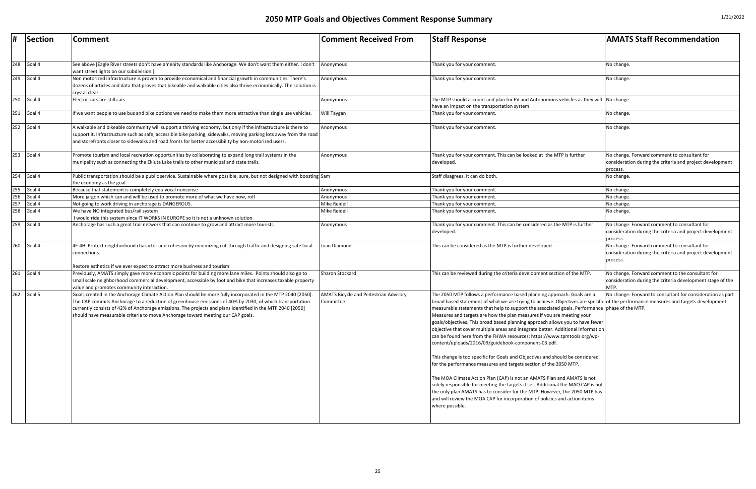| #   | Section    | <b>Comment</b>                                                                                                                                                                                                                                                                                                                                                                                                           | <b>Comment Received From</b>                              | <b>Staff Response</b>                                                                                                                                                                                                                                                                                                                                                                                                                                                                                                                                                                                                                                                                                                                                                                                                                                                                                                                                                                                                                                                                                                                                                                                 | <b>AMATS Staff Recommendation</b>                                                                                      |
|-----|------------|--------------------------------------------------------------------------------------------------------------------------------------------------------------------------------------------------------------------------------------------------------------------------------------------------------------------------------------------------------------------------------------------------------------------------|-----------------------------------------------------------|-------------------------------------------------------------------------------------------------------------------------------------------------------------------------------------------------------------------------------------------------------------------------------------------------------------------------------------------------------------------------------------------------------------------------------------------------------------------------------------------------------------------------------------------------------------------------------------------------------------------------------------------------------------------------------------------------------------------------------------------------------------------------------------------------------------------------------------------------------------------------------------------------------------------------------------------------------------------------------------------------------------------------------------------------------------------------------------------------------------------------------------------------------------------------------------------------------|------------------------------------------------------------------------------------------------------------------------|
|     |            |                                                                                                                                                                                                                                                                                                                                                                                                                          |                                                           |                                                                                                                                                                                                                                                                                                                                                                                                                                                                                                                                                                                                                                                                                                                                                                                                                                                                                                                                                                                                                                                                                                                                                                                                       |                                                                                                                        |
| 248 | Goal 4     | See above [Eagle River streets don't have amenity standards like Anchorage. We don't want them either. I don't<br>want street lights on our subdivision.]                                                                                                                                                                                                                                                                | Anonymous                                                 | Thank you for your comment.                                                                                                                                                                                                                                                                                                                                                                                                                                                                                                                                                                                                                                                                                                                                                                                                                                                                                                                                                                                                                                                                                                                                                                           | No change.                                                                                                             |
| 249 | Goal 4     | Non motorized infrastructure is proven to provide economical and financial growth in communities. There's<br>dozens of articles and data that proves that bikeable and walkable cities also thrive economically. The solution is<br>crystal clear.                                                                                                                                                                       | Anonymous                                                 | Thank you for your comment.                                                                                                                                                                                                                                                                                                                                                                                                                                                                                                                                                                                                                                                                                                                                                                                                                                                                                                                                                                                                                                                                                                                                                                           | No change.                                                                                                             |
| 250 | Goal 4     | Electric cars are still cars                                                                                                                                                                                                                                                                                                                                                                                             | Anonymous                                                 | The MTP should account and plan for EV and Autonomous vehicles as they will $ $ No change.<br>have an impact on the transportation system.                                                                                                                                                                                                                                                                                                                                                                                                                                                                                                                                                                                                                                                                                                                                                                                                                                                                                                                                                                                                                                                            |                                                                                                                        |
| 251 | Goal 4     | If we want people to use bus and bike options we need to make them more attractive than single use vehicles.                                                                                                                                                                                                                                                                                                             | Will Taygan                                               | Thank you for your comment.                                                                                                                                                                                                                                                                                                                                                                                                                                                                                                                                                                                                                                                                                                                                                                                                                                                                                                                                                                                                                                                                                                                                                                           | No change.                                                                                                             |
| 252 | Goal 4     | A walkable and bikeable community will support a thriving economy, but only if the infrastructure is there to<br>support it. Infrastructure such as safe, accessible bike parking, sidewalks, moving parking lots away from the road<br>and storefronts closer to sidewalks and road fronts for better accessibility by non-motorized users.                                                                             | Anonymous                                                 | Thank you for your comment.                                                                                                                                                                                                                                                                                                                                                                                                                                                                                                                                                                                                                                                                                                                                                                                                                                                                                                                                                                                                                                                                                                                                                                           | No change.                                                                                                             |
| 253 | Goal 4     | Promote tourism and local recreation opportunities by collaborating to expand long trail systems in the<br>munipality such as connecting the Ekluta Lake trails to other municipal and state trails.                                                                                                                                                                                                                     | Anonymous                                                 | Thank you for your comment. This can be looked at the MTP is further<br>developed                                                                                                                                                                                                                                                                                                                                                                                                                                                                                                                                                                                                                                                                                                                                                                                                                                                                                                                                                                                                                                                                                                                     | No change. Forward comment to consultant for<br>consideration during the criteria and project development<br>process.  |
| 254 | Goal 4     | Public transportation should be a public service. Sustainable where possible, sure, but not designed with boosting Sam<br>the economy as the goal.                                                                                                                                                                                                                                                                       |                                                           | Staff disagrees. It can do both                                                                                                                                                                                                                                                                                                                                                                                                                                                                                                                                                                                                                                                                                                                                                                                                                                                                                                                                                                                                                                                                                                                                                                       | No change.                                                                                                             |
| 255 | Goal 4     | Because that statement is completely equivocal nonsense                                                                                                                                                                                                                                                                                                                                                                  | Anonymous                                                 | Thank you for your comment.                                                                                                                                                                                                                                                                                                                                                                                                                                                                                                                                                                                                                                                                                                                                                                                                                                                                                                                                                                                                                                                                                                                                                                           | No change.                                                                                                             |
| 256 | Goal 4     | More jargon which can and will be used to promote more of what we have now, rofl                                                                                                                                                                                                                                                                                                                                         | Anonymous                                                 | Thank you for your comment.                                                                                                                                                                                                                                                                                                                                                                                                                                                                                                                                                                                                                                                                                                                                                                                                                                                                                                                                                                                                                                                                                                                                                                           | No change.                                                                                                             |
| 257 | Goal 4     | Not going to work driving in anchorage is DANGEROUS.                                                                                                                                                                                                                                                                                                                                                                     | <b>Mike Reidell</b>                                       | Thank you for your comment.                                                                                                                                                                                                                                                                                                                                                                                                                                                                                                                                                                                                                                                                                                                                                                                                                                                                                                                                                                                                                                                                                                                                                                           | No change.                                                                                                             |
| 258 | Goal 4     | We have NO integrated bus/rail system                                                                                                                                                                                                                                                                                                                                                                                    | Mike Reidell                                              | Thank you for your comment.                                                                                                                                                                                                                                                                                                                                                                                                                                                                                                                                                                                                                                                                                                                                                                                                                                                                                                                                                                                                                                                                                                                                                                           | No change.                                                                                                             |
|     |            | I would ride this system since IT WORKS IN EUROPE so it is not a unknown solution                                                                                                                                                                                                                                                                                                                                        |                                                           |                                                                                                                                                                                                                                                                                                                                                                                                                                                                                                                                                                                                                                                                                                                                                                                                                                                                                                                                                                                                                                                                                                                                                                                                       |                                                                                                                        |
| 259 | Goal 4     | Anchorage has such a great trail network that can continue to grow and attract more tourists.                                                                                                                                                                                                                                                                                                                            | Anonymous                                                 | Thank you for your comment. This can be considered as the MTP is further<br>developed.                                                                                                                                                                                                                                                                                                                                                                                                                                                                                                                                                                                                                                                                                                                                                                                                                                                                                                                                                                                                                                                                                                                | No change. Forward comment to consultant for<br>consideration during the criteria and project development<br>process.  |
|     | 260 Goal 4 | 4F-4H Protect neighborhood character and cohesion by minimizing cut-through traffic and designing safe local<br>connections.                                                                                                                                                                                                                                                                                             | Joan Diamond                                              | This can be considered as the MTP is further developed.                                                                                                                                                                                                                                                                                                                                                                                                                                                                                                                                                                                                                                                                                                                                                                                                                                                                                                                                                                                                                                                                                                                                               | No change. Forward comment to consultant for<br>consideration during the criteria and project development<br>process.  |
|     |            | Restore esthetics if we ever expect to attract more business and tourism                                                                                                                                                                                                                                                                                                                                                 |                                                           |                                                                                                                                                                                                                                                                                                                                                                                                                                                                                                                                                                                                                                                                                                                                                                                                                                                                                                                                                                                                                                                                                                                                                                                                       |                                                                                                                        |
| 261 | Goal 4     | Previously, AMATS simply gave more economic points for building more lane miles. Points should also go to<br>small scale neighborhood commercial development, accessible by foot and bike that increases taxable property<br>value and promotes community interaction.                                                                                                                                                   | Sharon Stockard                                           | This can be reviewed during the criteria development section of the MTP.                                                                                                                                                                                                                                                                                                                                                                                                                                                                                                                                                                                                                                                                                                                                                                                                                                                                                                                                                                                                                                                                                                                              | No change. Forward comment to the consultant for<br>consideration during the criteria development stage of the<br>MTP. |
| 262 | Goal 5     | Goals created in the Anchorage Climate Action Plan should be more fully incorporated in the MTP 2040 [2050]<br>The CAP commits Anchorage to a reduction of greenhouse emissions of 40% by 2030, of which transportation<br>currently consists of 42% of Anchorage emissions. The projects and plans identified in the MTP 2040 [2050]<br>should have measurable criteria to move Anchorage toward meeting our CAP goals. | <b>AMATS Bicycle and Pedestrian Advisory</b><br>Committee | The 2050 MTP follows a performance based planning approach. Goals are a<br>broad based statement of what we are trying to achieve. Objectives are specific of the performance measures and targets development<br>measurable statements that help to support the associated goals. Performance phase of the MTP.<br>Measures and targets are how the plan measures if you are meeting your<br>goals/objectives. This broad based planning approach allows you to have fewer<br>objective that cover multiple areas and integrate better. Additional information<br>can be found here from the FHWA resources: https://www.tpmtools.org/wp-<br>content/uploads/2016/09/guidebook-component-03.pdf.<br>This change is too specific for Goals and Objectives and should be considered<br>for the performance measures and targets section of the 2050 MTP.<br>The MOA Climate Action Plan (CAP) is not an AMATS Plan and AMATS is not<br>solely responsible for meeting the targets it set. Additional the MAO CAP is not<br>the only plan AMATS has to consider for the MTP. However, the 2050 MTP has<br>and will review the MOA CAP for incorporation of policies and action items<br>where possible. | No change. Forward to consultant for consideration as part                                                             |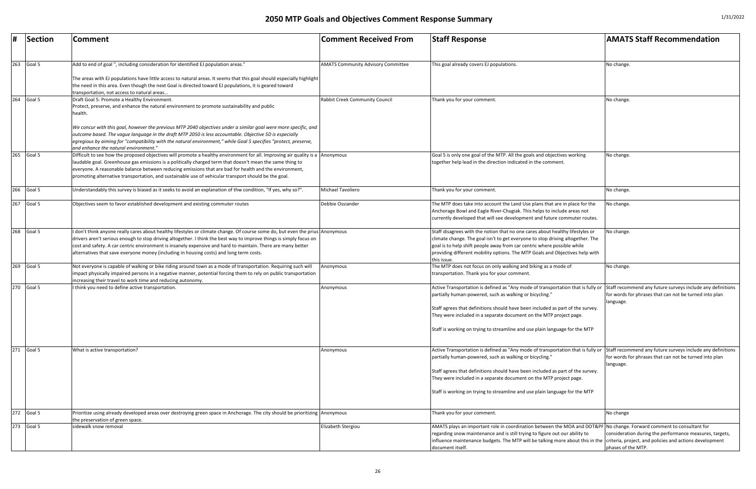| #   | Section    | <b>Comment</b>                                                                                                                                                                                                                                                                                                                                                                                                                                                  | <b>Comment Received From</b>              | <b>Staff Response</b>                                                                                                                                                                                                                                                                                                                                           | <b>AMATS Staff Recommendation</b>                                                                                        |
|-----|------------|-----------------------------------------------------------------------------------------------------------------------------------------------------------------------------------------------------------------------------------------------------------------------------------------------------------------------------------------------------------------------------------------------------------------------------------------------------------------|-------------------------------------------|-----------------------------------------------------------------------------------------------------------------------------------------------------------------------------------------------------------------------------------------------------------------------------------------------------------------------------------------------------------------|--------------------------------------------------------------------------------------------------------------------------|
| 263 | Goal 5     | Add to end of goal ", including consideration for identified EJ population areas."                                                                                                                                                                                                                                                                                                                                                                              | <b>AMATS Community Advisory Committee</b> | This goal already covers EJ populations.                                                                                                                                                                                                                                                                                                                        | No change.                                                                                                               |
|     |            | The areas with EJ populations have little access to natural areas. It seems that this goal should especially highlight<br>the need in this area. Even though the next Goal is directed toward EJ populations, it is geared toward<br>transportation, not access to natural areas                                                                                                                                                                                |                                           |                                                                                                                                                                                                                                                                                                                                                                 |                                                                                                                          |
| 264 | Goal 5     | Draft Goal 5: Promote a Healthy Environment.<br>Protect, preserve, and enhance the natural environment to promote sustainability and public<br>health.                                                                                                                                                                                                                                                                                                          | Rabbit Creek Community Council            | Thank you for your comment.                                                                                                                                                                                                                                                                                                                                     | No change.                                                                                                               |
|     |            | We concur with this goal, however the previous MTP 2040 objectives under a similar goal were more specific, and<br>outcome based. The vague language in the draft MTP 2050 is less accountable. Objective 5D is especially<br>egregious by aiming for "compatibility with the natural environment," while Goal 5 specifies "protect, preserve,<br>and enhance the natural environment."                                                                         |                                           |                                                                                                                                                                                                                                                                                                                                                                 |                                                                                                                          |
| 265 | Goal 5     | Difficult to see how the proposed objectives will promote a healthy environment for all. Improving air quality is a Anonymous<br>laudable goal. Greenhouse gas emissions is a politically charged term that doesn't mean the same thing to<br>everyone. A reasonable balance between reducing emissions that are bad for health and the environment,<br>promoting alternative transportation, and sustainable use of vehicular transport should be the goal.    |                                           | Goal 5 is only one goal of the MTP. All the goals and objectives working<br>together help lead in the direction indicated in the comment.                                                                                                                                                                                                                       | No change.                                                                                                               |
|     | 266 Goal 5 | Understandably this survey is biased as it seeks to avoid an explanation of thw condition, "If yes, why so?".                                                                                                                                                                                                                                                                                                                                                   | Michael Tavoliero                         | Thank you for your comment.                                                                                                                                                                                                                                                                                                                                     | No change.                                                                                                               |
| 267 | Goal 5     | Objectives seem to favor established development and existing commuter routes                                                                                                                                                                                                                                                                                                                                                                                   | Debbie Ossiander                          | The MTP does take into account the Land Use plans that are in place for the<br>Anchorage Bowl and Eagle River-Chugiak. This helps to include areas not<br>currently developed that will see development and future commuter routes.                                                                                                                             | No change.                                                                                                               |
| 268 | Goal 5     | I don't think anyone really cares about healthy lifestyles or climate change. Of course some do, but even the prius Anonymous<br>drivers aren't serious enough to stop driving altogether. I think the best way to improve things is simply focus on<br>cost and safety. A car centric environment is insanely expensive and hard to maintain. There are many better<br>alternatives that save everyone money (including in housing costs) and long term costs. |                                           | Staff disagrees with the notion that no one cares about healthy lifestyles or<br>climate change. The goal isn't to get everyone to stop driving altogether. The<br>goal is to help shift people away from car centric where possible while<br>providing different mobility options. The MTP Goals and Objectives help with<br>this issue.                       | No change.                                                                                                               |
| 269 | Goal 5     | Not everyone is capable of walking or bike riding around town as a mode of transportation. Requiring such will<br>impact physically impaired persons in a negative manner, potential forcing them to rely on public transportation<br>increasing their travel to work time and reducing autonomy.                                                                                                                                                               | Anonymous                                 | The MTP does not focus on only walking and biking as a mode of<br>transportation. Thank you for your comment.                                                                                                                                                                                                                                                   | No change.                                                                                                               |
|     | 270 Goal 5 | I think you need to define active transportation.                                                                                                                                                                                                                                                                                                                                                                                                               | Anonymous                                 | Active Transportation is defined as "Any mode of transportation that is fully or Staff recommend any future surveys include any def<br>partially human-powered, such as walking or bicycling."                                                                                                                                                                  | for words for phrases that can not be turned into pla<br>language.                                                       |
|     |            |                                                                                                                                                                                                                                                                                                                                                                                                                                                                 |                                           | Staff agrees that definitions should have been included as part of the survey.<br>They were included in a separate document on the MTP project page.                                                                                                                                                                                                            |                                                                                                                          |
|     |            |                                                                                                                                                                                                                                                                                                                                                                                                                                                                 |                                           | Staff is working on trying to streamline and use plain language for the MTP                                                                                                                                                                                                                                                                                     |                                                                                                                          |
| 271 | Goal 5     | What is active transportation?                                                                                                                                                                                                                                                                                                                                                                                                                                  | Anonymous                                 | Active Transportation is defined as "Any mode of transportation that is fully or<br>partially human-powered, such as walking or bicycling."                                                                                                                                                                                                                     | Staff recommend any future surveys include any def<br>for words for phrases that can not be turned into pla<br>language. |
|     |            |                                                                                                                                                                                                                                                                                                                                                                                                                                                                 |                                           | Staff agrees that definitions should have been included as part of the survey.<br>They were included in a separate document on the MTP project page.                                                                                                                                                                                                            |                                                                                                                          |
|     |            |                                                                                                                                                                                                                                                                                                                                                                                                                                                                 |                                           | Staff is working on trying to streamline and use plain language for the MTP                                                                                                                                                                                                                                                                                     |                                                                                                                          |
|     | 272 Goal 5 | Prioritize using already developed areas over destroying green space in Anchorage. The city should be prioritizing Anonymous<br>the preservation of green space.                                                                                                                                                                                                                                                                                                |                                           | Thank you for your comment.                                                                                                                                                                                                                                                                                                                                     | No change                                                                                                                |
|     | 273 Goal 5 | sidewalk snow removal                                                                                                                                                                                                                                                                                                                                                                                                                                           | Elizabeth Stergiou                        | AMATS plays an important role in coordination between the MOA and DOT&PF No change. Forward comment to consultant for<br>regarding snow maintenance and is still trying to figure out our ability to<br>influence maintenance budgets. The MTP will be talking more about this in the criteria, project, and policies and actions developme<br>document itself. | consideration during the performance measures, tar<br>phases of the MTP.                                                 |

| <b>Comment Received From</b>              | <b>Staff Response</b>                                                                                                                                                                                                                                                                                                                                                              | <b>AMATS Staff Recommendation</b>                                                                                                 |
|-------------------------------------------|------------------------------------------------------------------------------------------------------------------------------------------------------------------------------------------------------------------------------------------------------------------------------------------------------------------------------------------------------------------------------------|-----------------------------------------------------------------------------------------------------------------------------------|
| <b>AMATS Community Advisory Committee</b> | This goal already covers EJ populations.                                                                                                                                                                                                                                                                                                                                           | No change.                                                                                                                        |
| Rabbit Creek Community Council            | Thank you for your comment.                                                                                                                                                                                                                                                                                                                                                        | No change.                                                                                                                        |
| Anonymous                                 | Goal 5 is only one goal of the MTP. All the goals and objectives working<br>together help lead in the direction indicated in the comment.                                                                                                                                                                                                                                          | No change.                                                                                                                        |
| Michael Tavoliero                         | Thank you for your comment.                                                                                                                                                                                                                                                                                                                                                        | No change.                                                                                                                        |
| Debbie Ossiander                          | The MTP does take into account the Land Use plans that are in place for the<br>Anchorage Bowl and Eagle River-Chugiak. This helps to include areas not<br>currently developed that will see development and future commuter routes.                                                                                                                                                | No change.                                                                                                                        |
| Anonymous                                 | Staff disagrees with the notion that no one cares about healthy lifestyles or<br>climate change. The goal isn't to get everyone to stop driving altogether. The<br>goal is to help shift people away from car centric where possible while<br>providing different mobility options. The MTP Goals and Objectives help with<br>this issue.                                          | No change.                                                                                                                        |
| Anonymous                                 | The MTP does not focus on only walking and biking as a mode of<br>transportation. Thank you for your comment.                                                                                                                                                                                                                                                                      | No change.                                                                                                                        |
| Anonymous                                 | Active Transportation is defined as "Any mode of transportation that is fully or<br>partially human-powered, such as walking or bicycling."<br>Staff agrees that definitions should have been included as part of the survey.<br>They were included in a separate document on the MTP project page.<br>Staff is working on trying to streamline and use plain language for the MTP | Staff recommend any future surveys include any definitions<br>for words for phrases that can not be turned into plan<br>language. |
| Anonymous                                 | Active Transportation is defined as "Any mode of transportation that is fully or<br>partially human-powered, such as walking or bicycling."<br>Staff agrees that definitions should have been included as part of the survey.<br>They were included in a separate document on the MTP project page.<br>Staff is working on trying to streamline and use plain language for the MTP | Staff recommend any future surveys include any definitions<br>for words for phrases that can not be turned into plan<br>language. |
| Anonymous                                 | Thank you for your comment.                                                                                                                                                                                                                                                                                                                                                        | No change                                                                                                                         |
| Elizabeth Stergiou                        | AMATS plays an important role in coordination between the MOA and DOT&PF No change. Forward comment to consultant for<br>regarding snow maintenance and is still trying to figure out our ability to<br>influence maintenance budgets. The MTP will be talking more about this in the criteria, project, and policies and actions development<br>document itself.                  | consideration during the performance measures, targets,<br>phases of the MTP.                                                     |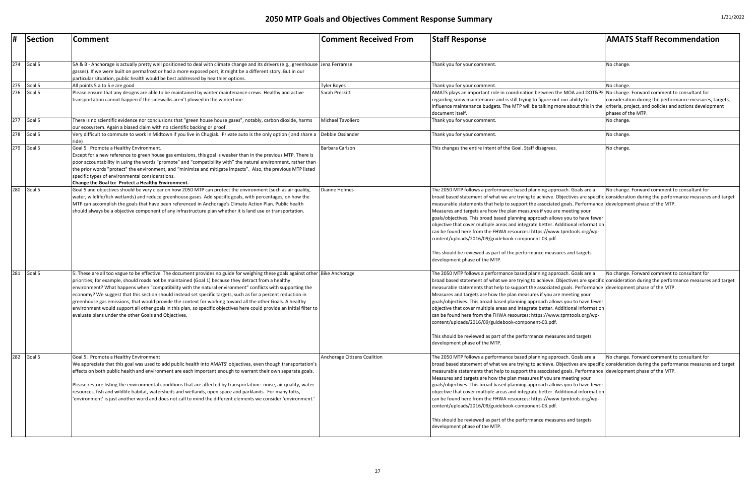| #   | Section                 | Comment                                                                                                                                                                                                                                                                                                                                                                                                                                                                                                                                                                                                                                                                                                                                                                | <b>Comment Received From</b> | <b>Staff Response</b>                                                                                                                                                                                                                                                                                                                                                                                                                                                                                                                                                                                                                                                                                                                                                                                                          | <b>AMATS Staff Recommendation</b>                                             |
|-----|-------------------------|------------------------------------------------------------------------------------------------------------------------------------------------------------------------------------------------------------------------------------------------------------------------------------------------------------------------------------------------------------------------------------------------------------------------------------------------------------------------------------------------------------------------------------------------------------------------------------------------------------------------------------------------------------------------------------------------------------------------------------------------------------------------|------------------------------|--------------------------------------------------------------------------------------------------------------------------------------------------------------------------------------------------------------------------------------------------------------------------------------------------------------------------------------------------------------------------------------------------------------------------------------------------------------------------------------------------------------------------------------------------------------------------------------------------------------------------------------------------------------------------------------------------------------------------------------------------------------------------------------------------------------------------------|-------------------------------------------------------------------------------|
|     | $\overline{274}$ Goal 5 | 5A & B - Anchorage is actually pretty well positioned to deal with climate change and its drivers (e.g., greenhouse Jena Ferrarese<br>gasses). If we were built on permafrost or had a more exposed port, it might be a different story. But in our<br>particular situation, public health would be best addressed by healthier options.                                                                                                                                                                                                                                                                                                                                                                                                                               |                              | Thank you for your comment.                                                                                                                                                                                                                                                                                                                                                                                                                                                                                                                                                                                                                                                                                                                                                                                                    | No change.                                                                    |
| 275 | Goal 5                  | All points 5 a to 5 e are good                                                                                                                                                                                                                                                                                                                                                                                                                                                                                                                                                                                                                                                                                                                                         | <b>Tyler Boyes</b>           | Thank you for your comment.                                                                                                                                                                                                                                                                                                                                                                                                                                                                                                                                                                                                                                                                                                                                                                                                    | No change.                                                                    |
|     | $276$ Goal 5            | Please ensure that any designs are able to be maintained by winter maintenance crews. Healthy and active<br>transportation cannot happen if the sidewalks aren't plowed in the wintertime.                                                                                                                                                                                                                                                                                                                                                                                                                                                                                                                                                                             | Sarah Preskitt               | AMATS plays an important role in coordination between the MOA and DOT&PF No change. Forward comment to consultant for<br>regarding snow maintenance and is still trying to figure out our ability to<br>influence maintenance budgets. The MTP will be talking more about this in the criteria, project, and policies and actions development<br>document itself.                                                                                                                                                                                                                                                                                                                                                                                                                                                              | consideration during the performance measures, targets,<br>phases of the MTP. |
|     | 277 Goal 5              | There is no scientific evidence nor conclusions that "green house house gases", notably, carbon dioxide, harms<br>our ecosystem. Again a biased claim with no scientific backing or proof.                                                                                                                                                                                                                                                                                                                                                                                                                                                                                                                                                                             | Michael Tavoliero            | Thank you for your comment.                                                                                                                                                                                                                                                                                                                                                                                                                                                                                                                                                                                                                                                                                                                                                                                                    | No change.                                                                    |
|     | 278 Goal 5              | Very difficult to commute to work in Midtown if you live in Chugiak. Private auto is the only option (and share a Debbie Ossiander<br>ide)                                                                                                                                                                                                                                                                                                                                                                                                                                                                                                                                                                                                                             |                              | Thank you for your comment.                                                                                                                                                                                                                                                                                                                                                                                                                                                                                                                                                                                                                                                                                                                                                                                                    | No change.                                                                    |
|     | $\overline{279}$ Goal 5 | Goal 5. Promote a Healthy Environment.<br>Except for a new reference to green house gas emissions, this goal is weaker than in the previous MTP. There is<br>poor accountability in using the words "promote" and "compatibility with" the natural environment, rather than<br>the prior words "protect" the environment, and "minimize and mitigate impacts". Also, the previous MTP listed<br>specific types of environmental considerations.<br>Change the Goal to: Protect a Healthy Environment.                                                                                                                                                                                                                                                                  | Barbara Carlson              | This changes the entire intent of the Goal. Staff disagrees.                                                                                                                                                                                                                                                                                                                                                                                                                                                                                                                                                                                                                                                                                                                                                                   | No change.                                                                    |
| 280 | Goal 5                  | Goal 5 and objectives should be very clear on how 2050 MTP can protect the environment (such as air quality,<br>water, wildlife/fish wetlands) and reduce greenhouse gases. Add specific goals, with percentages, on how the<br>MTP can accomplish the goals that have been referenced in Anchorage's Climate Action Plan. Public health<br>should always be a objective component of any infrastructure plan whether it is land use or transportation.                                                                                                                                                                                                                                                                                                                | <b>Dianne Holmes</b>         | The 2050 MTP follows a performance based planning approach. Goals are a<br>broad based statement of what we are trying to achieve. Objectives are specific consideration during the performance measures and target<br>measurable statements that help to support the associated goals. Performance development phase of the MTP.<br>Measures and targets are how the plan measures if you are meeting your<br>goals/objectives. This broad based planning approach allows you to have fewer<br>objective that cover multiple areas and integrate better. Additional information<br>can be found here from the FHWA resources: https://www.tpmtools.org/wp-<br>content/uploads/2016/09/guidebook-component-03.pdf.<br>This should be reviewed as part of the performance measures and targets<br>development phase of the MTP. | No change. Forward comment to consultant for                                  |
| 281 | Goal 5                  | 5: These are all too vague to be effective. The document provides no guide for weighing these goals against other Bike Anchorage<br>priorities; for example, should roads not be maintained (Goal 1) because they detract from a healthy<br>environment? What happens when "compatibility with the natural environment" conflicts with supporting the<br>economy? We suggest that this section should instead set specific targets, such as for a percent reduction in<br>greenhouse gas emissions, that would provide the context for working toward all the other Goals. A healthy<br>environment would support all other goals in this plan, so specific objectives here could provide an initial filter to<br>evaluate plans under the other Goals and Objectives. |                              | The 2050 MTP follows a performance based planning approach. Goals are a<br>broad based statement of what we are trying to achieve. Objectives are specific consideration during the performance measures and target<br>measurable statements that help to support the associated goals. Performance development phase of the MTP.<br>Measures and targets are how the plan measures if you are meeting your<br>goals/objectives. This broad based planning approach allows you to have fewer<br>objective that cover multiple areas and integrate better. Additional information<br>can be found here from the FHWA resources: https://www.tpmtools.org/wp-<br>content/uploads/2016/09/guidebook-component-03.pdf.<br>This should be reviewed as part of the performance measures and targets<br>development phase of the MTP. | No change. Forward comment to consultant for                                  |
| 282 | Goal 5                  | Goal 5: Promote a Healthy Environment<br>We appreciate that this goal was used to add public health into AMATS' objectives, even though transportation's<br>effects on both public health and environment are each important enough to warrant their own separate goals.<br>Please restore listing the environmental conditions that are affected by transportation: noise, air quality, water<br>resources, fish and wildlife habitat, watersheds and wetlands, open space and parklands. For many folks,<br>'environment' is just another word and does not call to mind the different elements we consider 'environment.'                                                                                                                                           | Anchorage Citizens Coalition | The 2050 MTP follows a performance based planning approach. Goals are a<br>broad based statement of what we are trying to achieve. Objectives are specific consideration during the performance measures and target<br>measurable statements that help to support the associated goals. Performance development phase of the MTP.<br>Measures and targets are how the plan measures if you are meeting your<br>goals/objectives. This broad based planning approach allows you to have fewer<br>objective that cover multiple areas and integrate better. Additional information<br>can be found here from the FHWA resources: https://www.tpmtools.org/wp-<br>content/uploads/2016/09/guidebook-component-03.pdf.<br>This should be reviewed as part of the performance measures and targets<br>development phase of the MTP. | No change. Forward comment to consultant for                                  |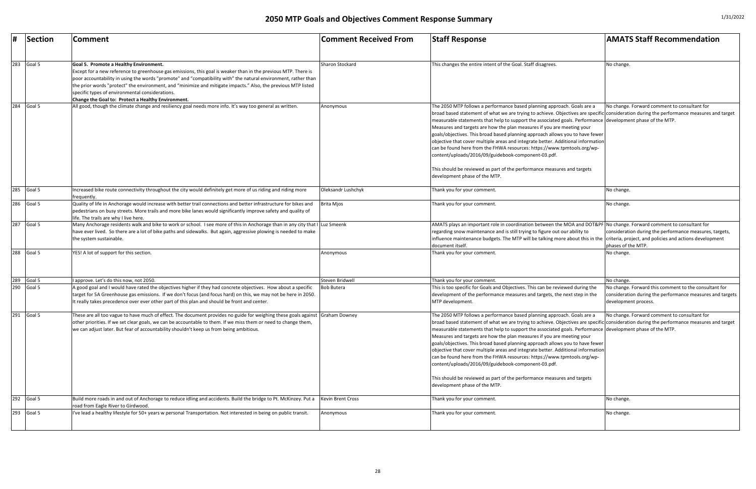| <b>Comment Received From</b> | <b>Staff Response</b>                                                                                                                                                                                                                                                                                                                                                                                                                                                                                                                                                                                                                                                                                                                                                                                                          | <b>AMATS Staff Recommendation</b>                                                                                                          |
|------------------------------|--------------------------------------------------------------------------------------------------------------------------------------------------------------------------------------------------------------------------------------------------------------------------------------------------------------------------------------------------------------------------------------------------------------------------------------------------------------------------------------------------------------------------------------------------------------------------------------------------------------------------------------------------------------------------------------------------------------------------------------------------------------------------------------------------------------------------------|--------------------------------------------------------------------------------------------------------------------------------------------|
| <b>Sharon Stockard</b>       | This changes the entire intent of the Goal. Staff disagrees.                                                                                                                                                                                                                                                                                                                                                                                                                                                                                                                                                                                                                                                                                                                                                                   | No change.                                                                                                                                 |
| Anonymous                    | The 2050 MTP follows a performance based planning approach. Goals are a                                                                                                                                                                                                                                                                                                                                                                                                                                                                                                                                                                                                                                                                                                                                                        | No change. Forward comment to consultant for                                                                                               |
|                              | broad based statement of what we are trying to achieve. Objectives are specific consideration during the performance measures and target<br>measurable statements that help to support the associated goals. Performance<br>Measures and targets are how the plan measures if you are meeting your<br>goals/objectives. This broad based planning approach allows you to have fewer<br>Objective that cover multiple areas and integrate better. Additional information<br>can be found here from the FHWA resources: https://www.tpmtools.org/wp-<br>content/uploads/2016/09/guidebook-component-03.pdf.<br>This should be reviewed as part of the performance measures and targets                                                                                                                                           | development phase of the MTP.                                                                                                              |
|                              | development phase of the MTP.                                                                                                                                                                                                                                                                                                                                                                                                                                                                                                                                                                                                                                                                                                                                                                                                  |                                                                                                                                            |
| Oleksandr Lushchyk           | Thank you for your comment.                                                                                                                                                                                                                                                                                                                                                                                                                                                                                                                                                                                                                                                                                                                                                                                                    | No change.                                                                                                                                 |
| <b>Brita Mjos</b>            | Thank you for your comment.                                                                                                                                                                                                                                                                                                                                                                                                                                                                                                                                                                                                                                                                                                                                                                                                    | No change.                                                                                                                                 |
| Luz Smeenk                   | AMATS plays an important role in coordination between the MOA and DOT&PF No change. Forward comment to consultant for<br>regarding snow maintenance and is still trying to figure out our ability to<br>influence maintenance budgets. The MTP will be talking more about this in the<br>document itself.                                                                                                                                                                                                                                                                                                                                                                                                                                                                                                                      | consideration during the performance measures, targets,<br>criteria, project, and policies and actions development<br>phases of the MTP.   |
| Anonymous                    | Thank you for your comment.                                                                                                                                                                                                                                                                                                                                                                                                                                                                                                                                                                                                                                                                                                                                                                                                    | No change.                                                                                                                                 |
| Steven Bridwell              | Thank you for your comment.                                                                                                                                                                                                                                                                                                                                                                                                                                                                                                                                                                                                                                                                                                                                                                                                    | No change.                                                                                                                                 |
| <b>Bob Butera</b>            | This is too specific for Goals and Objectives. This can be reviewed during the<br>development of the performance measures and targets, the next step in the<br>MTP development.                                                                                                                                                                                                                                                                                                                                                                                                                                                                                                                                                                                                                                                | No change. Forward this comment to the consultant for<br>consideration during the performance measures and targets<br>development process. |
| <b>Graham Downey</b>         | The 2050 MTP follows a performance based planning approach. Goals are a<br>broad based statement of what we are trying to achieve. Objectives are specific consideration during the performance measures and target<br>measurable statements that help to support the associated goals. Performance development phase of the MTP.<br>Measures and targets are how the plan measures if you are meeting your<br>goals/objectives. This broad based planning approach allows you to have fewer<br>objective that cover multiple areas and integrate better. Additional information<br>can be found here from the FHWA resources: https://www.tpmtools.org/wp-<br>content/uploads/2016/09/guidebook-component-03.pdf.<br>This should be reviewed as part of the performance measures and targets<br>development phase of the MTP. | No change. Forward comment to consultant for                                                                                               |
| Kevin Brent Cross            | Thank you for your comment.                                                                                                                                                                                                                                                                                                                                                                                                                                                                                                                                                                                                                                                                                                                                                                                                    | No change.                                                                                                                                 |
| Anonymous                    | Thank you for your comment.                                                                                                                                                                                                                                                                                                                                                                                                                                                                                                                                                                                                                                                                                                                                                                                                    | No change.                                                                                                                                 |

|     | Section                   | <b>Comment</b>                                                                                                                                                                                                                                                                                                                                                                                                                                                                                       | Comment Received From    | <b>Staff Response</b>                                                                                                                                                                                                                                                                                                                                                                                                                                                                                                                                                                                                                                                                                                                                                                                                   | <b>AMATS Staff Recommendation</b>                                                                                              |
|-----|---------------------------|------------------------------------------------------------------------------------------------------------------------------------------------------------------------------------------------------------------------------------------------------------------------------------------------------------------------------------------------------------------------------------------------------------------------------------------------------------------------------------------------------|--------------------------|-------------------------------------------------------------------------------------------------------------------------------------------------------------------------------------------------------------------------------------------------------------------------------------------------------------------------------------------------------------------------------------------------------------------------------------------------------------------------------------------------------------------------------------------------------------------------------------------------------------------------------------------------------------------------------------------------------------------------------------------------------------------------------------------------------------------------|--------------------------------------------------------------------------------------------------------------------------------|
| 283 | Goal 5                    | Goal 5. Promote a Healthy Environment.<br>Except for a new reference to greenhouse gas emissions, this goal is weaker than in the previous MTP. There is<br>poor accountability in using the words "promote" and "compatibility with" the natural environment, rather than<br>the prior words "protect" the environment, and "minimize and mitigate impacts." Also, the previous MTP listed<br>specific types of environmental considerations.<br>Change the Goal to: Protect a Healthy Environment. | Sharon Stockard          | This changes the entire intent of the Goal. Staff disagrees.                                                                                                                                                                                                                                                                                                                                                                                                                                                                                                                                                                                                                                                                                                                                                            | No change.                                                                                                                     |
| 284 | Goal 5                    | All good, though the climate change and resiliency goal needs more info. It's way too general as written.                                                                                                                                                                                                                                                                                                                                                                                            | Anonymous                | The 2050 MTP follows a performance based planning approach. Goals are a<br>broad based statement of what we are trying to achieve. Objectives are specific consideration during the performance measures and<br>measurable statements that help to support the associated goals. Performance development phase of the MTP.<br>Measures and targets are how the plan measures if you are meeting your<br>goals/objectives. This broad based planning approach allows you to have fewer<br>objective that cover multiple areas and integrate better. Additional information<br>can be found here from the FHWA resources: https://www.tpmtools.org/wp-<br>content/uploads/2016/09/guidebook-component-03.pdf.<br>This should be reviewed as part of the performance measures and targets<br>development phase of the MTP. | No change. Forward comment to consultant for                                                                                   |
|     | 285 Goal 5                | Increased bike route connectivity throughout the city would definitely get more of us riding and riding more<br>frequently.                                                                                                                                                                                                                                                                                                                                                                          | Oleksandr Lushchyk       | Thank you for your comment.                                                                                                                                                                                                                                                                                                                                                                                                                                                                                                                                                                                                                                                                                                                                                                                             | No change.                                                                                                                     |
| 286 | Goal 5                    | Quality of life in Anchorage would increase with better trail connections and better infrastructure for bikes and<br>pedestrians on busy streets. More trails and more bike lanes would significantly improve safety and quality of<br>life. The trails are why I live here.                                                                                                                                                                                                                         | <b>Brita Mjos</b>        | Thank you for your comment.                                                                                                                                                                                                                                                                                                                                                                                                                                                                                                                                                                                                                                                                                                                                                                                             | No change.                                                                                                                     |
| 287 | Goal 5                    | Many Anchorage residents walk and bike to work or school. I see more of this in Anchorage than in any city that I Luz Smeenk<br>have ever lived. So there are a lot of bike paths and sidewalks. But again, aggressive plowing is needed to make<br>the system sustainable.                                                                                                                                                                                                                          |                          | AMATS plays an important role in coordination between the MOA and DOT&PF No change. Forward comment to consultant for<br>regarding snow maintenance and is still trying to figure out our ability to<br>influence maintenance budgets. The MTP will be talking more about this in the criteria, project, and policies and actions developme<br>document itself.                                                                                                                                                                                                                                                                                                                                                                                                                                                         | consideration during the performance measures, tar<br>phases of the MTP.                                                       |
|     | 288 Goal 5                | YES! A lot of support for this section.                                                                                                                                                                                                                                                                                                                                                                                                                                                              | Anonymous                | Thank you for your comment.                                                                                                                                                                                                                                                                                                                                                                                                                                                                                                                                                                                                                                                                                                                                                                                             | No change.                                                                                                                     |
| 289 | Goal 5                    | I approve. Let's do this now, not 2050.                                                                                                                                                                                                                                                                                                                                                                                                                                                              | Steven Bridwell          | Thank you for your comment.                                                                                                                                                                                                                                                                                                                                                                                                                                                                                                                                                                                                                                                                                                                                                                                             | No change.                                                                                                                     |
|     | 290 $\sqrt{\frac{30}{5}}$ | A good goal and I would have rated the objectives higher if they had concrete objectives. How about a specific<br>target for 5A Greenhouse gas emissions. If we don't focus (and focus hard) on this, we may not be here in 2050.<br>It really takes precedence over ever other part of this plan and should be front and center.                                                                                                                                                                    | <b>Bob Butera</b>        | This is too specific for Goals and Objectives. This can be reviewed during the<br>development of the performance measures and targets, the next step in the<br>MTP development.                                                                                                                                                                                                                                                                                                                                                                                                                                                                                                                                                                                                                                         | No change. Forward this comment to the consultant<br>consideration during the performance measures and<br>development process. |
| 291 | Goal 5                    | These are all too vague to have much of effect. The document provides no guide for weighing these goals against  Graham Downey<br>other priorities. If we set clear goals, we can be accountable to them. If we miss them or need to change them,<br>we can adjust later. But fear of accountability shouldn't keep us from being ambitious.                                                                                                                                                         |                          | The 2050 MTP follows a performance based planning approach. Goals are a<br>broad based statement of what we are trying to achieve. Objectives are specific consideration during the performance measures and<br>measurable statements that help to support the associated goals. Performance development phase of the MTP.<br>Measures and targets are how the plan measures if you are meeting your<br>goals/objectives. This broad based planning approach allows you to have fewer<br>objective that cover multiple areas and integrate better. Additional information<br>can be found here from the FHWA resources: https://www.tpmtools.org/wp-<br>content/uploads/2016/09/guidebook-component-03.pdf.<br>This should be reviewed as part of the performance measures and targets<br>development phase of the MTP. | No change. Forward comment to consultant for                                                                                   |
|     | 292 Goal 5                | Build more roads in and out of Anchorage to reduce idling and accidents. Build the bridge to Pt. McKinzey. Put a<br>road from Eagle River to Girdwood.                                                                                                                                                                                                                                                                                                                                               | <b>Kevin Brent Cross</b> | Thank you for your comment.                                                                                                                                                                                                                                                                                                                                                                                                                                                                                                                                                                                                                                                                                                                                                                                             | No change.                                                                                                                     |
| 293 | Goal 5                    | I've lead a healthy lifestyle for 50+ years w personal Transportation. Not interested in being on public transit.                                                                                                                                                                                                                                                                                                                                                                                    | Anonymous                | Thank you for your comment.                                                                                                                                                                                                                                                                                                                                                                                                                                                                                                                                                                                                                                                                                                                                                                                             | No change.                                                                                                                     |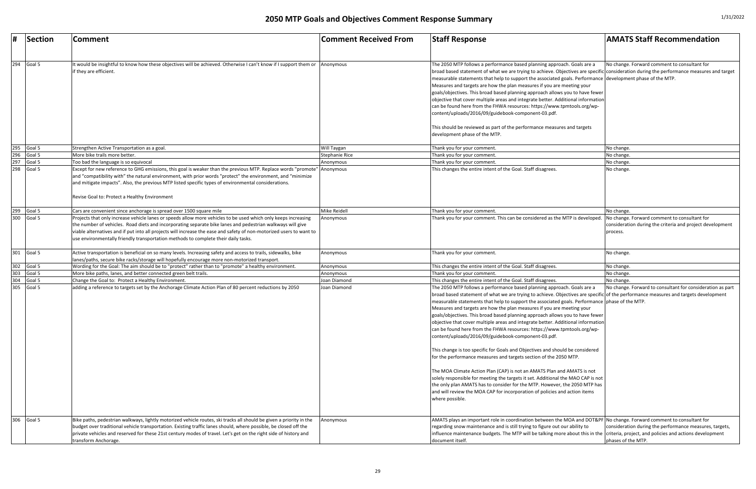|     | Section                    | <b>Comment</b>                                                                                                                                                                                                                                                                                                                                                                                   | <b>Comment Received From</b> | <b>Staff Response</b>                                                                                                                                                                                                                                                                                                                                                                                                                                                                                                                                                                                                                                                                                                                                                                                                                                                                                                                                                                                                                                                                                                                                                                                 | <b>AMATS Staff Recommendation</b>                                             |
|-----|----------------------------|--------------------------------------------------------------------------------------------------------------------------------------------------------------------------------------------------------------------------------------------------------------------------------------------------------------------------------------------------------------------------------------------------|------------------------------|-------------------------------------------------------------------------------------------------------------------------------------------------------------------------------------------------------------------------------------------------------------------------------------------------------------------------------------------------------------------------------------------------------------------------------------------------------------------------------------------------------------------------------------------------------------------------------------------------------------------------------------------------------------------------------------------------------------------------------------------------------------------------------------------------------------------------------------------------------------------------------------------------------------------------------------------------------------------------------------------------------------------------------------------------------------------------------------------------------------------------------------------------------------------------------------------------------|-------------------------------------------------------------------------------|
|     |                            |                                                                                                                                                                                                                                                                                                                                                                                                  |                              |                                                                                                                                                                                                                                                                                                                                                                                                                                                                                                                                                                                                                                                                                                                                                                                                                                                                                                                                                                                                                                                                                                                                                                                                       |                                                                               |
|     | 294 $\sqrt{\frac{30}{15}}$ | It would be insightful to know how these objectives will be achieved. Otherwise I can't know if I support them or<br>if they are efficient.                                                                                                                                                                                                                                                      | Anonymous                    | The 2050 MTP follows a performance based planning approach. Goals are a<br>broad based statement of what we are trying to achieve. Objectives are specific consideration during the performance measures and target<br>measurable statements that help to support the associated goals. Performance development phase of the MTP.<br>Measures and targets are how the plan measures if you are meeting your<br>goals/objectives. This broad based planning approach allows you to have fewer<br>objective that cover multiple areas and integrate better. Additional information<br>can be found here from the FHWA resources: https://www.tpmtools.org/wp-<br>content/uploads/2016/09/guidebook-component-03.pdf.<br>This should be reviewed as part of the performance measures and targets<br>development phase of the MTP.                                                                                                                                                                                                                                                                                                                                                                        | No change. Forward comment to consultant for                                  |
|     | 295 $\sqrt{\frac{3}{2}}$   | Strengthen Active Transportation as a goal.                                                                                                                                                                                                                                                                                                                                                      | Will Taygan                  | Thank you for your comment                                                                                                                                                                                                                                                                                                                                                                                                                                                                                                                                                                                                                                                                                                                                                                                                                                                                                                                                                                                                                                                                                                                                                                            | No change.                                                                    |
|     | 296 Goal 5                 | More bike trails more better.                                                                                                                                                                                                                                                                                                                                                                    | Stephanie Rice               | Thank you for your comment                                                                                                                                                                                                                                                                                                                                                                                                                                                                                                                                                                                                                                                                                                                                                                                                                                                                                                                                                                                                                                                                                                                                                                            | No change.                                                                    |
|     | 297 Goal 5                 | Too bad the language is so equivocal                                                                                                                                                                                                                                                                                                                                                             | Anonymous                    | Thank you for your comment.                                                                                                                                                                                                                                                                                                                                                                                                                                                                                                                                                                                                                                                                                                                                                                                                                                                                                                                                                                                                                                                                                                                                                                           | No change.                                                                    |
| 298 | Goal 5                     | Except for new reference to GHG emissions, this goal is weaker than the previous MTP. Replace words "promote" Anonymous<br>and "compatibility with" the natural environment, with prior words "protect" the environment, and "minimize"<br>and mitigate impacts". Also, the previous MTP listed specific types of environmental considerations.<br>Revise Goal to: Protect a Healthy Environment |                              | This changes the entire intent of the Goal. Staff disagrees                                                                                                                                                                                                                                                                                                                                                                                                                                                                                                                                                                                                                                                                                                                                                                                                                                                                                                                                                                                                                                                                                                                                           | No change.                                                                    |
|     | 299 Goal 5                 |                                                                                                                                                                                                                                                                                                                                                                                                  | Mike Reidell                 | Thank you for your comment.                                                                                                                                                                                                                                                                                                                                                                                                                                                                                                                                                                                                                                                                                                                                                                                                                                                                                                                                                                                                                                                                                                                                                                           |                                                                               |
|     | $300$ Goal 5               | Cars are convenient since anchorage is spread over 1500 square mile<br>Projects that only increase vehicle lanes or speeds allow more vehicles to be used which only keeps increasing                                                                                                                                                                                                            | Anonymous                    | Thank you for your comment. This can be considered as the MTP is developed.                                                                                                                                                                                                                                                                                                                                                                                                                                                                                                                                                                                                                                                                                                                                                                                                                                                                                                                                                                                                                                                                                                                           | No change.<br>No change. Forward comment to consultant for                    |
|     |                            | the number of vehicles. Road diets and incorporating separate bike lanes and pedestrian walkways will give<br>viable alternatives and if put into all projects will increase the ease and safety of non-motorized users to want to<br>use environmentally friendly transportation methods to complete their daily tasks.                                                                         |                              |                                                                                                                                                                                                                                                                                                                                                                                                                                                                                                                                                                                                                                                                                                                                                                                                                                                                                                                                                                                                                                                                                                                                                                                                       | consideration during the criteria and project development<br>process.         |
|     | 301 Goal 5                 | Active transportation is beneficial on so many levels. Increasing safety and access to trails, sidewalks, bike<br>lanes/paths, secure bike racks/storage will hopefully encourage more non-motorized transport.                                                                                                                                                                                  | Anonymous                    | Thank you for your comment.                                                                                                                                                                                                                                                                                                                                                                                                                                                                                                                                                                                                                                                                                                                                                                                                                                                                                                                                                                                                                                                                                                                                                                           | No change.                                                                    |
| 302 | Goal 5                     | Wording for the Goal: The aim should be to "protect" rather than to "promote" a healthy environment.                                                                                                                                                                                                                                                                                             | Anonymous                    | This changes the entire intent of the Goal. Staff disagrees.                                                                                                                                                                                                                                                                                                                                                                                                                                                                                                                                                                                                                                                                                                                                                                                                                                                                                                                                                                                                                                                                                                                                          | No change.                                                                    |
|     | 303 Goal 5                 | More bike paths, lanes, and better connected green belt trails.                                                                                                                                                                                                                                                                                                                                  | Anonymous                    | Thank you for your comment.                                                                                                                                                                                                                                                                                                                                                                                                                                                                                                                                                                                                                                                                                                                                                                                                                                                                                                                                                                                                                                                                                                                                                                           | No change.                                                                    |
|     | 304 Goal 5                 | Change the Goal to: Protect a Healthy Environment.                                                                                                                                                                                                                                                                                                                                               | Joan Diamond                 | This changes the entire intent of the Goal. Staff disagrees.                                                                                                                                                                                                                                                                                                                                                                                                                                                                                                                                                                                                                                                                                                                                                                                                                                                                                                                                                                                                                                                                                                                                          | No change.                                                                    |
|     | 305 Goal 5                 | adding a reference to targets set by the Anchorage Climate Action Plan of 80 percent reductions by 2050                                                                                                                                                                                                                                                                                          | Joan Diamond                 | The 2050 MTP follows a performance based planning approach. Goals are a<br>broad based statement of what we are trying to achieve. Objectives are specific of the performance measures and targets development<br>measurable statements that help to support the associated goals. Performance phase of the MTP.<br>Measures and targets are how the plan measures if you are meeting your<br>goals/objectives. This broad based planning approach allows you to have fewer<br>objective that cover multiple areas and integrate better. Additional information<br>can be found here from the FHWA resources: https://www.tpmtools.org/wp-<br>content/uploads/2016/09/guidebook-component-03.pdf.<br>This change is too specific for Goals and Objectives and should be considered<br>for the performance measures and targets section of the 2050 MTP.<br>The MOA Climate Action Plan (CAP) is not an AMATS Plan and AMATS is not<br>solely responsible for meeting the targets it set. Additional the MAO CAP is not<br>the only plan AMATS has to consider for the MTP. However, the 2050 MTP has<br>and will review the MOA CAP for incorporation of policies and action items<br>where possible. | No change. Forward to consultant for consideration as part                    |
|     | 306 Goal 5                 | Bike paths, pedestrian walkways, lightly motorized vehicle routes, ski tracks all should be given a priority in the<br>budget over traditional vehicle transportation. Existing traffic lanes should, where possible, be closed off the<br>private vehicles and reserved for these 21st century modes of travel. Let's get on the right side of history and<br>transform Anchorage.              | Anonymous                    | AMATS plays an important role in coordination between the MOA and DOT&PF No change. Forward comment to consultant for<br>regarding snow maintenance and is still trying to figure out our ability to<br>influence maintenance budgets. The MTP will be talking more about this in the criteria, project, and policies and actions development<br>document itself.                                                                                                                                                                                                                                                                                                                                                                                                                                                                                                                                                                                                                                                                                                                                                                                                                                     | consideration during the performance measures, targets,<br>phases of the MTP. |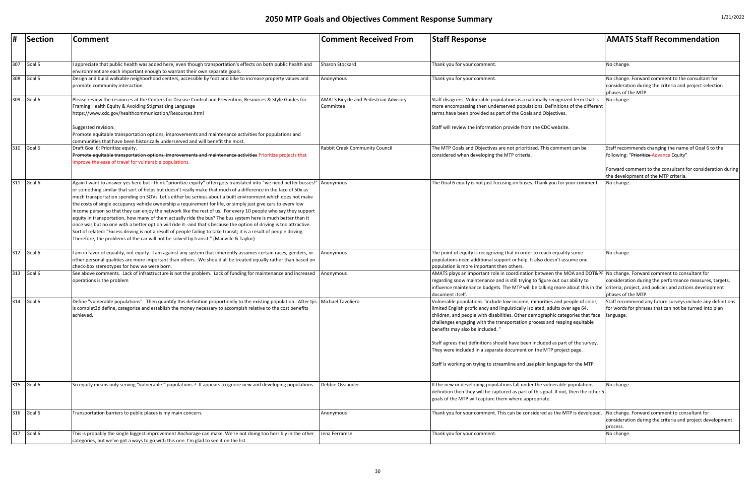| #   | Section    | Comment                                                                                                                                                                                                                                                                                                                                                                                                                                                                                                                                                                                                                                                                                                                                                                                                                                                                                                                                                                                                                                                     | <b>Comment Received From</b>                              | <b>Staff Response</b>                                                                                                                                                                                                                                                                                                                                                                                                                                                                                                                                                                               | <b>AMATS Staff Recommendation</b>                                                                                                                                                                   |
|-----|------------|-------------------------------------------------------------------------------------------------------------------------------------------------------------------------------------------------------------------------------------------------------------------------------------------------------------------------------------------------------------------------------------------------------------------------------------------------------------------------------------------------------------------------------------------------------------------------------------------------------------------------------------------------------------------------------------------------------------------------------------------------------------------------------------------------------------------------------------------------------------------------------------------------------------------------------------------------------------------------------------------------------------------------------------------------------------|-----------------------------------------------------------|-----------------------------------------------------------------------------------------------------------------------------------------------------------------------------------------------------------------------------------------------------------------------------------------------------------------------------------------------------------------------------------------------------------------------------------------------------------------------------------------------------------------------------------------------------------------------------------------------------|-----------------------------------------------------------------------------------------------------------------------------------------------------------------------------------------------------|
| 307 | Goal 5     | appreciate that public health was added here, even though transportation's effects on both public health and                                                                                                                                                                                                                                                                                                                                                                                                                                                                                                                                                                                                                                                                                                                                                                                                                                                                                                                                                | Sharon Stockard                                           | Thank you for your comment.                                                                                                                                                                                                                                                                                                                                                                                                                                                                                                                                                                         | No change.                                                                                                                                                                                          |
| 308 | Goal 5     | environment are each important enough to warrant their own separate goals.<br>Design and build walkable neighborhood centers, accessible by foot and bike to increase property values and<br>promote community interaction.                                                                                                                                                                                                                                                                                                                                                                                                                                                                                                                                                                                                                                                                                                                                                                                                                                 | Anonymous                                                 | Thank you for your comment.                                                                                                                                                                                                                                                                                                                                                                                                                                                                                                                                                                         | No change. Forward comment to the consultant for<br>consideration during the criteria and project selection<br>phases of the MTP.                                                                   |
| 309 | Goal 6     | Please review the resources at the Centers for Disease Control and Prevention, Resources & Style Guides for<br>Framing Health Equity & Avoiding Stigmatizing Language<br>https://www.cdc.gov/healthcommunication/Resources.html                                                                                                                                                                                                                                                                                                                                                                                                                                                                                                                                                                                                                                                                                                                                                                                                                             | <b>AMATS Bicycle and Pedestrian Advisory</b><br>Committee | Staff disagrees. Vulnerable populations is a nationally recognized term that is<br>more encompassing then underserved populations. Definitions of the different<br>terms have been provided as part of the Goals and Objectives.                                                                                                                                                                                                                                                                                                                                                                    | No change.                                                                                                                                                                                          |
|     |            | Suggested revision:<br>Promote equitable transportation options, improvements and maintenance activities for populations and<br>communities that have been historically underserved and will benefit the most.                                                                                                                                                                                                                                                                                                                                                                                                                                                                                                                                                                                                                                                                                                                                                                                                                                              |                                                           | Staff will review the information provide from the CDC website.                                                                                                                                                                                                                                                                                                                                                                                                                                                                                                                                     |                                                                                                                                                                                                     |
| 310 | Goal 6     | Draft Goal 6: Prioritize equity.<br>Promote equitable transportation options, improvements and maintenance activities Prioritize projects that<br>improve the ease of travel for vulnerable populations.                                                                                                                                                                                                                                                                                                                                                                                                                                                                                                                                                                                                                                                                                                                                                                                                                                                    | <b>Rabbit Creek Community Council</b>                     | The MTP Goals and Objectives are not prioritized. This comment can be<br>considered when developing the MTP criteria.                                                                                                                                                                                                                                                                                                                                                                                                                                                                               | Staff recommends changing the name of Goal 6 to the<br>following: "Prioritize-Advance Equity"<br>Forward comment to the consultant for consideration during<br>the development of the MTP criteria. |
| 311 | Goal 6     | Again I want to answer yes here but I think "prioritize equity" often gets translated into "we need better busses!" Anonymous<br>or something similar that sort of helps but doesn't really make that much of a difference in the face of 50x as<br>much transportation spending on SOVs. Let's either be serious about a built environment which does not make<br>the costs of single occupancy vehicle ownership a requirement for life, or simply just give cars to every low<br>income person so that they can enjoy the network like the rest of us. For every 10 people who say they support<br>equity in transportation, how many of them actually ride the bus? The bus system here is much better than it<br>once was but no one with a better option will ride it--and that's because the option of driving is too attractive.<br>Sort of related: "Excess driving is not a result of people failing to take transit; it is a result of people driving.<br>Therefore, the problems of the car will not be solved by transit." (Manville & Taylor) |                                                           | The Goal 6 equity is not just focusing on buses. Thank you for your comment                                                                                                                                                                                                                                                                                                                                                                                                                                                                                                                         | No change.                                                                                                                                                                                          |
| 312 | Goal 6     | I am in favor of equality, not equity. I am against any system that inherently assumes certain races, genders, or<br>other personal qualities are more important than others. We should all be treated equally rather than based on<br>check-box stereotypes for how we were born.                                                                                                                                                                                                                                                                                                                                                                                                                                                                                                                                                                                                                                                                                                                                                                          | Anonymous                                                 | The point of equity is recognizing that in order to reach equality some<br>populations need additional support or help. It also doesn't assume one<br>population is more important then others.                                                                                                                                                                                                                                                                                                                                                                                                     | No change.                                                                                                                                                                                          |
| 313 | Goal 6     | See above comments. Lack of infrastructure is not the problem. Lack of funding for maintenance and increased<br>operations is the problem                                                                                                                                                                                                                                                                                                                                                                                                                                                                                                                                                                                                                                                                                                                                                                                                                                                                                                                   | Anonymous                                                 | AMATS plays an important role in coordination between the MOA and DOT&PF No change. Forward comment to consultant for<br>regarding snow maintenance and is still trying to figure out our ability to<br>influence maintenance budgets. The MTP will be talking more about this in the criteria, project, and policies and actions development<br>document itself.                                                                                                                                                                                                                                   | consideration during the performance measures, targets,<br>phases of the MTP.                                                                                                                       |
| 314 | Goal 6     | Define "vulnerable populations". Then quantify this definition proportionlly to the existing population. After tjis  Michael Tavoliero<br>is complet3d define, categorize and establish the money necessary to accompish relative to the cost benefits<br>achieved.                                                                                                                                                                                                                                                                                                                                                                                                                                                                                                                                                                                                                                                                                                                                                                                         |                                                           | Vulnerable populations "include low-income, minorities and people of color<br>limited English proficiency and linguistically isolated, adults over age 64,<br>children, and people with disabilities. Other demographic categories that face<br>challenges engaging with the transportation process and reaping equitable<br>benefits may also be included."<br>Staff agrees that definitions should have been included as part of the survey.<br>They were included in a separate document on the MTP project page.<br>Staff is working on trying to streamline and use plain language for the MTP | Staff recommend any future surveys include any definitions<br>for words for phrases that can not be turned into plan<br>language.                                                                   |
|     | 315 Goal 6 | So equity means only serving "vulnerable " populations.? It appears to ignore new and developing populations                                                                                                                                                                                                                                                                                                                                                                                                                                                                                                                                                                                                                                                                                                                                                                                                                                                                                                                                                | Debbie Ossiander                                          | If the new or developing populations fall under the vulnerable populations<br>definition then they will be captured as part of this goal. If not, then the other 5<br>goals of the MTP will capture them where appropriate.                                                                                                                                                                                                                                                                                                                                                                         | No change.                                                                                                                                                                                          |
| 316 | Goal 6     | Transportation barriers to public places is my main concern.                                                                                                                                                                                                                                                                                                                                                                                                                                                                                                                                                                                                                                                                                                                                                                                                                                                                                                                                                                                                | Anonymous                                                 | Thank you for your comment. This can be considered as the MTP is developed.                                                                                                                                                                                                                                                                                                                                                                                                                                                                                                                         | No change. Forward comment to consultant for<br>consideration during the criteria and project development<br>process.                                                                               |
| 317 | Goal 6     | This is probably the single biggest improvement Anchorage can make. We're not doing too horribly in the other<br>categories, but we've got a ways to go with this one. I'm glad to see it on the list.                                                                                                                                                                                                                                                                                                                                                                                                                                                                                                                                                                                                                                                                                                                                                                                                                                                      | Jena Ferrarese                                            | Thank you for your comment.                                                                                                                                                                                                                                                                                                                                                                                                                                                                                                                                                                         | No change.                                                                                                                                                                                          |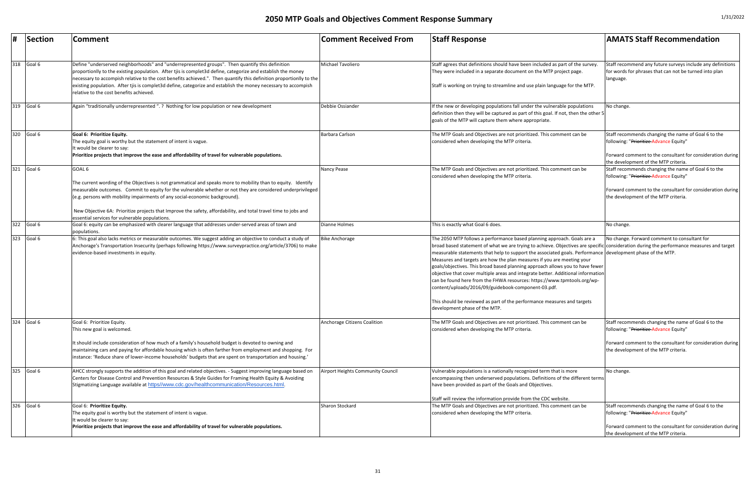|     | Section    | Comment                                                                                                                                                                                                                                                                                                                                                                                                                                                                                             | <b>Comment Received From</b>      | <b>Staff Response</b>                                                                                                                                                                                                                                                                                                                                                                                                                                                                                                                                                                                                                                                                                                                                                                                                          | <b>AMATS Staff Recommendation</b>                                                                                                                                                                                                           |
|-----|------------|-----------------------------------------------------------------------------------------------------------------------------------------------------------------------------------------------------------------------------------------------------------------------------------------------------------------------------------------------------------------------------------------------------------------------------------------------------------------------------------------------------|-----------------------------------|--------------------------------------------------------------------------------------------------------------------------------------------------------------------------------------------------------------------------------------------------------------------------------------------------------------------------------------------------------------------------------------------------------------------------------------------------------------------------------------------------------------------------------------------------------------------------------------------------------------------------------------------------------------------------------------------------------------------------------------------------------------------------------------------------------------------------------|---------------------------------------------------------------------------------------------------------------------------------------------------------------------------------------------------------------------------------------------|
| 318 | Goal 6     | Define "underserved neighborhoods" and "underrepresented groups". Then quantify this definition<br>proportionlly to the existing population. After tjis is complet3d define, categorize and establish the money<br>necessary to accompish relative to the cost benefits achieved.". Then quantify this definition proportionlly to the<br>existing population. After tjis is complet3d define, categorize and establish the money necessary to accompish<br>relative to the cost benefits achieved. | Michael Tavoliero                 | Staff agrees that definitions should have been included as part of the survey<br>They were included in a separate document on the MTP project page.<br>Staff is working on trying to streamline and use plain language for the MTP.                                                                                                                                                                                                                                                                                                                                                                                                                                                                                                                                                                                            | Staff recommend any future surveys include any definitions<br>for words for phrases that can not be turned into plan<br>language.                                                                                                           |
| 319 | Goal 6     | Again "traditionally underrepresented ". ? Nothing for low population or new development                                                                                                                                                                                                                                                                                                                                                                                                            | Debbie Ossiander                  | If the new or developing populations fall under the vulnerable populations<br>definition then they will be captured as part of this goal. If not, then the other 5<br>goals of the MTP will capture them where appropriate.                                                                                                                                                                                                                                                                                                                                                                                                                                                                                                                                                                                                    | No change.                                                                                                                                                                                                                                  |
| 320 | Goal 6     | Goal 6: Prioritize Equity.<br>The equity goal is worthy but the statement of intent is vague.<br>It would be clearer to say:<br>Prioritize projects that improve the ease and affordability of travel for vulnerable populations.                                                                                                                                                                                                                                                                   | Barbara Carlson                   | The MTP Goals and Objectives are not prioritized. This comment can be<br>considered when developing the MTP criteria.                                                                                                                                                                                                                                                                                                                                                                                                                                                                                                                                                                                                                                                                                                          | Staff recommends changing the name of Goal 6 to the<br>following: "Prioritize-Advance Equity"<br>Forward comment to the consultant for consideration during                                                                                 |
| 321 | Goal 6     | GOAL 6<br>The current wording of the Objectives is not grammatical and speaks more to mobility than to equity. Identify<br>measurable outcomes. Commit to equity for the vulnerable whether or not they are considered underprivileged<br>(e.g. persons with mobility impairments of any social-economic background).<br>New Objective 6A: Prioritize projects that Improve the safety, affordability, and total travel time to jobs and                                                            | Nancy Pease                       | The MTP Goals and Objectives are not prioritized. This comment can be<br>considered when developing the MTP criteria.                                                                                                                                                                                                                                                                                                                                                                                                                                                                                                                                                                                                                                                                                                          | the development of the MTP criteria.<br>Staff recommends changing the name of Goal 6 to the<br>following: "Prioritize-Advance Equity"<br>Forward comment to the consultant for consideration during<br>the development of the MTP criteria. |
|     | 322 Goal 6 | essential services for vulnerable populations.<br>Goal 6: equity can be emphasized with clearer language that addresses under-served areas of town and                                                                                                                                                                                                                                                                                                                                              | Dianne Holmes                     | This is exactly what Goal 6 does.                                                                                                                                                                                                                                                                                                                                                                                                                                                                                                                                                                                                                                                                                                                                                                                              | No change.                                                                                                                                                                                                                                  |
| 323 | Goal 6     | populations.<br>6: This goal also lacks metrics or measurable outcomes. We suggest adding an objective to conduct a study of<br>Anchorage's Transportation Insecurity (perhaps following https://www.surveypractice.org/article/3706) to make<br>evidence-based investments in equity.                                                                                                                                                                                                              | <b>Bike Anchorage</b>             | The 2050 MTP follows a performance based planning approach. Goals are a<br>broad based statement of what we are trying to achieve. Objectives are specific consideration during the performance measures and target<br>measurable statements that help to support the associated goals. Performance development phase of the MTP.<br>Measures and targets are how the plan measures if you are meeting your<br>goals/objectives. This broad based planning approach allows you to have fewer<br>objective that cover multiple areas and integrate better. Additional information<br>can be found here from the FHWA resources: https://www.tpmtools.org/wp-<br>content/uploads/2016/09/guidebook-component-03.pdf.<br>This should be reviewed as part of the performance measures and targets<br>development phase of the MTP. | No change. Forward comment to consultant for                                                                                                                                                                                                |
| 324 | Goal 6     | Goal 6: Prioritize Equity.<br>This new goal is welcomed.<br>It should include consideration of how much of a family's household budget is devoted to owning and<br>maintaining cars and paying for affordable housing which is often farther from employment and shopping. For<br>'instance: 'Reduce share of lower-income households' budgets that are spent on transportation and housing.'                                                                                                       | Anchorage Citizens Coalition      | The MTP Goals and Objectives are not prioritized. This comment can be<br>considered when developing the MTP criteria.                                                                                                                                                                                                                                                                                                                                                                                                                                                                                                                                                                                                                                                                                                          | Staff recommends changing the name of Goal 6 to the<br>following: "Prioritize-Advance Equity"<br>Forward comment to the consultant for consideration during<br>the development of the MTP criteria.                                         |
| 325 | Goal 6     | AHCC strongly supports the addition of this goal and related objectives. - Suggest improving language based on<br>Centers for Disease Control and Prevention Resources & Style Guides for Framing Health Equity & Avoiding<br>Stigmatizing Language available at https//www.cdc.gov/healthcommunication/Resources.html.                                                                                                                                                                             | Airport Heights Community Council | Vulnerable populations is a nationally recognized term that is more<br>encompassing then underserved populations. Definitions of the different terms<br>have been provided as part of the Goals and Objectives.                                                                                                                                                                                                                                                                                                                                                                                                                                                                                                                                                                                                                | No change.                                                                                                                                                                                                                                  |
| 326 | Goal 6     | Goal 6: Prioritize Equity.<br>The equity goal is worthy but the statement of intent is vague.<br>It would be clearer to say:<br>Prioritize projects that improve the ease and affordability of travel for vulnerable populations.                                                                                                                                                                                                                                                                   | Sharon Stockard                   | Staff will review the information provide from the CDC website.<br>The MTP Goals and Objectives are not prioritized. This comment can be<br>considered when developing the MTP criteria.                                                                                                                                                                                                                                                                                                                                                                                                                                                                                                                                                                                                                                       | Staff recommends changing the name of Goal 6 to the<br>following: "Prioritize-Advance Equity"<br>Forward comment to the consultant for consideration during<br>the development of the MTP criteria.                                         |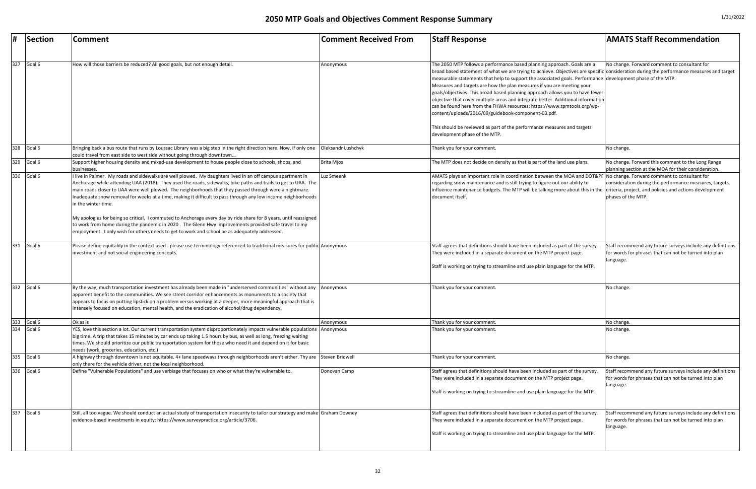|     | Section    | Comment                                                                                                                                                                                                                                                                                                                                                                                                                                                                                                                                                                                                                                                                                                                                                                                                      | <b>Comment Received From</b> | <b>Staff Response</b>                                                                                                                                                                                                                                                                                                                                                                                                                                                                                                                                                                                                                                                                                                                                                                                                          | <b>AMATS Staff Recommendation</b>                                                                                                 |
|-----|------------|--------------------------------------------------------------------------------------------------------------------------------------------------------------------------------------------------------------------------------------------------------------------------------------------------------------------------------------------------------------------------------------------------------------------------------------------------------------------------------------------------------------------------------------------------------------------------------------------------------------------------------------------------------------------------------------------------------------------------------------------------------------------------------------------------------------|------------------------------|--------------------------------------------------------------------------------------------------------------------------------------------------------------------------------------------------------------------------------------------------------------------------------------------------------------------------------------------------------------------------------------------------------------------------------------------------------------------------------------------------------------------------------------------------------------------------------------------------------------------------------------------------------------------------------------------------------------------------------------------------------------------------------------------------------------------------------|-----------------------------------------------------------------------------------------------------------------------------------|
|     |            |                                                                                                                                                                                                                                                                                                                                                                                                                                                                                                                                                                                                                                                                                                                                                                                                              |                              |                                                                                                                                                                                                                                                                                                                                                                                                                                                                                                                                                                                                                                                                                                                                                                                                                                |                                                                                                                                   |
|     | 327 Goal 6 | How will those barriers be reduced? All good goals, but not enough detail.                                                                                                                                                                                                                                                                                                                                                                                                                                                                                                                                                                                                                                                                                                                                   | Anonymous                    | The 2050 MTP follows a performance based planning approach. Goals are a<br>broad based statement of what we are trying to achieve. Objectives are specific consideration during the performance measures and target<br>measurable statements that help to support the associated goals. Performance development phase of the MTP.<br>Measures and targets are how the plan measures if you are meeting your<br>goals/objectives. This broad based planning approach allows you to have fewer<br>objective that cover multiple areas and integrate better. Additional information<br>can be found here from the FHWA resources: https://www.tpmtools.org/wp-<br>content/uploads/2016/09/guidebook-component-03.pdf.<br>This should be reviewed as part of the performance measures and targets<br>development phase of the MTP. | No change. Forward comment to consultant for                                                                                      |
| 328 | Goal 6     | Bringing back a bus route that runs by Loussac Library was a big step in the right direction here. Now, if only one<br>could travel from east side to west side without going through downtown                                                                                                                                                                                                                                                                                                                                                                                                                                                                                                                                                                                                               | Oleksandr Lushchyk           | Thank you for your comment                                                                                                                                                                                                                                                                                                                                                                                                                                                                                                                                                                                                                                                                                                                                                                                                     | No change.                                                                                                                        |
| 329 | Goal 6     | Support higher housing density and mixed-use development to house people close to schools, shops, and<br>businesses.                                                                                                                                                                                                                                                                                                                                                                                                                                                                                                                                                                                                                                                                                         | <b>Brita Mjos</b>            | The MTP does not decide on density as that is part of the land use plans.                                                                                                                                                                                                                                                                                                                                                                                                                                                                                                                                                                                                                                                                                                                                                      | No change. Forward this comment to the Long Range<br>planning section at the MOA for their consideration.                         |
| 330 | Goal 6     | live in Palmer. My roads and sidewalks are well plowed. My daughters lived in an off campus apartment in<br>Anchorage while attending UAA (2018). They used the roads, sidewalks, bike paths and trails to get to UAA. The<br>main roads closer to UAA were well plowed. The neighborhoods that they passed through were a nightmare.<br>Inadequate snow removal for weeks at a time, making it difficult to pass through any low income neighborhoods<br>in the winter time.<br>My apologies for being so critical. I commuted to Anchorage every day by ride share for 8 years, until reassigned<br>to work from home during the pandemic in 2020. The Glenn Hwy improvements provided safe travel to my<br>employment. I only wish for others needs to get to work and school be as adequately addressed. | Luz Smeenk                   | AMATS plays an important role in coordination between the MOA and DOT&PF No change. Forward comment to consultant for<br>regarding snow maintenance and is still trying to figure out our ability to<br>influence maintenance budgets. The MTP will be talking more about this in the criteria, project, and policies and actions development<br>document itself.                                                                                                                                                                                                                                                                                                                                                                                                                                                              | consideration during the performance measures, targets,<br>phases of the MTP.                                                     |
|     | 331 Goal 6 | Please define equitably in the context used - please use terminology referenced to traditional measures for public Anonymous<br>investment and not social engineering concepts.                                                                                                                                                                                                                                                                                                                                                                                                                                                                                                                                                                                                                              |                              | Staff agrees that definitions should have been included as part of the survey.<br>They were included in a separate document on the MTP project page.<br>Staff is working on trying to streamline and use plain language for the MTP.                                                                                                                                                                                                                                                                                                                                                                                                                                                                                                                                                                                           | Staff recommend any future surveys include any definitions<br>for words for phrases that can not be turned into plan<br>language. |
|     | 332 Goal 6 | By the way, much transportation investment has already been made in "underserved communities" without any Anonymous<br>apparent benefit to the communities. We see street corridor enhancements as monuments to a society that<br>appears to focus on putting lipstick on a problem versus working at a deeper, more meaningful approach that is<br>intensely focused on education, mental health, and the eradication of alcohol/drug dependency.                                                                                                                                                                                                                                                                                                                                                           |                              | Thank you for your comment.                                                                                                                                                                                                                                                                                                                                                                                                                                                                                                                                                                                                                                                                                                                                                                                                    | No change.                                                                                                                        |
|     | 333 Goal 6 | Ok as is                                                                                                                                                                                                                                                                                                                                                                                                                                                                                                                                                                                                                                                                                                                                                                                                     | Anonymous                    | Thank you for your comment                                                                                                                                                                                                                                                                                                                                                                                                                                                                                                                                                                                                                                                                                                                                                                                                     | No change.                                                                                                                        |
| 334 | Goal 6     | YES, love this section a lot. Our current transportation system disproportionately impacts vulnerable populations Anonymous<br>big time. A trip that takes 15 minutes by car ends up taking 1.5 hours by bus, as well as long, freezing waiting<br>times. We should prioritize our public transportation system for those who need it and depend on it for basic<br>needs (work, groceries, education, etc.)                                                                                                                                                                                                                                                                                                                                                                                                 |                              | Thank you for your comment.                                                                                                                                                                                                                                                                                                                                                                                                                                                                                                                                                                                                                                                                                                                                                                                                    | No change.                                                                                                                        |
|     | 335 Goal 6 | A highway through downtown is not equitable. 4+ lane speedways through neighborhoods aren't either. Thy are Steven Bridwell<br>only there for the vehicle driver, not the local neighborhood.                                                                                                                                                                                                                                                                                                                                                                                                                                                                                                                                                                                                                |                              | Thank you for your comment.                                                                                                                                                                                                                                                                                                                                                                                                                                                                                                                                                                                                                                                                                                                                                                                                    | No change.                                                                                                                        |
| 336 | Goal 6     | Define "Vulnerable Populations" and use verbiage that focuses on who or what they're vulnerable to.                                                                                                                                                                                                                                                                                                                                                                                                                                                                                                                                                                                                                                                                                                          | Donovan Camp                 | Staff agrees that definitions should have been included as part of the survey.<br>They were included in a separate document on the MTP project page.<br>Staff is working on trying to streamline and use plain language for the MTP.                                                                                                                                                                                                                                                                                                                                                                                                                                                                                                                                                                                           | Staff recommend any future surveys include any definitions<br>for words for phrases that can not be turned into plan<br>language. |
|     | 337 Goal 6 | Still, all too vague. We should conduct an actual study of transportation insecurity to tailor our strategy and make Graham Downey<br>evidence-based investments in equity: https://www.surveypractice.org/article/3706.                                                                                                                                                                                                                                                                                                                                                                                                                                                                                                                                                                                     |                              | Staff agrees that definitions should have been included as part of the survey.<br>They were included in a separate document on the MTP project page.<br>Staff is working on trying to streamline and use plain language for the MTP.                                                                                                                                                                                                                                                                                                                                                                                                                                                                                                                                                                                           | Staff recommend any future surveys include any definitions<br>for words for phrases that can not be turned into plan<br>language. |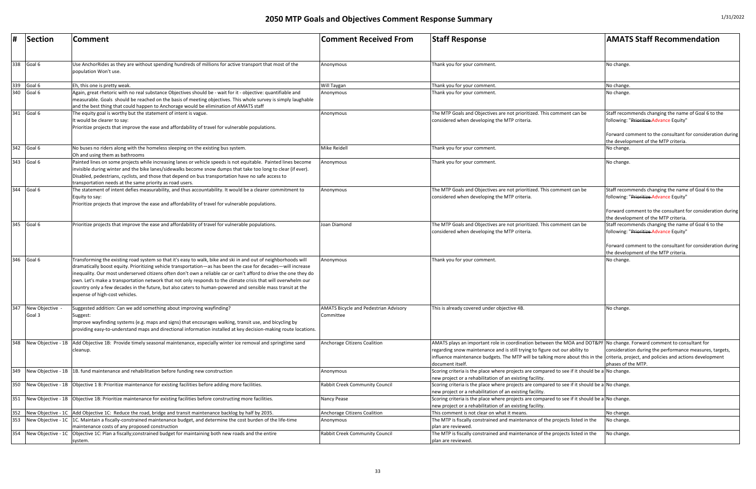| 1/31/2022 |  |
|-----------|--|
|-----------|--|

| #                 | Section                 | Comment                                                                                                                                                                                                                                                                                                                                                                                                                                                                                                                                                                                                                | <b>Comment Received From</b>                              | <b>Staff Response</b>                                                                                                                                                                                                                                                                                                                                             | <b>AMATS Staff Recommendation</b>                                                                                                                                                                   |
|-------------------|-------------------------|------------------------------------------------------------------------------------------------------------------------------------------------------------------------------------------------------------------------------------------------------------------------------------------------------------------------------------------------------------------------------------------------------------------------------------------------------------------------------------------------------------------------------------------------------------------------------------------------------------------------|-----------------------------------------------------------|-------------------------------------------------------------------------------------------------------------------------------------------------------------------------------------------------------------------------------------------------------------------------------------------------------------------------------------------------------------------|-----------------------------------------------------------------------------------------------------------------------------------------------------------------------------------------------------|
| 338               | Goal 6                  | Use AnchorRides as they are without spending hundreds of millions for active transport that most of the<br>population Won't use.                                                                                                                                                                                                                                                                                                                                                                                                                                                                                       | Anonymous                                                 | Thank you for your comment.                                                                                                                                                                                                                                                                                                                                       | No change                                                                                                                                                                                           |
|                   | Goal 6                  | Eh, this one is pretty weak.                                                                                                                                                                                                                                                                                                                                                                                                                                                                                                                                                                                           | Will Taygan                                               | Thank you for your comment.                                                                                                                                                                                                                                                                                                                                       | No change.                                                                                                                                                                                          |
| $\frac{339}{340}$ | Goal 6                  | Again, great rhetoric with no real substance Objectives should be - wait for it - objective: quantifiable and<br>measurable. Goals should be reached on the basis of meeting objectives. This whole survey is simply laughable<br>and the best thing that could happen to Anchorage would be elimination of AMATS staff                                                                                                                                                                                                                                                                                                | Anonymous                                                 | Thank you for your comment.                                                                                                                                                                                                                                                                                                                                       | No change.                                                                                                                                                                                          |
| 341               | Goal 6                  | The equity goal is worthy but the statement of intent is vague.<br>It would be clearer to say:<br>Prioritize projects that improve the ease and affordability of travel for vulnerable populations.                                                                                                                                                                                                                                                                                                                                                                                                                    | Anonymous                                                 | The MTP Goals and Objectives are not prioritized. This comment can be<br>considered when developing the MTP criteria.                                                                                                                                                                                                                                             | Staff recommends changing the name of Goal 6 to the<br>following: "Prioritize-Advance Equity"<br>Forward comment to the consultant for consideration during<br>the development of the MTP criteria. |
| 342               | Goal 6                  | No buses no riders along with the homeless sleeping on the existing bus system.<br>Oh and using them as bathrooms                                                                                                                                                                                                                                                                                                                                                                                                                                                                                                      | Mike Reidell                                              | Thank you for your comment.                                                                                                                                                                                                                                                                                                                                       | No change.                                                                                                                                                                                          |
| 343               | Goal 6                  | Painted lines on some projects while increasing lanes or vehicle speeds is not equitable. Painted lines become<br>invisible during winter and the bike lanes/sidewalks become snow dumps that take too long to clear (if ever).<br>Disabled, pedestrians, cyclists, and those that depend on bus transportation have no safe access to<br>transportation needs at the same priority as road users.                                                                                                                                                                                                                     | Anonymous                                                 | Thank you for your comment.                                                                                                                                                                                                                                                                                                                                       | No change.                                                                                                                                                                                          |
| 344               | Goal 6                  | The statement of intent defies measurability, and thus accountability. It would be a clearer commitment to<br>Equity to say:<br>Prioritize projects that improve the ease and affordability of travel for vulnerable populations.                                                                                                                                                                                                                                                                                                                                                                                      | Anonymous                                                 | The MTP Goals and Objectives are not prioritized. This comment can be<br>considered when developing the MTP criteria.                                                                                                                                                                                                                                             | Staff recommends changing the name of Goal 6 to the<br>following: "Prioritize-Advance Equity"<br>Forward comment to the consultant for consideration during<br>the development of the MTP criteria. |
| 345               | Goal 6                  | Prioritize projects that improve the ease and affordability of travel for vulnerable populations.                                                                                                                                                                                                                                                                                                                                                                                                                                                                                                                      | Joan Diamond                                              | The MTP Goals and Objectives are not prioritized. This comment can be<br>considered when developing the MTP criteria.                                                                                                                                                                                                                                             | Staff recommends changing the name of Goal 6 to the<br>following: "Prioritize-Advance Equity"<br>Forward comment to the consultant for consideration during<br>the development of the MTP criteria. |
| 346               | Goal 6                  | Transforming the existing road system so that it's easy to walk, bike and ski in and out of neighborhoods will<br>dramatically boost equity. Prioritizing vehicle transportation—as has been the case for decades—will increase<br>inequality. Our most underserved citizens often don't own a reliable car or can't afford to drive the one they do<br>own. Let's make a transportation network that not only responds to the climate crisis that will overwhelm our<br>country only a few decades in the future, but also caters to human-powered and sensible mass transit at the<br>expense of high-cost vehicles. | Anonymous                                                 | Thank you for your comment.                                                                                                                                                                                                                                                                                                                                       | No change.                                                                                                                                                                                          |
| 347               | New Objective<br>Goal 3 | Suggested addition: Can we add something about improving wayfinding?<br>Suggest:<br>Improve wayfinding systems (e.g. maps and signs) that encourages walking, transit use, and bicycling by<br>providing easy-to-understand maps and directional information installed at key decision-making route locations.                                                                                                                                                                                                                                                                                                         | <b>AMATS Bicycle and Pedestrian Advisory</b><br>Committee | This is already covered under objective 4B.                                                                                                                                                                                                                                                                                                                       | No change                                                                                                                                                                                           |
| 348               |                         | New Objective - 1B Add Objective 1B: Provide timely seasonal maintenance, especially winter ice removal and springtime sand<br>cleanup.                                                                                                                                                                                                                                                                                                                                                                                                                                                                                | <b>Anchorage Citizens Coalition</b>                       | AMATS plays an important role in coordination between the MOA and DOT&PF No change. Forward comment to consultant for<br>regarding snow maintenance and is still trying to figure out our ability to<br>influence maintenance budgets. The MTP will be talking more about this in the criteria, project, and policies and actions development<br>document itself. | consideration during the performance measures, targets,<br>phases of the MTP.                                                                                                                       |
| 349               |                         | New Objective - 1B 1B. fund maintenance and rehabilitation before funding new construction                                                                                                                                                                                                                                                                                                                                                                                                                                                                                                                             | Anonymous                                                 | Scoring criteria is the place where projects are compared to see if it should be a No change<br>new project or a rehabilitation of an existing facility.                                                                                                                                                                                                          |                                                                                                                                                                                                     |
| 350               |                         | New Objective - 1B   Objective 1 B: Prioritize maintenance for existing facilities before adding more facilities.                                                                                                                                                                                                                                                                                                                                                                                                                                                                                                      | <b>Rabbit Creek Community Council</b>                     | Scoring criteria is the place where projects are compared to see if it should be a No change.<br>new project or a rehabilitation of an existing facility.                                                                                                                                                                                                         |                                                                                                                                                                                                     |
| 351               |                         | New Objective - 1B   Objective 1B: Prioritize maintenance for existing facilities before constructing more facilities.                                                                                                                                                                                                                                                                                                                                                                                                                                                                                                 | Nancy Pease                                               | Scoring criteria is the place where projects are compared to see if it should be a No change.<br>new project or a rehabilitation of an existing facility.                                                                                                                                                                                                         |                                                                                                                                                                                                     |
| 352               |                         | New Objective - 1C Add Objective 1C: Reduce the road, bridge and transit maintenance backlog by half by 2035.                                                                                                                                                                                                                                                                                                                                                                                                                                                                                                          | Anchorage Citizens Coalition                              | This comment is not clear on what it means.                                                                                                                                                                                                                                                                                                                       | No change                                                                                                                                                                                           |
| 353               | New Objective - 1C      | 1C. Maintain a fiscally-constrained maintenance budget, and determine the cost burden of the life-time<br>maintenance costs of any proposed construction                                                                                                                                                                                                                                                                                                                                                                                                                                                               | Anonymous                                                 | The MTP is fiscally constrained and maintenance of the projects listed in the<br>plan are reviewed                                                                                                                                                                                                                                                                | No change.                                                                                                                                                                                          |
| 354               |                         | New Objective - 1C   Objective 1C: Plan a fiscally; constrained budget for maintaining both new roads and the entire<br>system.                                                                                                                                                                                                                                                                                                                                                                                                                                                                                        | <b>Rabbit Creek Community Council</b>                     | The MTP is fiscally constrained and maintenance of the projects listed in the<br>plan are reviewed                                                                                                                                                                                                                                                                | No change.                                                                                                                                                                                          |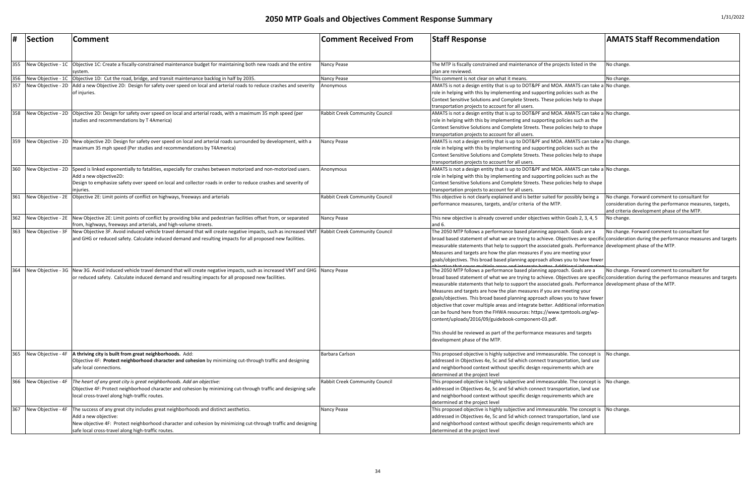| #   | Section            | <b>Comment</b>                                                                                                                                                   | <b>Comment Received From</b>          | <b>Staff Response</b>                                                                                                                     | <b>AMATS Staff Recommendation</b>                       |
|-----|--------------------|------------------------------------------------------------------------------------------------------------------------------------------------------------------|---------------------------------------|-------------------------------------------------------------------------------------------------------------------------------------------|---------------------------------------------------------|
|     |                    |                                                                                                                                                                  |                                       |                                                                                                                                           |                                                         |
| 355 |                    | New Objective - 1C   Objective 1C: Create a fiscally-constrained maintenance budget for maintaining both new roads and the entire                                | <b>Nancy Pease</b>                    | The MTP is fiscally constrained and maintenance of the projects listed in the                                                             | No change.                                              |
|     |                    | svstem                                                                                                                                                           |                                       | plan are reviewed.                                                                                                                        |                                                         |
| 356 |                    | New Objective - 1C   Objective 1D: Cut the road, bridge, and transit maintenance backlog in half by 2035.                                                        | <b>Nancy Pease</b>                    | This comment is not clear on what it means.                                                                                               | No change.                                              |
| 357 |                    | New Objective - 2D   Add a new Objective 2D: Design for safety over speed on local and arterial roads to reduce crashes and severity                             | Anonymous                             | AMATS is not a design entity that is up to DOT&PF and MOA. AMATS can take a No change.                                                    |                                                         |
|     |                    | of injuries.                                                                                                                                                     |                                       | role in helping with this by implementing and supporting policies such as the                                                             |                                                         |
|     |                    |                                                                                                                                                                  |                                       | Context Sensitive Solutions and Complete Streets. These policies help to shape                                                            |                                                         |
|     |                    |                                                                                                                                                                  |                                       | transportation projects to account for all users.                                                                                         |                                                         |
| 358 |                    | New Objective - 2D   Objective 2D: Design for safety over speed on local and arterial roads, with a maximum 35 mph speed (per                                    | <b>Rabbit Creek Community Council</b> | AMATS is not a design entity that is up to DOT&PF and MOA. AMATS can take a No change.                                                    |                                                         |
|     |                    | studies and recommendations by T 4America)                                                                                                                       |                                       | role in helping with this by implementing and supporting policies such as the                                                             |                                                         |
|     |                    |                                                                                                                                                                  |                                       | Context Sensitive Solutions and Complete Streets. These policies help to shape                                                            |                                                         |
|     |                    |                                                                                                                                                                  |                                       | transportation projects to account for all users.                                                                                         |                                                         |
| 359 |                    | New Objective - 2D New objective 2D: Design for safety over speed on local and arterial roads surrounded by development, with a                                  | Nancy Pease                           | AMATS is not a design entity that is up to DOT&PF and MOA. AMATS can take a No change.                                                    |                                                         |
|     |                    | maximum 35 mph speed (Per studies and recommendations by T4America)                                                                                              |                                       | role in helping with this by implementing and supporting policies such as the                                                             |                                                         |
|     |                    |                                                                                                                                                                  |                                       | Context Sensitive Solutions and Complete Streets. These policies help to shape                                                            |                                                         |
|     |                    |                                                                                                                                                                  |                                       | transportation projects to account for all users.                                                                                         |                                                         |
| 360 |                    | New Objective - 2D Speed is linked exponentially to fatalities, especially for crashes between motorized and non-motorized users.                                | Anonymous                             | AMATS is not a design entity that is up to DOT&PF and MOA. AMATS can take a No change.                                                    |                                                         |
|     |                    | Add a new objective2D:                                                                                                                                           |                                       | role in helping with this by implementing and supporting policies such as the                                                             |                                                         |
|     |                    | Design to emphasize safety over speed on local and collector roads in order to reduce crashes and severity of                                                    |                                       | Context Sensitive Solutions and Complete Streets. These policies help to shape                                                            |                                                         |
|     |                    | iniuries                                                                                                                                                         |                                       | transportation projects to account for all users.                                                                                         |                                                         |
| 361 |                    | New Objective - 2E Objective 2E: Limit points of conflict on highways, freeways and arterials                                                                    | <b>Rabbit Creek Community Council</b> | This objective is not clearly explained and is better suited for possibly being a                                                         | No change. Forward comment to consultant for            |
|     |                    |                                                                                                                                                                  |                                       | performance measures, targets, and/or criteria of the MTP.                                                                                | consideration during the performance measures, targets, |
|     |                    |                                                                                                                                                                  |                                       |                                                                                                                                           | and criteria development phase of the MTP.              |
| 362 |                    | New Objective - 2E New Objective 2E: Limit points of conflict by providing bike and pedestrian facilities offset from, or separated                              | Nancy Pease                           | This new objective is already covered under objectives within Goals 2, 3, 4, 5                                                            | No change.                                              |
|     |                    | from, highways, freeways and arterials, and high-volume streets.                                                                                                 |                                       | and $6.$                                                                                                                                  |                                                         |
| 363 |                    | New Objective - 3F New Objective 3F. Avoid induced vehicle travel demand that will create negative impacts, such as increased VMT Rabbit Creek Community Council |                                       | The 2050 MTP follows a performance based planning approach. Goals are a                                                                   | No change. Forward comment to consultant for            |
|     |                    | and GHG or reduced safety. Calculate induced demand and resulting impacts for all proposed new facilities.                                                       |                                       | broad based statement of what we are trying to achieve. Objectives are specific consideration during the performance measures and targets |                                                         |
|     |                    |                                                                                                                                                                  |                                       | measurable statements that help to support the associated goals. Performance development phase of the MTP.                                |                                                         |
|     |                    |                                                                                                                                                                  |                                       | Measures and targets are how the plan measures if you are meeting your                                                                    |                                                         |
|     |                    |                                                                                                                                                                  |                                       | goals/objectives. This broad based planning approach allows you to have fewer                                                             |                                                         |
| 364 |                    | New Objective - 3G New 3G. Avoid induced vehicle travel demand that will create negative impacts, such as increased VMT and GHG Nancy Pease                      |                                       | The 2050 MTP follows a performance based planning approach. Goals are a                                                                   | No change. Forward comment to consultant for            |
|     |                    | or reduced safety. Calculate induced demand and resulting impacts for all proposed new facilities.                                                               |                                       | broad based statement of what we are trying to achieve. Objectives are specific consideration during the performance measures and targets |                                                         |
|     |                    |                                                                                                                                                                  |                                       | measurable statements that help to support the associated goals. Performance development phase of the MTP.                                |                                                         |
|     |                    |                                                                                                                                                                  |                                       | Measures and targets are how the plan measures if you are meeting your                                                                    |                                                         |
|     |                    |                                                                                                                                                                  |                                       | goals/objectives. This broad based planning approach allows you to have fewer                                                             |                                                         |
|     |                    |                                                                                                                                                                  |                                       | objective that cover multiple areas and integrate better. Additional information                                                          |                                                         |
|     |                    |                                                                                                                                                                  |                                       | can be found here from the FHWA resources: https://www.tpmtools.org/wp-                                                                   |                                                         |
|     |                    |                                                                                                                                                                  |                                       | content/uploads/2016/09/guidebook-component-03.pdf.                                                                                       |                                                         |
|     |                    |                                                                                                                                                                  |                                       |                                                                                                                                           |                                                         |
|     |                    |                                                                                                                                                                  |                                       | This should be reviewed as part of the performance measures and targets                                                                   |                                                         |
|     |                    |                                                                                                                                                                  |                                       | development phase of the MTP.                                                                                                             |                                                         |
|     |                    |                                                                                                                                                                  |                                       |                                                                                                                                           |                                                         |
| 365 | New Objective - 4F | A thriving city is built from great neighborhoods. Add:                                                                                                          | Barbara Carlson                       | This proposed objective is highly subjective and immeasurable. The concept is No change.                                                  |                                                         |
|     |                    | Objective 4F: Protect neighborhood character and cohesion by minimizing cut-through traffic and designing                                                        |                                       | addressed in Objectives 4e, 5c and 5d which connect transportation, land use                                                              |                                                         |
|     |                    | safe local connections.                                                                                                                                          |                                       | and neighborhood context without specific design requirements which are                                                                   |                                                         |
|     |                    |                                                                                                                                                                  |                                       | determined at the project level                                                                                                           |                                                         |
| 366 | New Objective - 4F | The heart of any great city is great neighborhoods. Add an objective:                                                                                            | Rabbit Creek Community Council        | This proposed objective is highly subjective and immeasurable. The concept is $\vert$ No change.                                          |                                                         |
|     |                    | Objective 4F: Protect neighborhood character and cohesion by minimizing cut-through traffic and designing safe                                                   |                                       | addressed in Objectives 4e, 5c and 5d which connect transportation, land use                                                              |                                                         |
|     |                    | local cross-travel along high-traffic routes.                                                                                                                    |                                       | and neighborhood context without specific design requirements which are<br>determined at the project level                                |                                                         |
| 367 | New Objective - 4F | The success of any great city includes great neighborhoods and distinct aesthetics.                                                                              | Nancy Pease                           | This proposed objective is highly subjective and immeasurable. The concept is $\vert$ No change.                                          |                                                         |
|     |                    | Add a new objective:                                                                                                                                             |                                       | addressed in Objectives 4e, 5c and 5d which connect transportation, land use                                                              |                                                         |
|     |                    | New objective 4F: Protect neighborhood character and cohesion by minimizing cut-through traffic and designing                                                    |                                       | and neighborhood context without specific design requirements which are                                                                   |                                                         |
|     |                    | safe local cross-travel along high-traffic routes.                                                                                                               |                                       | determined at the project level                                                                                                           |                                                         |
|     |                    |                                                                                                                                                                  |                                       |                                                                                                                                           |                                                         |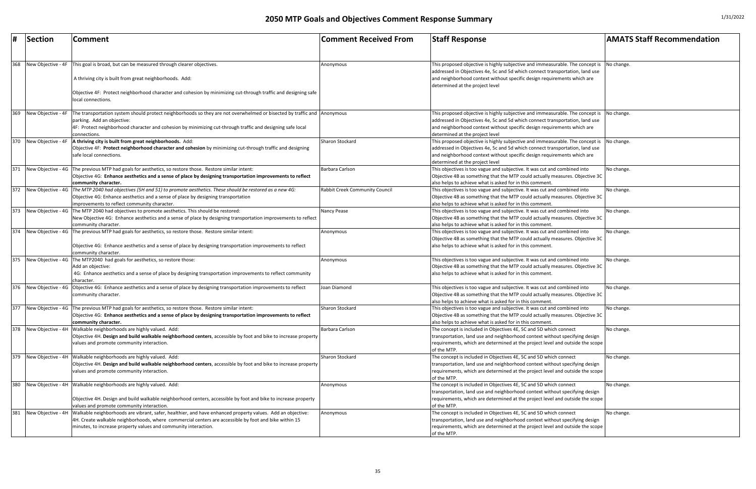| #   | Section            | <b>Comment</b>                                                                                                                                                                                                                                                                                              | <b>Comment Received From</b>   | <b>Staff Response</b>                                                                                                                                                                                                                                                                          | <b>AMATS Staff Recommendation</b> |
|-----|--------------------|-------------------------------------------------------------------------------------------------------------------------------------------------------------------------------------------------------------------------------------------------------------------------------------------------------------|--------------------------------|------------------------------------------------------------------------------------------------------------------------------------------------------------------------------------------------------------------------------------------------------------------------------------------------|-----------------------------------|
|     |                    |                                                                                                                                                                                                                                                                                                             |                                |                                                                                                                                                                                                                                                                                                |                                   |
| 368 | New Objective - 4F | This goal is broad, but can be measured through clearer objectives.                                                                                                                                                                                                                                         | Anonymous                      | This proposed objective is highly subjective and immeasurable. The concept is $\Box$ No change.                                                                                                                                                                                                |                                   |
|     |                    | A thriving city is built from great neighborhoods. Add:                                                                                                                                                                                                                                                     |                                | addressed in Objectives 4e, 5c and 5d which connect transportation, land use<br>and neighborhood context without specific design requirements which are<br>determined at the project level                                                                                                     |                                   |
|     |                    | Objective 4F: Protect neighborhood character and cohesion by minimizing cut-through traffic and designing safe<br>local connections.                                                                                                                                                                        |                                |                                                                                                                                                                                                                                                                                                |                                   |
| 369 | New Objective - 4F | The transportation system should protect neighborhoods so they are not overwhelmed or bisected by traffic and Anonymous<br>parking. Add an objective:<br>4F: Protect neighborhood character and cohesion by minimizing cut-through traffic and designing safe local<br>connections.                         |                                | This proposed objective is highly subjective and immeasurable. The concept is No change.<br>addressed in Objectives 4e, 5c and 5d which connect transportation, land use<br>and neighborhood context without specific design requirements which are<br>determined at the project level         |                                   |
| 370 | New Objective - 4F | A thriving city is built from great neighborhoods. Add:<br>Objective 4F: Protect neighborhood character and cohesion by minimizing cut-through traffic and designing<br>safe local connections.                                                                                                             | Sharon Stockard                | This proposed objective is highly subjective and immeasurable. The concept is $\vert$ No change.<br>addressed in Objectives 4e, 5c and 5d which connect transportation, land use<br>and neighborhood context without specific design requirements which are<br>determined at the project level |                                   |
| 371 |                    | New Objective - 4G The previous MTP had goals for aesthetics, so restore those. Restore similar intent:<br>Objective 4G: Enhance aesthetics and a sense of place by designing transportation improvements to reflect<br>community character.                                                                | Barbara Carlson                | This objectives is too vague and subjective. It was cut and combined into<br>Objective 4B as something that the MTP could actually measures. Objective 3C<br>also helps to achieve what is asked for in this comment.                                                                          | No change.                        |
| 372 |                    | New Objective - 4G The MTP 2040 had objectives (5H and 51) to promote aesthetics. These should be restored as a new 4G:<br>Objective 4G: Enhance aesthetics and a sense of place by designing transportation<br>improvements to reflect community character.                                                | Rabbit Creek Community Council | This objectives is too vague and subjective. It was cut and combined into<br>Objective 4B as something that the MTP could actually measures. Objective 3C<br>also helps to achieve what is asked for in this comment.                                                                          | No change.                        |
| 373 |                    | New Objective - 4G The MTP 2040 had objectives to promote aesthetics. This should be restored:<br>New Objective 4G: Enhance aesthetics and a sense of place by designing transportation improvements to reflect<br>community character.                                                                     | Nancy Pease                    | This objectives is too vague and subjective. It was cut and combined into<br>Objective 4B as something that the MTP could actually measures. Objective 3C<br>also helps to achieve what is asked for in this comment.                                                                          | No change.                        |
| 374 |                    | New Objective - 4G The previous MTP had goals for aesthetics, so restore those. Restore similar intent:<br>Objective 4G: Enhance aesthetics and a sense of place by designing transportation improvements to reflect<br>community character.                                                                | Anonymous                      | This objectives is too vague and subjective. It was cut and combined into<br>Objective 4B as something that the MTP could actually measures. Objective 3C<br>also helps to achieve what is asked for in this comment.                                                                          | No change.                        |
| 375 |                    | New Objective - 4G   The MTP2040 had goals for aesthetics, so restore those:<br>Add an objective:<br>4G: Enhance aesthetics and a sense of place by designing transportation improvements to reflect community<br>character.                                                                                | Anonymous                      | This objectives is too vague and subjective. It was cut and combined into<br>Objective 4B as something that the MTP could actually measures. Objective 3C<br>also helps to achieve what is asked for in this comment.                                                                          | No change.                        |
| 376 |                    | New Objective - 4G   Objective 4G: Enhance aesthetics and a sense of place by designing transportation improvements to reflect<br>community character.                                                                                                                                                      | Joan Diamond                   | This objectives is too vague and subjective. It was cut and combined into<br>Objective 4B as something that the MTP could actually measures. Objective 3C<br>also helps to achieve what is asked for in this comment.                                                                          | No change.                        |
| 377 |                    | New Objective - 4G The previous MTP had goals for aesthetics, so restore those. Restore similar intent:<br>Objective 4G: Enhance aesthetics and a sense of place by designing transportation improvements to reflect<br>community character.                                                                | Sharon Stockard                | This objectives is too vague and subjective. It was cut and combined into<br>Objective 4B as something that the MTP could actually measures. Objective 3C<br>also helps to achieve what is asked for in this comment.                                                                          | No change.                        |
| 378 | New Objective - 4H | Walkable neighborhoods are highly valued. Add:<br>Objective 4H. Design and build walkable neighborhood centers, accessible by foot and bike to increase property<br>values and promote community interaction.                                                                                               | Barbara Carlson                | The concept is included in Objectives 4E, 5C and 5D which connect<br>transportation, land use and neighborhood context without specifying design<br>requirements, which are determined at the project level and outside the scope<br>of the MTP.                                               | No change.                        |
| 379 |                    | New Objective - 4H Walkable neighborhoods are highly valued. Add:<br>Objective 4H. Design and build walkable neighborhood centers, accessible by foot and bike to increase property<br>values and promote community interaction.                                                                            | Sharon Stockard                | The concept is included in Objectives 4E, 5C and 5D which connect<br>transportation, land use and neighborhood context without specifying design<br>requirements, which are determined at the project level and outside the scope<br>of the MTP.                                               | No change.                        |
| 380 |                    | New Objective - 4H   Walkable neighborhoods are highly valued. Add:<br>Objective 4H. Design and build walkable neighborhood centers, accessible by foot and bike to increase property<br>values and promote community interaction.                                                                          | Anonymous                      | The concept is included in Objectives 4E, 5C and 5D which connect<br>transportation, land use and neighborhood context without specifying design<br>requirements, which are determined at the project level and outside the scope<br>of the MTP.                                               | No change.                        |
| 381 |                    | New Objective - 4H   Walkable neighborhoods are vibrant, safer, healthier, and have enhanced property values. Add an objective:<br>4H. Create walkable neighborhoods, where commercial centers are accessible by foot and bike within 15<br>minutes, to increase property values and community interaction. | Anonymous                      | The concept is included in Objectives 4E, 5C and 5D which connect<br>transportation, land use and neighborhood context without specifying design<br>requirements, which are determined at the project level and outside the scope<br>of the MTP.                                               | No change.                        |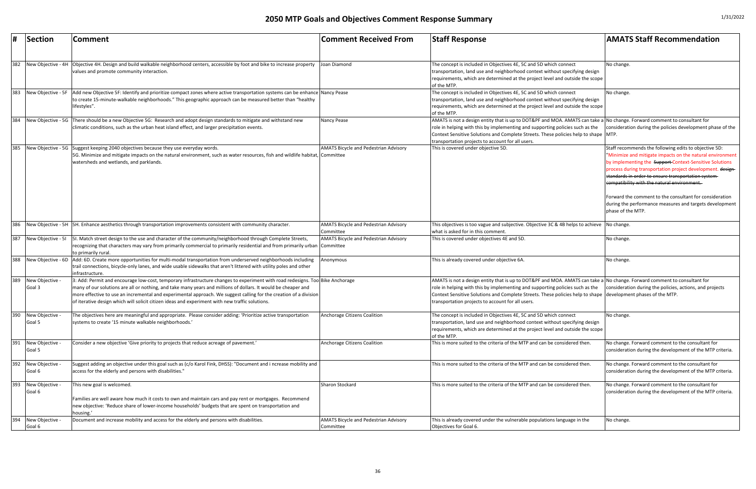|     | Section                 | Comment                                                                                                                                                                                                                                                                                                                                                                                                                                                                 | <b>Comment Received From</b>                              | <b>Staff Response</b>                                                                                                                                                                                                                                                                                                                                                           | <b>AMATS Staff Recommendation</b>                                                                                                                                                                                                                                                                                                                                                                                                                                                            |
|-----|-------------------------|-------------------------------------------------------------------------------------------------------------------------------------------------------------------------------------------------------------------------------------------------------------------------------------------------------------------------------------------------------------------------------------------------------------------------------------------------------------------------|-----------------------------------------------------------|---------------------------------------------------------------------------------------------------------------------------------------------------------------------------------------------------------------------------------------------------------------------------------------------------------------------------------------------------------------------------------|----------------------------------------------------------------------------------------------------------------------------------------------------------------------------------------------------------------------------------------------------------------------------------------------------------------------------------------------------------------------------------------------------------------------------------------------------------------------------------------------|
| 382 |                         | New Objective - 4H Objective 4H. Design and build walkable neighborhood centers, accessible by foot and bike to increase property<br>values and promote community interaction.                                                                                                                                                                                                                                                                                          | Joan Diamond                                              | The concept is included in Objectives 4E, 5C and 5D which connect<br>transportation, land use and neighborhood context without specifying design<br>requirements, which are determined at the project level and outside the scope<br>of the MTP.                                                                                                                                | No change.                                                                                                                                                                                                                                                                                                                                                                                                                                                                                   |
| 383 |                         | New Objective - 5F   Add new Objective 5F: Identify and prioritize compact zones where active transportation systems can be enhance   Nancy Pease<br>to create 15-minute-walkable neighborhoods." This geographic approach can be measured better than "healthy<br>lifestyles".                                                                                                                                                                                         |                                                           | The concept is included in Objectives 4E, 5C and 5D which connect<br>transportation, land use and neighborhood context without specifying design<br>requirements, which are determined at the project level and outside the scope<br>of the MTP.                                                                                                                                | No change.                                                                                                                                                                                                                                                                                                                                                                                                                                                                                   |
| 384 |                         | New Objective - 5G There should be a new Objective 5G: Research and adopt design standards to mitigate and withstand new<br>climatic conditions, such as the urban heat island effect, and larger precipitation events.                                                                                                                                                                                                                                                 | Nancy Pease                                               | AMATS is not a design entity that is up to DOT&PF and MOA. AMATS can take a No change. Forward comment to consultant for<br>role in helping with this by implementing and supporting policies such as the<br>Context Sensitive Solutions and Complete Streets. These policies help to shape MTP.<br>transportation projects to account for all users.                           | consideration during the policies development phase of the                                                                                                                                                                                                                                                                                                                                                                                                                                   |
| 385 |                         | New Objective - 5G Suggest keeping 2040 objectives because they use everyday words.<br>5G. Minimize and mitigate impacts on the natural environment, such as water resources, fish and wildlife habitat, Committee<br>watersheds and wetlands, and parklands.                                                                                                                                                                                                           | <b>AMATS Bicycle and Pedestrian Advisory</b>              | This is covered under objective 5D.                                                                                                                                                                                                                                                                                                                                             | Staff recommends the following edits to objective 5D:<br>"Minimize and mitigate impacts on the natural environment<br>by implementing the Support-Context-Sensitive Solutions<br>process during transportation project development. design-<br>standards in order to ensure transportation system-<br>compatibility with the natural environment.<br>Forward the comment to the consultant for consideration<br>during the performance measures and targets development<br>phase of the MTP. |
| 386 |                         | New Objective - 5H 5H. Enhance aesthetics through transportation improvements consistent with community character.                                                                                                                                                                                                                                                                                                                                                      | <b>AMATS Bicycle and Pedestrian Advisory</b><br>Committee | This objectives is too vague and subjective. Objective 3C & 4B helps to achieve No change.<br>what is asked for in this comment                                                                                                                                                                                                                                                 |                                                                                                                                                                                                                                                                                                                                                                                                                                                                                              |
| 387 | New Objective - 51      | 5I. Match street design to the use and character of the community/neighborhood through Complete Streets,<br>recognizing that characters may vary from primarily commercial to primarily residential and from primarily urban<br>to primarily rural.                                                                                                                                                                                                                     | <b>AMATS Bicycle and Pedestrian Advisory</b><br>Committee | This is covered under objectives 4E and 5D.                                                                                                                                                                                                                                                                                                                                     | No change.                                                                                                                                                                                                                                                                                                                                                                                                                                                                                   |
| 388 | New Objective - 6D      | Add: 6D. Create more opportunities for multi-modal transportation from underserved neighborhoods including<br>trail connections, bicycle-only lanes, and wide usable sidewalks that aren't littered with utility poles and other<br>infrastructure.                                                                                                                                                                                                                     | Anonymous                                                 | This is already covered under objective 6A.                                                                                                                                                                                                                                                                                                                                     | No change.                                                                                                                                                                                                                                                                                                                                                                                                                                                                                   |
| 389 | New Objective<br>Goal 3 | 3: Add: Permit and encourage low-cost, temporary infrastructure changes to experiment with road redesigns. Too Bike Anchorage<br>many of our solutions are all or nothing, and take many years and millions of dollars. It would be cheaper and<br>more effective to use an incremental and experimental approach. We suggest calling for the creation of a division<br>of iterative design which will solicit citizen ideas and experiment with new traffic solutions. |                                                           | AMATS is not a design entity that is up to DOT&PF and MOA. AMATS can take a No change. Forward comment to consultant for<br>role in helping with this by implementing and supporting policies such as the<br>Context Sensitive Solutions and Complete Streets. These policies help to shape development phases of the MTP.<br>transportation projects to account for all users. | consideration during the policies, actions, and projects                                                                                                                                                                                                                                                                                                                                                                                                                                     |
| 390 | New Objective<br>Goal 5 | The objectives here are meaningful and appropriate. Please consider adding: 'Prioritize active transportation'<br>systems to create '15 minute walkable neighborhoods.'                                                                                                                                                                                                                                                                                                 | Anchorage Citizens Coalition                              | The concept is included in Objectives 4E, 5C and 5D which connect<br>transportation, land use and neighborhood context without specifying design<br>requirements, which are determined at the project level and outside the scope<br>of the MTP.                                                                                                                                | No change.                                                                                                                                                                                                                                                                                                                                                                                                                                                                                   |
| 391 | New Objective<br>Goal 5 | Consider a new objective 'Give priority to projects that reduce acreage of pavement.'                                                                                                                                                                                                                                                                                                                                                                                   | Anchorage Citizens Coalition                              | This is more suited to the criteria of the MTP and can be considered then.                                                                                                                                                                                                                                                                                                      | No change. Forward comment to the consultant for<br>consideration during the development of the MTP criteria.                                                                                                                                                                                                                                                                                                                                                                                |
| 392 | New Objective<br>Goal 6 | Suggest adding an objective under this goal such as (c/o Karol Fink, DHSS): "Document and i ncrease mobility and<br>access for the elderly and persons with disabilities.'                                                                                                                                                                                                                                                                                              |                                                           | This is more suited to the criteria of the MTP and can be considered then.                                                                                                                                                                                                                                                                                                      | No change. Forward comment to the consultant for<br>consideration during the development of the MTP criteria.                                                                                                                                                                                                                                                                                                                                                                                |
| 393 | New Objective<br>Goal 6 | This new goal is welcomed.<br>Families are well aware how much it costs to own and maintain cars and pay rent or mortgages. Recommend<br>new objective: 'Reduce share of lower-income households' budgets that are spent on transportation and<br>housing.                                                                                                                                                                                                              | Sharon Stockard                                           | This is more suited to the criteria of the MTP and can be considered then.                                                                                                                                                                                                                                                                                                      | No change. Forward comment to the consultant for<br>consideration during the development of the MTP criteria.                                                                                                                                                                                                                                                                                                                                                                                |
| 394 | New Objective<br>Goal 6 | Document and increase mobility and access for the elderly and persons with disabilities.                                                                                                                                                                                                                                                                                                                                                                                | <b>AMATS Bicycle and Pedestrian Advisory</b><br>Committee | This is already covered under the vulnerable populations language in the<br>Objectives for Goal 6.                                                                                                                                                                                                                                                                              | No change.                                                                                                                                                                                                                                                                                                                                                                                                                                                                                   |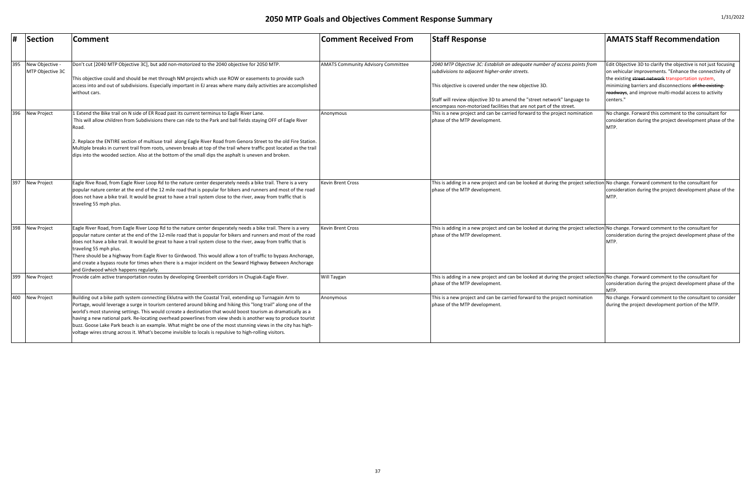| 1/31/2022 |
|-----------|
|-----------|

| $\sharp$ | Section                             | <b>Comment</b>                                                                                                                                                                                                                                                                                                                                                                                                                                                                                                                                                                                                                                                                              | <b>Comment Received From</b>              | <b>Staff Response</b>                                                                                                                                                                                                                                                                                                                   | <b>AMATS Staff Recommendation</b>                                                                                                                                                                                                                                                                                |
|----------|-------------------------------------|---------------------------------------------------------------------------------------------------------------------------------------------------------------------------------------------------------------------------------------------------------------------------------------------------------------------------------------------------------------------------------------------------------------------------------------------------------------------------------------------------------------------------------------------------------------------------------------------------------------------------------------------------------------------------------------------|-------------------------------------------|-----------------------------------------------------------------------------------------------------------------------------------------------------------------------------------------------------------------------------------------------------------------------------------------------------------------------------------------|------------------------------------------------------------------------------------------------------------------------------------------------------------------------------------------------------------------------------------------------------------------------------------------------------------------|
| 395      | New Objective -<br>MTP Objective 3C | Don't cut [2040 MTP Objective 3C], but add non-motorized to the 2040 objective for 2050 MTP.<br>This objective could and should be met through NM projects which use ROW or easements to provide such<br>access into and out of subdivisions. Especially important in EJ areas where many daily activities are accomplished<br>without cars.                                                                                                                                                                                                                                                                                                                                                | <b>AMATS Community Advisory Committee</b> | 2040 MTP Objective 3C: Establish an adequate number of access points from<br>subdivisions to adjacent higher-order streets.<br>This objective is covered under the new objective 3D.<br>Staff will review objective 3D to amend the "street network" language to<br>encompass non-motorized facilities that are not part of the street. | Edit Objective 3D to clarify the objective is not just focusing<br>on vehicular improvements. "Enhance the connectivity of<br>the existing street network transportation system,<br>minimizing barriers and disconnections of the existing-<br>Foadways, and improve multi-modal access to activity<br>centers." |
| 396      | New Project                         | 1 Extend the Bike trail on N side of ER Road past its current terminus to Eagle River Lane.<br>This will allow children from Subdivisions there can ride to the Park and ball fields staying OFF of Eagle River<br>Road<br>Replace the ENTIRE section of multiuse trail along Eagle River Road from Genora Street to the old Fire Station.<br>Multiple breaks in current trail from roots, uneven breaks at top of the trail where traffic post located as the trail<br>dips into the wooded section. Also at the bottom of the small dips the asphalt is uneven and broken.                                                                                                                | Anonymous                                 | This is a new project and can be carried forward to the project nomination<br>phase of the MTP development.                                                                                                                                                                                                                             | No change. Forward this comment to the consultant for<br>consideration during the project development phase of the<br>MTP.                                                                                                                                                                                       |
| 397      | New Project                         | Eagle Rive Road, from Eagle River Loop Rd to the nature center desperately needs a bike trail. There is a very<br>popular nature center at the end of the 12 mile road that is popular for bikers and runners and most of the road<br>does not have a bike trail. It would be great to have a trail system close to the river, away from traffic that is<br>traveling 55 mph plus.                                                                                                                                                                                                                                                                                                          | Kevin Brent Cross                         | This is adding in a new project and can be looked at during the project selection No change. Forward comment to the consultant for<br>phase of the MTP development.                                                                                                                                                                     | consideration during the project development phase of the<br><b>MTP</b>                                                                                                                                                                                                                                          |
| 398      | New Project                         | Eagle River Road, from Eagle River Loop Rd to the nature center desperately needs a bike trail. There is a very<br>popular nature center at the end of the 12-mile road that is popular for bikers and runners and most of the road<br>does not have a bike trail. It would be great to have a trail system close to the river, away from traffic that is<br>traveling 55 mph plus.<br>There should be a highway from Eagle River to Girdwood. This would allow a ton of traffic to bypass Anchorage,<br>and create a bypass route for times when there is a major incident on the Seward Highway Between Anchorage<br>and Girdwood which happens regularly.                                | <b>Kevin Brent Cross</b>                  | This is adding in a new project and can be looked at during the project selection No change. Forward comment to the consultant for<br>phase of the MTP development.                                                                                                                                                                     | consideration during the project development phase of the<br><b>MTP</b>                                                                                                                                                                                                                                          |
| 399      | New Project                         | Provide calm active transportation routes by developing Greenbelt corridors in Chugiak-Eagle River.                                                                                                                                                                                                                                                                                                                                                                                                                                                                                                                                                                                         | Will Taygan                               | This is adding in a new project and can be looked at during the project selection No change. Forward comment to the consultant for<br>phase of the MTP development.                                                                                                                                                                     | consideration during the project development phase of the<br>MTP.                                                                                                                                                                                                                                                |
| 400      | New Project                         | Building out a bike path system connecting Eklutna with the Coastal Trail, extending up Turnagain Arm to<br>Portage, would leverage a surge in tourism centered around biking and hiking this "long trail" along one of the<br>world's most stunning settings. This would ccreate a destination that would boost tourism as dramatically as a<br>having a new national park. Re-locating overhead powerlines from view sheds is another way to produce tourist<br>buzz. Goose Lake Park beach is an example. What might be one of the most stunning views in the city has high-<br>voltage wires strung across it. What's become invisible to locals is repulsive to high-rolling visitors. | Anonymous                                 | This is a new project and can be carried forward to the project nomination<br>phase of the MTP development.                                                                                                                                                                                                                             | No change. Forward comment to the consultant to consider<br>during the project development portion of the MTP.                                                                                                                                                                                                   |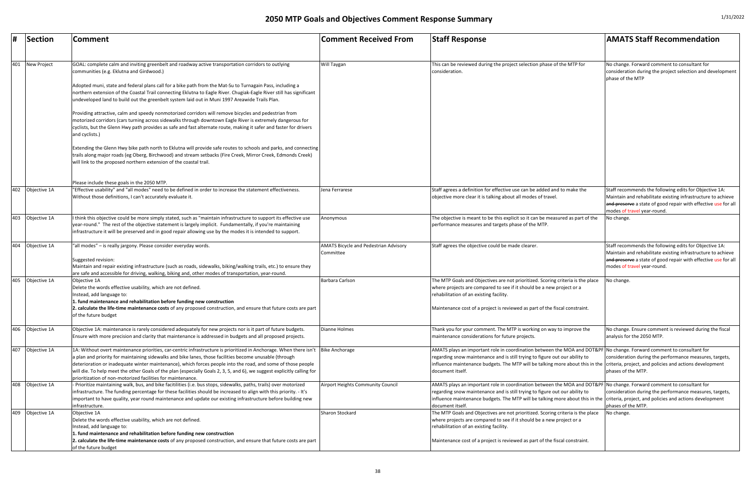| #   | Section      | <b>Comment</b>                                                                                                                                                                                                                                                                                                                                                                                                                                                                                                                                          | <b>Comment Received From</b>                              | <b>Staff Response</b>                                                                                                                                                                                                                                                                                                                                           | <b>AMATS Staff Recommendation</b>                                                                                                                                                                      |
|-----|--------------|---------------------------------------------------------------------------------------------------------------------------------------------------------------------------------------------------------------------------------------------------------------------------------------------------------------------------------------------------------------------------------------------------------------------------------------------------------------------------------------------------------------------------------------------------------|-----------------------------------------------------------|-----------------------------------------------------------------------------------------------------------------------------------------------------------------------------------------------------------------------------------------------------------------------------------------------------------------------------------------------------------------|--------------------------------------------------------------------------------------------------------------------------------------------------------------------------------------------------------|
|     |              |                                                                                                                                                                                                                                                                                                                                                                                                                                                                                                                                                         |                                                           |                                                                                                                                                                                                                                                                                                                                                                 |                                                                                                                                                                                                        |
| 401 | New Project  | GOAL: complete calm and inviting greenbelt and roadway active transportation corridors to outlying<br>communities (e.g. Eklutna and Girdwood.)                                                                                                                                                                                                                                                                                                                                                                                                          | <b>Will Taygan</b>                                        | This can be reviewed during the project selection phase of the MTP for<br>consideration.                                                                                                                                                                                                                                                                        | No change. Forward comment to consultant for<br>consideration during the project selection and devel<br>phase of the MTP                                                                               |
|     |              | Adopted muni, state and federal plans call for a bike path from the Mat-Su to Turnagain Pass, including a<br>northern extension of the Coastal Trail connecting Eklutna to Eagle River. Chugiak-Eagle River still has significant<br>undeveloped land to build out the greenbelt system laid out in Muni 1997 Areawide Trails Plan.                                                                                                                                                                                                                     |                                                           |                                                                                                                                                                                                                                                                                                                                                                 |                                                                                                                                                                                                        |
|     |              | Providing attractive, calm and speedy nonmotorized corridors will remove bicycles and pedestrian from<br>motorized corridors (cars turning across sidewalks through downtown Eagle River is extremely dangerous for<br>cyclists, but the Glenn Hwy path provides as safe and fast alternate route, making it safer and faster for drivers<br>and cyclists.)                                                                                                                                                                                             |                                                           |                                                                                                                                                                                                                                                                                                                                                                 |                                                                                                                                                                                                        |
|     |              | Extending the Glenn Hwy bike path north to Eklutna will provide safe routes to schools and parks, and connecting<br>trails along major roads (eg Oberg, Birchwood) and stream setbacks (Fire Creek, Mirror Creek, Edmonds Creek)<br>will link to the proposed northern extension of the coastal trail.                                                                                                                                                                                                                                                  |                                                           |                                                                                                                                                                                                                                                                                                                                                                 |                                                                                                                                                                                                        |
|     |              | Please include these goals in the 2050 MTP.                                                                                                                                                                                                                                                                                                                                                                                                                                                                                                             |                                                           |                                                                                                                                                                                                                                                                                                                                                                 |                                                                                                                                                                                                        |
| 402 | Objective 1A | "Effective usability" and "all modes" need to be defined in order to increase the statement effectiveness.<br>Without those definitions, I can't accurately evaluate it.                                                                                                                                                                                                                                                                                                                                                                                | Jena Ferrarese                                            | Staff agrees a definition for effective use can be added and to make the<br>objective more clear it is talking about all modes of travel.                                                                                                                                                                                                                       | Staff recommends the following edits for Objective :<br>Maintain and rehabilitate existing infrastructure to a<br>and preserve a state of good repair with effective us<br>modes of travel year-round. |
| 403 | Objective 1A | I think this objective could be more simply stated, such as "maintain infrastructure to support its effective use<br>year-round." The rest of the objective statement is largely implicit. Fundamentally, if you're maintaining<br>infrastructure it will be preserved and in good repair allowing use by the modes it is intended to support.                                                                                                                                                                                                          | Anonymous                                                 | The objective is meant to be this explicit so it can be measured as part of the<br>performance measures and targets phase of the MTP.                                                                                                                                                                                                                           | No change.                                                                                                                                                                                             |
| 404 | Objective 1A | "all modes" - is really jargony. Please consider everyday words.<br>Suggested revision:<br>Maintain and repair existing infrastructure (such as roads, sidewalks, biking/walking trails, etc.) to ensure they                                                                                                                                                                                                                                                                                                                                           | <b>AMATS Bicycle and Pedestrian Advisory</b><br>Committee | Staff agrees the objective could be made clearer.                                                                                                                                                                                                                                                                                                               | Staff recommends the following edits for Objective :<br>Maintain and rehabilitate existing infrastructure to a<br>and preserve a state of good repair with effective us<br>modes of travel year-round. |
|     |              | are safe and accessible for driving, walking, biking and, other modes of transportation, year-round.                                                                                                                                                                                                                                                                                                                                                                                                                                                    |                                                           |                                                                                                                                                                                                                                                                                                                                                                 |                                                                                                                                                                                                        |
| 405 | Objective 1A | Objective 1A<br>Delete the words effective usability, which are not defined.<br>Instead, add language to:<br>1. fund maintenance and rehabilitation before funding new construction                                                                                                                                                                                                                                                                                                                                                                     | Barbara Carlson                                           | The MTP Goals and Objectives are not prioritized. Scoring criteria is the place<br>where projects are compared to see if it should be a new project or a<br>rehabilitation of an existing facility.                                                                                                                                                             | No change.                                                                                                                                                                                             |
|     |              | 2. calculate the life-time maintenance costs of any proposed construction, and ensure that future costs are part<br>of the future budget                                                                                                                                                                                                                                                                                                                                                                                                                |                                                           | Maintenance cost of a project is reviewed as part of the fiscal constraint.                                                                                                                                                                                                                                                                                     |                                                                                                                                                                                                        |
| 406 | Objective 1A | Objective 1A: maintenance is rarely considered adequately for new projects nor is it part of future budgets.<br>Ensure with more precision and clarity that maintenance is addressed in budgets and all proposed projects.                                                                                                                                                                                                                                                                                                                              | <b>Dianne Holmes</b>                                      | Thank you for your comment. The MTP is working on way to improve the<br>maintenance considerations for future projects.                                                                                                                                                                                                                                         | No change. Ensure comment is reviewed during the<br>analysis for the 2050 MTP.                                                                                                                         |
| 407 | Objective 1A | 1A: Without overt maintenance priorities, car-centric infrastructure is prioritized in Anchorage. When there isn't  Bike Anchorage<br>a plan and priority for maintaining sidewalks and bike lanes, those facilities become unusable (through<br>deterioration or inadequate winter maintenance), which forces people into the road, and some of those people<br>will die. To help meet the other Goals of the plan (especially Goals 2, 3, 5, and 6), we suggest explicitly calling for<br>prioritization of non-motorized facilities for maintenance. |                                                           | AMATS plays an important role in coordination between the MOA and DOT&PF No change. Forward comment to consultant for<br>regarding snow maintenance and is still trying to figure out our ability to<br>influence maintenance budgets. The MTP will be talking more about this in the criteria, project, and policies and actions developme<br>document itself. | consideration during the performance measures, tar<br>phases of the MTP.                                                                                                                               |
| 408 | Objective 1A | - Prioritize maintaining walk, bus, and bike facitilities (i.e. bus stops, sidewalks, paths, trails) over motorized<br>Infrastructure. The funding percentage for these facilities should be increased to align with this priority. - It's<br>important to have quality, year round maintenance and update our existing infrastructure before building new<br>infrastructure.                                                                                                                                                                           | Airport Heights Community Council                         | AMATS plays an important role in coordination between the MOA and DOT&PF No change. Forward comment to consultant for<br>regarding snow maintenance and is still trying to figure out our ability to<br>influence maintenance budgets. The MTP will be talking more about this in the criteria, project, and policies and actions developme<br>document itself. | consideration during the performance measures, tar<br>phases of the MTP.                                                                                                                               |
| 409 | Objective 1A | Objective 1A<br>Delete the words effective usability, which are not defined.<br>Instead, add language to:<br>1. fund maintenance and rehabilitation before funding new construction                                                                                                                                                                                                                                                                                                                                                                     | Sharon Stockard                                           | The MTP Goals and Objectives are not prioritized. Scoring criteria is the place<br>where projects are compared to see if it should be a new project or a<br>rehabilitation of an existing facility.                                                                                                                                                             | No change.                                                                                                                                                                                             |
|     |              | 2. calculate the life-time maintenance costs of any proposed construction, and ensure that future costs are part<br>of the future budget                                                                                                                                                                                                                                                                                                                                                                                                                |                                                           | Maintenance cost of a project is reviewed as part of the fiscal constraint.                                                                                                                                                                                                                                                                                     |                                                                                                                                                                                                        |

| <b>Comment Received From</b>                              | <b>Staff Response</b>                                                                                                                                                                                                                                                              | <b>AMATS Staff Recommendation</b>                                                                                                                                                                                       |
|-----------------------------------------------------------|------------------------------------------------------------------------------------------------------------------------------------------------------------------------------------------------------------------------------------------------------------------------------------|-------------------------------------------------------------------------------------------------------------------------------------------------------------------------------------------------------------------------|
| Will Taygan                                               | This can be reviewed during the project selection phase of the MTP for<br>consideration.                                                                                                                                                                                           | No change. Forward comment to consultant for<br>consideration during the project selection and development<br>phase of the MTP                                                                                          |
| Jena Ferrarese                                            | Staff agrees a definition for effective use can be added and to make the<br>objective more clear it is talking about all modes of travel.                                                                                                                                          | Staff recommends the following edits for Objective 1A:<br>Maintain and rehabilitate existing infrastructure to achieve<br>and preserve a state of good repair with effective use for all<br>modes of travel year-round. |
| Anonymous                                                 | The objective is meant to be this explicit so it can be measured as part of the<br>performance measures and targets phase of the MTP.                                                                                                                                              | No change.                                                                                                                                                                                                              |
| <b>AMATS Bicycle and Pedestrian Advisory</b><br>Committee | Staff agrees the objective could be made clearer.                                                                                                                                                                                                                                  | Staff recommends the following edits for Objective 1A:<br>Maintain and rehabilitate existing infrastructure to achieve<br>and preserve a state of good repair with effective use for all<br>modes of travel year-round. |
| Barbara Carlson                                           | The MTP Goals and Objectives are not prioritized. Scoring criteria is the place<br>where projects are compared to see if it should be a new project or a<br>rehabilitation of an existing facility.<br>Maintenance cost of a project is reviewed as part of the fiscal constraint. | No change.                                                                                                                                                                                                              |
| Dianne Holmes                                             | Thank you for your comment. The MTP is working on way to improve the<br>maintenance considerations for future projects.                                                                                                                                                            | No change. Ensure comment is reviewed during the fiscal<br>analysis for the 2050 MTP.                                                                                                                                   |
| <b>Bike Anchorage</b>                                     | AMATS plays an important role in coordination between the MOA and DOT&PF<br>regarding snow maintenance and is still trying to figure out our ability to<br>influence maintenance budgets. The MTP will be talking more about this in the<br>document itself.                       | No change. Forward comment to consultant for<br>consideration during the performance measures, targets,<br>criteria, project, and policies and actions development<br>phases of the MTP.                                |
| Airport Heights Community Council                         | AMATS plays an important role in coordination between the MOA and DOT&PF<br>regarding snow maintenance and is still trying to figure out our ability to<br>influence maintenance budgets. The MTP will be talking more about this in the<br>document itself.                       | No change. Forward comment to consultant for<br>consideration during the performance measures, targets,<br>criteria, project, and policies and actions development<br>phases of the MTP.                                |
| Sharon Stockard                                           | The MTP Goals and Objectives are not prioritized. Scoring criteria is the place<br>where projects are compared to see if it should be a new project or a<br>rehabilitation of an existing facility.                                                                                | No change.                                                                                                                                                                                                              |
|                                                           | Maintenance cost of a project is reviewed as part of the fiscal constraint.                                                                                                                                                                                                        |                                                                                                                                                                                                                         |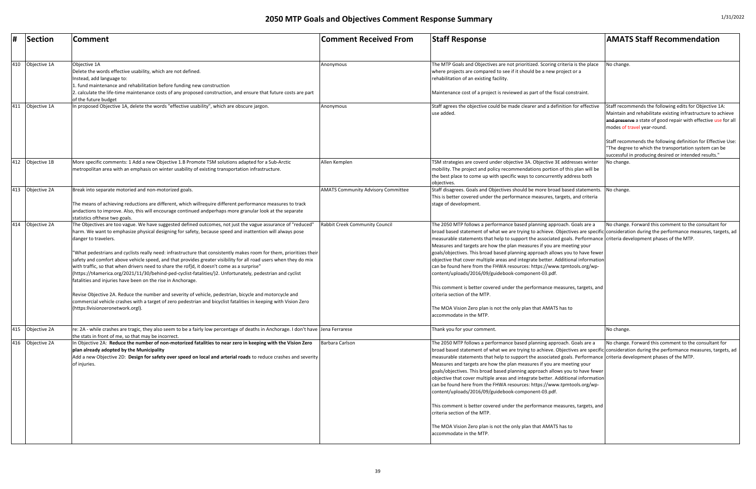|     | <b>Section</b>   | <b>Comment</b>                                                                                                                                                                                                                                                                                                                                                                                                                                                                                                                                                                                                                                                                                                                                                                                                                                                                                                                                                                                                                          | <b>Comment Received From</b>              | <b>Staff Response</b>                                                                                                                                                                                                                                                                                                                                                                                                                                                                                                                                                                                                                                                                                                                                                                                                                                                                                                                       | <b>AMATS Staff Recommendation</b>                                                                                                                                                                                                                                                                                                                                                                        |
|-----|------------------|-----------------------------------------------------------------------------------------------------------------------------------------------------------------------------------------------------------------------------------------------------------------------------------------------------------------------------------------------------------------------------------------------------------------------------------------------------------------------------------------------------------------------------------------------------------------------------------------------------------------------------------------------------------------------------------------------------------------------------------------------------------------------------------------------------------------------------------------------------------------------------------------------------------------------------------------------------------------------------------------------------------------------------------------|-------------------------------------------|---------------------------------------------------------------------------------------------------------------------------------------------------------------------------------------------------------------------------------------------------------------------------------------------------------------------------------------------------------------------------------------------------------------------------------------------------------------------------------------------------------------------------------------------------------------------------------------------------------------------------------------------------------------------------------------------------------------------------------------------------------------------------------------------------------------------------------------------------------------------------------------------------------------------------------------------|----------------------------------------------------------------------------------------------------------------------------------------------------------------------------------------------------------------------------------------------------------------------------------------------------------------------------------------------------------------------------------------------------------|
| 410 | Objective 1A     | Objective 1A<br>Delete the words effective usability, which are not defined.<br>Instead, add language to:<br>fund maintenance and rehabilitation before funding new construction<br>calculate the life-time maintenance costs of any proposed construction, and ensure that future costs are part                                                                                                                                                                                                                                                                                                                                                                                                                                                                                                                                                                                                                                                                                                                                       | Anonymous                                 | The MTP Goals and Objectives are not prioritized. Scoring criteria is the place<br>where projects are compared to see if it should be a new project or a<br>rehabilitation of an existing facility.<br>Maintenance cost of a project is reviewed as part of the fiscal constraint.                                                                                                                                                                                                                                                                                                                                                                                                                                                                                                                                                                                                                                                          | No change.                                                                                                                                                                                                                                                                                                                                                                                               |
| 411 | Objective 1A     | of the future budget<br>In proposed Objective 1A, delete the words "effective usability", which are obscure jargon.                                                                                                                                                                                                                                                                                                                                                                                                                                                                                                                                                                                                                                                                                                                                                                                                                                                                                                                     | Anonymous                                 | Staff agrees the objective could be made clearer and a definition for effective<br>use added.                                                                                                                                                                                                                                                                                                                                                                                                                                                                                                                                                                                                                                                                                                                                                                                                                                               | Staff recommends the following edits for Objective 1A:<br>Maintain and rehabilitate existing infrastructure to achieve<br>and preserve a state of good repair with effective use for all<br>modes of travel year-round.<br>Staff recommends the following definition for Effective Use:<br>The degree to which the transportation system can be<br>successful in producing desired or intended results." |
| 412 | Objective 1B     | More specific comments: 1 Add a new Objective 1.B Promote TSM solutions adapted for a Sub-Arctic<br>metropolitan area with an emphasis on winter usability of existing transportation infrastructure.                                                                                                                                                                                                                                                                                                                                                                                                                                                                                                                                                                                                                                                                                                                                                                                                                                   | Allen Kemplen                             | TSM strategies are coverd under objective 3A. Objective 3E addresses winter<br>mobility. The project and policy recommendations portion of this plan will be<br>the best place to come up with specific ways to concurrently address both<br>objectives                                                                                                                                                                                                                                                                                                                                                                                                                                                                                                                                                                                                                                                                                     | No change.                                                                                                                                                                                                                                                                                                                                                                                               |
| 413 | Objective 2A     | Break into separate motoried and non-motorized goals.<br>The means of achieving reductions are different, which willrequire different performance measures to track<br>andactions to improve. Also, this will encourage continued andperhaps more granular look at the separate<br>statistics of these two goals.                                                                                                                                                                                                                                                                                                                                                                                                                                                                                                                                                                                                                                                                                                                       | <b>AMATS Community Advisory Committee</b> | Staff disagrees. Goals and Objectives should be more broad based statements. No change.<br>This is better covered under the performance measures, targets, and criteria<br>stage of development.                                                                                                                                                                                                                                                                                                                                                                                                                                                                                                                                                                                                                                                                                                                                            |                                                                                                                                                                                                                                                                                                                                                                                                          |
| 414 | Objective 2A     | The Objectives are too vague. We have suggested defined outcomes, not just the vague assurance of "reduced"<br>harm. We want to emphasize physical designing for safety, because speed and inattention will always pose<br>danger to travelers.<br>'What pedestrians and cyclists really need: infrastructure that consistently makes room for them, prioritizes their<br>safety and comfort above vehicle speed, and that provides greater visibility for all road users when they do mix<br>with traffic, so that when drivers need to share the rof]d, it doesn't come as a surprise"<br>(https://t4america.org/2021/11/30/behind-ped-cyclist-fatalities/)2. Unfortunately, pedestrian and cyclist<br>fatalities and injuries have been on the rise in Anchorage.<br>Revise Objective 2A. Reduce the number and severity of vehicle, pedestrian, bicycle and motorcycle and<br>commercial vehicle crashes with a target of zero pedestrian and bicyclist fatalities in keeping with Vision Zero<br>(https:llvisionzeronetwork.orgl). | Rabbit Creek Community Council            | The 2050 MTP follows a performance based planning approach. Goals are a<br>broad based statement of what we are trying to achieve. Objectives are specific consideration during the performance measures, targets, ad<br>measurable statements that help to support the associated goals. Performance criteria development phases of the MTP.<br>Measures and targets are how the plan measures if you are meeting your<br>goals/objectives. This broad based planning approach allows you to have fewer<br>objective that cover multiple areas and integrate better. Additional information<br>can be found here from the FHWA resources: https://www.tpmtools.org/wp-<br>content/uploads/2016/09/guidebook-component-03.pdf.<br>This comment is better covered under the performance measures, targets, and<br>criteria section of the MTP.<br>The MOA Vision Zero plan is not the only plan that AMATS has to<br>accommodate in the MTP. | No change. Forward this comment to the consultant for                                                                                                                                                                                                                                                                                                                                                    |
|     | 415 Objective 2A | re: 2A - while crashes are tragic, they also seem to be a fairly low percentage of deaths in Anchorage. I don't have Jena Ferrarese<br>the stats in front of me, so that may be incorrect.                                                                                                                                                                                                                                                                                                                                                                                                                                                                                                                                                                                                                                                                                                                                                                                                                                              |                                           | Thank you for your comment.                                                                                                                                                                                                                                                                                                                                                                                                                                                                                                                                                                                                                                                                                                                                                                                                                                                                                                                 | No change.                                                                                                                                                                                                                                                                                                                                                                                               |
|     | 416 Objective 2A | In Objective 2A: Reduce the number of non-motorized fatalities to near zero in keeping with the Vision Zero<br>plan already adopted by the Municipality<br>Add a new Objective 2D: Design for safety over speed on local and arterial roads to reduce crashes and severity<br>of injuries.                                                                                                                                                                                                                                                                                                                                                                                                                                                                                                                                                                                                                                                                                                                                              | Barbara Carlson                           | The 2050 MTP follows a performance based planning approach. Goals are a<br>broad based statement of what we are trying to achieve. Objectives are specific consideration during the performance measures, targets, ad<br>measurable statements that help to support the associated goals. Performance criteria development phases of the MTP.<br>Measures and targets are how the plan measures if you are meeting your<br>goals/objectives. This broad based planning approach allows you to have fewer<br>objective that cover multiple areas and integrate better. Additional information<br>can be found here from the FHWA resources: https://www.tpmtools.org/wp-<br>content/uploads/2016/09/guidebook-component-03.pdf.<br>This comment is better covered under the performance measures, targets, and<br>criteria section of the MTP.<br>The MOA Vision Zero plan is not the only plan that AMATS has to<br>accommodate in the MTP. | No change. Forward this comment to the consultant for                                                                                                                                                                                                                                                                                                                                                    |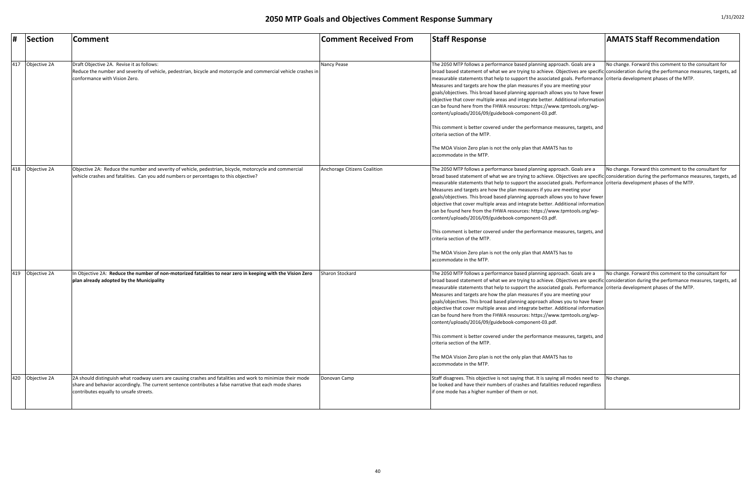| #   | Section      | Comment                                                                                                                                                                                                                                                           | <b>Comment Received From</b> | <b>Staff Response</b>                                                                                                                                                                                                                                                                                                                                                                                                                                                                                                                                                                                                                                                                                                                                                                                                                         | <b>AMATS Staff Recommendation</b>                     |
|-----|--------------|-------------------------------------------------------------------------------------------------------------------------------------------------------------------------------------------------------------------------------------------------------------------|------------------------------|-----------------------------------------------------------------------------------------------------------------------------------------------------------------------------------------------------------------------------------------------------------------------------------------------------------------------------------------------------------------------------------------------------------------------------------------------------------------------------------------------------------------------------------------------------------------------------------------------------------------------------------------------------------------------------------------------------------------------------------------------------------------------------------------------------------------------------------------------|-------------------------------------------------------|
| 417 | Objective 2A | Draft Objective 2A. Revise it as follows:<br>Reduce the number and severity of vehicle, pedestrian, bicycle and motorcycle and commercial vehicle crashes in<br>conformance with Vision Zero.                                                                     | Nancy Pease                  | The 2050 MTP follows a performance based planning approach. Goals are a<br>broad based statement of what we are trying to achieve. Objectives are specific consideration during the performance measures, targets, ad<br>measurable statements that help to support the associated goals. Performance criteria development phases of the MTP.<br>Measures and targets are how the plan measures if you are meeting your<br>goals/objectives. This broad based planning approach allows you to have fewer<br>objective that cover multiple areas and integrate better. Additional information<br>can be found here from the FHWA resources: https://www.tpmtools.org/wp-<br>content/uploads/2016/09/guidebook-component-03.pdf.<br>This comment is better covered under the performance measures, targets, and<br>criteria section of the MTP. | No change. Forward this comment to the consultant for |
|     |              |                                                                                                                                                                                                                                                                   |                              | The MOA Vision Zero plan is not the only plan that AMATS has to<br>accommodate in the MTP.                                                                                                                                                                                                                                                                                                                                                                                                                                                                                                                                                                                                                                                                                                                                                    |                                                       |
| 418 | Objective 2A | Objective 2A: Reduce the number and severity of vehicle, pedestrian, bicycle, motorcycle and commercial<br>vehicle crashes and fatalities. Can you add numbers or percentages to this objective?                                                                  | Anchorage Citizens Coalition | The 2050 MTP follows a performance based planning approach. Goals are a<br>broad based statement of what we are trying to achieve. Objectives are specific consideration during the performance measures, targets, ad<br>measurable statements that help to support the associated goals. Performance criteria development phases of the MTP.<br>Measures and targets are how the plan measures if you are meeting your<br>goals/objectives. This broad based planning approach allows you to have fewer<br>objective that cover multiple areas and integrate better. Additional information<br>can be found here from the FHWA resources: https://www.tpmtools.org/wp-<br>content/uploads/2016/09/guidebook-component-03.pdf.                                                                                                                | No change. Forward this comment to the consultant for |
|     |              |                                                                                                                                                                                                                                                                   |                              | This comment is better covered under the performance measures, targets, and<br>criteria section of the MTP.<br>The MOA Vision Zero plan is not the only plan that AMATS has to<br>accommodate in the MTP.                                                                                                                                                                                                                                                                                                                                                                                                                                                                                                                                                                                                                                     |                                                       |
| 419 | Objective 2A | In Objective 2A: Reduce the number of non-motorized fatalities to near zero in keeping with the Vision Zero<br>plan already adopted by the Municipality                                                                                                           | Sharon Stockard              | The 2050 MTP follows a performance based planning approach. Goals are a<br>broad based statement of what we are trying to achieve. Objectives are specific consideration during the performance measures, targets, ad<br>measurable statements that help to support the associated goals. Performance criteria development phases of the MTP.<br>Measures and targets are how the plan measures if you are meeting your<br>goals/objectives. This broad based planning approach allows you to have fewer<br>objective that cover multiple areas and integrate better. Additional information<br>can be found here from the FHWA resources: https://www.tpmtools.org/wp-<br>content/uploads/2016/09/guidebook-component-03.pdf.                                                                                                                | No change. Forward this comment to the consultant for |
|     |              |                                                                                                                                                                                                                                                                   |                              | This comment is better covered under the performance measures, targets, and<br>criteria section of the MTP.                                                                                                                                                                                                                                                                                                                                                                                                                                                                                                                                                                                                                                                                                                                                   |                                                       |
|     |              |                                                                                                                                                                                                                                                                   |                              | The MOA Vision Zero plan is not the only plan that AMATS has to<br>accommodate in the MTP.                                                                                                                                                                                                                                                                                                                                                                                                                                                                                                                                                                                                                                                                                                                                                    |                                                       |
| 420 | Objective 2A | 2A should distinguish what roadway users are causing crashes and fatalities and work to minimize their mode<br>share and behavior accordingly. The current sentence contributes a false narrative that each mode shares<br>contributes equally to unsafe streets. | Donovan Camp                 | Staff disagrees. This objective is not saying that. It is saying all modes need to $\blacksquare$ No change.<br>be looked and have their numbers of crashes and fatalities reduced regardless<br>lif one mode has a higher number of them or not.                                                                                                                                                                                                                                                                                                                                                                                                                                                                                                                                                                                             |                                                       |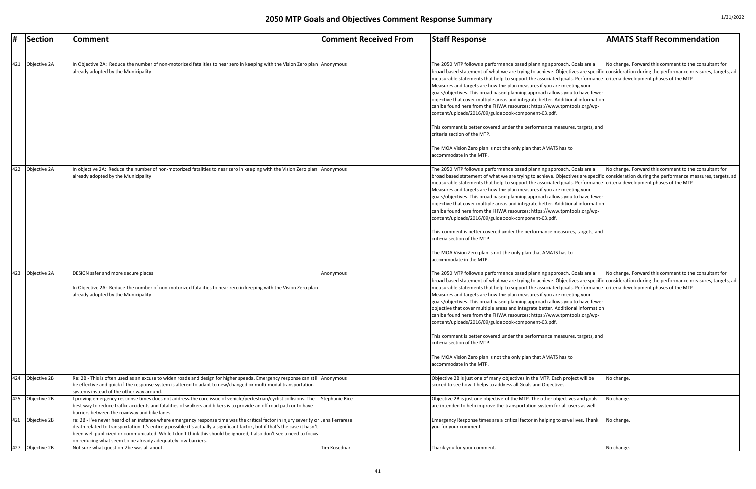|     | Section          | <b>Comment</b>                                                                                                                                                                                                                                                                                                                                                                                                                                            | <b>Comment Received From</b> | <b>Staff Response</b>                                                                                                                                                                                                                                                                                                                                                                                                                                                                                                                                                                                                                                                                                                                                                                                                                                                                                            | <b>AMATS Staff Recommendation</b>                     |
|-----|------------------|-----------------------------------------------------------------------------------------------------------------------------------------------------------------------------------------------------------------------------------------------------------------------------------------------------------------------------------------------------------------------------------------------------------------------------------------------------------|------------------------------|------------------------------------------------------------------------------------------------------------------------------------------------------------------------------------------------------------------------------------------------------------------------------------------------------------------------------------------------------------------------------------------------------------------------------------------------------------------------------------------------------------------------------------------------------------------------------------------------------------------------------------------------------------------------------------------------------------------------------------------------------------------------------------------------------------------------------------------------------------------------------------------------------------------|-------------------------------------------------------|
|     |                  |                                                                                                                                                                                                                                                                                                                                                                                                                                                           |                              |                                                                                                                                                                                                                                                                                                                                                                                                                                                                                                                                                                                                                                                                                                                                                                                                                                                                                                                  |                                                       |
| 421 | Objective 2A     | In Objective 2A: Reduce the number of non-motorized fatalities to near zero in keeping with the Vision Zero plan Anonymous<br>already adopted by the Municipality                                                                                                                                                                                                                                                                                         |                              | The 2050 MTP follows a performance based planning approach. Goals are a<br>broad based statement of what we are trying to achieve. Objectives are specific consideration during the performance measures, targets, ad<br>measurable statements that help to support the associated goals. Performance criteria development phases of the MTP.<br>Measures and targets are how the plan measures if you are meeting your<br>goals/objectives. This broad based planning approach allows you to have fewer<br>objective that cover multiple areas and integrate better. Additional information<br>can be found here from the FHWA resources: https://www.tpmtools.org/wp-<br>content/uploads/2016/09/guidebook-component-03.pdf.<br>This comment is better covered under the performance measures, targets, and<br>criteria section of the MTP.<br>The MOA Vision Zero plan is not the only plan that AMATS has to | No change. Forward this comment to the consultant for |
| 422 | Objective 2A     | In objective 2A: Reduce the number of non-motorized fatalities to near zero in keeping with the Vision Zero plan Anonymous<br>already adopted by the Municipality                                                                                                                                                                                                                                                                                         |                              | accommodate in the MTP.<br>The 2050 MTP follows a performance based planning approach. Goals are a<br>broad based statement of what we are trying to achieve. Objectives are specific consideration during the performance measures, targets, ad<br>measurable statements that help to support the associated goals. Performance criteria development phases of the MTP.                                                                                                                                                                                                                                                                                                                                                                                                                                                                                                                                         | No change. Forward this comment to the consultant for |
|     |                  |                                                                                                                                                                                                                                                                                                                                                                                                                                                           |                              | Measures and targets are how the plan measures if you are meeting your<br>goals/objectives. This broad based planning approach allows you to have fewer<br>objective that cover multiple areas and integrate better. Additional information<br>can be found here from the FHWA resources: https://www.tpmtools.org/wp-<br>content/uploads/2016/09/guidebook-component-03.pdf.                                                                                                                                                                                                                                                                                                                                                                                                                                                                                                                                    |                                                       |
|     |                  |                                                                                                                                                                                                                                                                                                                                                                                                                                                           |                              | This comment is better covered under the performance measures, targets, and<br>criteria section of the MTP.<br>The MOA Vision Zero plan is not the only plan that AMATS has to<br>accommodate in the MTP.                                                                                                                                                                                                                                                                                                                                                                                                                                                                                                                                                                                                                                                                                                        |                                                       |
|     | 423 Objective 2A | DESIGN safer and more secure places<br>In Objective 2A: Reduce the number of non-motorized fatalities to near zero in keeping with the Vision Zero plan<br>already adopted by the Municipality                                                                                                                                                                                                                                                            | Anonymous                    | The 2050 MTP follows a performance based planning approach. Goals are a<br>broad based statement of what we are trying to achieve. Objectives are specific consideration during the performance measures, targets, ad<br>measurable statements that help to support the associated goals. Performance criteria development phases of the MTP.<br>Measures and targets are how the plan measures if you are meeting your<br>goals/objectives. This broad based planning approach allows you to have fewer<br>objective that cover multiple areas and integrate better. Additional information<br>can be found here from the FHWA resources: https://www.tpmtools.org/wp-<br>content/uploads/2016/09/guidebook-component-03.pdf.<br>This comment is better covered under the performance measures, targets, and<br>criteria section of the MTP.<br>The MOA Vision Zero plan is not the only plan that AMATS has to | No change. Forward this comment to the consultant for |
|     | 424 Objective 2B | Re: 2B - This is often used as an excuse to widen roads and design for higher speeds. Emergency response can still Anonymous                                                                                                                                                                                                                                                                                                                              |                              | accommodate in the MTP.<br>Objective 2B is just one of many objectives in the MTP. Each project will be                                                                                                                                                                                                                                                                                                                                                                                                                                                                                                                                                                                                                                                                                                                                                                                                          | No change.                                            |
|     |                  | be effective and quick if the response system is altered to adapt to new/changed or multi-modal transportation<br>systems instead of the other way around.                                                                                                                                                                                                                                                                                                |                              | scored to see how it helps to address all Goals and Objectives.                                                                                                                                                                                                                                                                                                                                                                                                                                                                                                                                                                                                                                                                                                                                                                                                                                                  |                                                       |
|     | 425 Objective 2B | I proving emergency response times does not address the core issue of vehicle/pedestrian/cyclist collisions. The Stephanie Rice<br>best way to reduce traffic accidents and fatalities of walkers and bikers is to provide an off road path or to have<br>barriers between the roadway and bike lanes.                                                                                                                                                    |                              | Objective 2B is just one objective of the MTP. The other objectives and goals<br>are intended to help improve the transportation system for all users as well.                                                                                                                                                                                                                                                                                                                                                                                                                                                                                                                                                                                                                                                                                                                                                   | No change.                                            |
|     | 426 Objective 2B | re: 2B - I've never heard of an instance where emergency response time was the critical factor in injury severity or Jena Ferrarese<br>death related to transportation. It's entirely possible it's actually a significant factor, but if that's the case it hasn't<br>been well publicized or communicated. While I don't think this should be ignored, I also don't see a need to focus<br>on reducing what seem to be already adequately low barriers. |                              | Emergency Response times are a critical factor in helping to save lives. Thank<br>you for your comment.                                                                                                                                                                                                                                                                                                                                                                                                                                                                                                                                                                                                                                                                                                                                                                                                          | No change.                                            |
| 427 | Objective 2B     | Not sure what question 2be was all about.                                                                                                                                                                                                                                                                                                                                                                                                                 | Tim Kosednar                 | Thank you for your comment.                                                                                                                                                                                                                                                                                                                                                                                                                                                                                                                                                                                                                                                                                                                                                                                                                                                                                      | No change.                                            |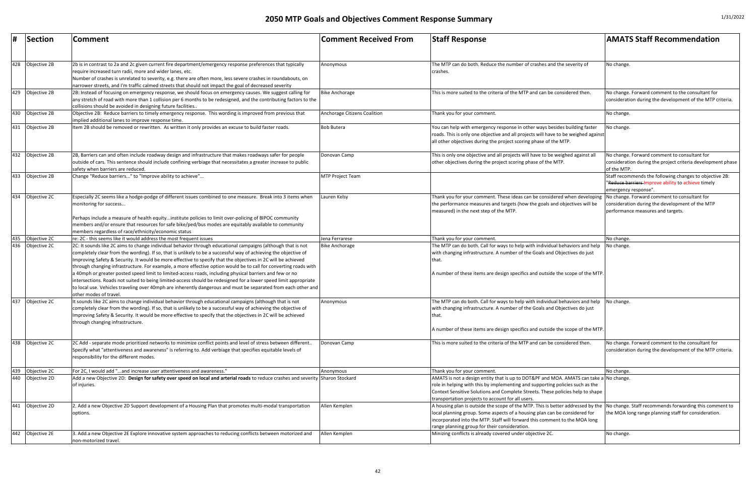| #                 | Section                      | <b>Comment</b>                                                                                                                                                                                                                                                                                                                                                                                                                                                                                                                                                                                                                                                                                                                                                                                                                                                                                                          | <b>Comment Received From</b>            | <b>Staff Response</b>                                                                                                                                                                                                                                                                                                                                    | <b>AMATS Staff Recommendation</b>                                                                                                     |
|-------------------|------------------------------|-------------------------------------------------------------------------------------------------------------------------------------------------------------------------------------------------------------------------------------------------------------------------------------------------------------------------------------------------------------------------------------------------------------------------------------------------------------------------------------------------------------------------------------------------------------------------------------------------------------------------------------------------------------------------------------------------------------------------------------------------------------------------------------------------------------------------------------------------------------------------------------------------------------------------|-----------------------------------------|----------------------------------------------------------------------------------------------------------------------------------------------------------------------------------------------------------------------------------------------------------------------------------------------------------------------------------------------------------|---------------------------------------------------------------------------------------------------------------------------------------|
| 428               | Objective 2B                 | 2b is in contrast to 2a and 2c given current fire department/emergency response preferences that typically<br>require increased turn radii, more and wider lanes, etc.<br>Number of crashes is unrelated to severity, e.g. there are often more, less severe crashes in roundabouts, on<br>narrower streets, and I'm traffic calmed streets that should not impact the goal of decreased severity                                                                                                                                                                                                                                                                                                                                                                                                                                                                                                                       | Anonymous                               | The MTP can do both. Reduce the number of crashes and the severity of<br>crashes.                                                                                                                                                                                                                                                                        | No change.                                                                                                                            |
| 429               | Objective 2B                 | 2B: Instead of focusing on emergency response, we should focus on emergency causes. We suggest calling for<br>any stretch of road with more than 1 collision per 6 months to be redesigned, and the contributing factors to the<br>collisions should be avoided in designing future facilities                                                                                                                                                                                                                                                                                                                                                                                                                                                                                                                                                                                                                          | <b>Bike Anchorage</b>                   | This is more suited to the criteria of the MTP and can be considered then.                                                                                                                                                                                                                                                                               | No change. Forward comment to the consultant for<br>consideration during the development of the MTP criteria.                         |
| 430               | Objective 2B                 | Objective 2B: Reduce barriers to timely emergency response. This wording is improved from previous that<br>implied additional lanes to improve response time.                                                                                                                                                                                                                                                                                                                                                                                                                                                                                                                                                                                                                                                                                                                                                           | Anchorage Citizens Coalition            | Thank you for your comment.                                                                                                                                                                                                                                                                                                                              | No change.                                                                                                                            |
| 431               | Objective 2B                 | Item 2B should be removed or rewritten. As written it only provides an excuse to build faster roads.                                                                                                                                                                                                                                                                                                                                                                                                                                                                                                                                                                                                                                                                                                                                                                                                                    | <b>Bob Butera</b>                       | You can help with emergency response in other ways besides building faster<br>roads. This is only one objective and all projects will have to be weighed against<br>all other objectives during the project scoring phase of the MTP.                                                                                                                    | No change.                                                                                                                            |
| 432               | Objective 2B                 | 2B, Barriers can and often include roadway design and infrastructure that makes roadways safer for people<br>outside of cars. This sentence should include confining verbiage that necessitates a greater increase to public<br>safety when barriers are reduced                                                                                                                                                                                                                                                                                                                                                                                                                                                                                                                                                                                                                                                        | Donovan Camp                            | This is only one objective and all projects will have to be weighed against all<br>other objectives during the project scoring phase of the MTP.                                                                                                                                                                                                         | No change. Forward comment to consultant for<br>consideration during the project criteria development phase<br>of the MTP.            |
| 433               | Objective 2B                 | Change "Reduce barriers" to "Improve ability to achieve"                                                                                                                                                                                                                                                                                                                                                                                                                                                                                                                                                                                                                                                                                                                                                                                                                                                                | <b>MTP Project Team</b>                 |                                                                                                                                                                                                                                                                                                                                                          | Staff recommends the following changes to objective 2B:<br>"Reduce barriers-Improve ability to achieve timely<br>emergency response". |
| 434               | Objective 2C                 | Especially 2C seems like a hodge-podge of different issues combined to one measure. Break into 3 items when<br>monitoring for success<br>Perhaps include a measure of health equityinstitute policies to limit over-policing of BIPOC community<br>members and/or ensure that resources for safe bike/ped/bus modes are equitably available to community                                                                                                                                                                                                                                                                                                                                                                                                                                                                                                                                                                | Lauren Kelsy                            | Thank you for your comment. These ideas can be considered when developing  No change. Forward comment to consultant for<br>the performance measures and targets (how the goals and objectives will be<br>measured) in the next step of the MTP.                                                                                                          | consideration during the development of the MTP<br>performance measures and targets.                                                  |
|                   |                              | members regardless of race/ethnicity/economic status                                                                                                                                                                                                                                                                                                                                                                                                                                                                                                                                                                                                                                                                                                                                                                                                                                                                    |                                         |                                                                                                                                                                                                                                                                                                                                                          |                                                                                                                                       |
| $\frac{435}{436}$ | Objective 2C<br>Objective 2C | re: 2C - this seems like it would address the most frequent issues<br>2C: It sounds like 2C aims to change individual behavior through educational campaigns (although that is not<br>completely clear from the wording). If so, that is unlikely to be a successful way of achieving the objective of<br>Improving Safety & Security. It would be more effective to specify that the objectives in 2C will be achieved<br>through changing infrastructure. For example, a more effective option would be to call for converting roads with<br>a 40mph or greater posted speed limit to limited-access roads, including physical barriers and few or no<br>intersections. Roads not suited to being limited-access should be redesigned for a lower speed limit appropriate<br>to local use. Vehicles traveling over 40mph are inherently dangerous and must be separated from each other and<br>other modes of travel. | Jena Ferrarese<br><b>Bike Anchorage</b> | Thank you for your comment.<br>The MTP can do both. Call for ways to help with individual behaviors and help<br>with changing infrastructure. A number of the Goals and Objectives do just<br>A number of these items are design specifics and outside the scope of the MTP.                                                                             | No change.<br>No change.                                                                                                              |
| 437               | Objective 2C                 | It sounds like 2C aims to change individual behavior through educational campaigns (although that is not<br>completely clear from the wording). If so, that is unlikely to be a successful way of achieving the objective of<br>Improving Safety & Security. It would be more effective to specify that the objectives in 2C will be achieved<br>through changing infrastructure.                                                                                                                                                                                                                                                                                                                                                                                                                                                                                                                                       | Anonymous                               | The MTP can do both. Call for ways to help with individual behaviors and help<br>with changing infrastructure. A number of the Goals and Objectives do just<br>that.<br>A number of these items are design specifics and outside the scope of the MTP.                                                                                                   | No change.                                                                                                                            |
| 438               | Objective 2C                 | 2C Add - separate mode prioritized networks to minimize conflict points and level of stress between different<br>Specify what "attentiveness and awareness" is referring to. Add verbiage that specifies equitable levels of<br>responsibility for the different modes.                                                                                                                                                                                                                                                                                                                                                                                                                                                                                                                                                                                                                                                 | Donovan Camp                            | This is more suited to the criteria of the MTP and can be considered then.                                                                                                                                                                                                                                                                               | No change. Forward comment to the consultant for<br>consideration during the development of the MTP criteria.                         |
| 439               | Objective 2C                 | For 2C, I would add "and increase user attentiveness and awareness."                                                                                                                                                                                                                                                                                                                                                                                                                                                                                                                                                                                                                                                                                                                                                                                                                                                    | Anonymous                               | Thank you for your comment.                                                                                                                                                                                                                                                                                                                              | No change.                                                                                                                            |
| 440               | Objective 2D                 | Add a new Objective 2D: Design for safety over speed on local and arterial roads to reduce crashes and severity Sharon Stockard<br>of injuries.                                                                                                                                                                                                                                                                                                                                                                                                                                                                                                                                                                                                                                                                                                                                                                         |                                         | AMATS is not a design entity that is up to DOT&PF and MOA. AMATS can take a No change.<br>role in helping with this by implementing and supporting policies such as the<br>Context Sensitive Solutions and Complete Streets. These policies help to shape<br>transportation projects to account for all users.                                           |                                                                                                                                       |
| 441               | Objective 2D                 | 2. Add a new Objective 2D Support development of a Housing Plan that promotes multi-modal transportation<br>options.                                                                                                                                                                                                                                                                                                                                                                                                                                                                                                                                                                                                                                                                                                                                                                                                    | Allen Kemplen                           | A housing plan is outside the scope of the MTP. This is better addressed by the $\,$ No change. Staff recommends forwarding this comment to<br>local planning group. Some aspects of a housing plan can be considered for<br>incorporated into the MTP. Staff will forward this comment to the MOA long<br>range planning group for their consideration. | the MOA long range planning staff for consideration.                                                                                  |
| 442               | Objective 2E                 | 3. Add.a new Objective 2E Explore innovative system approaches to reducing conflicts between motorized and<br>non-motorized travel.                                                                                                                                                                                                                                                                                                                                                                                                                                                                                                                                                                                                                                                                                                                                                                                     | Allen Kemplen                           | Minizing conflicts is already covered under objective 2C.                                                                                                                                                                                                                                                                                                | No change.                                                                                                                            |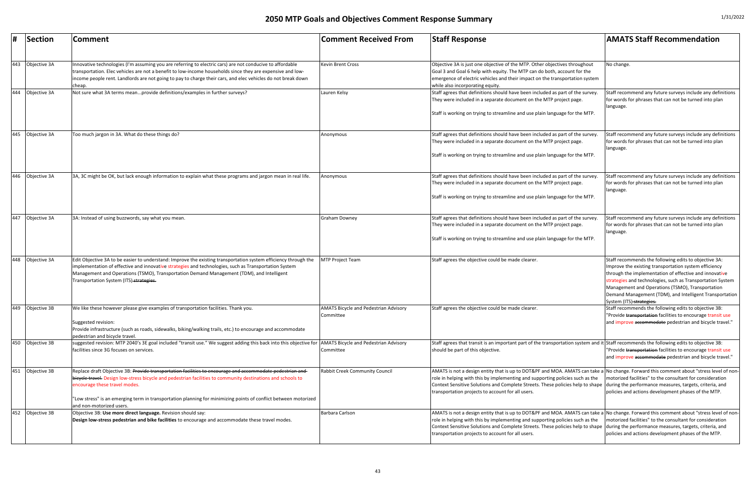| #   | Section      | <b>Comment</b>                                                                                                                                                                                                                                                                                                                                                                                             | <b>Comment Received From</b>                              | <b>Staff Response</b>                                                                                                                                                                                                                                                                                                                                                                                                   | <b>AMATS Staff Recommendation</b>                                                                                                                                                                                                                                                                                                                                                 |
|-----|--------------|------------------------------------------------------------------------------------------------------------------------------------------------------------------------------------------------------------------------------------------------------------------------------------------------------------------------------------------------------------------------------------------------------------|-----------------------------------------------------------|-------------------------------------------------------------------------------------------------------------------------------------------------------------------------------------------------------------------------------------------------------------------------------------------------------------------------------------------------------------------------------------------------------------------------|-----------------------------------------------------------------------------------------------------------------------------------------------------------------------------------------------------------------------------------------------------------------------------------------------------------------------------------------------------------------------------------|
| 443 | Objective 3A | nnovative technologies (I'm assuming you are referring to electric cars) are not conducive to affordable<br>transportation. Elec vehicles are not a benefit to low-income households since they are expensive and low-<br>income people rent. Landlords are not going to pay to charge their cars, and elec vehicles do not break down<br>cheap.                                                           | <b>Kevin Brent Cross</b>                                  | Objective 3A is just one objective of the MTP. Other objectives throughout<br>Goal 3 and Goal 6 help with equity. The MTP can do both, account for the<br>emergence of electric vehicles and their impact on the transportation system<br>while also incorporating equity.                                                                                                                                              | No change.                                                                                                                                                                                                                                                                                                                                                                        |
| 444 | Objective 3A | Not sure what 3A terms meanprovide definitions/examples in further surveys?                                                                                                                                                                                                                                                                                                                                | Lauren Kelsy                                              | Staff agrees that definitions should have been included as part of the survey<br>They were included in a separate document on the MTP project page.<br>Staff is working on trying to streamline and use plain language for the MTP.                                                                                                                                                                                     | Staff recommend any future surveys include any definitions<br>for words for phrases that can not be turned into plan<br>language.                                                                                                                                                                                                                                                 |
| 445 | Objective 3A | Too much jargon in 3A. What do these things do?                                                                                                                                                                                                                                                                                                                                                            | Anonymous                                                 | Staff agrees that definitions should have been included as part of the survey.<br>They were included in a separate document on the MTP project page.<br>Staff is working on trying to streamline and use plain language for the MTP.                                                                                                                                                                                    | Staff recommend any future surveys include any definitions<br>for words for phrases that can not be turned into plan<br>language.                                                                                                                                                                                                                                                 |
| 446 | Objective 3A | 3A, 3C might be OK, but lack enough information to explain what these programs and jargon mean in real life.                                                                                                                                                                                                                                                                                               | Anonymous                                                 | Staff agrees that definitions should have been included as part of the survey.<br>They were included in a separate document on the MTP project page.<br>Staff is working on trying to streamline and use plain language for the MTP.                                                                                                                                                                                    | Staff recommend any future surveys include any definitions<br>for words for phrases that can not be turned into plan<br>language.                                                                                                                                                                                                                                                 |
| 447 | Objective 3A | 3A: Instead of using buzzwords, say what you mean.                                                                                                                                                                                                                                                                                                                                                         | <b>Graham Downey</b>                                      | Staff agrees that definitions should have been included as part of the survey.<br>They were included in a separate document on the MTP project page.<br>Staff is working on trying to streamline and use plain language for the MTP.                                                                                                                                                                                    | Staff recommend any future surveys include any definitions<br>for words for phrases that can not be turned into plan<br>language.                                                                                                                                                                                                                                                 |
| 448 | Objective 3A | Edit Objective 3A to be easier to understand: Improve the existing transportation system efficiency through the<br>implementation of effective and innovative strategies and technologies, such as Transportation System<br>Management and Operations (TSMO), Transportation Demand Management (TDM), and Intelligent<br>Transportation System (ITS)-strategies.                                           | MTP Project Team                                          | Staff agrees the objective could be made clearer.                                                                                                                                                                                                                                                                                                                                                                       | Staff recommends the following edits to objective 3A:<br>Improve the existing transportation system efficiency<br>through the implementation of effective and innovative<br>strategies and technologies, such as Transportation System<br>Management and Operations (TSMO), Transportation<br>Demand Management (TDM), and Intelligent Transportation<br>System (ITS)-strategies. |
| 449 | Objective 3B | We like these however please give examples of transportation facilities. Thank you.<br>Suggested revision:<br>Provide infrastructure (such as roads, sidewalks, biking/walking trails, etc.) to encourage and accommodate<br>pedestrian and bicycle travel                                                                                                                                                 | <b>AMATS Bicycle and Pedestrian Advisory</b><br>Committee | Staff agrees the objective could be made clearer.                                                                                                                                                                                                                                                                                                                                                                       | Staff recommends the following edits to objective 3B:<br>"Provide transportation facilities to encourage transit use<br>and improve accommodate pedestrian and bicycle travel."                                                                                                                                                                                                   |
| 450 | Objective 3B | suggested revision: MTP 2040's 3E goal included "transit use." We suggest adding this back into this objective for  AMATS Bicycle and Pedestrian Advisory<br>facilities since 3G focuses on services.                                                                                                                                                                                                      | Committee                                                 | Staff agrees that transit is an important part of the transportation system and it Staff recommends the following edits to objective 3B:<br>should be part of this objective.                                                                                                                                                                                                                                           | "Provide transportation facilities to encourage transit use<br>and improve accommodate pedestrian and bicycle travel."                                                                                                                                                                                                                                                            |
| 451 | Objective 3B | Replace draft Objective 3B: Provide transportation facilities to encourage and accommodate pedestrian and-<br>bicycle travel. Design low-stress bicycle and pedestrian facilities to community destinations and schools to<br>encourage these travel modes.<br>"Low stress" is an emerging term in transportation planning for minimizing points of conflict between motorized<br>and non-motorized users. | Rabbit Creek Community Council                            | AMATS is not a design entity that is up to DOT&PF and MOA. AMATS can take a No change. Forward this comment about "stress level of non-<br>role in helping with this by implementing and supporting policies such as the<br>Context Sensitive Solutions and Complete Streets. These policies help to shape during the performance measures, targets, criteria, and<br>transportation projects to account for all users. | motorized facilities" to the consultant for consideration<br>policies and actions development phases of the MTP.                                                                                                                                                                                                                                                                  |
| 452 | Objective 3B | Objective 3B: Use more direct language. Revision should say:<br>Design low-stress pedestrian and bike facilities to encourage and accommodate these travel modes.                                                                                                                                                                                                                                          | <b>Barbara Carlson</b>                                    | AMATS is not a design entity that is up to DOT&PF and MOA. AMATS can take a No change. Forward this comment about "stress level of non-<br>role in helping with this by implementing and supporting policies such as the<br>Context Sensitive Solutions and Complete Streets. These policies help to shape during the performance measures, targets, criteria, and<br>transportation projects to account for all users. | motorized facilities" to the consultant for consideration<br>policies and actions development phases of the MTP.                                                                                                                                                                                                                                                                  |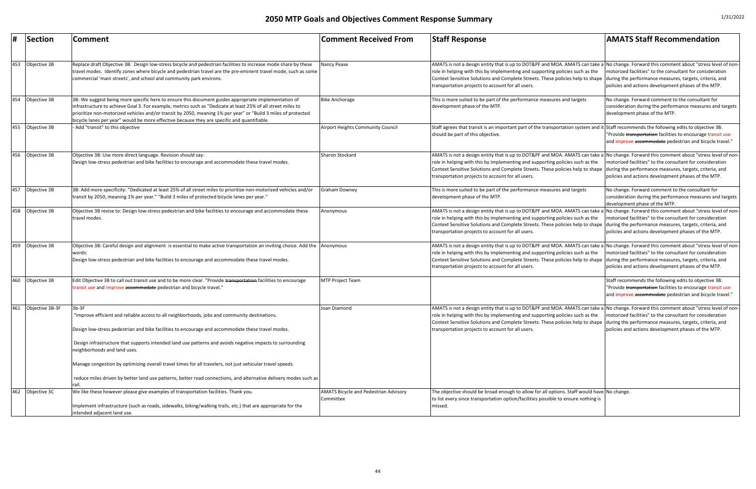|     | Section         | <b>Comment</b>                                                                                                                                                                                                                                                                                                                                                                                                                                                                                                                                                                              | <b>Comment Received From</b>                              | <b>Staff Response</b>                                                                                                                                                                                                                                                                                                                                                                                                   | <b>AMATS Staff Recommendation</b>                                                                                                                                               |
|-----|-----------------|---------------------------------------------------------------------------------------------------------------------------------------------------------------------------------------------------------------------------------------------------------------------------------------------------------------------------------------------------------------------------------------------------------------------------------------------------------------------------------------------------------------------------------------------------------------------------------------------|-----------------------------------------------------------|-------------------------------------------------------------------------------------------------------------------------------------------------------------------------------------------------------------------------------------------------------------------------------------------------------------------------------------------------------------------------------------------------------------------------|---------------------------------------------------------------------------------------------------------------------------------------------------------------------------------|
| 453 | Objective 3B    | Replace draft Objective 3B: Design low-stress bicycle and pedestrian facilities to increase mode share by these<br>travel modes. Identify zones where bicycle and pedestrian travel are the pre-eminent travel mode, such as some<br>commercial 'main streets', and school and community park environs.                                                                                                                                                                                                                                                                                     | Nancy Pease                                               | AMATS is not a design entity that is up to DOT&PF and MOA. AMATS can take a No change. Forward this comment about "stress level of non-<br>role in helping with this by implementing and supporting policies such as the<br>Context Sensitive Solutions and Complete Streets. These policies help to shape during the performance measures, targets, criteria, and<br>transportation projects to account for all users. | motorized facilities" to the consultant for consideration<br>policies and actions development phases of the MTP.                                                                |
| 454 | Objective 3B    | 3B: We suggest being more specific here to ensure this document guides appropriate implementation of<br>infrastructure to achieve Goal 3. For example, metrics such as "Dedicate at least 25% of all street miles to<br>prioritize non-motorized vehicles and/or transit by 2050, meaning 1% per year" or "Build 3 miles of protected<br>bicycle lanes per year" would be more effective because they are specific and quantifiable.                                                                                                                                                        | <b>Bike Anchorage</b>                                     | This is more suited to be part of the performance measures and targets<br>development phase of the MTP.                                                                                                                                                                                                                                                                                                                 | No change. Forward comment to the consultant for<br>consideration during the performance measures and targets<br>development phase of the MTP.                                  |
| 455 | Objective 3B    | - Add "transit" to this objective                                                                                                                                                                                                                                                                                                                                                                                                                                                                                                                                                           | Airport Heights Community Council                         | Staff agrees that transit is an important part of the transportation system and it Staff recommends the following edits to objective 3B:<br>should be part of this objective.                                                                                                                                                                                                                                           | "Provide transportation facilities to encourage transit use<br>and improve accommodate pedestrian and bicycle travel."                                                          |
| 456 | Objective 3B    | Objective 3B: Use more direct language. Revision should say:<br>Design low-stress pedestrian and bike facilities to encourage and accommodate these travel modes.                                                                                                                                                                                                                                                                                                                                                                                                                           | Sharon Stockard                                           | AMATS is not a design entity that is up to DOT&PF and MOA. AMATS can take a No change. Forward this comment about "stress level of non-<br>role in helping with this by implementing and supporting policies such as the<br>Context Sensitive Solutions and Complete Streets. These policies help to shape during the performance measures, targets, criteria, and<br>transportation projects to account for all users. | motorized facilities" to the consultant for consideration<br>policies and actions development phases of the MTP.                                                                |
| 457 | Objective 3B    | 3B: Add more specificity: "Dedicated at least 25% of all street miles to prioritize non-motorized vehicles and/or<br>transit by 2050, meaning 1% per year." "Build 3 miles of protected bicycle lanes per year."                                                                                                                                                                                                                                                                                                                                                                            | <b>Graham Downey</b>                                      | This is more suited to be part of the performance measures and targets<br>development phase of the MTP.                                                                                                                                                                                                                                                                                                                 | No change. Forward comment to the consultant for<br>consideration during the performance measures and targets<br>development phase of the MTP.                                  |
| 458 | Objective 3B    | Objective 3B revise to: Design low-stress pedestrian and bike facilities to encourage and accommodate these<br>travel modes.                                                                                                                                                                                                                                                                                                                                                                                                                                                                | Anonymous                                                 | AMATS is not a design entity that is up to DOT&PF and MOA. AMATS can take a No change. Forward this comment about "stress level of non-<br>role in helping with this by implementing and supporting policies such as the<br>Context Sensitive Solutions and Complete Streets. These policies help to shape<br>transportation projects to account for all users.                                                         | motorized facilities" to the consultant for consideration<br>during the performance measures, targets, criteria, and<br>policies and actions development phases of the MTP.     |
| 459 | Objective 3B    | Objective 3B: Careful design and alignment is essential to make active transportation an inviting choice. Add the Anonymous<br>words:<br>Design low-stress pedestrian and bike facilities to encourage and accommodate these travel modes.                                                                                                                                                                                                                                                                                                                                                  |                                                           | AMATS is not a design entity that is up to DOT&PF and MOA. AMATS can take a No change. Forward this comment about "stress level of non-<br>role in helping with this by implementing and supporting policies such as the<br>Context Sensitive Solutions and Complete Streets. These policies help to shape during the performance measures, targets, criteria, and<br>transportation projects to account for all users. | motorized facilities" to the consultant for consideration<br>policies and actions development phases of the MTP.                                                                |
| 460 | Objective 3B    | Edit Objective 3B to call out transit use and to be more clear. "Provide transportation facilities to encourage<br>transit use and improve accommodate pedestrian and bicycle travel."                                                                                                                                                                                                                                                                                                                                                                                                      | MTP Project Team                                          |                                                                                                                                                                                                                                                                                                                                                                                                                         | Staff recommends the following edits to objective 3B:<br>"Provide transportation facilities to encourage transit use<br>and improve accommodate pedestrian and bicycle travel." |
| 461 | Objective 3B-3F | $3b-3F$<br>"improve efficient and reliable access to all neighborhoods, jobs and community destinations.<br>Design low-stress pedestrian and bike facilities to encourage and accommodate these travel modes.<br>Design infrastructure that supports intended land use patterns and avoids negative impacts to surrounding<br>neighborhoods and land uses.<br>Manage congestion by optimizing overall travel times for all travelers, not just vehicular travel speeds.<br>reduce miles driven by better land use patterns, better road connections, and alternative delivery modes such as | Joan Diamond                                              | AMATS is not a design entity that is up to DOT&PF and MOA. AMATS can take a No change. Forward this comment about "stress level of non-<br>role in helping with this by implementing and supporting policies such as the<br>Context Sensitive Solutions and Complete Streets. These policies help to shape<br>transportation projects to account for all users.                                                         | motorized facilities" to the consultant for consideration<br>during the performance measures, targets, criteria, and<br>policies and actions development phases of the MTP.     |
| 462 | Objective 3C    | We like these however please give examples of transportation facilities. Thank you.<br>Implement infrastructure (such as roads, sidewalks, biking/walking trails, etc.) that are appropriate for the<br>intended adjacent land use.                                                                                                                                                                                                                                                                                                                                                         | <b>AMATS Bicycle and Pedestrian Advisory</b><br>Committee | The objective should be broad enough to allow for all options. Staff would have No change.<br>to list every since transportation option/facilities possible to ensure nothing is<br>missed.                                                                                                                                                                                                                             |                                                                                                                                                                                 |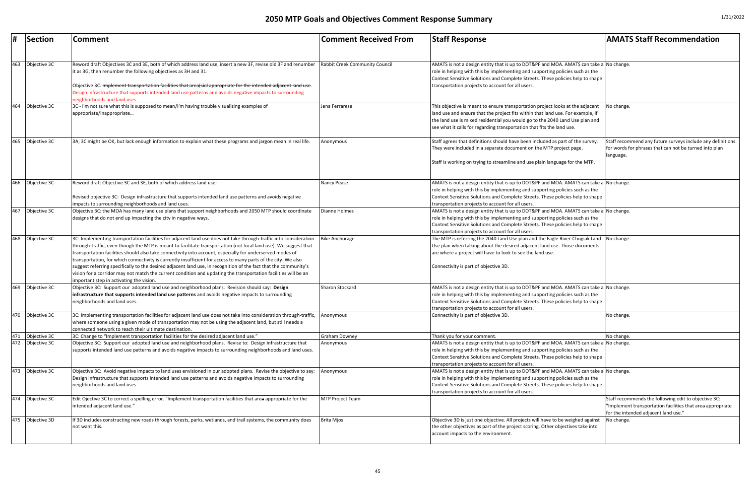|     | <b>Section</b>                   | <b>Comment</b>                                                                                                                                                                                                                                                                                                                                                                                                                                                                                                                                                                                                                                                                                                                                          | <b>Comment Received From</b>   | <b>Staff Response</b>                                                                                                                                                                                                                                                                                                                         | <b>AMATS Staff Recommendation</b>                                                                                                                          |
|-----|----------------------------------|---------------------------------------------------------------------------------------------------------------------------------------------------------------------------------------------------------------------------------------------------------------------------------------------------------------------------------------------------------------------------------------------------------------------------------------------------------------------------------------------------------------------------------------------------------------------------------------------------------------------------------------------------------------------------------------------------------------------------------------------------------|--------------------------------|-----------------------------------------------------------------------------------------------------------------------------------------------------------------------------------------------------------------------------------------------------------------------------------------------------------------------------------------------|------------------------------------------------------------------------------------------------------------------------------------------------------------|
|     | 463 Objective 3C                 | Reword draft Objectives 3C and 3E, both of which address land use, insert a new 3F, revise old 3F and renumber<br>lit as 3G, then renumber the following objectives as 3H and 31:<br>Objective 3C. <del>Implement transportation facilities that area(sicJ appropriate for the intended adjacent land use</del> .<br>Design infrastructure that supports intended land use patterns and avoids negative impacts to surrounding<br>neighborhoods and land uses.                                                                                                                                                                                                                                                                                          | Rabbit Creek Community Council | AMATS is not a design entity that is up to DOT&PF and MOA. AMATS can take a No change.<br>role in helping with this by implementing and supporting policies such as the<br>Context Sensitive Solutions and Complete Streets. These policies help to shape<br>transportation projects to account for all users.                                |                                                                                                                                                            |
| 464 | Objective 3C                     | 3C - I'm not sure what this is supposed to mean/I'm having trouble visualizing examples of<br>appropriate/inappropriate                                                                                                                                                                                                                                                                                                                                                                                                                                                                                                                                                                                                                                 | Jena Ferrarese                 | This objective is meant to ensure transportation project looks at the adjacent<br>land use and ensure that the project fits within that land use. For example, if<br>the land use is mixed residential you would go to the 2040 Land Use plan and<br>see what it calls for regarding transportation that fits the land use.                   | No change.                                                                                                                                                 |
| 465 | Objective 3C                     | 3A, 3C might be OK, but lack enough information to explain what these programs and jargon mean in real life.                                                                                                                                                                                                                                                                                                                                                                                                                                                                                                                                                                                                                                            | Anonymous                      | Staff agrees that definitions should have been included as part of the survey<br>They were included in a separate document on the MTP project page.<br>Staff is working on trying to streamline and use plain language for the MTP.                                                                                                           | Staff recommend any future surveys include any definitions<br>for words for phrases that can not be turned into plan<br>language.                          |
| 466 | Objective 3C                     | Reword draft Objective 3C and 3E, both of which address land use:<br>Revised objective 3C: Design infrastructure that supports intended land use patterns and avoids negative<br>impacts to surrounding neighborhoods and land uses.                                                                                                                                                                                                                                                                                                                                                                                                                                                                                                                    | Nancy Pease                    | AMATS is not a design entity that is up to DOT&PF and MOA. AMATS can take a No change.<br>role in helping with this by implementing and supporting policies such as the<br>Context Sensitive Solutions and Complete Streets. These policies help to shape<br>transportation projects to account for all users.                                |                                                                                                                                                            |
| 467 | Objective 3C                     | Objective 3C: the MOA has many land use plans that support neighborhoods and 2050 MTP should coordinate<br>designs that do not end up impacting the city in negative ways.                                                                                                                                                                                                                                                                                                                                                                                                                                                                                                                                                                              | Dianne Holmes                  | AMATS is not a design entity that is up to DOT&PF and MOA. AMATS can take a No change.<br>role in helping with this by implementing and supporting policies such as the<br>Context Sensitive Solutions and Complete Streets. These policies help to shape<br>transportation projects to account for all users.                                |                                                                                                                                                            |
| 468 | Objective 3C                     | 3C: Implementing transportation facilities for adjacent land use does not take through-traffic into consideration<br>through-traffic, even though the MTP is meant to facilitate transportation (not local land use). We suggest that<br>transportation facilities should also take connectivity into account, especially for underserved modes of<br>transportation, for which connectivity is currently insufficient for access to many parts of the city. We also<br>suggest referring specifically to the desired adjacent land use, in recognition of the fact that the community's<br>vision for a corridor may not match the current condition and updating the transportation facilities will be an<br>important step in activating the vision. | <b>Bike Anchorage</b>          | The MTP is referring the 2040 Land Use plan and the Eagle River-Chugiak Land No change.<br>Use plan when talking about the desired adjacent land use. Those documents<br>are where a project will have to look to see the land use.<br>Connectivity is part of objective 3D.                                                                  |                                                                                                                                                            |
| 469 | Objective 3C                     | Objective 3C: Support our adopted land use and neighborhood plans. Revision should say: Design<br>infrastructure that supports intended land use patterns and avoids negative impacts to surrounding<br>neighborhoods and land uses.                                                                                                                                                                                                                                                                                                                                                                                                                                                                                                                    | <b>Sharon Stockard</b>         | AMATS is not a design entity that is up to DOT&PF and MOA. AMATS can take a No change.<br>role in helping with this by implementing and supporting policies such as the<br>Context Sensitive Solutions and Complete Streets. These policies help to shape<br>transportation projects to account for all users.                                |                                                                                                                                                            |
| 470 | Objective 3C                     | 3C: Implementing transportation facilities for adjacent land use does not take into consideration through-traffic,<br>where someone using a given mode of transportation may not be using the adjacent land, but still needs a<br>connected network to reach their ultimate destination.                                                                                                                                                                                                                                                                                                                                                                                                                                                                | Anonymous                      | Connectivity is part of objective 3D.                                                                                                                                                                                                                                                                                                         | No change.                                                                                                                                                 |
| 472 | 471 Objective 3C<br>Objective 3C | 3C: Change to "Implement transportation facilities for the desired adjacent land use."<br>Objective 3C: Support our adopted land use and neighborhood plans. Revise to: Design infrastructure that<br>supports intended land use patterns and avoids negative impacts to surrounding neighborhoods and land uses.                                                                                                                                                                                                                                                                                                                                                                                                                                       | Graham Downey<br>Anonymous     | Thank you for your comment.<br>AMATS is not a design entity that is up to DOT&PF and MOA. AMATS can take a No change.<br>role in helping with this by implementing and supporting policies such as the<br>Context Sensitive Solutions and Complete Streets. These policies help to shape<br>transportation projects to account for all users. | No change.                                                                                                                                                 |
| 473 | Objective 3C                     | Objective 3C: Avoid negative impacts to land uses envisioned in our adopted plans. Revise the objective to say:<br>Design infrastructure that supports intended land use patterns and avoids negative impacts to surrounding<br>neighborhoods and land uses.                                                                                                                                                                                                                                                                                                                                                                                                                                                                                            | Anonymous                      | AMATS is not a design entity that is up to DOT&PF and MOA. AMATS can take a No change.<br>role in helping with this by implementing and supporting policies such as the<br>Context Sensitive Solutions and Complete Streets. These policies help to shape<br>transportation projects to account for all users.                                |                                                                                                                                                            |
|     | 474 Objective 3C                 | Edit Ojective 3C to correct a spelling error. "Implement transportation facilities that area appropriate for the<br>intended adjacent land use."                                                                                                                                                                                                                                                                                                                                                                                                                                                                                                                                                                                                        | <b>MTP Project Team</b>        |                                                                                                                                                                                                                                                                                                                                               | Staff recommends the following edit to objective 3C:<br>"Implement transportation facilities that area appropriate<br>for the intended adjacent land use." |
| 475 | Objective 3D                     | If 3D includes constructing new roads through forests, parks, wetlands, and trail systems, the community does<br>not want this.                                                                                                                                                                                                                                                                                                                                                                                                                                                                                                                                                                                                                         | Brita Mjos                     | Objective 3D is just one objective. All projects will have to be weighed against<br>the other objectives as part of the project scoring. Other objectives take into<br>account impacts to the environment.                                                                                                                                    | No change.                                                                                                                                                 |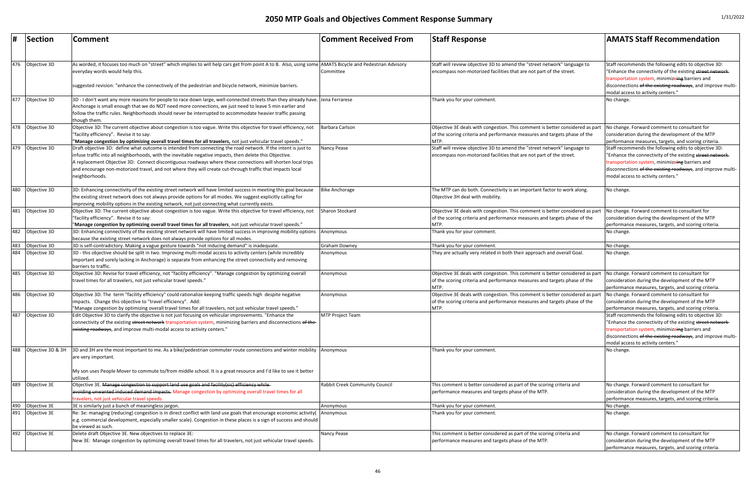| #   | Section           | <b>Comment</b>                                                                                                                                                                                                                                                                                                                                                                                                                                                           | <b>Comment Received From</b>          | <b>Staff Response</b>                                                                                                                                                                                            | <b>AMATS Staff Recommendation</b>                                                                                                                                                                                                                                          |
|-----|-------------------|--------------------------------------------------------------------------------------------------------------------------------------------------------------------------------------------------------------------------------------------------------------------------------------------------------------------------------------------------------------------------------------------------------------------------------------------------------------------------|---------------------------------------|------------------------------------------------------------------------------------------------------------------------------------------------------------------------------------------------------------------|----------------------------------------------------------------------------------------------------------------------------------------------------------------------------------------------------------------------------------------------------------------------------|
| 476 | Objective 3D      | As worded, it focuses too much on "street" which implies to will help cars get from point A to B. Also, using some AMATS Bicycle and Pedestrian Advisory<br>everyday words would help this.<br>suggested revision: "enhance the connectively of the pedestrian and bicycle network, minimize barriers.                                                                                                                                                                   | Committee                             | Staff will review objective 3D to amend the "street network" language to<br>encompass non-motorized facilities that are not part of the street.                                                                  | Staff recommends the following edits to objective 3D:<br>"Enhance the connectivity of the existing street network-<br>transportation system, minimizeing barriers and<br>disconnections of the existing roadways, and improve multi-<br>modal access to activity centers." |
| 477 | Objective 3D      | 3D - I don't want any more reasons for people to race down large, well-connected streets than they already have. Jena Ferrarese<br>Anchorage is small enough that we do NOT need more connections, we just need to leave 5 min earlier and<br>follow the traffic rules. Neighborhoods should never be interrupted to accommodate heavier traffic passing<br>though them.                                                                                                 |                                       | Thank you for your comment.                                                                                                                                                                                      | No change.                                                                                                                                                                                                                                                                 |
| 478 | Objective 3D      | Objective 3D: The current objective about congestion is too vague. Write this objective for travel efficiency, not<br>"facility efficiency". Revise it to say:<br>"Manage congestion by optimizing overall travel times for all travelers, not just vehicular travel speeds."                                                                                                                                                                                            | Barbara Carlson                       | Objective 3E deals with congestion. This comment is better considered as part<br>of the scoring criteria and performance measures and targets phase of the<br>MTP.                                               | No change. Forward comment to consultant for<br>consideration during the development of the MTP<br>performance measures, targets, and scoring criteria                                                                                                                     |
| 479 | Objective 3D      | Draft objective 3D: define what outcome is intended from connecting the road network. If the intent is just to<br>infuse traffic into all neighborhoods, with the inevitable negative impacts, then delete this Objective.<br>A replacement Objective 3D: Connect discontiguous roadways where these connections will shorten local trips<br>and encourage non-motorized travel, and not where they will create cut-through traffic that impacts local<br>neighborhoods. | Nancy Pease                           | Staff will review objective 3D to amend the "street network" language to<br>encompass non-motorized facilities that are not part of the street.                                                                  | Staff recommends the following edits to objective 3D:<br>"Enhance the connectivity of the existing street network-<br>transportation system, minimizeing barriers and<br>disconnections of the existing roadways, and improve multi-<br>modal access to activity centers." |
| 480 | Objective 3D      | 3D: Enhancing connectivity of the existing street network will have limited success in meeting this goal because<br>the existing street network does not always provide options for all modes. We suggest explicitly calling for<br>improving mobility options in the existing network, not just connecting what currently exists.                                                                                                                                       | <b>Bike Anchorage</b>                 | The MTP can do both. Connectivity is an important factor to work along.<br>Objective 3H deal with mobility.                                                                                                      | No change.                                                                                                                                                                                                                                                                 |
| 481 | Objective 3D      | Objective 3D: The current objective about congestion is too vague. Write this objective for travel efficiency, not<br>"facility efficiency". Revise it to say:<br>"Manage congestion by optimizing overall travel times for all travelers, not just vehicular travel speeds."                                                                                                                                                                                            | Sharon Stockard                       | Objective 3E deals with congestion. This comment is better considered as part  No change. Forward comment to consultant for<br>of the scoring criteria and performance measures and targets phase of the<br>MTP. | consideration during the development of the MTP<br>performance measures, targets, and scoring criteria                                                                                                                                                                     |
| 482 | Objective 3D      | 3D: Enhancing connectivity of the existing street network will have limited success in improving mobility options<br>because the existing street network does not always provide options for all modes.                                                                                                                                                                                                                                                                  | Anonymous                             | Thank you for your comment.                                                                                                                                                                                      | No change.                                                                                                                                                                                                                                                                 |
| 483 | Objective 3D      | 3D is self-contradictory. Making a vague gesture towards "not inducing demand" is inadequate.                                                                                                                                                                                                                                                                                                                                                                            | <b>Graham Downey</b>                  | Thank you for your comment.                                                                                                                                                                                      | No change.                                                                                                                                                                                                                                                                 |
| 484 | Objective 3D      | 3D - this objective should be split in two. Improving multi-modal access to activity centers (while incredibly<br>important and sorely lacking in Anchorage) is separate from enhancing the street connectivity and removing<br>barriers to traffic.                                                                                                                                                                                                                     | Anonymous                             | They are actually very related in both their approach and overall Goal                                                                                                                                           | No change.                                                                                                                                                                                                                                                                 |
| 485 | Objective 3D      | Objective 3D: Revise for travel efficiency, not "facility efficiency". "Manage congestion by optimizing overall<br>travel times for all travelers, not just vehicular travel speeds."                                                                                                                                                                                                                                                                                    | Anonymous                             | Objective 3E deals with congestion. This comment is better considered as part No change. Forward comment to consultant for<br>of the scoring criteria and performance measures and targets phase of the<br>MTP.  | consideration during the development of the MTP<br>performance measures, targets, and scoring criteria.                                                                                                                                                                    |
| 486 | Objective 3D      | Objective 3D: The term "facility efficiency" could rationalize keeping traffic speeds high despite negative<br>impacts. Change this objective to "travel efficiency". Add:<br>"Manage congestion by optimizing overall travel times for all travelers, not just vehicular travel speeds."                                                                                                                                                                                | Anonymous                             | Objective 3E deals with congestion. This comment is better considered as part<br>of the scoring criteria and performance measures and targets phase of the<br>MTP.                                               | No change. Forward comment to consultant for<br>consideration during the development of the MTP<br>performance measures, targets, and scoring criteria                                                                                                                     |
| 487 | Objective 3D      | Edit Objective 3D to clarify the objective is not just focusing on vehicular improvements. "Enhance the<br>connectivity of the existing street network transportation system, minimizing barriers and disconnections of the-<br>existing roadways, and improve multi-modal access to activity centers."                                                                                                                                                                  | <b>MTP Project Team</b>               |                                                                                                                                                                                                                  | Staff recommends the following edits to objective 3D:<br>"Enhance the connectivity of the existing street network-<br>transportation system, minimizeing barriers and<br>disconnections of the existing roadways, and improve multi-<br>modal access to activity centers." |
| 488 | Objective 3D & 3H | 3D and 3H are the most important to me. As a bike/pedestrian commuter route connections and winter mobility<br>are very important.<br>My son uses People Mover to commute to/from middle school. It is a great resource and I'd like to see it better<br>utilized                                                                                                                                                                                                        | Anonymous                             | Thank you for your comment.                                                                                                                                                                                      | No change.                                                                                                                                                                                                                                                                 |
| 489 | Objective 3E      | Objective 3E. <del>Manage congestion to support land use goals and facility(sic) efficiency while-</del>                                                                                                                                                                                                                                                                                                                                                                 | <b>Rabbit Creek Community Council</b> | This comment is better considered as part of the scoring criteria and                                                                                                                                            | No change. Forward comment to consultant for                                                                                                                                                                                                                               |
|     |                   | avoiding unwanted induced demand impacts. Manage congestion by optimizing overall travel times for all<br>travelers, not just vehicular travel speeds                                                                                                                                                                                                                                                                                                                    |                                       | performance measures and targets phase of the MTP.                                                                                                                                                               | consideration during the development of the MTP<br>performance measures, targets, and scoring criteria                                                                                                                                                                     |
| 490 | Objective 3E      | 3E is similarly just a bunch of meaningless jargon.                                                                                                                                                                                                                                                                                                                                                                                                                      | Anonymous                             | Thank you for your comment.                                                                                                                                                                                      | No change.                                                                                                                                                                                                                                                                 |
| 491 | Objective 3E      | Re: 3e: managing (reducing) congestion is in direct conflict with land use goals that encourage economic activity(<br>e.g. commercial development, especially smaller scale). Congestion in these places is a sign of success and should<br>be viewed as such.                                                                                                                                                                                                           | Anonymous                             | Thank you for your comment.                                                                                                                                                                                      | No change.                                                                                                                                                                                                                                                                 |
| 492 | Objective 3E      | Delete draft Objective 3E. New objectives to replace 3E:<br>New 3E: Manage congestion by optimizing overall travel times for all travelers, not just vehicular travel speeds.                                                                                                                                                                                                                                                                                            | Nancy Pease                           | This comment is better considered as part of the scoring criteria and<br>performance measures and targets phase of the MTP.                                                                                      | No change. Forward comment to consultant for<br>consideration during the development of the MTP<br>performance measures, targets, and scoring criteria.                                                                                                                    |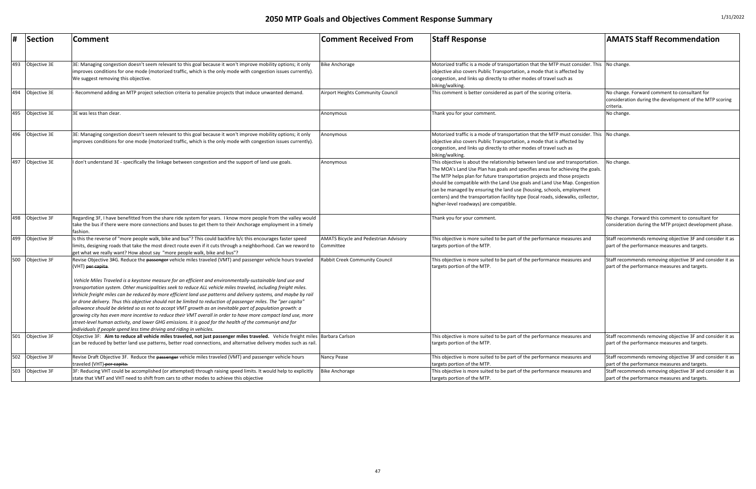| #   | <b>Section</b> | <b>Comment</b>                                                                                                                                                                                                                                                                                                                                                                                                                                                                                                                                                                                                                                                                                                                                                                                                                                                                                                                                                                                                                         | <b>Comment Received From</b>                              | <b>Staff Response</b>                                                                                                                                                                                                                                                                                                                                                                                                                                                                                                            | <b>AMATS Staff Recommendation</b>                                                                                    |
|-----|----------------|----------------------------------------------------------------------------------------------------------------------------------------------------------------------------------------------------------------------------------------------------------------------------------------------------------------------------------------------------------------------------------------------------------------------------------------------------------------------------------------------------------------------------------------------------------------------------------------------------------------------------------------------------------------------------------------------------------------------------------------------------------------------------------------------------------------------------------------------------------------------------------------------------------------------------------------------------------------------------------------------------------------------------------------|-----------------------------------------------------------|----------------------------------------------------------------------------------------------------------------------------------------------------------------------------------------------------------------------------------------------------------------------------------------------------------------------------------------------------------------------------------------------------------------------------------------------------------------------------------------------------------------------------------|----------------------------------------------------------------------------------------------------------------------|
| 493 | Objective 3E   | 3E: Managing congestion doesn't seem relevant to this goal because it won't improve mobility options; it only<br>improves conditions for one mode (motorized traffic, which is the only mode with congestion issues currently).<br>We suggest removing this objective.                                                                                                                                                                                                                                                                                                                                                                                                                                                                                                                                                                                                                                                                                                                                                                 | <b>Bike Anchorage</b>                                     | Motorized traffic is a mode of transportation that the MTP must consider. This No change.<br>objective also covers Public Transportation, a mode that is affected by<br>congestion, and links up directly to other modes of travel such as<br>biking/walking.                                                                                                                                                                                                                                                                    |                                                                                                                      |
| 494 | Objective 3E   | Recommend adding an MTP project selection criteria to penalize projects that induce unwanted demand.                                                                                                                                                                                                                                                                                                                                                                                                                                                                                                                                                                                                                                                                                                                                                                                                                                                                                                                                   | Airport Heights Community Council                         | This comment is better considered as part of the scoring criteria.                                                                                                                                                                                                                                                                                                                                                                                                                                                               | No change. Forward comment to consultant for<br>consideration during the development of the MTP scoring<br>criteria. |
| 495 | Objective 3E   | 3E was less than clear                                                                                                                                                                                                                                                                                                                                                                                                                                                                                                                                                                                                                                                                                                                                                                                                                                                                                                                                                                                                                 | Anonymous                                                 | Fhank you for your comment.                                                                                                                                                                                                                                                                                                                                                                                                                                                                                                      | No change.                                                                                                           |
| 496 | Objective 3E   | 3E: Managing congestion doesn't seem relevant to this goal because it won't improve mobility options; it only<br>improves conditions for one mode (motorized traffic, which is the only mode with congestion issues currently).                                                                                                                                                                                                                                                                                                                                                                                                                                                                                                                                                                                                                                                                                                                                                                                                        | Anonymous                                                 | Motorized traffic is a mode of transportation that the MTP must consider. This No change.<br>objective also covers Public Transportation, a mode that is affected by<br>congestion, and links up directly to other modes of travel such as<br>biking/walking.                                                                                                                                                                                                                                                                    |                                                                                                                      |
| 497 | Objective 3E   | don't understand 3E - specifically the linkage between congestion and the support of land use goals.                                                                                                                                                                                                                                                                                                                                                                                                                                                                                                                                                                                                                                                                                                                                                                                                                                                                                                                                   | Anonymous                                                 | This objective is about the relationship between land use and transportation.<br>The MOA's Land Use Plan has goals and specifies areas for achieving the goals.<br>The MTP helps plan for future transportation projects and those projects<br>should be compatible with the Land Use goals and Land Use Map. Congestion<br>can be managed by ensuring the land use (housing, schools, employment<br>centers) and the transportation facility type (local roads, sidewalks, collector,<br>higher-level roadways) are compatible. | No change.                                                                                                           |
| 498 | Objective 3F   | Regarding 3F, I have benefitted from the share ride system for years. I know more people from the valley would<br>take the bus if there were more connections and buses to get them to their Anchorage employment in a timely<br>fashion                                                                                                                                                                                                                                                                                                                                                                                                                                                                                                                                                                                                                                                                                                                                                                                               |                                                           | Thank you for your comment.                                                                                                                                                                                                                                                                                                                                                                                                                                                                                                      | No change. Forward this comment to consultant for<br>consideration during the MTP project development phase.         |
| 499 | Objective 3F   | s this the reverse of "more people walk, bike and bus"? This could backfire b/c this encourages faster speed<br>limits, designing roads that take the most direct route even if it cuts through a neighborhood. Can we reword to<br>get what we really want? How about say "more people walk, bike and bus"?                                                                                                                                                                                                                                                                                                                                                                                                                                                                                                                                                                                                                                                                                                                           | <b>AMATS Bicycle and Pedestrian Advisory</b><br>Committee | This objective is more suited to be part of the performance measures and<br>targets portion of the MTP.                                                                                                                                                                                                                                                                                                                                                                                                                          | Staff recommends removing objective 3F and consider it as<br>part of the performance measures and targets.           |
| 500 | Objective 3F   | Revise Objective 3FG. Reduce the passenger vehicle miles traveled (VMT) and passenger vehicle hours traveled<br>(VHT) <del>per capita</del> .<br>Vehicle Miles Traveled is a keystone measure for an efficient and environmentally-sustainable land use and<br>transportation system. Other municipalities seek to reduce ALL vehicle miles traveled, including freight miles.<br>Vehicle freight miles can be reduced by more efficient land use patterns and delivery systems, and maybe by rail<br>or drone delivery. Thus this objective should not be limited to reduction of passenger miles. The "per capita"<br>allowance should be deleted so as not to accept VMT growth as an inevitable part of population growth: a<br>growing city has even more incentive to reduce their VMT overall in order to have more compact land use, more<br>street-level human activity, and lower GHG emissions. It is good for the health of the communiyt and for<br>individuals if people spend less time driving and riding in vehicles. | <b>Rabbit Creek Community Council</b>                     | This objective is more suited to be part of the performance measures and<br>targets portion of the MTP.                                                                                                                                                                                                                                                                                                                                                                                                                          | Staff recommends removing objective 3F and consider it as<br>part of the performance measures and targets.           |
| 501 | Objective 3F   | Objective 3F: Aim to reduce all vehicle miles traveled, not just passenger miles traveled. Vehicle freight miles Barbara Carlson<br>can be reduced by better land use patterns, better road connections, and alternative delivery modes such as rail.                                                                                                                                                                                                                                                                                                                                                                                                                                                                                                                                                                                                                                                                                                                                                                                  |                                                           | This objective is more suited to be part of the performance measures and<br>targets portion of the MTP.                                                                                                                                                                                                                                                                                                                                                                                                                          | Staff recommends removing objective 3F and consider it as<br>part of the performance measures and targets.           |
| 502 | Objective 3F   | Revise Draft Objective 3F. Reduce the passenger vehicle miles traveled (VMT) and passenger vehicle hours<br>traveled (VHT) per capita.                                                                                                                                                                                                                                                                                                                                                                                                                                                                                                                                                                                                                                                                                                                                                                                                                                                                                                 | Nancy Pease                                               | This objective is more suited to be part of the performance measures and<br>targets portion of the MTP.                                                                                                                                                                                                                                                                                                                                                                                                                          | Staff recommends removing objective 3F and consider it as<br>part of the performance measures and targets.           |
| 503 | Objective 3F   | 3F: Reducing VHT could be accomplished (or attempted) through raising speed limits. It would help to explicitly<br>state that VMT and VHT need to shift from cars to other modes to achieve this objective                                                                                                                                                                                                                                                                                                                                                                                                                                                                                                                                                                                                                                                                                                                                                                                                                             | <b>Bike Anchorage</b>                                     | This objective is more suited to be part of the performance measures and<br>targets portion of the MTP.                                                                                                                                                                                                                                                                                                                                                                                                                          | Staff recommends removing objective 3F and consider it as<br>part of the performance measures and targets.           |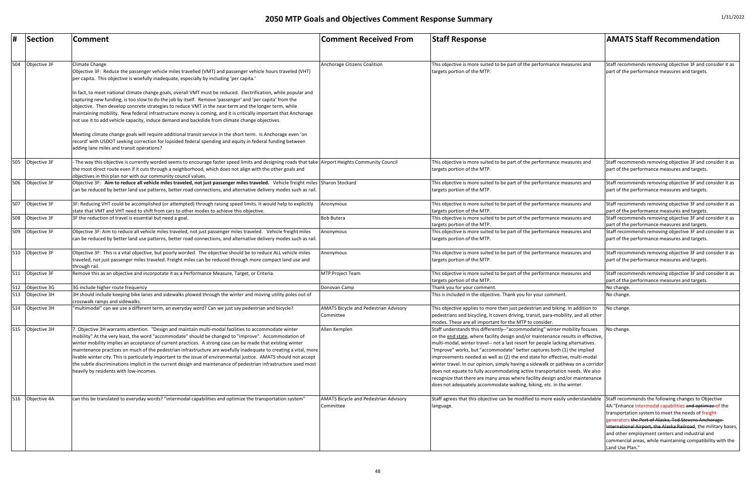| #   | Section          | Comment                                                                                                                                                                                                                                                                                                                                                                                                                                                                                                                                                                                                                                                                                                                             | <b>Comment Received From</b>                              | <b>Staff Response</b>                                                                                                                                                                                                                                                                                                                                                                                                                                                                                                                                                                                                                                                                                                                   | <b>AMATS Staff Recommendation</b>                                                                                                                                                                                                                                                                                                                                                                                                    |
|-----|------------------|-------------------------------------------------------------------------------------------------------------------------------------------------------------------------------------------------------------------------------------------------------------------------------------------------------------------------------------------------------------------------------------------------------------------------------------------------------------------------------------------------------------------------------------------------------------------------------------------------------------------------------------------------------------------------------------------------------------------------------------|-----------------------------------------------------------|-----------------------------------------------------------------------------------------------------------------------------------------------------------------------------------------------------------------------------------------------------------------------------------------------------------------------------------------------------------------------------------------------------------------------------------------------------------------------------------------------------------------------------------------------------------------------------------------------------------------------------------------------------------------------------------------------------------------------------------------|--------------------------------------------------------------------------------------------------------------------------------------------------------------------------------------------------------------------------------------------------------------------------------------------------------------------------------------------------------------------------------------------------------------------------------------|
|     |                  |                                                                                                                                                                                                                                                                                                                                                                                                                                                                                                                                                                                                                                                                                                                                     |                                                           |                                                                                                                                                                                                                                                                                                                                                                                                                                                                                                                                                                                                                                                                                                                                         |                                                                                                                                                                                                                                                                                                                                                                                                                                      |
| 504 | Objective 3F     | Climate Change<br>Objective 3F: Reduce the passenger vehicle miles travelled (VMT) and passenger vehicle hours traveled (VHT)<br>per capita. This objective is woefully inadequate, especially by including 'per capita.'                                                                                                                                                                                                                                                                                                                                                                                                                                                                                                           | Anchorage Citizens Coalition                              | This objective is more suited to be part of the performance measures and<br>targets portion of the MTP.                                                                                                                                                                                                                                                                                                                                                                                                                                                                                                                                                                                                                                 | Staff recommends removing objective 3F and consider it as<br>part of the performance measures and targets.                                                                                                                                                                                                                                                                                                                           |
|     |                  | n fact, to meet national climate change goals, overall VMT must be reduced. Electrification, while popular and<br>capturing new funding, is too slow to do the job by itself. Remove 'passenger' and 'per capita' from the<br>objective. Then develop concrete strategies to reduce VMT in the near term and the longer term, while<br>maintaining mobility. New federal infrastructure money is coming, and it is critically important that Anchorage<br>not use it to add vehicle capacity, induce demand and backslide from climate change objectives.                                                                                                                                                                           |                                                           |                                                                                                                                                                                                                                                                                                                                                                                                                                                                                                                                                                                                                                                                                                                                         |                                                                                                                                                                                                                                                                                                                                                                                                                                      |
|     |                  | Meeting climate change goals will require additional transit service in the short term. Is Anchorage even 'on<br>record' with USDOT seeking correction for lopsided federal spending and equity in federal funding between<br>adding lane miles and transit operations?                                                                                                                                                                                                                                                                                                                                                                                                                                                             |                                                           |                                                                                                                                                                                                                                                                                                                                                                                                                                                                                                                                                                                                                                                                                                                                         |                                                                                                                                                                                                                                                                                                                                                                                                                                      |
| 505 | Objective 3F     | The way this objective is currently worded seems to encourage faster speed limits and designing roads that take Airport Heights Community Council<br>the most direct route even if it cuts through a neighborhood, which does not align with the other goals and<br>objectives in this plan nor with our community council values.                                                                                                                                                                                                                                                                                                                                                                                                  |                                                           | This objective is more suited to be part of the performance measures and<br>targets portion of the MTP.                                                                                                                                                                                                                                                                                                                                                                                                                                                                                                                                                                                                                                 | Staff recommends removing objective 3F and consider it as<br>part of the performance measures and targets.                                                                                                                                                                                                                                                                                                                           |
| 506 | Objective 3F     | Objective 3F: Aim to reduce all vehicle miles traveled, not just passenger miles traveled. Vehicle freight miles Sharon Stockard<br>can be reduced by better land use patterns, better road connections, and alternative delivery modes such as rail.                                                                                                                                                                                                                                                                                                                                                                                                                                                                               |                                                           | This objective is more suited to be part of the performance measures and<br>targets portion of the MTP.                                                                                                                                                                                                                                                                                                                                                                                                                                                                                                                                                                                                                                 | Staff recommends removing objective 3F and consider it as<br>part of the performance measures and targets.                                                                                                                                                                                                                                                                                                                           |
| 507 | Objective 3F     | 3F: Reducing VHT could be accomplished (or attempted) through raising speed limits. It would help to explicitly<br>state that VMT and VHT need to shift from cars to other modes to achieve this objective.                                                                                                                                                                                                                                                                                                                                                                                                                                                                                                                         | Anonymous                                                 | This objective is more suited to be part of the performance measures and<br>targets portion of the MTP.                                                                                                                                                                                                                                                                                                                                                                                                                                                                                                                                                                                                                                 | Staff recommends removing objective 3F and consider it as<br>part of the performance measures and targets.                                                                                                                                                                                                                                                                                                                           |
| 508 | Objective 3F     | 3F the reduction of travel is essential but need a goal.                                                                                                                                                                                                                                                                                                                                                                                                                                                                                                                                                                                                                                                                            | <b>Bob Butera</b>                                         | This objective is more suited to be part of the performance measures and<br>targets portion of the MTP.                                                                                                                                                                                                                                                                                                                                                                                                                                                                                                                                                                                                                                 | Staff recommends removing objective 3F and consider it as<br>part of the performance measures and targets.                                                                                                                                                                                                                                                                                                                           |
| 509 | Objective 3F     | Objective 3F: Aim to reduce all vehicle miles traveled, not just passenger miles traveled. Vehicle freight miles<br>can be reduced by better land use patterns, better road connections, and alternative delivery modes such as rail.                                                                                                                                                                                                                                                                                                                                                                                                                                                                                               | Anonymous                                                 | This objective is more suited to be part of the performance measures and<br>targets portion of the MTP.                                                                                                                                                                                                                                                                                                                                                                                                                                                                                                                                                                                                                                 | Staff recommends removing objective 3F and consider it as<br>part of the performance measures and targets.                                                                                                                                                                                                                                                                                                                           |
|     | 510 Objective 3F | Objective 3F: This is a vital objective, but poorly worded. The objective should be to reduce ALL vehicle miles<br>traveled, not just passenger miles traveled. Freight miles can be reduced through more compact land use and<br>through rail.                                                                                                                                                                                                                                                                                                                                                                                                                                                                                     | Anonymous                                                 | This objective is more suited to be part of the performance measures and<br>targets portion of the MTP.                                                                                                                                                                                                                                                                                                                                                                                                                                                                                                                                                                                                                                 | Staff recommends removing objective 3F and consider it as<br>part of the performance measures and targets.                                                                                                                                                                                                                                                                                                                           |
| 511 | Objective 3F     | Remove this as an objective and incorpotate it as a Performance Measure, Target, or Criteria.                                                                                                                                                                                                                                                                                                                                                                                                                                                                                                                                                                                                                                       | <b>MTP Project Team</b>                                   | This objective is more suited to be part of the performance measures and<br>targets portion of the MTP.                                                                                                                                                                                                                                                                                                                                                                                                                                                                                                                                                                                                                                 | Staff recommends removing objective 3F and consider it as<br>part of the performance measures and targets.                                                                                                                                                                                                                                                                                                                           |
| 512 | Objective 3G     | 3G include higher route frequency                                                                                                                                                                                                                                                                                                                                                                                                                                                                                                                                                                                                                                                                                                   | Donovan Camp                                              | Thank you for your comment.                                                                                                                                                                                                                                                                                                                                                                                                                                                                                                                                                                                                                                                                                                             | No change.                                                                                                                                                                                                                                                                                                                                                                                                                           |
| 513 | Objective 3H     | 3H should include keeping bike lanes and sidewalks plowed through the winter and moving utility poles out of<br>crosswalk ramps and sidewalks.                                                                                                                                                                                                                                                                                                                                                                                                                                                                                                                                                                                      |                                                           | This is included in the objective. Thank you for your comment.                                                                                                                                                                                                                                                                                                                                                                                                                                                                                                                                                                                                                                                                          | No change.                                                                                                                                                                                                                                                                                                                                                                                                                           |
| 514 | Objective 3H     | multimodal" can we use a different term, an everyday word? Can we just say pedestrian and bicycle?                                                                                                                                                                                                                                                                                                                                                                                                                                                                                                                                                                                                                                  | <b>AMATS Bicycle and Pedestrian Advisory</b><br>Committee | This objective applies to more then just pedestrian and biking. In addition to<br>pedestrians and bicycling, it covers driving, transit, para-mobility, and all other<br>modes. These are all important for the MTP to consider.                                                                                                                                                                                                                                                                                                                                                                                                                                                                                                        | No change.                                                                                                                                                                                                                                                                                                                                                                                                                           |
| 515 | Objective 3H     | . Objective 3H warrants attention. "Design and maintain multi-modal facilities to accommodate winter<br>mobility". At the very least, the word "accommodate" should be changed to "improve". Accommodation of<br>winter mobility implies an acceptance of current practices. A strong case can be made that existing winter<br>maintenance practices on much of the pedestrian infrastructure are woefully inadequate to creating a vital, more<br>livable winter city. This is particularly important to the issue of environmental justice. AMATS should not accept<br>the subtle discriminations implicit in the current design and maintenance of pedestrian infrastructure used most<br>heavily by residents with low-incomes. | Allen Kemplen                                             | Staff understands this differently--"accommodating" winter mobility focuses<br>on the end state, where facility design and/or maintenance results in effective,<br>multi-modal, winter travel-- not a last resort for people lacking alternatives.<br>"Improve" works, but "accommodate" better captures both (1) the implied<br>improvements needed as well as (2) the end state for effective, multi-modal<br>winter travel. In our opinion, simply having a sidewalk or pathway on a corridor<br>does not equate to fully accommodating active transportation needs. We also<br>recognize that there are many areas where facility design and/or maintenance<br>does not adequately accommodate walking, biking, etc. in the winter. | No change.                                                                                                                                                                                                                                                                                                                                                                                                                           |
| 516 | Objective 4A     | can this be translated to everyday words? "intermodal capabilities and optimize the transportation system"                                                                                                                                                                                                                                                                                                                                                                                                                                                                                                                                                                                                                          | <b>AMATS Bicycle and Pedestrian Advisory</b><br>Committee | Staff agrees that this objective can be modified to more easily understandable<br>language.                                                                                                                                                                                                                                                                                                                                                                                                                                                                                                                                                                                                                                             | Staff recommends the following changes to Objective<br>4A:"Enhance intermodal capabilities and optimize of the<br>transportation system to meet the needs of freight<br>generators the Port of Alaska, Ted Stevens Anchorage-<br>International Airport, the Alaska Railroad, the military bases,<br>and other employment centers and industrial and<br>commercial areas, while maintaining compatibility with the<br>Land Use Plan." |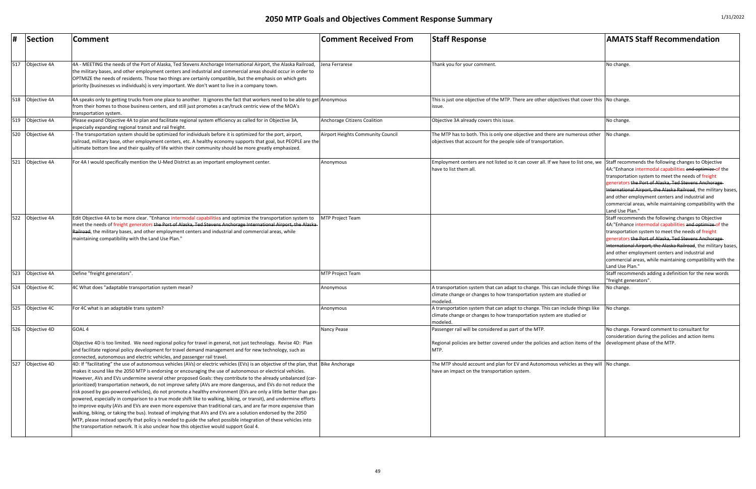| #   | Section          | <b>Comment</b>                                                                                                                                                                                                                                                                                                                                                                                                                                                                                                                                                                                                                                                                                                                                                                                                                                                                                                                                                                                                                                                                                                                                                                      | <b>Comment Received From</b>             | <b>Staff Response</b>                                                                                                                                                          | <b>AMATS Staff Recommendation</b>                                                                                                                                                                                                                                                                                                                                                                                              |
|-----|------------------|-------------------------------------------------------------------------------------------------------------------------------------------------------------------------------------------------------------------------------------------------------------------------------------------------------------------------------------------------------------------------------------------------------------------------------------------------------------------------------------------------------------------------------------------------------------------------------------------------------------------------------------------------------------------------------------------------------------------------------------------------------------------------------------------------------------------------------------------------------------------------------------------------------------------------------------------------------------------------------------------------------------------------------------------------------------------------------------------------------------------------------------------------------------------------------------|------------------------------------------|--------------------------------------------------------------------------------------------------------------------------------------------------------------------------------|--------------------------------------------------------------------------------------------------------------------------------------------------------------------------------------------------------------------------------------------------------------------------------------------------------------------------------------------------------------------------------------------------------------------------------|
| 517 | Objective 4A     | 4A - MEETING the needs of the Port of Alaska, Ted Stevens Anchorage International Airport, the Alaska Railroad,<br>the military bases, and other employment centers and industrial and commercial areas should occur in order to<br>OPTMIZE the needs of residents. Those two things are certainly compatible, but the emphasis on which gets<br>priority (businesses vs individuals) is very important. We don't want to live in a company town.                                                                                                                                                                                                                                                                                                                                                                                                                                                                                                                                                                                                                                                                                                                                   | Jena Ferrarese                           | Thank you for your comment                                                                                                                                                     | No change                                                                                                                                                                                                                                                                                                                                                                                                                      |
| 518 | Objective 4A     | 4A speaks only to getting trucks from one place to another. It ignores the fact that workers need to be able to get Anonymous<br>irom their homes to those business centers, and still just promotes a car/truck centric view of the MOA's<br>transportation system.                                                                                                                                                                                                                                                                                                                                                                                                                                                                                                                                                                                                                                                                                                                                                                                                                                                                                                                |                                          | This is just one objective of the MTP. There are other objectives that cover this No change.<br>lissue.                                                                        |                                                                                                                                                                                                                                                                                                                                                                                                                                |
|     | 519 Objective 4A | Please expand Objective 4A to plan and facilitate regional system efficiency as called for in Objective 3A,<br>especially expanding regional transit and rail freight.                                                                                                                                                                                                                                                                                                                                                                                                                                                                                                                                                                                                                                                                                                                                                                                                                                                                                                                                                                                                              | <b>Anchorage Citizens Coalition</b>      | Objective 3A already covers this issue.                                                                                                                                        | No change                                                                                                                                                                                                                                                                                                                                                                                                                      |
| 520 | Objective 4A     | The transportation system should be optimized for individuals before it is optimized for the port, airport,<br>railroad, military base, other employment centers, etc. A healthy economy supports that goal, but PEOPLE are the<br>ultimate bottom line and their quality of life within their community should be more greatly emphasized.                                                                                                                                                                                                                                                                                                                                                                                                                                                                                                                                                                                                                                                                                                                                                                                                                                         | <b>Airport Heights Community Council</b> | The MTP has to both. This is only one objective and there are numerous other<br>objectives that account for the people side of transportation.                                 | No change.                                                                                                                                                                                                                                                                                                                                                                                                                     |
| 521 | Objective 4A     | For 4A I would specifically mention the U-Med District as an important employment center.                                                                                                                                                                                                                                                                                                                                                                                                                                                                                                                                                                                                                                                                                                                                                                                                                                                                                                                                                                                                                                                                                           | Anonymous                                | Employment centers are not listed so it can cover all. If we have to list one, we<br>have to list them all                                                                     | Staff recommends the following changes to Objective<br>4A:"Enhance intermodal capabilities and optimize of the<br>transportation system to meet the needs of freight<br>generators the Port of Alaska, Ted Stevens Anchorage-<br>International Airport, the Alaska Railroad, the military ba<br>and other employment centers and industrial and<br>commercial areas, while maintaining compatibility with t<br>Land Use Plan." |
| 522 | Objective 4A     | Edit Objective 4A to be more clear. "Enhance intermodal capabilities and optimize the transportation system to<br>meet the needs of freight generators <del>the Port of Alaska, Ted Stevens Anchorage International Airport, the Alaska</del><br>Railroad, the military bases, and other employment centers and industrial and commercial areas, while<br>maintaining compatibility with the Land Use Plan."                                                                                                                                                                                                                                                                                                                                                                                                                                                                                                                                                                                                                                                                                                                                                                        | <b>MTP Project Team</b>                  |                                                                                                                                                                                | Staff recommends the following changes to Objective<br>4A:"Enhance intermodal capabilities and optimize of the<br>transportation system to meet the needs of freight<br>generators the Port of Alaska, Ted Stevens Anchorage-<br>International Airport, the Alaska Railroad, the military ba<br>and other employment centers and industrial and<br>commercial areas, while maintaining compatibility with t<br>Land Use Plan." |
| 523 | Objective 4A     | Define "freight generators".                                                                                                                                                                                                                                                                                                                                                                                                                                                                                                                                                                                                                                                                                                                                                                                                                                                                                                                                                                                                                                                                                                                                                        | <b>MTP Project Team</b>                  |                                                                                                                                                                                | Staff recommends adding a definition for the new words<br>"freight generators".                                                                                                                                                                                                                                                                                                                                                |
| 524 | Objective 4C     | 4C What does "adaptable transportation system mean?                                                                                                                                                                                                                                                                                                                                                                                                                                                                                                                                                                                                                                                                                                                                                                                                                                                                                                                                                                                                                                                                                                                                 | Anonymous                                | A transportation system that can adapt to change. This can include things like<br>climate change or changes to how transportation system are studied or<br>modeled.            | No change.                                                                                                                                                                                                                                                                                                                                                                                                                     |
| 525 | Objective 4C     | For 4C what is an adaptable trans system?                                                                                                                                                                                                                                                                                                                                                                                                                                                                                                                                                                                                                                                                                                                                                                                                                                                                                                                                                                                                                                                                                                                                           | Anonymous                                | A transportation system that can adapt to change. This can include things like<br>climate change or changes to how transportation system are studied or<br>modeled.            | No change.                                                                                                                                                                                                                                                                                                                                                                                                                     |
| 526 | Objective 4D     | GOAL <sub>4</sub><br>Objective 4D is too limited. We need regional policy for travel in general, not just technology. Revise 4D: Plan<br>and facilitate regional policy development for travel demand management and for new technology, such as<br>connected, autonomous and electric vehicles, and passenger rail travel.                                                                                                                                                                                                                                                                                                                                                                                                                                                                                                                                                                                                                                                                                                                                                                                                                                                         | Nancy Pease                              | Passenger rail will be considered as part of the MTP.<br>Regional policies are better covered under the policies and action items of the development phase of the MTP.<br>MTP. | No change. Forward comment to consultant for<br>consideration during the policies and action items                                                                                                                                                                                                                                                                                                                             |
| 527 | Objective 4D     | 4D: If "facilitating" the use of autonomous vehicles (AVs) or electric vehicles (EVs) is an objective of the plan, that Bike Anchorage<br>makes it sound like the 2050 MTP is endorsing or encouraging the use of autonomous or electrical vehicles.<br>-lowever, AVs and EVs undermine several other proposed Goals: they contribute to the already unbalanced (car-<br>prioritized) transportation network, do not improve safety (AVs are more dangerous, and EVs do not reduce the<br>risk posed by gas-powered vehicles), do not promote a healthy environment (EVs are only a little better than gas-<br>powered, especially in comparison to a true mode shift like to walking, biking, or transit), and undermine efforts<br>to improve equity (AVs and EVs are even more expensive than traditional cars, and are far more expensive than<br>walking, biking, or taking the bus). Instead of implying that AVs and EVs are a solution endorsed by the 2050<br>MTP, please instead specify that policy is needed to guide the safest possible integration of these vehicles into<br>the transportation network. It is also unclear how this objective would support Goal 4. |                                          | The MTP should account and plan for EV and Autonomous vehicles as they will $\vert$ No change.<br>have an impact on the transportation system.                                 |                                                                                                                                                                                                                                                                                                                                                                                                                                |

| <b>Comment Received From</b>        | <b>Staff Response</b>                                                                                                                                               | <b>AMATS Staff Recommendation</b>                                                                                                                                                                                                                                                                                                                                                                                                    |
|-------------------------------------|---------------------------------------------------------------------------------------------------------------------------------------------------------------------|--------------------------------------------------------------------------------------------------------------------------------------------------------------------------------------------------------------------------------------------------------------------------------------------------------------------------------------------------------------------------------------------------------------------------------------|
| Jena Ferrarese                      | Thank you for your comment.                                                                                                                                         | No change.                                                                                                                                                                                                                                                                                                                                                                                                                           |
|                                     |                                                                                                                                                                     |                                                                                                                                                                                                                                                                                                                                                                                                                                      |
| Anonymous                           | This is just one objective of the MTP. There are other objectives that cover this No change.<br>issue.                                                              |                                                                                                                                                                                                                                                                                                                                                                                                                                      |
| <b>Anchorage Citizens Coalition</b> | Objective 3A already covers this issue.                                                                                                                             | No change.                                                                                                                                                                                                                                                                                                                                                                                                                           |
| Airport Heights Community Council   | The MTP has to both. This is only one objective and there are numerous other<br>objectives that account for the people side of transportation.                      | No change.                                                                                                                                                                                                                                                                                                                                                                                                                           |
| Anonymous                           | Employment centers are not listed so it can cover all. If we have to list one, we<br>have to list them all.                                                         | Staff recommends the following changes to Objective<br>4A:"Enhance intermodal capabilities and optimize of the<br>transportation system to meet the needs of freight<br>generators the Port of Alaska, Ted Stevens Anchorage-<br>International Airport, the Alaska Railroad, the military bases,<br>and other employment centers and industrial and<br>commercial areas, while maintaining compatibility with the<br>Land Use Plan." |
| <b>MTP Project Team</b>             |                                                                                                                                                                     | Staff recommends the following changes to Objective<br>4A:"Enhance intermodal capabilities and optimize of the<br>transportation system to meet the needs of freight<br>generators the Port of Alaska, Ted Stevens Anchorage-<br>International Airport, the Alaska Railroad, the military bases,<br>and other employment centers and industrial and<br>commercial areas, while maintaining compatibility with the<br>Land Use Plan." |
| <b>MTP Project Team</b>             |                                                                                                                                                                     | Staff recommends adding a definition for the new words<br>"freight generators".                                                                                                                                                                                                                                                                                                                                                      |
| Anonymous                           | A transportation system that can adapt to change. This can include things like<br>climate change or changes to how transportation system are studied or<br>modeled. | No change.                                                                                                                                                                                                                                                                                                                                                                                                                           |
| Anonymous                           | A transportation system that can adapt to change. This can include things like<br>climate change or changes to how transportation system are studied or<br>modeled. | No change.                                                                                                                                                                                                                                                                                                                                                                                                                           |
| Nancy Pease                         | Passenger rail will be considered as part of the MTP.<br>Regional policies are better covered under the policies and action items of the<br>MTP.                    | No change. Forward comment to consultant for<br>consideration during the policies and action items<br>development phase of the MTP.                                                                                                                                                                                                                                                                                                  |
| <b>Bike Anchorage</b>               | The MTP should account and plan for EV and Autonomous vehicles as they will<br>have an impact on the transportation system.                                         | No change.                                                                                                                                                                                                                                                                                                                                                                                                                           |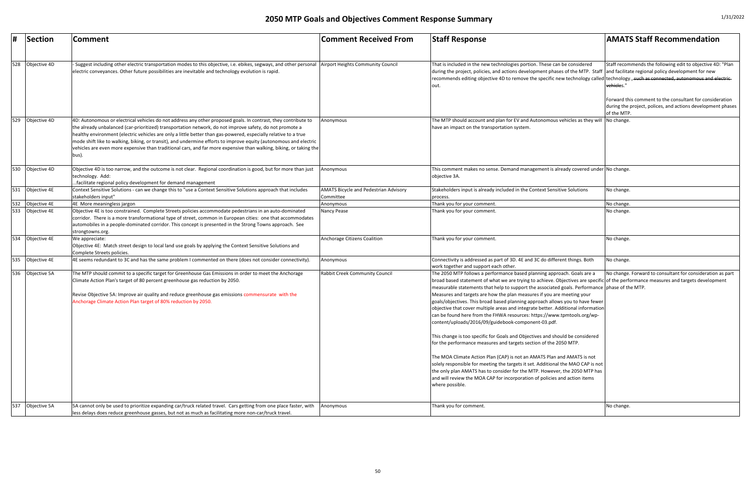| <b>Comment Received From</b>                              | <b>Staff Response</b>                                                                                                                                                                                                                                                                                                                                                                                                                                                                                                                                                                                                                                                                                                                                                                                                                                                                                                                                                                                                                                                                                                                                                                                 | <b>AMATS Staff Recommendation</b>                                                                                                                                                                                                                         |
|-----------------------------------------------------------|-------------------------------------------------------------------------------------------------------------------------------------------------------------------------------------------------------------------------------------------------------------------------------------------------------------------------------------------------------------------------------------------------------------------------------------------------------------------------------------------------------------------------------------------------------------------------------------------------------------------------------------------------------------------------------------------------------------------------------------------------------------------------------------------------------------------------------------------------------------------------------------------------------------------------------------------------------------------------------------------------------------------------------------------------------------------------------------------------------------------------------------------------------------------------------------------------------|-----------------------------------------------------------------------------------------------------------------------------------------------------------------------------------------------------------------------------------------------------------|
| <b>Airport Heights Community Council</b>                  | That is included in the new technologies portion. These can be considered<br>during the project, policies, and actions development phases of the MTP. Staff<br>recommends editing objective 4D to remove the specific new technology called technology., such as connected, autonomous and electric-<br>lout.                                                                                                                                                                                                                                                                                                                                                                                                                                                                                                                                                                                                                                                                                                                                                                                                                                                                                         | Staff recommends the following edit to objective 4D: "Plan<br>and facilitate regional policy development for new<br>vehicles."<br>Forward this comment to the consultant for consideration<br>during the project, polices, and actions development phases |
| Anonymous                                                 | The MTP should account and plan for EV and Autonomous vehicles as they will<br>have an impact on the transportation system.                                                                                                                                                                                                                                                                                                                                                                                                                                                                                                                                                                                                                                                                                                                                                                                                                                                                                                                                                                                                                                                                           | of the MTP.<br>No change.                                                                                                                                                                                                                                 |
| Anonymous                                                 | This comment makes no sense. Demand management is already covered under No change.<br>objective 3A.                                                                                                                                                                                                                                                                                                                                                                                                                                                                                                                                                                                                                                                                                                                                                                                                                                                                                                                                                                                                                                                                                                   |                                                                                                                                                                                                                                                           |
| <b>AMATS Bicycle and Pedestrian Advisory</b><br>Committee | Stakeholders input is already included in the Context Sensitive Solutions<br>process.                                                                                                                                                                                                                                                                                                                                                                                                                                                                                                                                                                                                                                                                                                                                                                                                                                                                                                                                                                                                                                                                                                                 | No change.                                                                                                                                                                                                                                                |
| Anonymous                                                 | Thank you for your comment.                                                                                                                                                                                                                                                                                                                                                                                                                                                                                                                                                                                                                                                                                                                                                                                                                                                                                                                                                                                                                                                                                                                                                                           | No change.                                                                                                                                                                                                                                                |
| Nancy Pease                                               | Thank you for your comment.                                                                                                                                                                                                                                                                                                                                                                                                                                                                                                                                                                                                                                                                                                                                                                                                                                                                                                                                                                                                                                                                                                                                                                           | No change.                                                                                                                                                                                                                                                |
| <b>Anchorage Citizens Coalition</b>                       | Thank you for your comment.                                                                                                                                                                                                                                                                                                                                                                                                                                                                                                                                                                                                                                                                                                                                                                                                                                                                                                                                                                                                                                                                                                                                                                           | No change.                                                                                                                                                                                                                                                |
| Anonymous                                                 | Connectivity is addressed as part of 3D. 4E and 3C do different things. Both<br>work together and support each other.                                                                                                                                                                                                                                                                                                                                                                                                                                                                                                                                                                                                                                                                                                                                                                                                                                                                                                                                                                                                                                                                                 | No change.                                                                                                                                                                                                                                                |
| Rabbit Creek Community Council                            | The 2050 MTP follows a performance based planning approach. Goals are a<br>broad based statement of what we are trying to achieve. Objectives are specific of the performance measures and targets development<br>measurable statements that help to support the associated goals. Performance phase of the MTP.<br>Measures and targets are how the plan measures if you are meeting your<br>goals/objectives. This broad based planning approach allows you to have fewer<br>objective that cover multiple areas and integrate better. Additional information<br>can be found here from the FHWA resources: https://www.tpmtools.org/wp-<br>content/uploads/2016/09/guidebook-component-03.pdf.<br>This change is too specific for Goals and Objectives and should be considered<br>for the performance measures and targets section of the 2050 MTP.<br>The MOA Climate Action Plan (CAP) is not an AMATS Plan and AMATS is not<br>solely responsible for meeting the targets it set. Additional the MAO CAP is not<br>the only plan AMATS has to consider for the MTP. However, the 2050 MTP has<br>and will review the MOA CAP for incorporation of policies and action items<br>where possible. | No change. Forward to consultant for consideration as part                                                                                                                                                                                                |
| Anonymous                                                 | Thank you for comment.                                                                                                                                                                                                                                                                                                                                                                                                                                                                                                                                                                                                                                                                                                                                                                                                                                                                                                                                                                                                                                                                                                                                                                                | No change.                                                                                                                                                                                                                                                |

|     | Section      | Comment                                                                                                                                                                                                                                                                                                                                                                                                                                                                                                                                                                                            | <b>Comment Received From</b>                              | <b>Staff Response</b>                                                                                                                                                                                                                                                                                                                                                                                                                                                                                                                                                                                                                                                                                                                                                                                                                                                                                                                                                                                                                                                                                                                                                                              | <b>AMATS Staff Recommendation</b>                                                                                        |
|-----|--------------|----------------------------------------------------------------------------------------------------------------------------------------------------------------------------------------------------------------------------------------------------------------------------------------------------------------------------------------------------------------------------------------------------------------------------------------------------------------------------------------------------------------------------------------------------------------------------------------------------|-----------------------------------------------------------|----------------------------------------------------------------------------------------------------------------------------------------------------------------------------------------------------------------------------------------------------------------------------------------------------------------------------------------------------------------------------------------------------------------------------------------------------------------------------------------------------------------------------------------------------------------------------------------------------------------------------------------------------------------------------------------------------------------------------------------------------------------------------------------------------------------------------------------------------------------------------------------------------------------------------------------------------------------------------------------------------------------------------------------------------------------------------------------------------------------------------------------------------------------------------------------------------|--------------------------------------------------------------------------------------------------------------------------|
| 528 | Objective 4D | Suggest including other electric transportation modes to this objective, i.e. ebikes, segways, and other personal  Airport Heights Community Council<br>electric conveyances. Other future possibilities are inevitable and technology evolution is rapid.                                                                                                                                                                                                                                                                                                                                         |                                                           | That is included in the new technologies portion. These can be considered<br>during the project, policies, and actions development phases of the MTP. Staff and facilitate regional policy development for new<br>recommends editing objective 4D to remove the specific new technology called technology., such as connected, autonomous and el-<br>Iout.                                                                                                                                                                                                                                                                                                                                                                                                                                                                                                                                                                                                                                                                                                                                                                                                                                         | Staff recommends the following edit to objective 4D<br>vehicles."                                                        |
|     |              |                                                                                                                                                                                                                                                                                                                                                                                                                                                                                                                                                                                                    |                                                           |                                                                                                                                                                                                                                                                                                                                                                                                                                                                                                                                                                                                                                                                                                                                                                                                                                                                                                                                                                                                                                                                                                                                                                                                    | Forward this comment to the consultant for conside<br>during the project, polices, and actions developmen<br>of the MTP. |
| 529 | Objective 4D | 4D: Autonomous or electrical vehicles do not address any other proposed goals. In contrast, they contribute to<br>the already unbalanced (car-prioritized) transportation network, do not improve safety, do not promote a<br>healthy environment (electric vehicles are only a little better than gas-powered, especially relative to a true<br>mode shift like to walking, biking, or transit), and undermine efforts to improve equity (autonomous and electric<br>vehicles are even more expensive than traditional cars, and far more expensive than walking, biking, or taking the<br>[bus). | Anonymous                                                 | The MTP should account and plan for EV and Autonomous vehicles as they will No change.<br>have an impact on the transportation system.                                                                                                                                                                                                                                                                                                                                                                                                                                                                                                                                                                                                                                                                                                                                                                                                                                                                                                                                                                                                                                                             |                                                                                                                          |
| 530 | Objective 4D | Objective 4D is too narrow, and the outcome is not clear. Regional coordination is good, but for more than just<br>technology. Add:<br>facilitate regional policy development for demand management                                                                                                                                                                                                                                                                                                                                                                                                | Anonymous                                                 | This comment makes no sense. Demand management is already covered under No change.<br>objective 3A.                                                                                                                                                                                                                                                                                                                                                                                                                                                                                                                                                                                                                                                                                                                                                                                                                                                                                                                                                                                                                                                                                                |                                                                                                                          |
| 531 | Objective 4E | Context Sensitive Solutions - can we change this to "use a Context Sensitive Solutions approach that includes<br>stakeholders input"                                                                                                                                                                                                                                                                                                                                                                                                                                                               | <b>AMATS Bicycle and Pedestrian Advisory</b><br>Committee | Stakeholders input is already included in the Context Sensitive Solutions<br>process.                                                                                                                                                                                                                                                                                                                                                                                                                                                                                                                                                                                                                                                                                                                                                                                                                                                                                                                                                                                                                                                                                                              | No change.                                                                                                               |
| 532 | Objective 4E | 4E More meaningless jargon                                                                                                                                                                                                                                                                                                                                                                                                                                                                                                                                                                         | Anonymous                                                 | Thank you for your comment.                                                                                                                                                                                                                                                                                                                                                                                                                                                                                                                                                                                                                                                                                                                                                                                                                                                                                                                                                                                                                                                                                                                                                                        | No change.                                                                                                               |
| 533 | Objective 4E | Objective 4E is too constrained. Complete Streets policies accommodate pedestrians in an auto-dominated<br>corridor. There is a more transformational type of street, common in European cities: one that accommodates<br>automobiles in a people-dominated corridor. This concept is presented in the Strong Towns approach. See<br>strongtowns.org.                                                                                                                                                                                                                                              | Nancy Pease                                               | Thank you for your comment.                                                                                                                                                                                                                                                                                                                                                                                                                                                                                                                                                                                                                                                                                                                                                                                                                                                                                                                                                                                                                                                                                                                                                                        | No change.                                                                                                               |
| 534 | Objective 4E | We appreciate:<br>Objective 4E: Match street design to local land use goals by applying the Context Sensitive Solutions and<br>Complete Streets policies.                                                                                                                                                                                                                                                                                                                                                                                                                                          | Anchorage Citizens Coalition                              | Thank you for your comment.                                                                                                                                                                                                                                                                                                                                                                                                                                                                                                                                                                                                                                                                                                                                                                                                                                                                                                                                                                                                                                                                                                                                                                        | No change.                                                                                                               |
| 535 | Objective 4E | 4E seems redundant to 3C and has the same problem I commented on there (does not consider connectivity).                                                                                                                                                                                                                                                                                                                                                                                                                                                                                           | Anonymous                                                 | Connectivity is addressed as part of 3D. 4E and 3C do different things. Both<br>work together and support each other.                                                                                                                                                                                                                                                                                                                                                                                                                                                                                                                                                                                                                                                                                                                                                                                                                                                                                                                                                                                                                                                                              | No change.                                                                                                               |
| 536 | Objective 5A | The MTP should commit to a specific target for Greenhouse Gas Emissions in order to meet the Anchorage<br>Climate Action Plan's target of 80 percent greenhouse gas reduction by 2050.<br>Revise Objective 5A: Improve air quality and reduce greenhouse gas emissions commensurate with the<br>Anchorage Climate Action Plan target of 80% reduction by 2050.                                                                                                                                                                                                                                     | Rabbit Creek Community Council                            | The 2050 MTP follows a performance based planning approach. Goals are a<br>broad based statement of what we are trying to achieve. Objectives are specific of the performance measures and targets developm<br>measurable statements that help to support the associated goals. Performance phase of the MTP.<br>Measures and targets are how the plan measures if you are meeting your<br>goals/objectives. This broad based planning approach allows you to have fewer<br>objective that cover multiple areas and integrate better. Additional information<br>can be found here from the FHWA resources: https://www.tpmtools.org/wp-<br>content/uploads/2016/09/guidebook-component-03.pdf.<br>This change is too specific for Goals and Objectives and should be considered<br>for the performance measures and targets section of the 2050 MTP.<br>The MOA Climate Action Plan (CAP) is not an AMATS Plan and AMATS is not<br>solely responsible for meeting the targets it set. Additional the MAO CAP is not<br>the only plan AMATS has to consider for the MTP. However, the 2050 MTP has<br>and will review the MOA CAP for incorporation of policies and action items<br>where possible. | No change. Forward to consultant for consideration                                                                       |
| 537 | Objective 5A | 5A cannot only be used to prioritize expanding car/truck related travel. Cars getting from one place faster, with<br>less delays does reduce greenhouse gasses, but not as much as facilitating more non-car/truck travel.                                                                                                                                                                                                                                                                                                                                                                         | Anonymous                                                 | Thank you for comment.                                                                                                                                                                                                                                                                                                                                                                                                                                                                                                                                                                                                                                                                                                                                                                                                                                                                                                                                                                                                                                                                                                                                                                             | No change.                                                                                                               |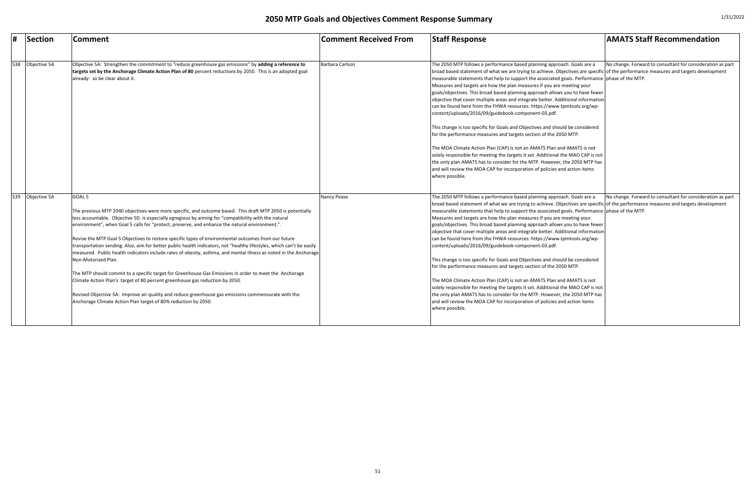| #   | Section      | Comment                                                                                                                                                                                                                                                                                                                                                                                                                                                                                                                                                                                                                                                                                                                                                                                                                                                                                                                                                                                                                                                                                    | Comment Received From | <b>Staff Response</b>                                                                                                                                                                                                                                                                                                                                                                                                                                                                                                                                                                                                                                                                                                                                                                                                                                                                                                                                                                                                                                                                                                                                                                                 | <b>AMATS Staff Recommendation</b>                          |
|-----|--------------|--------------------------------------------------------------------------------------------------------------------------------------------------------------------------------------------------------------------------------------------------------------------------------------------------------------------------------------------------------------------------------------------------------------------------------------------------------------------------------------------------------------------------------------------------------------------------------------------------------------------------------------------------------------------------------------------------------------------------------------------------------------------------------------------------------------------------------------------------------------------------------------------------------------------------------------------------------------------------------------------------------------------------------------------------------------------------------------------|-----------------------|-------------------------------------------------------------------------------------------------------------------------------------------------------------------------------------------------------------------------------------------------------------------------------------------------------------------------------------------------------------------------------------------------------------------------------------------------------------------------------------------------------------------------------------------------------------------------------------------------------------------------------------------------------------------------------------------------------------------------------------------------------------------------------------------------------------------------------------------------------------------------------------------------------------------------------------------------------------------------------------------------------------------------------------------------------------------------------------------------------------------------------------------------------------------------------------------------------|------------------------------------------------------------|
|     |              |                                                                                                                                                                                                                                                                                                                                                                                                                                                                                                                                                                                                                                                                                                                                                                                                                                                                                                                                                                                                                                                                                            |                       |                                                                                                                                                                                                                                                                                                                                                                                                                                                                                                                                                                                                                                                                                                                                                                                                                                                                                                                                                                                                                                                                                                                                                                                                       |                                                            |
| 538 | Objective 5A | Objective 5A: Strengthen the commitment to "reduce greenhouse gas emissions" by adding a reference to<br>targets set by the Anchorage Climate Action Plan of 80 percent reductions by 2050. This is an adopted goal<br>already: so be clear about it.                                                                                                                                                                                                                                                                                                                                                                                                                                                                                                                                                                                                                                                                                                                                                                                                                                      | Barbara Carlson       | The 2050 MTP follows a performance based planning approach. Goals are a<br>broad based statement of what we are trying to achieve. Objectives are specific of the performance measures and targets development<br>measurable statements that help to support the associated goals. Performance phase of the MTP.<br>Measures and targets are how the plan measures if you are meeting your<br>goals/objectives. This broad based planning approach allows you to have fewer<br>objective that cover multiple areas and integrate better. Additional information<br>can be found here from the FHWA resources: https://www.tpmtools.org/wp-<br>content/uploads/2016/09/guidebook-component-03.pdf.<br>This change is too specific for Goals and Objectives and should be considered<br>for the performance measures and targets section of the 2050 MTP.<br>The MOA Climate Action Plan (CAP) is not an AMATS Plan and AMATS is not<br>solely responsible for meeting the targets it set. Additional the MAO CAP is not<br>the only plan AMATS has to consider for the MTP. However, the 2050 MTP has<br>and will review the MOA CAP for incorporation of policies and action items<br>where possible. | No change. Forward to consultant for consideration as part |
| 539 | Objective 5A | GOAL <sub>5</sub><br>The previous MTP 2040 objectives were more specific, and outcome based. This draft MTP 2050 is potentially<br>less accountable. Objective 5D. is especially egregious by aiming for "compatibility with the natural<br>environment", when Goal 5 calls for "protect, preserve, and enhance the natural environment.".<br>Revise the MTP Goal 5 Objectives to restore specific types of environmental outcomes from our future<br>transportation sending. Also, aim for better public health indicators, not "healthy lifestyles, which can't be easily<br>measured. Public health indicators include rates of obesity, asthma, and mental illness as noted in the Anchorage<br>Non-Motorized Plan.<br>The MTP should commit to a specific target for Greenhouse Gas Emissions in order to meet the Anchorage<br>Climate Action Plan's target of 80 percent greenhouse gas reduction by 2050.<br>Revised Objective 5A: Improve air quality and reduce greenhouse gas emissions commensurate with the<br>Anchorage Climate Action Plan target of 80% reduction by 2050. | <b>Nancy Pease</b>    | The 2050 MTP follows a performance based planning approach. Goals are a<br>broad based statement of what we are trying to achieve. Objectives are specific of the performance measures and targets development<br>measurable statements that help to support the associated goals. Performance phase of the MTP.<br>Measures and targets are how the plan measures if you are meeting your<br>goals/objectives. This broad based planning approach allows you to have fewer<br>objective that cover multiple areas and integrate better. Additional information<br>can be found here from the FHWA resources: https://www.tpmtools.org/wp-<br>content/uploads/2016/09/guidebook-component-03.pdf.<br>This change is too specific for Goals and Objectives and should be considered<br>for the performance measures and targets section of the 2050 MTP.<br>The MOA Climate Action Plan (CAP) is not an AMATS Plan and AMATS is not<br>solely responsible for meeting the targets it set. Additional the MAO CAP is not<br>the only plan AMATS has to consider for the MTP. However, the 2050 MTP has<br>and will review the MOA CAP for incorporation of policies and action items<br>where possible. | No change. Forward to consultant for consideration as part |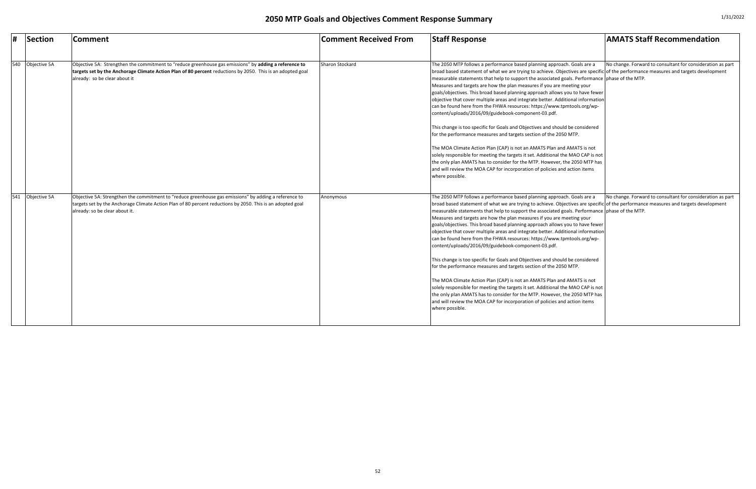| #   | Section      | <b>Comment</b>                                                                                                                                                                                                                                        | Comment Received From | <b>Staff Response</b>                                                                                                                                                                                                                                                                                                                                                                                                                                                                                                                                                                                                                                                                                                                                                                                                                                                                                                                                                                                                                                                                                                                                                                                 | <b>AMATS Staff Recommendation</b>                          |
|-----|--------------|-------------------------------------------------------------------------------------------------------------------------------------------------------------------------------------------------------------------------------------------------------|-----------------------|-------------------------------------------------------------------------------------------------------------------------------------------------------------------------------------------------------------------------------------------------------------------------------------------------------------------------------------------------------------------------------------------------------------------------------------------------------------------------------------------------------------------------------------------------------------------------------------------------------------------------------------------------------------------------------------------------------------------------------------------------------------------------------------------------------------------------------------------------------------------------------------------------------------------------------------------------------------------------------------------------------------------------------------------------------------------------------------------------------------------------------------------------------------------------------------------------------|------------------------------------------------------------|
|     |              |                                                                                                                                                                                                                                                       |                       |                                                                                                                                                                                                                                                                                                                                                                                                                                                                                                                                                                                                                                                                                                                                                                                                                                                                                                                                                                                                                                                                                                                                                                                                       |                                                            |
| 540 | Objective 5A | Objective 5A: Strengthen the commitment to "reduce greenhouse gas emissions" by adding a reference to<br>targets set by the Anchorage Climate Action Plan of 80 percent reductions by 2050. This is an adopted goal<br>already: so be clear about it  | Sharon Stockard       | The 2050 MTP follows a performance based planning approach. Goals are a<br>broad based statement of what we are trying to achieve. Objectives are specific of the performance measures and targets development<br>measurable statements that help to support the associated goals. Performance phase of the MTP.<br>Measures and targets are how the plan measures if you are meeting your<br>goals/objectives. This broad based planning approach allows you to have fewer<br>objective that cover multiple areas and integrate better. Additional information<br>can be found here from the FHWA resources: https://www.tpmtools.org/wp-<br>content/uploads/2016/09/guidebook-component-03.pdf.<br>This change is too specific for Goals and Objectives and should be considered<br>for the performance measures and targets section of the 2050 MTP.<br>The MOA Climate Action Plan (CAP) is not an AMATS Plan and AMATS is not<br>solely responsible for meeting the targets it set. Additional the MAO CAP is not<br>the only plan AMATS has to consider for the MTP. However, the 2050 MTP has<br>and will review the MOA CAP for incorporation of policies and action items<br>where possible. | No change. Forward to consultant for consideration as part |
| 541 | Objective 5A | Objective 5A: Strengthen the commitment to "reduce greenhouse gas emissions" by adding a reference to<br>targets set by the Anchorage Climate Action Plan of 80 percent reductions by 2050. This is an adopted goal<br>already: so be clear about it. | Anonymous             | The 2050 MTP follows a performance based planning approach. Goals are a<br>broad based statement of what we are trying to achieve. Objectives are specific of the performance measures and targets development<br>measurable statements that help to support the associated goals. Performance phase of the MTP.<br>Measures and targets are how the plan measures if you are meeting your<br>goals/objectives. This broad based planning approach allows you to have fewer<br>objective that cover multiple areas and integrate better. Additional information<br>can be found here from the FHWA resources: https://www.tpmtools.org/wp-<br>content/uploads/2016/09/guidebook-component-03.pdf.<br>This change is too specific for Goals and Objectives and should be considered<br>for the performance measures and targets section of the 2050 MTP.<br>The MOA Climate Action Plan (CAP) is not an AMATS Plan and AMATS is not<br>solely responsible for meeting the targets it set. Additional the MAO CAP is not<br>the only plan AMATS has to consider for the MTP. However, the 2050 MTP has<br>and will review the MOA CAP for incorporation of policies and action items<br>where possible. | No change. Forward to consultant for consideration as part |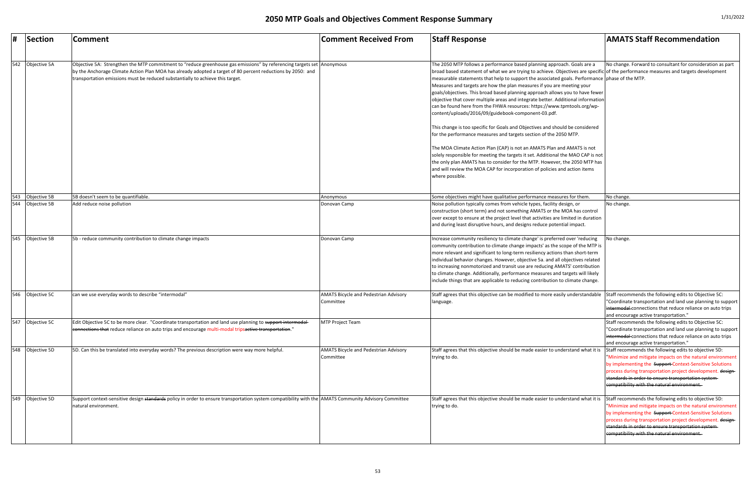|     | Section          | <b>Comment</b>                                                                                                                                                                                                                                                                                                         | <b>Comment Received From</b>                              | <b>Staff Response</b>                                                                                                                                                                                                                                                                                                                                                                                                                                                                                                                                                                                                                                                                             | <b>AMATS Staff Recommendation</b>                                                                                                                                                                                                                                                                                                                 |
|-----|------------------|------------------------------------------------------------------------------------------------------------------------------------------------------------------------------------------------------------------------------------------------------------------------------------------------------------------------|-----------------------------------------------------------|---------------------------------------------------------------------------------------------------------------------------------------------------------------------------------------------------------------------------------------------------------------------------------------------------------------------------------------------------------------------------------------------------------------------------------------------------------------------------------------------------------------------------------------------------------------------------------------------------------------------------------------------------------------------------------------------------|---------------------------------------------------------------------------------------------------------------------------------------------------------------------------------------------------------------------------------------------------------------------------------------------------------------------------------------------------|
|     |                  |                                                                                                                                                                                                                                                                                                                        |                                                           |                                                                                                                                                                                                                                                                                                                                                                                                                                                                                                                                                                                                                                                                                                   |                                                                                                                                                                                                                                                                                                                                                   |
| 542 | Objective 5A     | Objective 5A: Strengthen the MTP commitment to "reduce greenhouse gas emissions" by referencing targets set Anonymous<br>by the Anchorage Climate Action Plan MOA has already adopted a target of 80 percent reductions by 2050: and<br>transportation emissions must be reduced substantially to achieve this target. |                                                           | The 2050 MTP follows a performance based planning approach. Goals are a<br>broad based statement of what we are trying to achieve. Objectives are specific of the performance measures and targets development<br>measurable statements that help to support the associated goals. Performance phase of the MTP.<br>Measures and targets are how the plan measures if you are meeting your<br>goals/objectives. This broad based planning approach allows you to have fewer<br>objective that cover multiple areas and integrate better. Additional information<br>can be found here from the FHWA resources: https://www.tpmtools.org/wp-<br>content/uploads/2016/09/guidebook-component-03.pdf. | No change. Forward to consultant for consideration as part                                                                                                                                                                                                                                                                                        |
|     |                  |                                                                                                                                                                                                                                                                                                                        |                                                           | This change is too specific for Goals and Objectives and should be considered<br>for the performance measures and targets section of the 2050 MTP.                                                                                                                                                                                                                                                                                                                                                                                                                                                                                                                                                |                                                                                                                                                                                                                                                                                                                                                   |
|     |                  |                                                                                                                                                                                                                                                                                                                        |                                                           | The MOA Climate Action Plan (CAP) is not an AMATS Plan and AMATS is not<br>solely responsible for meeting the targets it set. Additional the MAO CAP is not<br>the only plan AMATS has to consider for the MTP. However, the 2050 MTP has<br>and will review the MOA CAP for incorporation of policies and action items<br>where possible.                                                                                                                                                                                                                                                                                                                                                        |                                                                                                                                                                                                                                                                                                                                                   |
|     | 543 Objective 5B | 5B doesn't seem to be quantifiable.                                                                                                                                                                                                                                                                                    | Anonymous                                                 | Some objectives might have qualitative performance measures for them.                                                                                                                                                                                                                                                                                                                                                                                                                                                                                                                                                                                                                             | No change.                                                                                                                                                                                                                                                                                                                                        |
| 544 | Objective 5B     | Add reduce noise pollution                                                                                                                                                                                                                                                                                             | Donovan Camp                                              | Noise pollution typically comes from vehicle types, facility design, or<br>construction (short term) and not something AMATS or the MOA has control<br>over except to ensure at the project level that activities are limited in duration<br>and during least disruptive hours, and designs reduce potential impact.                                                                                                                                                                                                                                                                                                                                                                              | No change.                                                                                                                                                                                                                                                                                                                                        |
| 545 | Objective 5B     | 5b - reduce community contribution to climate change impacts                                                                                                                                                                                                                                                           | Donovan Camp                                              | Increase community resiliency to climate change' is preferred over 'reducing<br>community contribution to climate change impacts' as the scope of the MTP is<br>more relevant and significant to long-term resiliency actions than short-term<br>individual behavior changes. However, objective 5a. and all objectives related<br>to increasing nonmotorized and transit use are reducing AMATS' contribution<br>to climate change. Additionally, performance measures and targets will likely<br>include things that are applicable to reducing contribution to climate change.                                                                                                                 | No change.                                                                                                                                                                                                                                                                                                                                        |
| 546 | Objective 5C     | can we use everyday words to describe "intermodal"                                                                                                                                                                                                                                                                     | <b>AMATS Bicycle and Pedestrian Advisory</b><br>Committee | Staff agrees that this objective can be modified to more easily understandable<br>language.                                                                                                                                                                                                                                                                                                                                                                                                                                                                                                                                                                                                       | Staff recommends the following edits to Objective 5C:<br>"Coordinate transportation and land use planning to support<br>intermodal connections that reduce reliance on auto trips<br>and encourage active transportation.                                                                                                                         |
| 547 | Objective 5C     | Edit Objective 5C to be more clear. "Coordinate transportation and land use planning to support intermodal-<br>eonnections that reduce reliance on auto trips and encourage multi-modal tripsactive transportation."                                                                                                   | MTP Project Team                                          |                                                                                                                                                                                                                                                                                                                                                                                                                                                                                                                                                                                                                                                                                                   | Staff recommends the following edits to Objective 5C:<br>"Coordinate transportation and land use planning to support<br>intermodal connections that reduce reliance on auto trips<br>and encourage active transportation."                                                                                                                        |
|     | 548 Objective 5D | 5D. Can this be translated into everyday words? The previous description were way more helpful.                                                                                                                                                                                                                        | <b>AMATS Bicycle and Pedestrian Advisory</b><br>Committee | Staff agrees that this objective should be made easier to understand what it is<br>trying to do.                                                                                                                                                                                                                                                                                                                                                                                                                                                                                                                                                                                                  | Staff recommends the following edits to objective 5D:<br>"Minimize and mitigate impacts on the natural environment<br>by implementing the Support Context-Sensitive Solutions<br>process during transportation project development. design-<br>standards in order to ensure transportation system-<br>compatibility with the natural environment. |
| 549 | Objective 5D     | Support context-sensitive design <del>standards</del> policy in order to ensure transportation system compatibility with the  AMATS Community Advisory Committee<br>natural environment.                                                                                                                               |                                                           | Staff agrees that this objective should be made easier to understand what it is<br>trying to do.                                                                                                                                                                                                                                                                                                                                                                                                                                                                                                                                                                                                  | Staff recommends the following edits to objective 5D:<br>"Minimize and mitigate impacts on the natural environment<br>by implementing the Support-Context-Sensitive Solutions<br>process during transportation project development. design-<br>standards in order to ensure transportation system-<br>compatibility with the natural environment. |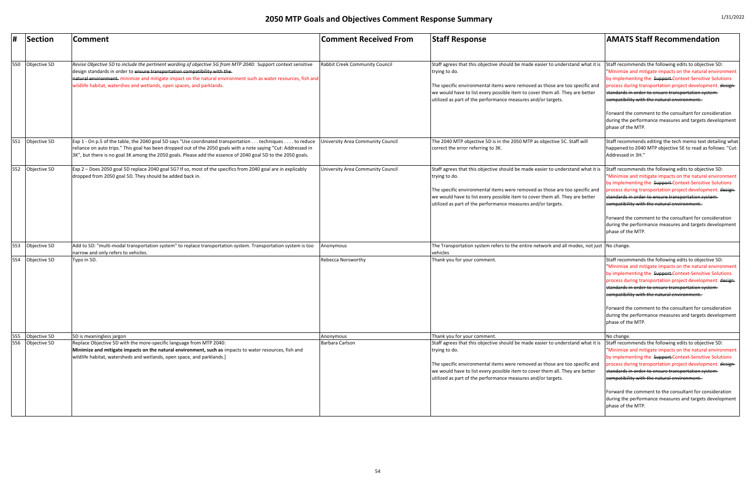|     | Section      | <b>Comment</b>                                                                                                                                                                                                                                                                                                                                                                        | <b>Comment Received From</b>      | <b>Staff Response</b>                                                                                                                                                                                                                                                                                                           | <b>AMATS Staff Recommendation</b>                                                                                                                                                                                                                                                                                                                                                                                                                                                            |
|-----|--------------|---------------------------------------------------------------------------------------------------------------------------------------------------------------------------------------------------------------------------------------------------------------------------------------------------------------------------------------------------------------------------------------|-----------------------------------|---------------------------------------------------------------------------------------------------------------------------------------------------------------------------------------------------------------------------------------------------------------------------------------------------------------------------------|----------------------------------------------------------------------------------------------------------------------------------------------------------------------------------------------------------------------------------------------------------------------------------------------------------------------------------------------------------------------------------------------------------------------------------------------------------------------------------------------|
| 550 | Objective 5D | Revise Objective 5D to include the pertinent wording of objective 5G from MTP 2040: Support context sensitive<br>design standards in order to ensure transportation compatibility with the<br>natural environment. minimize and mitigate impact on the natural environment such as water resources, fish and<br>wildlife habitat, watershes and wetlands, open spaces, and parklands. | Rabbit Creek Community Council    | Staff agrees that this objective should be made easier to understand what it is<br>trying to do.<br>The specific environmental items were removed as those are too specific and<br>we would have to list every possible item to cover them all. They are better<br>utilized as part of the performance measures and/or targets. | Staff recommends the following edits to objective 5D:<br>"Minimize and mitigate impacts on the natural environment<br>by implementing the Support-Context-Sensitive Solutions<br>process during transportation project development. design-<br>standards in order to ensure transportation system-<br>compatibility with the natural environment.<br>Forward the comment to the consultant for consideration<br>during the performance measures and targets development<br>phase of the MTP. |
| 551 | Objective 5D | Exp 1 - On p.5 of the table, the 2040 goal 5D says "Use coordinated transportation techniques to reduce<br>reliance on auto trips." This goal has been dropped out of the 2050 goals with a note saying "Cut: Addressed in<br>3K", but there is no goal 3K among the 2050 goals. Please add the essence of 2040 goal 5D to the 2050 goals.                                            | University Area Community Council | The 2040 MTP objective 5D is in the 2050 MTP as objective 5C. Staff will<br>correct the error referring to 3K.                                                                                                                                                                                                                  | Staff recommends editing the tech memo text detailing what<br>happened to 2040 MTP objective 5E to read as follows: "Cut:<br>Addressed in 3H."                                                                                                                                                                                                                                                                                                                                               |
| 552 | Objective 5D | Exp 2 - Does 2050 goal 5D replace 2040 goal 5G? If so, most of the specifics from 2040 goal are in explicably<br>dropped from 2050 goal 5D. They should be added back in.                                                                                                                                                                                                             | University Area Community Council | Staff agrees that this objective should be made easier to understand what it is<br>trying to do.<br>The specific environmental items were removed as those are too specific and<br>we would have to list every possible item to cover them all. They are better<br>utilized as part of the performance measures and/or targets. | Staff recommends the following edits to objective 5D:<br>"Minimize and mitigate impacts on the natural environment<br>by implementing the Support-Context-Sensitive Solutions<br>process during transportation project development. design-<br>standards in order to ensure transportation system-<br>compatibility with the natural environment.<br>Forward the comment to the consultant for consideration<br>during the performance measures and targets development<br>phase of the MTP. |
| 553 | Objective 5D | Add to 5D: "multi-modal transportation system" to replace transportation system. Transportation system is too<br>narrow and only refers to vehicles.                                                                                                                                                                                                                                  | Anonymous                         | The Transportation system refers to the entire network and all modes, not just No change.<br>vehicles                                                                                                                                                                                                                           |                                                                                                                                                                                                                                                                                                                                                                                                                                                                                              |
| 554 | Objective 5D | Typo in 5D.                                                                                                                                                                                                                                                                                                                                                                           | <b>Rebecca Norsworthy</b>         | Thank you for your comment.                                                                                                                                                                                                                                                                                                     | Staff recommends the following edits to objective 5D:<br>"Minimize and mitigate impacts on the natural environment<br>by implementing the Support Context-Sensitive Solutions<br>process during transportation project development. design-<br>standards in order to ensure transportation system-<br>compatibility with the natural environment.<br>Forward the comment to the consultant for consideration<br>during the performance measures and targets development<br>phase of the MTP. |
| 555 | Objective 5D | 5D is meaningless jargon                                                                                                                                                                                                                                                                                                                                                              | Anonymous                         | Thank you for your comment.                                                                                                                                                                                                                                                                                                     | No change.                                                                                                                                                                                                                                                                                                                                                                                                                                                                                   |
| 556 | Objective 5D | Replace Objective 5D with the more-specific language from MTP 2040:<br>Minimize and mitigate impacts on the natural environment, such as impacts to water resources, fish and<br>wildlife habitat, watersheds and wetlands, open space, and parklands.]                                                                                                                               | Barbara Carlson                   | Staff agrees that this objective should be made easier to understand what it is<br>trying to do.<br>The specific environmental items were removed as those are too specific and<br>we would have to list every possible item to cover them all. They are better<br>utilized as part of the performance measures and/or targets. | Staff recommends the following edits to objective 5D:<br>"Minimize and mitigate impacts on the natural environment<br>by implementing the Support Context-Sensitive Solutions<br>process during transportation project development. design-<br>standards in order to ensure transportation system-<br>compatibility with the natural environment.<br>Forward the comment to the consultant for consideration<br>during the performance measures and targets development<br>phase of the MTP. |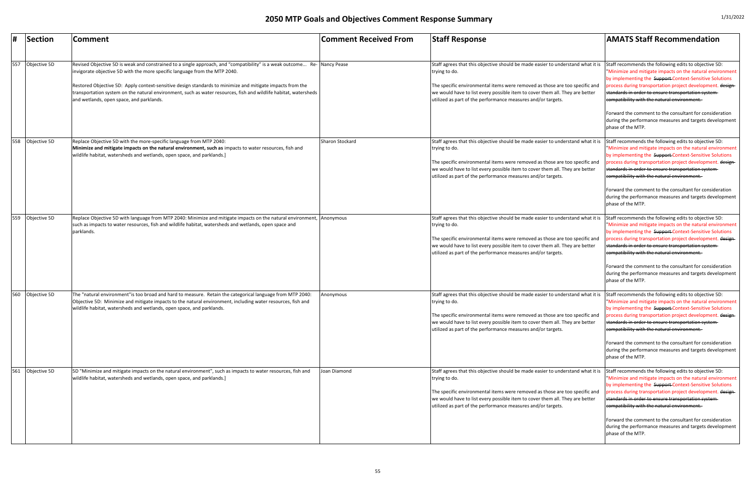|     | Section      | Comment                                                                                                                                                                                                                                                                                                                                                                                                                                                                             | <b>Comment Received From</b> | <b>Staff Response</b>                                                                                                                                                                                                                                                                                                           | <b>AMATS Staff Recommendation</b>                                                                                                                                                                                                                                                                                                                                                                                                                                                            |
|-----|--------------|-------------------------------------------------------------------------------------------------------------------------------------------------------------------------------------------------------------------------------------------------------------------------------------------------------------------------------------------------------------------------------------------------------------------------------------------------------------------------------------|------------------------------|---------------------------------------------------------------------------------------------------------------------------------------------------------------------------------------------------------------------------------------------------------------------------------------------------------------------------------|----------------------------------------------------------------------------------------------------------------------------------------------------------------------------------------------------------------------------------------------------------------------------------------------------------------------------------------------------------------------------------------------------------------------------------------------------------------------------------------------|
| 557 | Objective 5D | Revised Objective 5D is weak and constrained to a single approach, and "compatibility" is a weak outcome Re- Nancy Pease<br>invigorate objective 5D with the more specific language from the MTP 2040.<br>Restored Objective 5D: Apply context-sensitive design standards to minimize and mitigate impacts from the<br>transportation system on the natural environment, such as water resources, fish and wildlife habitat, watersheds<br>and wetlands, open space, and parklands. |                              | Staff agrees that this objective should be made easier to understand what it is<br>trying to do.<br>The specific environmental items were removed as those are too specific and<br>we would have to list every possible item to cover them all. They are better<br>utilized as part of the performance measures and/or targets. | Staff recommends the following edits to objective 5D:<br>"Minimize and mitigate impacts on the natural environment<br>by implementing the Support-Context-Sensitive Solutions<br>process during transportation project development. design-<br>standards in order to ensure transportation system-<br>compatibility with the natural environment.<br>Forward the comment to the consultant for consideration<br>during the performance measures and targets development<br>phase of the MTP. |
| 558 | Objective 5D | Replace Objective 5D with the more-specific language from MTP 2040:<br>Minimize and mitigate impacts on the natural environment, such as impacts to water resources, fish and<br>wildlife habitat, watersheds and wetlands, open space, and parklands.]                                                                                                                                                                                                                             | Sharon Stockard              | Staff agrees that this objective should be made easier to understand what it is<br>trying to do.<br>The specific environmental items were removed as those are too specific and<br>we would have to list every possible item to cover them all. They are better<br>utilized as part of the performance measures and/or targets. | Staff recommends the following edits to objective 5D:<br>"Minimize and mitigate impacts on the natural environment<br>by implementing the Support-Context-Sensitive Solutions<br>process during transportation project development. design-<br>standards in order to ensure transportation system-<br>compatibility with the natural environment.<br>Forward the comment to the consultant for consideration<br>during the performance measures and targets development<br>phase of the MTP. |
| 559 | Objective 5D | Replace Objective 5D with language from MTP 2040: Minimize and mitigate impacts on the natural environment,<br>such as impacts to water resources, fish and wildlife habitat, watersheds and wetlands, open space and<br>parklands.                                                                                                                                                                                                                                                 | Anonymous                    | Staff agrees that this objective should be made easier to understand what it is<br>trying to do.<br>The specific environmental items were removed as those are too specific and<br>we would have to list every possible item to cover them all. They are better<br>utilized as part of the performance measures and/or targets. | Staff recommends the following edits to objective 5D:<br>"Minimize and mitigate impacts on the natural environment<br>by implementing the Support-Context-Sensitive Solutions<br>process during transportation project development. design-<br>standards in order to ensure transportation system-<br>eompatibility with the natural environment.<br>Forward the comment to the consultant for consideration<br>during the performance measures and targets development<br>phase of the MTP. |
| 560 | Objective 5D | The "natural environment"is too broad and hard to measure. Retain the categorical language from MTP 2040:<br>Objective 5D: Minimize and mitigate impacts to the natural environment, including water resources, fish and<br>wildlife habitat, watersheds and wetlands, open space, and parklands.                                                                                                                                                                                   | Anonymous                    | Staff agrees that this objective should be made easier to understand what it is<br>trying to do.<br>The specific environmental items were removed as those are too specific and<br>we would have to list every possible item to cover them all. They are better<br>utilized as part of the performance measures and/or targets. | Staff recommends the following edits to objective 5D:<br>"Minimize and mitigate impacts on the natural environment<br>by implementing the Support-Context-Sensitive Solutions<br>process during transportation project development. design-<br>standards in order to ensure transportation system-<br>compatibility with the natural environment.<br>Forward the comment to the consultant for consideration<br>during the performance measures and targets development<br>phase of the MTP. |
| 561 | Objective 5D | 5D "Minimize and mitigate impacts on the natural environment", such as impacts to water resources, fish and<br>wildlife habitat, watersheds and wetlands, open space, and parklands.]                                                                                                                                                                                                                                                                                               | Joan Diamond                 | Staff agrees that this objective should be made easier to understand what it is<br>trying to do.<br>The specific environmental items were removed as those are too specific and<br>we would have to list every possible item to cover them all. They are better<br>utilized as part of the performance measures and/or targets. | Staff recommends the following edits to objective 5D:<br>"Minimize and mitigate impacts on the natural environment<br>by implementing the Support Context-Sensitive Solutions<br>process during transportation project development. design-<br>standards in order to ensure transportation system-<br>compatibility with the natural environment.<br>Forward the comment to the consultant for consideration<br>during the performance measures and targets development<br>phase of the MTP. |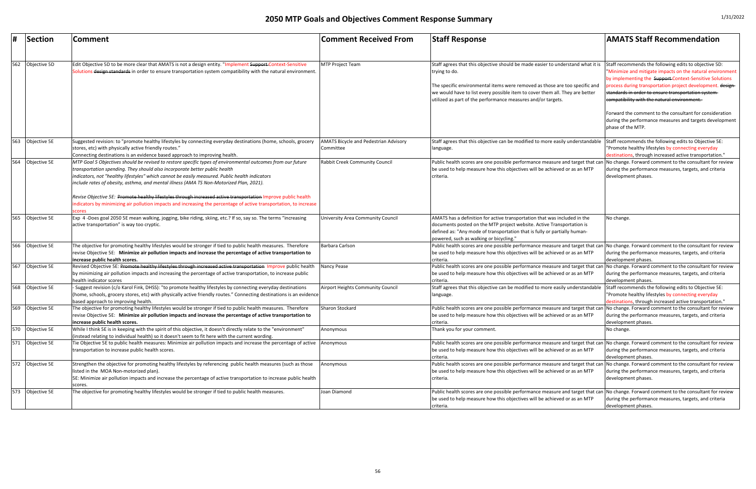|     | <b>Section</b>   | <b>Comment</b>                                                                                                                                                                                                                                                                                                                                                                         | <b>Comment Received From</b>                              | <b>Staff Response</b>                                                                                                                                                                                                                                                     | <b>AMATS Staff Recommendation</b>                                                                                                                                             |
|-----|------------------|----------------------------------------------------------------------------------------------------------------------------------------------------------------------------------------------------------------------------------------------------------------------------------------------------------------------------------------------------------------------------------------|-----------------------------------------------------------|---------------------------------------------------------------------------------------------------------------------------------------------------------------------------------------------------------------------------------------------------------------------------|-------------------------------------------------------------------------------------------------------------------------------------------------------------------------------|
|     |                  |                                                                                                                                                                                                                                                                                                                                                                                        |                                                           |                                                                                                                                                                                                                                                                           |                                                                                                                                                                               |
| 562 | Objective 5D     | Edit Objective 5D to be more clear that AMATS is not a design entity. "Implement Support-Context-Sensitive<br>Solutions <del>design standards</del> in order to ensure transportation system compatibility with the natural environment.                                                                                                                                               | <b>MTP Project Team</b>                                   | Staff agrees that this objective should be made easier to understand what it is<br>trying to do.                                                                                                                                                                          | Staff recommends the following edits to objective 5D:<br>"Minimize and mitigate impacts on the natural environment<br>by implementing the Support-Context-Sensitive Solutions |
|     |                  |                                                                                                                                                                                                                                                                                                                                                                                        |                                                           | The specific environmental items were removed as those are too specific and<br>we would have to list every possible item to cover them all. They are better<br>utilized as part of the performance measures and/or targets.                                               | process during transportation project development. design-<br>standards in order to ensure transportation system-<br>compatibility with the natural environment.              |
|     |                  |                                                                                                                                                                                                                                                                                                                                                                                        |                                                           |                                                                                                                                                                                                                                                                           | Forward the comment to the consultant for consideration<br>during the performance measures and targets development<br>phase of the MTP.                                       |
| 563 | Objective 5E     | Suggested revision: to "promote healthy lifestyles by connecting everyday destinations (home, schools, grocery<br>stores, etc) with physically active friendly routes."<br>Connecting destinations is an evidence based approach to improving health.                                                                                                                                  | <b>AMATS Bicycle and Pedestrian Advisory</b><br>Committee | Staff agrees that this objective can be modified to more easily understandable Staff recommends the following edits to Objective 5E:<br>language.                                                                                                                         | "Promote healthy lifestyles by connecting everyday<br>destinations, through increased active transportation."                                                                 |
| 564 | Objective 5E     | MTP Goal 5 Objectives should be revised to restore specific types of environmental outcomes from our future<br>transportation spending. They should also incorporate better public health<br>indicators, not "healthy lifestyles" which cannot be easily measured. Public health indicators<br>include rates of obesity, asthma, and mental illness (AMA TS Non-Motorized Plan, 2021). | Rabbit Creek Community Council                            | Public health scores are one possible performance measure and target that can No change. Forward comment to the consultant for review<br>be used to help measure how this objectives will be achieved or as an MTP<br>criteria.                                           | during the performance measures, targets, and criteria<br>development phases.                                                                                                 |
|     |                  | Revise Objective 5E: Promote healthy lifestyles through increased active transportation Improve public health<br>ndicators by minimizing air pollution impacts and increasing the percentage of active transportation, to increase<br>scores                                                                                                                                           |                                                           |                                                                                                                                                                                                                                                                           |                                                                                                                                                                               |
| 565 | Objective 5E     | Exp 4-Does goal 2050 5E mean walking, jogging, bike riding, skiing, etc.? If so, say so. The terms "increasing<br>active transportation" is way too cryptic.                                                                                                                                                                                                                           | University Area Community Council                         | AMATS has a definition for active transportation that was included in the<br>documents posted on the MTP project website. Active Transportation is<br>defined as: "Any mode of transportation that is fully or partially human-<br>powered, such as walking or bicycling. | No change.                                                                                                                                                                    |
|     | 566 Objective 5E | The objective for promoting healthy lifestyles would be stronger if tied to public health measures. Therefore<br>revise Objective 5E: Minimize air pollution impacts and increase the percentage of active transportation to<br>increase public health scores.                                                                                                                         | Barbara Carlson                                           | Public health scores are one possible performance measure and target that can No change. Forward comment to the consultant for review<br>be used to help measure how this objectives will be achieved or as an MTP<br>criteria                                            | during the performance measures, targets, and criteria<br>development phases.                                                                                                 |
| 567 | Objective 5E     | Revised Objective 5E: Promote healthy lifestyles through increased active transportation Improve public health<br>by minimizing air pollution impacts and increasing the percentage of active transportation, to increase public<br>health indicator scores                                                                                                                            | Nancy Pease                                               | Public health scores are one possible performance measure and target that can No change. Forward comment to the consultant for review<br>be used to help measure how this objectives will be achieved or as an MTP<br>criteria.                                           | during the performance measures, targets, and criteria<br>development phases.                                                                                                 |
| 568 | Objective 5E     | - Suggest revision (c/o Karol Fink, DHSS): "to promote healthy lifestyles by connecting everyday destinations<br>(home, schools, grocery stores, etc) with physically active friendly routes." Connecting destinations is an evidence<br>based approach to improving health.                                                                                                           | Airport Heights Community Council                         | Staff agrees that this objective can be modified to more easily understandable Staff recommends the following edits to Objective 5E:<br>language.                                                                                                                         | "Promote healthy lifestyles by connecting everyday<br>destinations, through increased active transportation."                                                                 |
| 569 | Objective 5E     | The objective for promoting healthy lifestyles would be stronger if tied to public health measures. Therefore<br>revise Objective 5E: Minimize air pollution impacts and increase the percentage of active transportation to<br>increase public health scores.                                                                                                                         | Sharon Stockard                                           | Public health scores are one possible performance measure and target that can No change. Forward comment to the consultant for review<br>be used to help measure how this objectives will be achieved or as an MTP<br>criteria.                                           | during the performance measures, targets, and criteria<br>development phases.                                                                                                 |
|     | 570 Objective 5E | While I think 5E is in keeping with the spirit of this objective, it doesn't directly relate to the "environment"<br>(instead relating to individual health) so it doesn't seem to fit here with the current wording.                                                                                                                                                                  | Anonymous                                                 | Thank you for your comment.                                                                                                                                                                                                                                               | No change.                                                                                                                                                                    |
| 571 | Objective 5E     | Tie Objective 5E to public health measures: Minimize air pollution impacts and increase the percentage of active<br>transportation to increase public health scores.                                                                                                                                                                                                                   | Anonymous                                                 | Public health scores are one possible performance measure and target that can No change. Forward comment to the consultant for review<br>be used to help measure how this objectives will be achieved or as an MTP<br>criteria.                                           | during the performance measures, targets, and criteria<br>development phases.                                                                                                 |
|     | 572 Objective 5E | Strengthen the objective for promoting healthy lifestyles by referencing public health measures (such as those<br>listed in the MOA Non-motorized plan).<br>5E: Minimize air pollution impacts and increase the percentage of active transportation to increase public health<br>scores.                                                                                               | Anonymous                                                 | Public health scores are one possible performance measure and target that can No change. Forward comment to the consultant for review<br>be used to help measure how this objectives will be achieved or as an MTP<br>criteria.                                           | during the performance measures, targets, and criteria<br>development phases.                                                                                                 |
| 573 | Objective 5E     | The objective for promoting healthy lifestyles would be stronger if tied to public health measures.                                                                                                                                                                                                                                                                                    | Joan Diamond                                              | Public health scores are one possible performance measure and target that can No change. Forward comment to the consultant for review<br>be used to help measure how this objectives will be achieved or as an MTP<br>criteria.                                           | during the performance measures, targets, and criteria<br>development phases.                                                                                                 |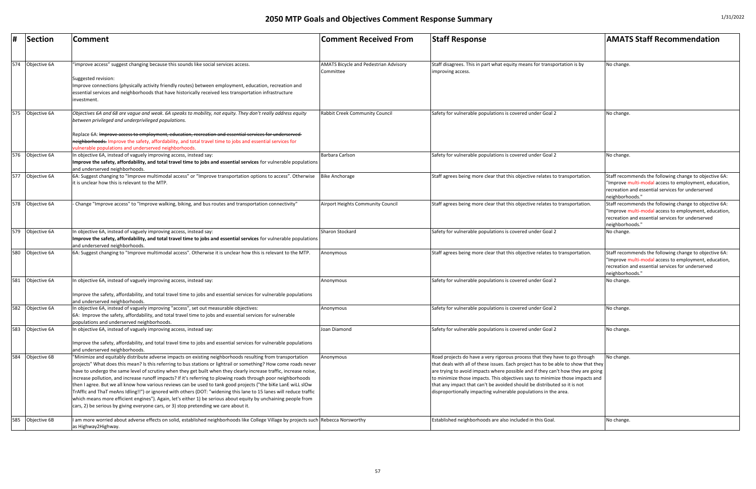| #   | Section      | Comment                                                                                                                                                                                                                                                                                                                                                                                                                                                                                                                                                                                                                                                                                                                                                                                                                                                                                                                 | <b>Comment Received From</b>                              | <b>Staff Response</b>                                                                                                                                                                                                                                                                                                                                                                                                                                                               | <b>AMATS Staff Recommendation</b>                                                                                                                                                       |
|-----|--------------|-------------------------------------------------------------------------------------------------------------------------------------------------------------------------------------------------------------------------------------------------------------------------------------------------------------------------------------------------------------------------------------------------------------------------------------------------------------------------------------------------------------------------------------------------------------------------------------------------------------------------------------------------------------------------------------------------------------------------------------------------------------------------------------------------------------------------------------------------------------------------------------------------------------------------|-----------------------------------------------------------|-------------------------------------------------------------------------------------------------------------------------------------------------------------------------------------------------------------------------------------------------------------------------------------------------------------------------------------------------------------------------------------------------------------------------------------------------------------------------------------|-----------------------------------------------------------------------------------------------------------------------------------------------------------------------------------------|
| 574 | Objective 6A | 'improve access" suggest changing because this sounds like social services access.<br>Suggested revision:<br>Improve connections (physically activity friendly routes) between employment, education, recreation and<br>essential services and neighborhoods that have historically received less transportation infrastructure                                                                                                                                                                                                                                                                                                                                                                                                                                                                                                                                                                                         | <b>AMATS Bicycle and Pedestrian Advisory</b><br>Committee | Staff disagrees. This in part what equity means for transportation is by<br>improving access.                                                                                                                                                                                                                                                                                                                                                                                       | No change.                                                                                                                                                                              |
| 575 | Objective 6A | investment.<br>Objectives 6A and 68 are vague and weak. 6A speaks to mobility, not equity. They don't really address equity<br>between privileged and underprivileged populations.                                                                                                                                                                                                                                                                                                                                                                                                                                                                                                                                                                                                                                                                                                                                      | <b>Rabbit Creek Community Council</b>                     | Safety for vulnerable populations is covered under Goal 2                                                                                                                                                                                                                                                                                                                                                                                                                           | No change.                                                                                                                                                                              |
|     |              | Replace 6A: <del>Improve access to employment, education, recreation and essential services for underserved-</del><br>neighborhoods. Improve the safety, affordability, and total travel time to jobs and essential services for<br>vulnerable populations and underserved neighborhoods.                                                                                                                                                                                                                                                                                                                                                                                                                                                                                                                                                                                                                               |                                                           |                                                                                                                                                                                                                                                                                                                                                                                                                                                                                     |                                                                                                                                                                                         |
| 576 | Objective 6A | In objective 6A, instead of vaguely improving access, instead say:<br>Improve the safety, affordability, and total travel time to jobs and essential services for vulnerable populations<br>and underserved neighborhoods.                                                                                                                                                                                                                                                                                                                                                                                                                                                                                                                                                                                                                                                                                              | Barbara Carlson                                           | Safety for vulnerable populations is covered under Goal 2                                                                                                                                                                                                                                                                                                                                                                                                                           | No change.                                                                                                                                                                              |
| 577 | Objective 6A | 6A: Suggest changing to "Improve multimodal access" or "Improve transportation options to access". Otherwise<br>it is unclear how this is relevant to the MTP.                                                                                                                                                                                                                                                                                                                                                                                                                                                                                                                                                                                                                                                                                                                                                          | <b>Bike Anchorage</b>                                     | Staff agrees being more clear that this objective relates to transportation.                                                                                                                                                                                                                                                                                                                                                                                                        | Staff recommends the following change to objective 6A:<br>"Improve multi-modal access to employment, education,<br>recreation and essential services for underserved<br>neighborhoods." |
| 578 | Objective 6A | - Change "Improve access" to "Improve walking, biking, and bus routes and transportation connectivity"                                                                                                                                                                                                                                                                                                                                                                                                                                                                                                                                                                                                                                                                                                                                                                                                                  | Airport Heights Community Council                         | Staff agrees being more clear that this objective relates to transportation.                                                                                                                                                                                                                                                                                                                                                                                                        | Staff recommends the following change to objective 6A:<br>"Improve multi-modal access to employment, education,<br>recreation and essential services for underserved<br>neighborhoods." |
| 579 | Objective 6A | In objective 6A, instead of vaguely improving access, instead say:<br>Improve the safety, affordability, and total travel time to jobs and essential services for vulnerable populations<br>and underserved neighborhoods.                                                                                                                                                                                                                                                                                                                                                                                                                                                                                                                                                                                                                                                                                              | Sharon Stockard                                           | Safety for vulnerable populations is covered under Goal 2                                                                                                                                                                                                                                                                                                                                                                                                                           | No change.                                                                                                                                                                              |
| 580 | Objective 6A | [6A: Suggest changing to "Improve multimodal access". Otherwise it is unclear how this is relevant to the MTP.                                                                                                                                                                                                                                                                                                                                                                                                                                                                                                                                                                                                                                                                                                                                                                                                          | Anonymous                                                 | Staff agrees being more clear that this objective relates to transportation.                                                                                                                                                                                                                                                                                                                                                                                                        | Staff recommends the following change to objective 6A:<br>"Improve multi-modal access to employment, education,<br>recreation and essential services for underserved<br>neighborhoods." |
| 581 | Objective 6A | In objective 6A, instead of vaguely improving access, instead say:<br>Improve the safety, affordability, and total travel time to jobs and essential services for vulnerable populations<br>and underserved neighborhoods.                                                                                                                                                                                                                                                                                                                                                                                                                                                                                                                                                                                                                                                                                              | Anonymous                                                 | Safety for vulnerable populations is covered under Goal 2                                                                                                                                                                                                                                                                                                                                                                                                                           | No change.                                                                                                                                                                              |
| 582 | Objective 6A | In objective 6A, instead of vaguely improving "access", set out measurable objectives:<br>6A: Improve the safety, affordability, and total travel time to jobs and essential services for vulnerable<br>populations and underserved neighborhoods.                                                                                                                                                                                                                                                                                                                                                                                                                                                                                                                                                                                                                                                                      | Anonymous                                                 | Safety for vulnerable populations is covered under Goal 2                                                                                                                                                                                                                                                                                                                                                                                                                           | No change.                                                                                                                                                                              |
| 583 | Objective 6A | In objective 6A, instead of vaguely improving access, instead say:<br>Improve the safety, affordability, and total travel time to jobs and essential services for vulnerable populations<br>and underserved neighborhoods.                                                                                                                                                                                                                                                                                                                                                                                                                                                                                                                                                                                                                                                                                              | Joan Diamond                                              | Safety for vulnerable populations is covered under Goal 2                                                                                                                                                                                                                                                                                                                                                                                                                           | No change                                                                                                                                                                               |
| 584 | Objective 6B | 'Minimize and equitably distribute adverse impacts on existing neighborhoods resulting from transportation<br>projects" What does this mean? Is this referring to bus stations or lightrail or something? How come roads never<br>have to undergo the same level of scrutiny when they get built when they clearly increase traffic, increase noise,<br>increase pollution, and increase runoff impacts? If it's referring to plowing roads through poor neighborhoods<br>then I agree. But we all know how various reviews can be used to tank good projects ("the biKe LanE wiLL slOw<br>TrAffIc and ThaT meAns Idling!!") or ignored with others (DOT: "widening this lane to 15 lanes will reduce traffic<br>which means more efficient engines"). Again, let's either 1) be serious about equity by unchaining people from<br>cars, 2) be serious by giving everyone cars, or 3) stop pretending we care about it. | Anonymous                                                 | Road projects do have a very rigorous process that they have to go through<br>that deals with all of these issues. Each project has to be able to show that they<br>are trying to avoid impacts where possible and if they can't how they are going<br>to minimize those impacts. This objectives says to minimize those impacts and<br>that any impact that can't be avoided should be distributed so it is not<br>disproportionally impacting vulnerable populations in the area. | No change.                                                                                                                                                                              |
| 585 | Objective 6B | am more worried about adverse effects on solid, established neighborhoods like College Village by projects such Rebecca Norsworthy<br>as Highway2Highway.                                                                                                                                                                                                                                                                                                                                                                                                                                                                                                                                                                                                                                                                                                                                                               |                                                           | Established neighborhoods are also included in this Goal.                                                                                                                                                                                                                                                                                                                                                                                                                           | No change.                                                                                                                                                                              |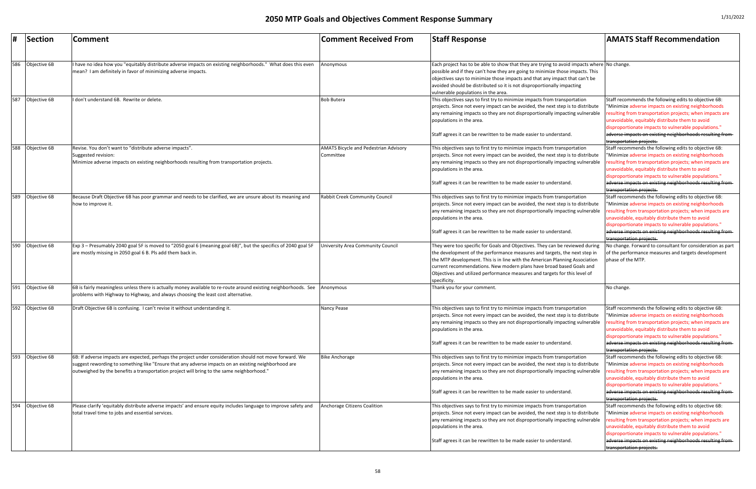|     | Section          | <b>Comment</b>                                                                                                                                                                                                                                                                                                | <b>Comment Received From</b>                              | <b>Staff Response</b>                                                                                                                                                                                                                                                                                                                                                                                          | <b>AMATS Staff Recommendation</b>                                                                                                                                                                                                                                                                                                                                                                       |
|-----|------------------|---------------------------------------------------------------------------------------------------------------------------------------------------------------------------------------------------------------------------------------------------------------------------------------------------------------|-----------------------------------------------------------|----------------------------------------------------------------------------------------------------------------------------------------------------------------------------------------------------------------------------------------------------------------------------------------------------------------------------------------------------------------------------------------------------------------|---------------------------------------------------------------------------------------------------------------------------------------------------------------------------------------------------------------------------------------------------------------------------------------------------------------------------------------------------------------------------------------------------------|
| 586 | Objective 6B     | I have no idea how you "equitably distribute adverse impacts on existing neighborhoods." What does this even<br>mean? I am definitely in favor of minimizing adverse impacts.                                                                                                                                 | Anonymous                                                 | Each project has to be able to show that they are trying to avoid impacts where No change.<br>possible and if they can't how they are going to minimize those impacts. This<br>objectives says to minimize those impacts and that any impact that can't be<br>avoided should be distributed so it is not disproportionally impacting<br>vulnerable populations in the area.                                    |                                                                                                                                                                                                                                                                                                                                                                                                         |
| 587 | Objective 6B     | I don't understand 6B. Rewrite or delete.                                                                                                                                                                                                                                                                     | <b>Bob Butera</b>                                         | This objectives says to first try to minimize impacts from transportation<br>projects. Since not every impact can be avoided, the next step is to distribute<br>any remaining impacts so they are not disproportionally impacting vulnerable<br>populations in the area.<br>Staff agrees it can be rewritten to be made easier to understand.                                                                  | Staff recommends the following edits to objective 6B:<br>"Minimize adverse impacts on existing neighborhoods<br>esulting from transportation projects; when impacts are<br>unavoidable, equitably distribute them to avoid<br>disproportionate impacts to vulnerable populations."<br>adverse impacts on existing neighborhoods resulting from-<br>transportation projects.                             |
| 588 | Objective 6B     | Revise. You don't want to "distribute adverse impacts".<br>Suggested revision:<br>Minimize adverse impacts on existing neighborhoods resulting from transportation projects.                                                                                                                                  | <b>AMATS Bicycle and Pedestrian Advisory</b><br>Committee | This objectives says to first try to minimize impacts from transportation<br>projects. Since not every impact can be avoided, the next step is to distribute<br>any remaining impacts so they are not disproportionally impacting vulnerable<br>populations in the area.<br>Staff agrees it can be rewritten to be made easier to understand.                                                                  | Staff recommends the following edits to objective 6B:<br>"Minimize adverse impacts on existing neighborhoods<br>esulting from transportation projects; when impacts are<br>unavoidable, equitably distribute them to avoid<br>disproportionate impacts to vulnerable populations."<br>adverse impacts on existing neighborhoods resulting from<br>transportation projects.                              |
| 589 | Objective 6B     | Because Draft Objective 6B has poor grammar and needs to be clarified, we are unsure about its meaning and<br>how to improve it.                                                                                                                                                                              | Rabbit Creek Community Council                            | This objectives says to first try to minimize impacts from transportation<br>projects. Since not every impact can be avoided, the next step is to distribute<br>any remaining impacts so they are not disproportionally impacting vulnerable<br>populations in the area.<br>Staff agrees it can be rewritten to be made easier to understand.                                                                  | Staff recommends the following edits to objective 6B:<br>"Minimize adverse impacts on existing neighborhoods<br>esulting from transportation projects; when impacts are<br>unavoidable, equitably distribute them to avoid<br>disproportionate impacts to vulnerable populations."<br>adverse impacts on existing neighborhoods resulting from-<br>transportation projects.                             |
|     | 590 Objective 6B | Exp 3 – Presumably 2040 goal 5F is moved to "2050 goal 6 (meaning goal 6B)", but the specifics of 2040 goal 5F<br>are mostly missing in 2050 goal 6 B. Pls add them back in                                                                                                                                   | University Area Community Council                         | They were too specific for Goals and Objectives. They can be reviewed during<br>the development of the performance measures and targets, the next step in<br>the MTP development. This is in line with the American Planning Association<br>current recommendations. New modern plans have broad based Goals and<br>Objectives and utilized performance measures and targets for this level of<br>specificity. | No change. Forward to consultant for consideration as part<br>of the performance measures and targets development<br>phase of the MTP.                                                                                                                                                                                                                                                                  |
| 591 | Objective 6B     | 6B is fairly meaningless unless there is actually money available to re-route around existing neighborhoods. See<br>problems with Highway to Highway, and always choosing the least cost alternative.                                                                                                         | Anonymous                                                 | Thank you for your comment.                                                                                                                                                                                                                                                                                                                                                                                    | No change.                                                                                                                                                                                                                                                                                                                                                                                              |
|     | 592 Objective 6B | Draft Objective 6B is confusing. I can't revise it without understanding it.                                                                                                                                                                                                                                  | Nancy Pease                                               | This objectives says to first try to minimize impacts from transportation<br>projects. Since not every impact can be avoided, the next step is to distribute<br>any remaining impacts so they are not disproportionally impacting vulnerable<br>populations in the area.<br>Staff agrees it can be rewritten to be made easier to understand.                                                                  | Staff recommends the following edits to objective 6B:<br>"Minimize adverse impacts on existing neighborhoods<br>resulting from transportation projects; when impacts are<br>unavoidable, equitably distribute them to avoid<br>disproportionate impacts to vulnerable populations."<br>adverse impacts on existing neighborhoods resulting from-                                                        |
| 593 | Objective 6B     | 6B: If adverse impacts are expected, perhaps the project under consideration should not move forward. We<br>suggest rewording to something like "Ensure that any adverse impacts on an existing neighborhood are<br>outweighed by the benefits a transportation project will bring to the same neighborhood." | <b>Bike Anchorage</b>                                     | This objectives says to first try to minimize impacts from transportation<br>projects. Since not every impact can be avoided, the next step is to distribute<br>any remaining impacts so they are not disproportionally impacting vulnerable<br>populations in the area.<br>Staff agrees it can be rewritten to be made easier to understand.                                                                  | transportation projects.<br>Staff recommends the following edits to objective 6B:<br>"Minimize adverse impacts on existing neighborhoods<br>esulting from transportation projects; when impacts are<br>unavoidable, equitably distribute them to avoid<br>disproportionate impacts to vulnerable populations."<br>adverse impacts on existing neighborhoods resulting from-                             |
| 594 | Objective 6B     | Please clarify 'equitably distribute adverse impacts' and ensure equity includes language to improve safety and<br>total travel time to jobs and essential services.                                                                                                                                          | Anchorage Citizens Coalition                              | This objectives says to first try to minimize impacts from transportation<br>projects. Since not every impact can be avoided, the next step is to distribute<br>any remaining impacts so they are not disproportionally impacting vulnerable<br>populations in the area.<br>Staff agrees it can be rewritten to be made easier to understand.                                                                  | transportation projects.<br>Staff recommends the following edits to objective 6B:<br>"Minimize adverse impacts on existing neighborhoods<br>esulting from transportation projects; when impacts are<br>unavoidable, equitably distribute them to avoid<br>disproportionate impacts to vulnerable populations."<br>adverse impacts on existing neighborhoods resulting from-<br>transportation projects. |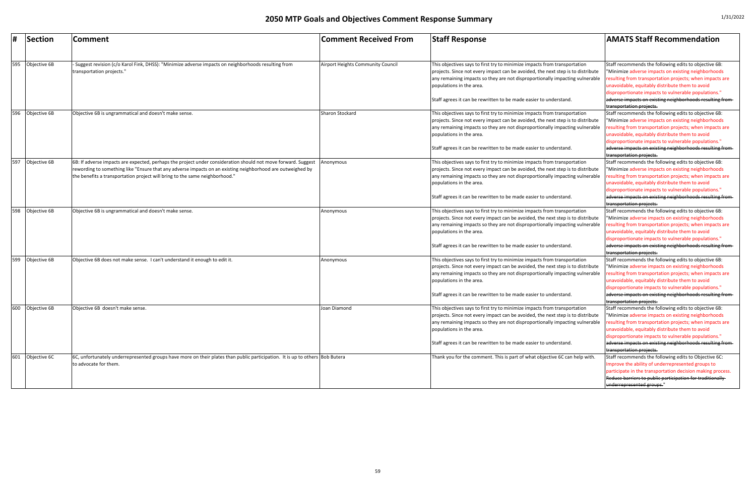|     | <b>Section</b> | <b>Comment</b>                                                                                                                                                                            | <b>Comment Received From</b>      | <b>Staff Response</b>                                                                                                                                                                                                                                                                                                                         | <b>AMATS Staff Recommendation</b>                                                                                                                                                                                                                                                                                                                                            |
|-----|----------------|-------------------------------------------------------------------------------------------------------------------------------------------------------------------------------------------|-----------------------------------|-----------------------------------------------------------------------------------------------------------------------------------------------------------------------------------------------------------------------------------------------------------------------------------------------------------------------------------------------|------------------------------------------------------------------------------------------------------------------------------------------------------------------------------------------------------------------------------------------------------------------------------------------------------------------------------------------------------------------------------|
| 595 | Objective 6B   | Suggest revision (c/o Karol Fink, DHSS): "Minimize adverse impacts on neighborhoods resulting from<br>transportation projects."                                                           | Airport Heights Community Council | This objectives says to first try to minimize impacts from transportation<br>projects. Since not every impact can be avoided, the next step is to distribute<br>any remaining impacts so they are not disproportionally impacting vulnerable<br>populations in the area.                                                                      | Staff recommends the following edits to objective 6B:<br>"Minimize adverse impacts on existing neighborhoods<br>esulting from transportation projects; when impacts are<br>unavoidable, equitably distribute them to avoid<br>disproportionate impacts to vulnerable populations."                                                                                           |
|     |                |                                                                                                                                                                                           |                                   | Staff agrees it can be rewritten to be made easier to understand.                                                                                                                                                                                                                                                                             | adverse impacts on existing neighborhoods resulting from-<br>transportation projects.                                                                                                                                                                                                                                                                                        |
| 596 | Objective 6B   | Objective 6B is ungrammatical and doesn't make sense.                                                                                                                                     | Sharon Stockard                   | This objectives says to first try to minimize impacts from transportation<br>projects. Since not every impact can be avoided, the next step is to distribute<br>any remaining impacts so they are not disproportionally impacting vulnerable<br>populations in the area.<br>Staff agrees it can be rewritten to be made easier to understand. | Staff recommends the following edits to objective 6B:<br>"Minimize adverse impacts on existing neighborhoods<br>esulting from transportation projects; when impacts are<br>unavoidable, equitably distribute them to avoid<br>disproportionate impacts to vulnerable populations."<br>adverse impacts on existing neighborhoods resulting from-                              |
| 597 | Objective 6B   | 6B: If adverse impacts are expected, perhaps the project under consideration should not move forward. Suggest                                                                             | Anonymous                         | This objectives says to first try to minimize impacts from transportation                                                                                                                                                                                                                                                                     | transportation projects.<br>Staff recommends the following edits to objective 6B:                                                                                                                                                                                                                                                                                            |
|     |                | rewording to something like "Ensure that any adverse impacts on an existing neighborhood are outweighed by<br>the benefits a transportation project will bring to the same neighborhood." |                                   | projects. Since not every impact can be avoided, the next step is to distribute<br>any remaining impacts so they are not disproportionally impacting vulnerable<br>populations in the area.                                                                                                                                                   | "Minimize adverse impacts on existing neighborhoods<br>esulting from transportation projects; when impacts are<br>unavoidable, equitably distribute them to avoid<br>disproportionate impacts to vulnerable populations."                                                                                                                                                    |
|     |                |                                                                                                                                                                                           |                                   | Staff agrees it can be rewritten to be made easier to understand.                                                                                                                                                                                                                                                                             | adverse impacts on existing neighborhoods resulting from-<br>transportation projects.                                                                                                                                                                                                                                                                                        |
| 598 | Objective 6B   | Objective 6B is ungrammatical and doesn't make sense.                                                                                                                                     | Anonymous                         | This objectives says to first try to minimize impacts from transportation<br>projects. Since not every impact can be avoided, the next step is to distribute<br>any remaining impacts so they are not disproportionally impacting vulnerable<br>populations in the area.<br>Staff agrees it can be rewritten to be made easier to understand. | Staff recommends the following edits to objective 6B:<br>"Minimize adverse impacts on existing neighborhoods<br>esulting from transportation projects; when impacts are<br>unavoidable, equitably distribute them to avoid<br>disproportionate impacts to vulnerable populations."<br>adverse impacts on existing neighborhoods resulting from-                              |
| 599 | Objective 6B   | Objective 6B does not make sense. I can't understand it enough to edit it.                                                                                                                | Anonymous                         | This objectives says to first try to minimize impacts from transportation<br>projects. Since not every impact can be avoided, the next step is to distribute<br>any remaining impacts so they are not disproportionally impacting vulnerable<br>populations in the area.<br>Staff agrees it can be rewritten to be made easier to understand. | transportation projects.<br>Staff recommends the following edits to objective 6B:<br>"Minimize adverse impacts on existing neighborhoods<br>resulting from transportation projects; when impacts are<br>unavoidable, equitably distribute them to avoid<br>disproportionate impacts to vulnerable populations."<br>adverse impacts on existing neighborhoods resulting from- |
| 600 | Objective 6B   | Objective 6B doesn't make sense.                                                                                                                                                          | Joan Diamond                      | This objectives says to first try to minimize impacts from transportation<br>projects. Since not every impact can be avoided, the next step is to distribute<br>any remaining impacts so they are not disproportionally impacting vulnerable<br>populations in the area.<br>Staff agrees it can be rewritten to be made easier to understand. | transportation projects.<br>Staff recommends the following edits to objective 6B:<br>"Minimize adverse impacts on existing neighborhoods<br>esulting from transportation projects; when impacts are<br>unavoidable, equitably distribute them to avoid<br>disproportionate impacts to vulnerable populations."<br>adverse impacts on existing neighborhoods resulting from-  |
| 601 | Objective 6C   | 6C, unfortunately underrepresented groups have more on their plates than public participation. It is up to others Bob Butera<br>to advocate for them.                                     |                                   | Thank you for the comment. This is part of what objective 6C can help with.                                                                                                                                                                                                                                                                   | transportation projects.<br>Staff recommends the following edits to Objective 6C:<br>Improve the ability of underrepresented groups to<br>participate in the transportation decision making process.<br>Reduce barriers to public participation for traditionally<br>underrepresented groups."                                                                               |